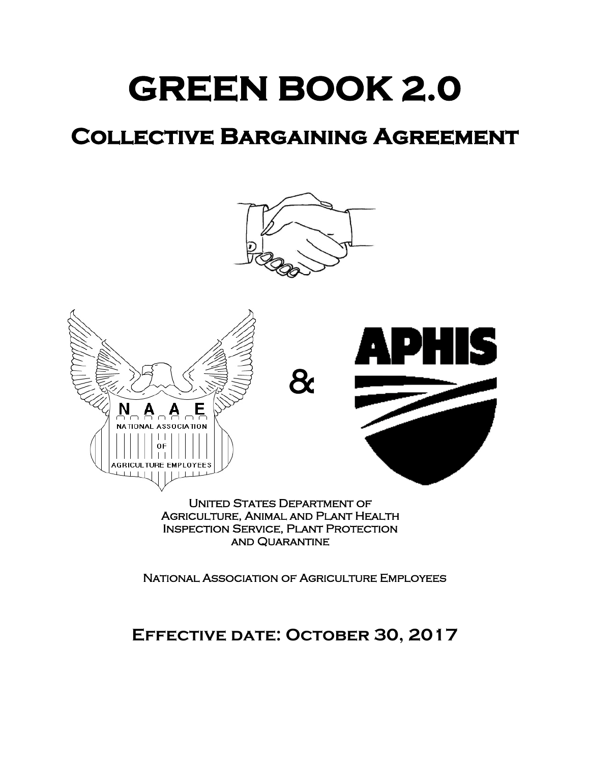# **GREEN BOOK 2.0**

## **Collective Bargaining Agreement**



Agriculture, Animal and Plant Health Inspection Service, Plant Protection and Quarantine

National Association of Agriculture Employees

## **Effective date: October 30, 2017**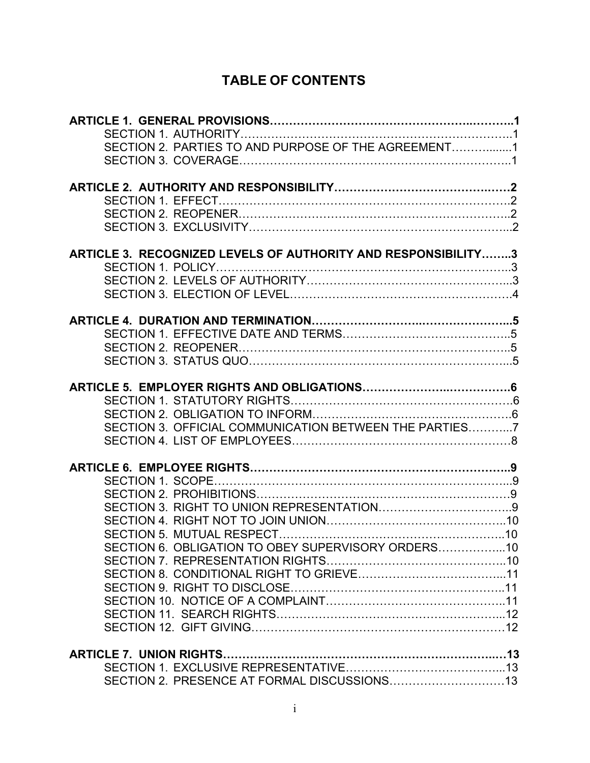### **TABLE OF CONTENTS**

| SECTION 2. PARTIES TO AND PURPOSE OF THE AGREEMENT1           |  |
|---------------------------------------------------------------|--|
|                                                               |  |
|                                                               |  |
|                                                               |  |
|                                                               |  |
|                                                               |  |
|                                                               |  |
|                                                               |  |
| ARTICLE 3. RECOGNIZED LEVELS OF AUTHORITY AND RESPONSIBILITY3 |  |
|                                                               |  |
|                                                               |  |
|                                                               |  |
|                                                               |  |
|                                                               |  |
|                                                               |  |
|                                                               |  |
|                                                               |  |
|                                                               |  |
|                                                               |  |
|                                                               |  |
| SECTION 3. OFFICIAL COMMUNICATION BETWEEN THE PARTIES7        |  |
|                                                               |  |
|                                                               |  |
|                                                               |  |
|                                                               |  |
|                                                               |  |
|                                                               |  |
|                                                               |  |
|                                                               |  |
| SECTION 6. OBLIGATION TO OBEY SUPERVISORY ORDERS10            |  |
|                                                               |  |
|                                                               |  |
|                                                               |  |
|                                                               |  |
|                                                               |  |
|                                                               |  |
|                                                               |  |
|                                                               |  |
|                                                               |  |
| SECTION 2. PRESENCE AT FORMAL DISCUSSIONS13                   |  |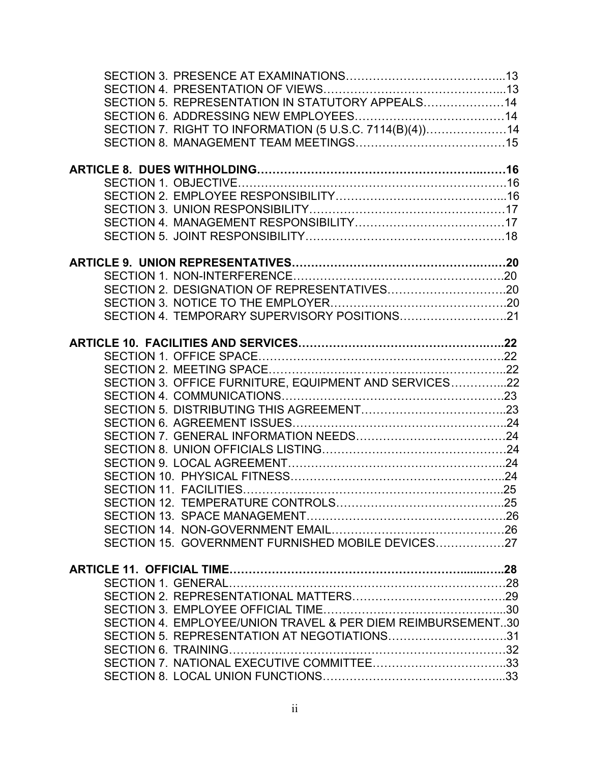| SECTION 5. REPRESENTATION IN STATUTORY APPEALS14            |  |
|-------------------------------------------------------------|--|
|                                                             |  |
| SECTION 7. RIGHT TO INFORMATION (5 U.S.C. 7114(B)(4))14     |  |
|                                                             |  |
|                                                             |  |
|                                                             |  |
|                                                             |  |
|                                                             |  |
|                                                             |  |
|                                                             |  |
|                                                             |  |
|                                                             |  |
|                                                             |  |
|                                                             |  |
|                                                             |  |
|                                                             |  |
|                                                             |  |
|                                                             |  |
|                                                             |  |
| SECTION 3. OFFICE FURNITURE, EQUIPMENT AND SERVICES22       |  |
|                                                             |  |
|                                                             |  |
|                                                             |  |
|                                                             |  |
|                                                             |  |
|                                                             |  |
|                                                             |  |
|                                                             |  |
|                                                             |  |
|                                                             |  |
| SECTION 15. GOVERNMENT FURNISHED MOBILE DEVICES27           |  |
|                                                             |  |
|                                                             |  |
|                                                             |  |
|                                                             |  |
| SECTION 4. EMPLOYEE/UNION TRAVEL & PER DIEM REIMBURSEMENT30 |  |
| SECTION 5. REPRESENTATION AT NEGOTIATIONS31                 |  |
|                                                             |  |
|                                                             |  |
|                                                             |  |
|                                                             |  |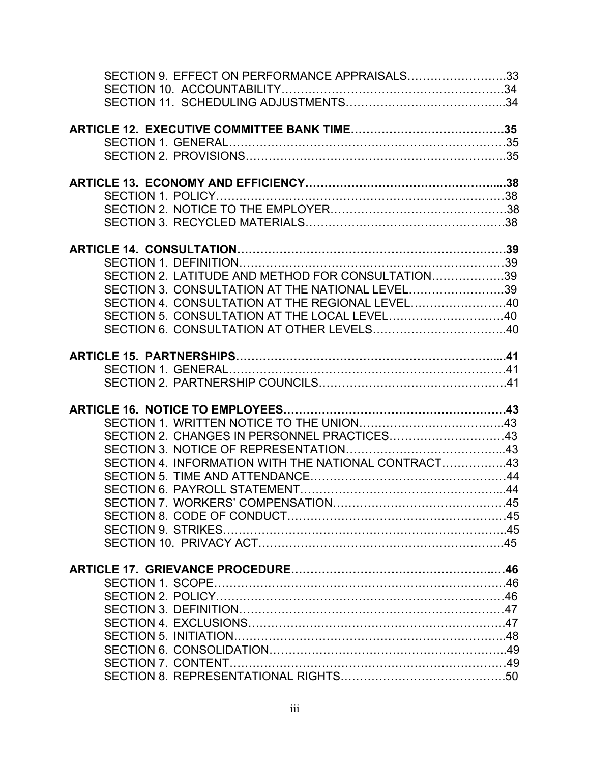| SECTION 9. EFFECT ON PERFORMANCE APPRAISALS33       |  |
|-----------------------------------------------------|--|
|                                                     |  |
|                                                     |  |
|                                                     |  |
|                                                     |  |
|                                                     |  |
|                                                     |  |
|                                                     |  |
|                                                     |  |
|                                                     |  |
|                                                     |  |
|                                                     |  |
|                                                     |  |
| SECTION 2. LATITUDE AND METHOD FOR CONSULTATION39   |  |
| SECTION 3. CONSULTATION AT THE NATIONAL LEVEL39     |  |
| SECTION 4. CONSULTATION AT THE REGIONAL LEVEL40     |  |
|                                                     |  |
|                                                     |  |
|                                                     |  |
|                                                     |  |
|                                                     |  |
|                                                     |  |
|                                                     |  |
|                                                     |  |
| SECTION 2. CHANGES IN PERSONNEL PRACTICES43         |  |
|                                                     |  |
| SECTION 4. INFORMATION WITH THE NATIONAL CONTRACT43 |  |
|                                                     |  |
|                                                     |  |
|                                                     |  |
|                                                     |  |
|                                                     |  |
|                                                     |  |
|                                                     |  |
|                                                     |  |
|                                                     |  |
|                                                     |  |
|                                                     |  |
|                                                     |  |
|                                                     |  |
|                                                     |  |
|                                                     |  |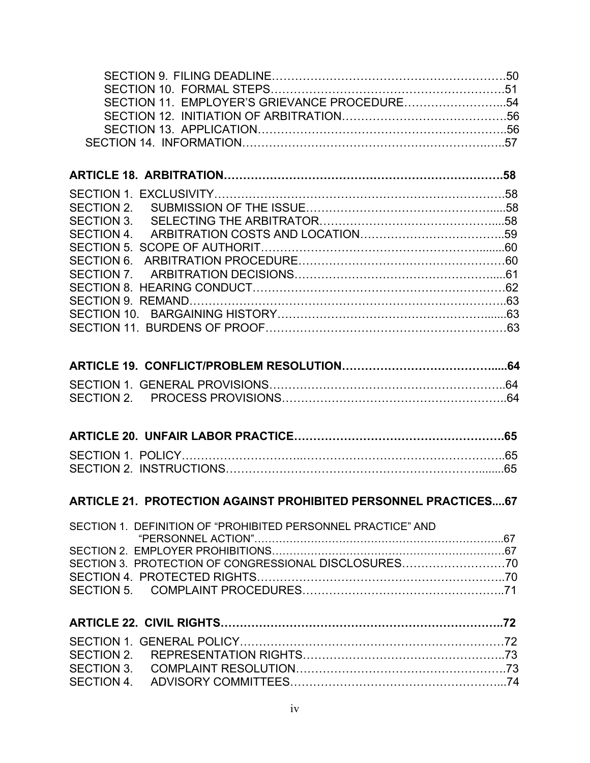| SECTION 2. |  |
|------------|--|
|            |  |
|            |  |
|            |  |
|            |  |
|            |  |
|            |  |
|            |  |
|            |  |
|            |  |
|            |  |

#### **ARTICLE 21. PROTECTION AGAINST PROHIBITED PERSONNEL PRACTICES....67**

| SECTION 1. DEFINITION OF "PROHIBITED PERSONNEL PRACTICE" AND |  |
|--------------------------------------------------------------|--|
|                                                              |  |
|                                                              |  |
| SECTION 3. PROTECTION OF CONGRESSIONAL DISCLOSURES70         |  |
|                                                              |  |
|                                                              |  |
|                                                              |  |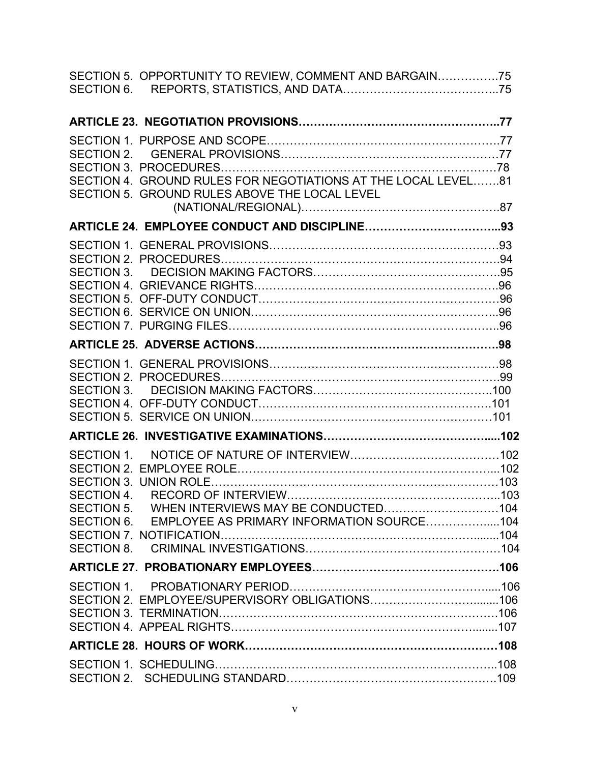|                          | SECTION 5. OPPORTUNITY TO REVIEW, COMMENT AND BARGAIN75                                                        |  |
|--------------------------|----------------------------------------------------------------------------------------------------------------|--|
|                          |                                                                                                                |  |
|                          | SECTION 4. GROUND RULES FOR NEGOTIATIONS AT THE LOCAL LEVEL81<br>SECTION 5. GROUND RULES ABOVE THE LOCAL LEVEL |  |
|                          |                                                                                                                |  |
|                          |                                                                                                                |  |
|                          |                                                                                                                |  |
|                          |                                                                                                                |  |
|                          |                                                                                                                |  |
| SECTION 5.<br>SECTION 6. | EMPLOYEE AS PRIMARY INFORMATION SOURCE104                                                                      |  |
|                          |                                                                                                                |  |
|                          |                                                                                                                |  |
|                          |                                                                                                                |  |
|                          |                                                                                                                |  |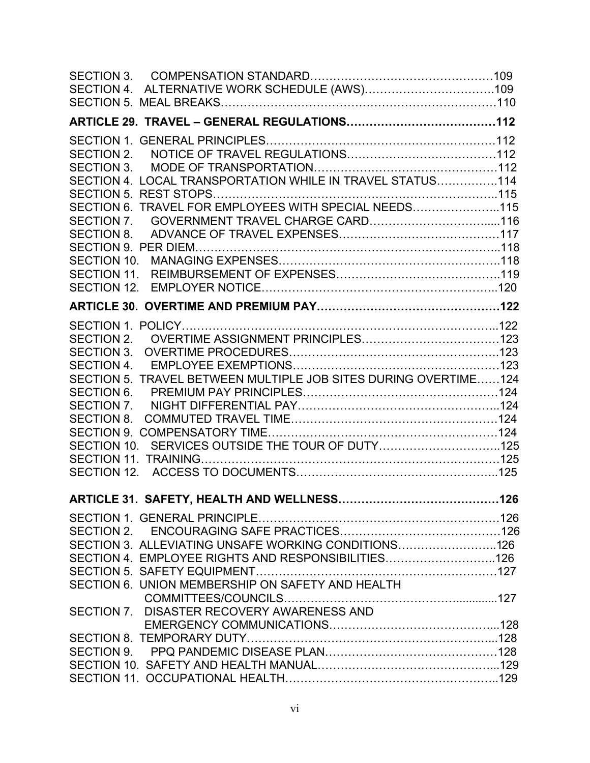| SECTION 4. ALTERNATIVE WORK SCHEDULE (AWS)109                             |     |
|---------------------------------------------------------------------------|-----|
|                                                                           |     |
| SECTION 2.<br><b>SECTION 3.</b>                                           |     |
| SECTION 4. LOCAL TRANSPORTATION WHILE IN TRAVEL STATUS114                 |     |
| SECTION 6. TRAVEL FOR EMPLOYEES WITH SPECIAL NEEDS115<br>SECTION 7.       |     |
| SECTION 8.<br>SECTION 10.                                                 |     |
| SECTION 11.                                                               |     |
|                                                                           |     |
|                                                                           |     |
| <b>SECTION 2.</b><br><b>SECTION 3.</b>                                    |     |
| <b>SECTION 4.</b>                                                         |     |
| TRAVEL BETWEEN MULTIPLE JOB SITES DURING OVERTIME124<br><b>SECTION 5.</b> |     |
| <b>SECTION 6.</b><br>SECTION 7.                                           |     |
| <b>SECTION 8.</b>                                                         |     |
|                                                                           |     |
| SECTION 10. SERVICES OUTSIDE THE TOUR OF DUTY125                          |     |
|                                                                           |     |
|                                                                           |     |
|                                                                           | 126 |
|                                                                           |     |
| SECTION 3. ALLEVIATING UNSAFE WORKING CONDITIONS126                       |     |
| SECTION 4. EMPLOYEE RIGHTS AND RESPONSIBILITIES126                        |     |
|                                                                           |     |
| SECTION 6. UNION MEMBERSHIP ON SAFETY AND HEALTH                          |     |
|                                                                           |     |
| SECTION 7. DISASTER RECOVERY AWARENESS AND                                |     |
|                                                                           |     |
|                                                                           |     |
|                                                                           |     |
|                                                                           |     |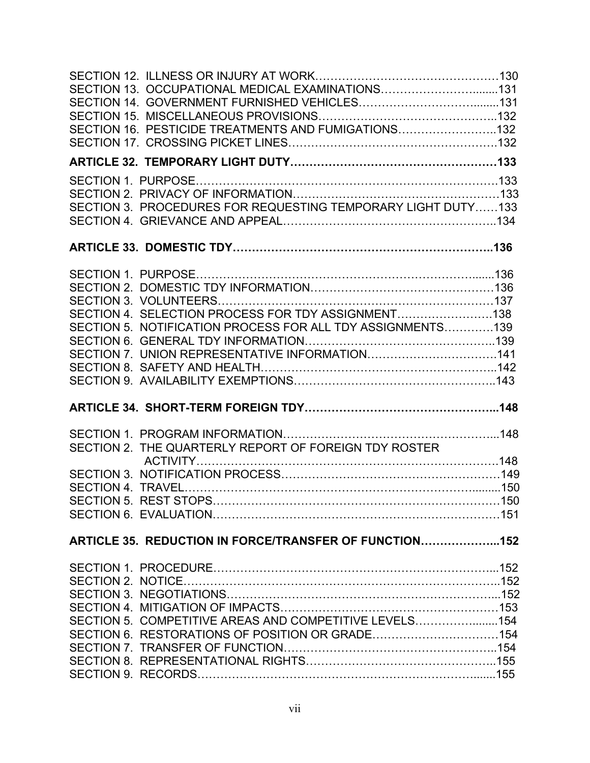| SECTION 13. OCCUPATIONAL MEDICAL EXAMINATIONS131             |  |
|--------------------------------------------------------------|--|
|                                                              |  |
|                                                              |  |
| SECTION 16. PESTICIDE TREATMENTS AND FUMIGATIONS132          |  |
|                                                              |  |
|                                                              |  |
|                                                              |  |
|                                                              |  |
| SECTION 3. PROCEDURES FOR REQUESTING TEMPORARY LIGHT DUTY133 |  |
|                                                              |  |
|                                                              |  |
|                                                              |  |
|                                                              |  |
|                                                              |  |
|                                                              |  |
| SECTION 4. SELECTION PROCESS FOR TDY ASSIGNMENT138           |  |
| SECTION 5. NOTIFICATION PROCESS FOR ALL TDY ASSIGNMENTS139   |  |
|                                                              |  |
|                                                              |  |
|                                                              |  |
|                                                              |  |
|                                                              |  |
|                                                              |  |
|                                                              |  |
|                                                              |  |
| SECTION 2. THE QUARTERLY REPORT OF FOREIGN TDY ROSTER        |  |
|                                                              |  |
|                                                              |  |
|                                                              |  |
|                                                              |  |
| ARTICLE 35. REDUCTION IN FORCE/TRANSFER OF FUNCTION152       |  |
|                                                              |  |
|                                                              |  |
|                                                              |  |
|                                                              |  |
|                                                              |  |
| SECTION 5. COMPETITIVE AREAS AND COMPETITIVE LEVELS154       |  |
| SECTION 6. RESTORATIONS OF POSITION OR GRADE154              |  |
|                                                              |  |
|                                                              |  |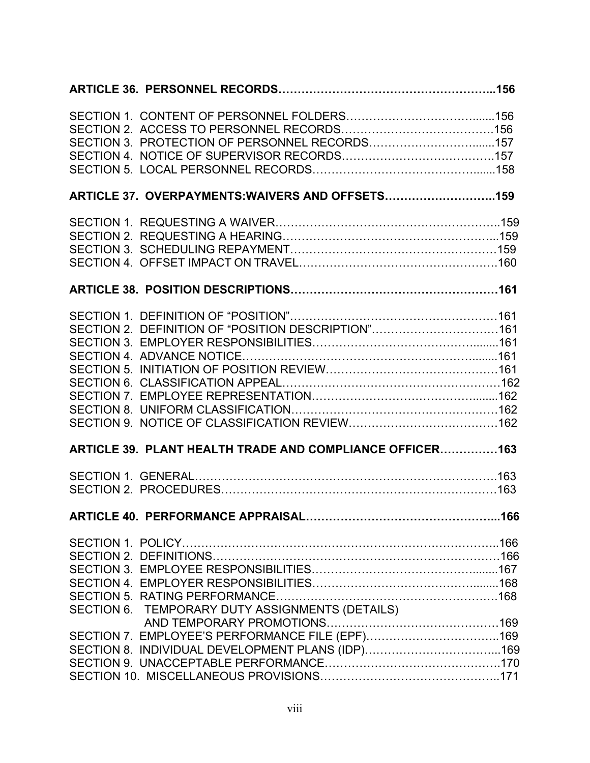| SECTION 3. PROTECTION OF PERSONNEL RECORDS157                                                                                                          |  |
|--------------------------------------------------------------------------------------------------------------------------------------------------------|--|
| ARTICLE 37. OVERPAYMENTS: WAIVERS AND OFFSETS159                                                                                                       |  |
|                                                                                                                                                        |  |
|                                                                                                                                                        |  |
| SECTION 2. DEFINITION OF "POSITION DESCRIPTION"161                                                                                                     |  |
| ARTICLE 39. PLANT HEALTH TRADE AND COMPLIANCE OFFICER 163                                                                                              |  |
|                                                                                                                                                        |  |
|                                                                                                                                                        |  |
| SECTION 6. TEMPORARY DUTY ASSIGNMENTS (DETAILS)<br>SECTION 7. EMPLOYEE'S PERFORMANCE FILE (EPF)169<br>SECTION 8. INDIVIDUAL DEVELOPMENT PLANS (IDP)169 |  |
|                                                                                                                                                        |  |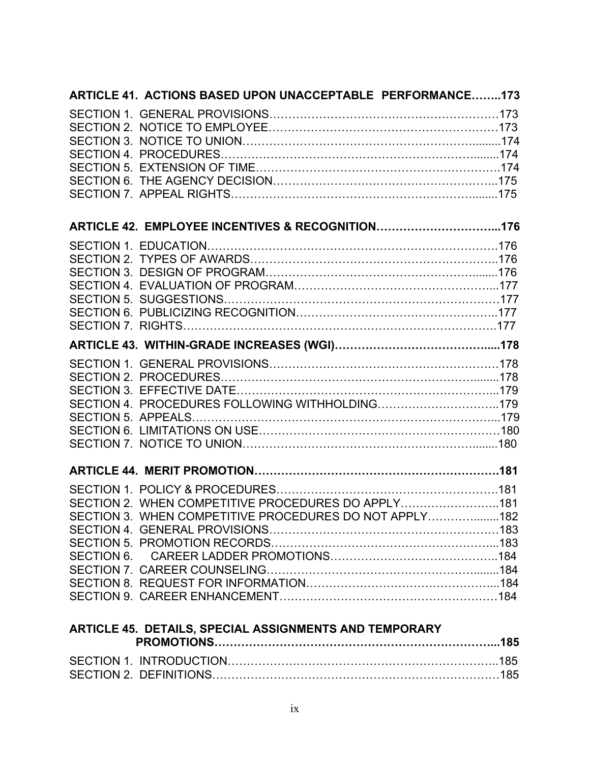| ARTICLE 41. ACTIONS BASED UPON UNACCEPTABLE PERFORMANCE173 |  |
|------------------------------------------------------------|--|
|                                                            |  |
|                                                            |  |
|                                                            |  |
|                                                            |  |
|                                                            |  |
|                                                            |  |
|                                                            |  |
| ARTICLE 42. EMPLOYEE INCENTIVES & RECOGNITION176           |  |
|                                                            |  |
|                                                            |  |
|                                                            |  |
|                                                            |  |
|                                                            |  |
|                                                            |  |
|                                                            |  |
|                                                            |  |
|                                                            |  |
|                                                            |  |
| SECTION 4. PROCEDURES FOLLOWING WITHHOLDING179             |  |
|                                                            |  |
|                                                            |  |
|                                                            |  |
|                                                            |  |
|                                                            |  |
| SECTION 2. WHEN COMPETITIVE PROCEDURES DO APPLY181         |  |
| SECTION 3. WHEN COMPETITIVE PROCEDURES DO NOT APPLY182     |  |
|                                                            |  |
|                                                            |  |
|                                                            |  |
|                                                            |  |
|                                                            |  |
|                                                            |  |
| ARTICLE 45. DETAILS, SPECIAL ASSIGNMENTS AND TEMPORARY     |  |
| $CFAHOMA$ INTRODUCTION                                     |  |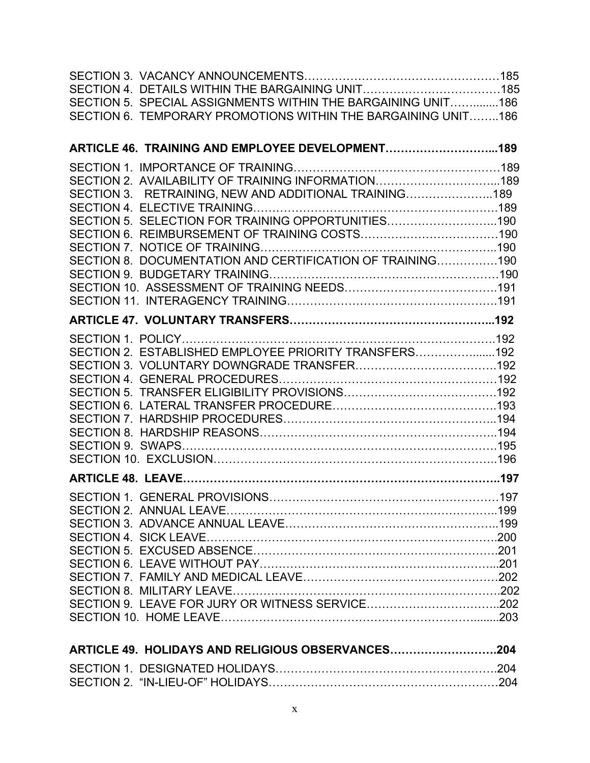| SECTION 5. SPECIAL ASSIGNMENTS WITHIN THE BARGAINING UNIT186  |      |
|---------------------------------------------------------------|------|
| SECTION 6. TEMPORARY PROMOTIONS WITHIN THE BARGAINING UNIT186 |      |
| ARTICLE 46. TRAINING AND EMPLOYEE DEVELOPMENT189              |      |
|                                                               |      |
|                                                               |      |
| SECTION 3. RETRAINING, NEW AND ADDITIONAL TRAINING189         |      |
|                                                               |      |
| SECTION 5. SELECTION FOR TRAINING OPPORTUNITIES190            |      |
|                                                               |      |
| SECTION 8. DOCUMENTATION AND CERTIFICATION OF TRAINING190     |      |
|                                                               |      |
|                                                               |      |
|                                                               |      |
|                                                               |      |
|                                                               |      |
| SECTION 2. ESTABLISHED EMPLOYEE PRIORITY TRANSFERS192         |      |
|                                                               |      |
|                                                               |      |
|                                                               |      |
|                                                               |      |
|                                                               |      |
|                                                               |      |
|                                                               |      |
|                                                               |      |
| SECTION 1. GENERAL PROVISIONS                                 | .197 |
|                                                               |      |
|                                                               |      |
|                                                               |      |
|                                                               |      |
|                                                               |      |
|                                                               |      |
|                                                               |      |
|                                                               |      |
| ARTICLE 49. HOLIDAYS AND RELIGIOUS OBSERVANCES204             |      |
|                                                               |      |
|                                                               |      |

SECTION 2. "IN-LIEU-OF" HOLIDAYS……………………………………………………204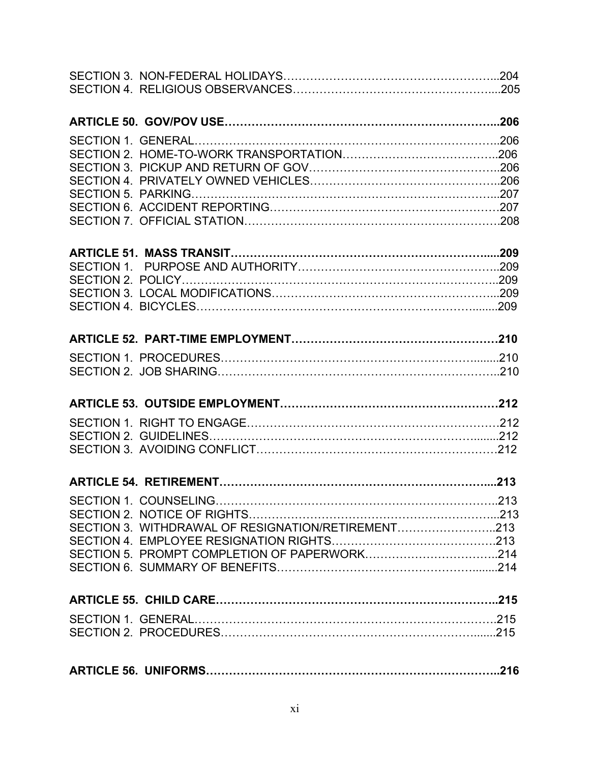| SECTION 3. WITHDRAWAL OF RESIGNATION/RETIREMENT213 |
|----------------------------------------------------|
|                                                    |
|                                                    |
|                                                    |
|                                                    |
|                                                    |
|                                                    |
|                                                    |
|                                                    |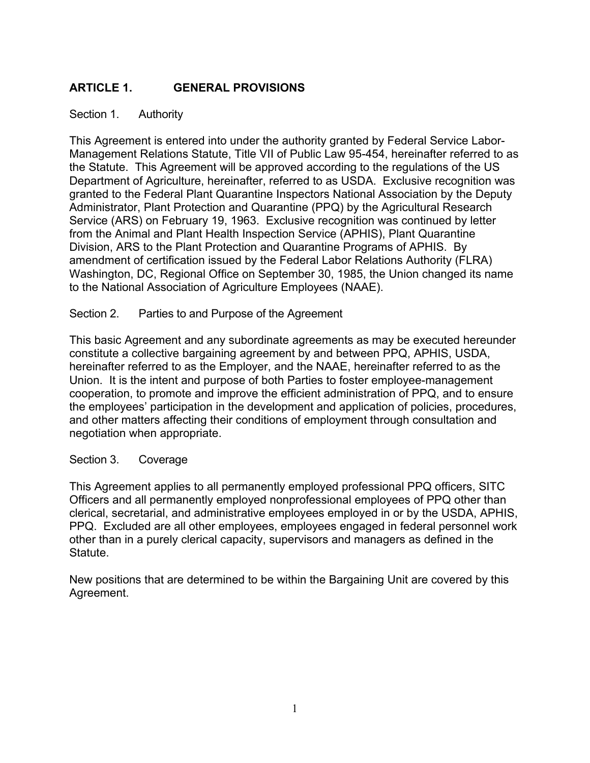#### **ARTICLE 1. GENERAL PROVISIONS**

#### Section 1. Authority

This Agreement is entered into under the authority granted by Federal Service Labor-Management Relations Statute, Title VII of Public Law 95-454, hereinafter referred to as the Statute. This Agreement will be approved according to the regulations of the US Department of Agriculture, hereinafter, referred to as USDA. Exclusive recognition was granted to the Federal Plant Quarantine Inspectors National Association by the Deputy Administrator, Plant Protection and Quarantine (PPQ) by the Agricultural Research Service (ARS) on February 19, 1963. Exclusive recognition was continued by letter from the Animal and Plant Health Inspection Service (APHIS), Plant Quarantine Division, ARS to the Plant Protection and Quarantine Programs of APHIS. By amendment of certification issued by the Federal Labor Relations Authority (FLRA) Washington, DC, Regional Office on September 30, 1985, the Union changed its name to the National Association of Agriculture Employees (NAAE).

#### Section 2. Parties to and Purpose of the Agreement

This basic Agreement and any subordinate agreements as may be executed hereunder constitute a collective bargaining agreement by and between PPQ, APHIS, USDA, hereinafter referred to as the Employer, and the NAAE, hereinafter referred to as the Union. It is the intent and purpose of both Parties to foster employee-management cooperation, to promote and improve the efficient administration of PPQ, and to ensure the employees' participation in the development and application of policies, procedures, and other matters affecting their conditions of employment through consultation and negotiation when appropriate.

#### Section 3. Coverage

This Agreement applies to all permanently employed professional PPQ officers, SITC Officers and all permanently employed nonprofessional employees of PPQ other than clerical, secretarial, and administrative employees employed in or by the USDA, APHIS, PPQ. Excluded are all other employees, employees engaged in federal personnel work other than in a purely clerical capacity, supervisors and managers as defined in the Statute.

New positions that are determined to be within the Bargaining Unit are covered by this Agreement.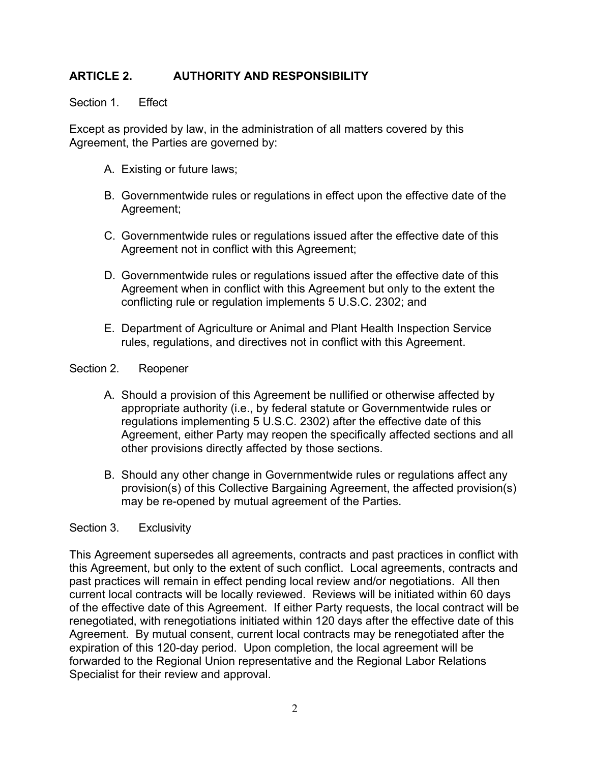#### **ARTICLE 2. AUTHORITY AND RESPONSIBILITY**

#### Section 1. Effect

Except as provided by law, in the administration of all matters covered by this Agreement, the Parties are governed by:

- A. Existing or future laws;
- B. Governmentwide rules or regulations in effect upon the effective date of the Agreement;
- C. Governmentwide rules or regulations issued after the effective date of this Agreement not in conflict with this Agreement;
- D. Governmentwide rules or regulations issued after the effective date of this Agreement when in conflict with this Agreement but only to the extent the conflicting rule or regulation implements 5 U.S.C. 2302; and
- E. Department of Agriculture or Animal and Plant Health Inspection Service rules, regulations, and directives not in conflict with this Agreement.

#### Section 2. Reopener

- A. Should a provision of this Agreement be nullified or otherwise affected by appropriate authority (i.e., by federal statute or Governmentwide rules or regulations implementing 5 U.S.C. 2302) after the effective date of this Agreement, either Party may reopen the specifically affected sections and all other provisions directly affected by those sections.
- B. Should any other change in Governmentwide rules or regulations affect any provision(s) of this Collective Bargaining Agreement, the affected provision(s) may be re-opened by mutual agreement of the Parties.

#### Section 3. Exclusivity

This Agreement supersedes all agreements, contracts and past practices in conflict with this Agreement, but only to the extent of such conflict. Local agreements, contracts and past practices will remain in effect pending local review and/or negotiations. All then current local contracts will be locally reviewed. Reviews will be initiated within 60 days of the effective date of this Agreement. If either Party requests, the local contract will be renegotiated, with renegotiations initiated within 120 days after the effective date of this Agreement. By mutual consent, current local contracts may be renegotiated after the expiration of this 120-day period. Upon completion, the local agreement will be forwarded to the Regional Union representative and the Regional Labor Relations Specialist for their review and approval.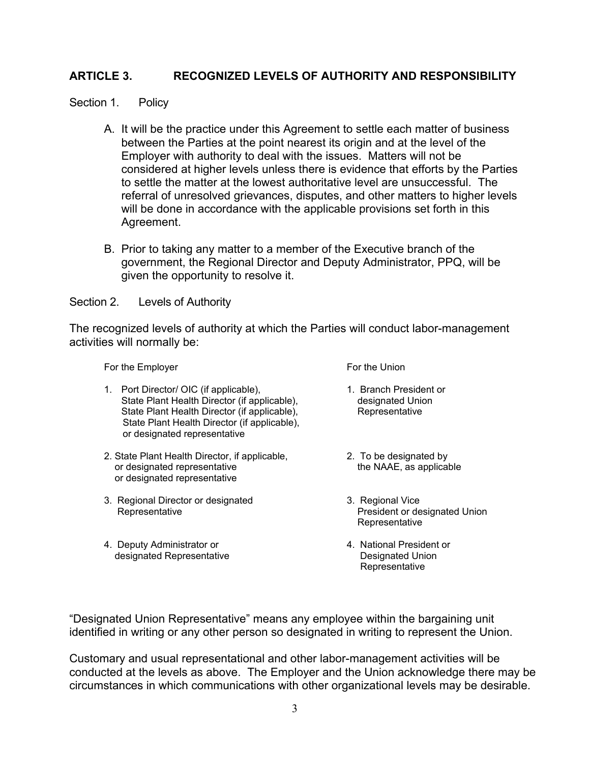#### **ARTICLE 3. RECOGNIZED LEVELS OF AUTHORITY AND RESPONSIBILITY**

#### Section 1. Policy

- A. It will be the practice under this Agreement to settle each matter of business between the Parties at the point nearest its origin and at the level of the Employer with authority to deal with the issues. Matters will not be considered at higher levels unless there is evidence that efforts by the Parties to settle the matter at the lowest authoritative level are unsuccessful. The referral of unresolved grievances, disputes, and other matters to higher levels will be done in accordance with the applicable provisions set forth in this Agreement.
- B. Prior to taking any matter to a member of the Executive branch of the government, the Regional Director and Deputy Administrator, PPQ, will be given the opportunity to resolve it.

#### Section 2. Levels of Authority

The recognized levels of authority at which the Parties will conduct labor-management activities will normally be:

For the Employer For the Union

- 1. Port Director/ OIC (if applicable), 1. Branch President or State Plant Health Director (if applicable), designated Union<br>State Plant Health Director (if applicable), Representative State Plant Health Director (if applicable), State Plant Health Director (if applicable), or designated representative
- 2. State Plant Health Director, if applicable, 2. To be designated by<br>or designated representative the NAAE, as applicable or designated representative or designated representative
- 3. Regional Director or designated 3. Regional Vice
- 4. Deputy Administrator or  $\qquad \qquad \qquad$  4. National President or designated Representative Designated Union designated Representative

- 
- 
- Representative **President or designated Union**  Representative
	- Representative

"Designated Union Representative" means any employee within the bargaining unit identified in writing or any other person so designated in writing to represent the Union.

Customary and usual representational and other labor-management activities will be conducted at the levels as above. The Employer and the Union acknowledge there may be circumstances in which communications with other organizational levels may be desirable.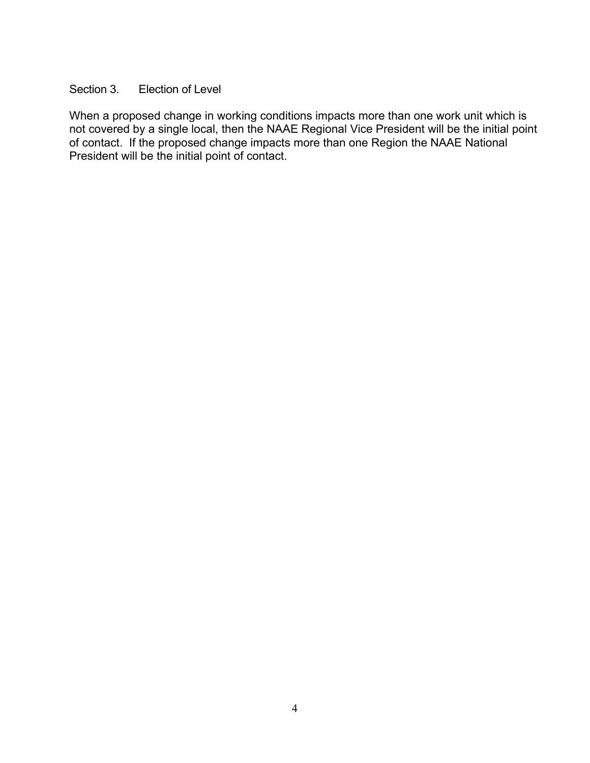#### Section 3. Election of Level

When a proposed change in working conditions impacts more than one work unit which is not covered by a single local, then the NAAE Regional Vice President will be the initial point of contact. If the proposed change impacts more than one Region the NAAE National President will be the initial point of contact.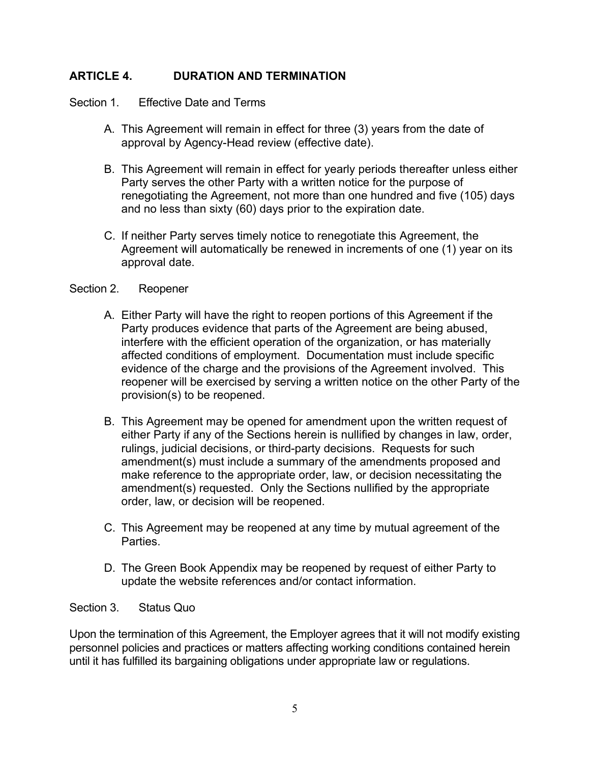#### **ARTICLE 4. DURATION AND TERMINATION**

Section 1. Effective Date and Terms

- A. This Agreement will remain in effect for three (3) years from the date of approval by Agency-Head review (effective date).
- B. This Agreement will remain in effect for yearly periods thereafter unless either Party serves the other Party with a written notice for the purpose of renegotiating the Agreement, not more than one hundred and five (105) days and no less than sixty (60) days prior to the expiration date.
- C. If neither Party serves timely notice to renegotiate this Agreement, the Agreement will automatically be renewed in increments of one (1) year on its approval date.

#### Section 2. Reopener

- A. Either Party will have the right to reopen portions of this Agreement if the Party produces evidence that parts of the Agreement are being abused, interfere with the efficient operation of the organization, or has materially affected conditions of employment. Documentation must include specific evidence of the charge and the provisions of the Agreement involved. This reopener will be exercised by serving a written notice on the other Party of the provision(s) to be reopened.
- B. This Agreement may be opened for amendment upon the written request of either Party if any of the Sections herein is nullified by changes in law, order, rulings, judicial decisions, or third-party decisions. Requests for such amendment(s) must include a summary of the amendments proposed and make reference to the appropriate order, law, or decision necessitating the amendment(s) requested. Only the Sections nullified by the appropriate order, law, or decision will be reopened.
- C. This Agreement may be reopened at any time by mutual agreement of the Parties.
- D. The Green Book Appendix may be reopened by request of either Party to update the website references and/or contact information.

#### Section 3. Status Quo

Upon the termination of this Agreement, the Employer agrees that it will not modify existing personnel policies and practices or matters affecting working conditions contained herein until it has fulfilled its bargaining obligations under appropriate law or regulations.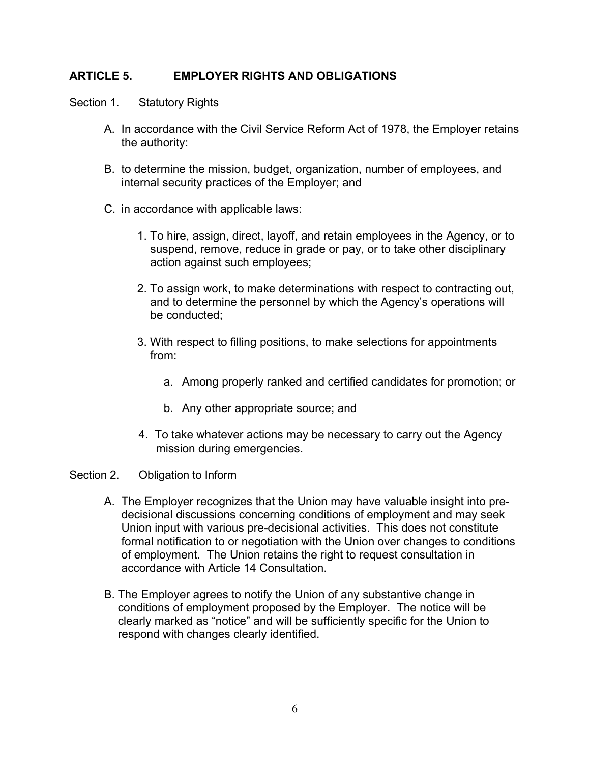#### **ARTICLE 5. EMPLOYER RIGHTS AND OBLIGATIONS**

Section 1. Statutory Rights

- A. In accordance with the Civil Service Reform Act of 1978, the Employer retains the authority:
- B. to determine the mission, budget, organization, number of employees, and internal security practices of the Employer; and
- C. in accordance with applicable laws:
	- 1. To hire, assign, direct, layoff, and retain employees in the Agency, or to suspend, remove, reduce in grade or pay, or to take other disciplinary action against such employees;
	- 2. To assign work, to make determinations with respect to contracting out, and to determine the personnel by which the Agency's operations will be conducted;
	- 3. With respect to filling positions, to make selections for appointments from:
		- a. Among properly ranked and certified candidates for promotion; or
		- b. Any other appropriate source; and
	- 4. To take whatever actions may be necessary to carry out the Agency mission during emergencies.

#### Section 2. Obligation to Inform

- A. The Employer recognizes that the Union may have valuable insight into predecisional discussions concerning conditions of employment and may seek Union input with various pre-decisional activities. This does not constitute formal notification to or negotiation with the Union over changes to conditions of employment. The Union retains the right to request consultation in accordance with Article 14 Consultation.
- B. The Employer agrees to notify the Union of any substantive change in conditions of employment proposed by the Employer. The notice will be clearly marked as "notice" and will be sufficiently specific for the Union to respond with changes clearly identified.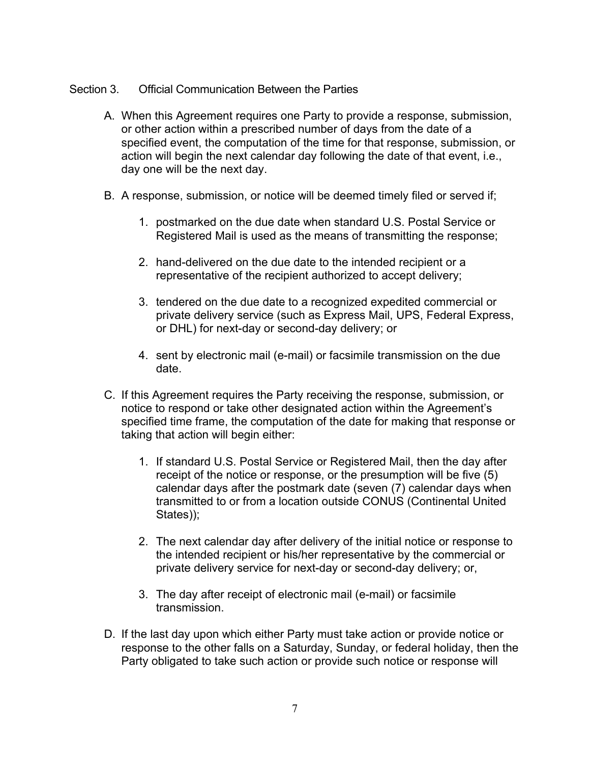- Section 3. Official Communication Between the Parties
	- A. When this Agreement requires one Party to provide a response, submission, or other action within a prescribed number of days from the date of a specified event, the computation of the time for that response, submission, or action will begin the next calendar day following the date of that event, i.e., day one will be the next day.
	- B. A response, submission, or notice will be deemed timely filed or served if;
		- 1. postmarked on the due date when standard U.S. Postal Service or Registered Mail is used as the means of transmitting the response;
		- 2. hand-delivered on the due date to the intended recipient or a representative of the recipient authorized to accept delivery;
		- 3. tendered on the due date to a recognized expedited commercial or private delivery service (such as Express Mail, UPS, Federal Express, or DHL) for next-day or second-day delivery; or
		- 4. sent by electronic mail (e-mail) or facsimile transmission on the due date.
	- C. If this Agreement requires the Party receiving the response, submission, or notice to respond or take other designated action within the Agreement's specified time frame, the computation of the date for making that response or taking that action will begin either:
		- 1. If standard U.S. Postal Service or Registered Mail, then the day after receipt of the notice or response, or the presumption will be five (5) calendar days after the postmark date (seven (7) calendar days when transmitted to or from a location outside CONUS (Continental United States));
		- 2. The next calendar day after delivery of the initial notice or response to the intended recipient or his/her representative by the commercial or private delivery service for next-day or second-day delivery; or,
		- 3. The day after receipt of electronic mail (e-mail) or facsimile transmission.
	- D. If the last day upon which either Party must take action or provide notice or response to the other falls on a Saturday, Sunday, or federal holiday, then the Party obligated to take such action or provide such notice or response will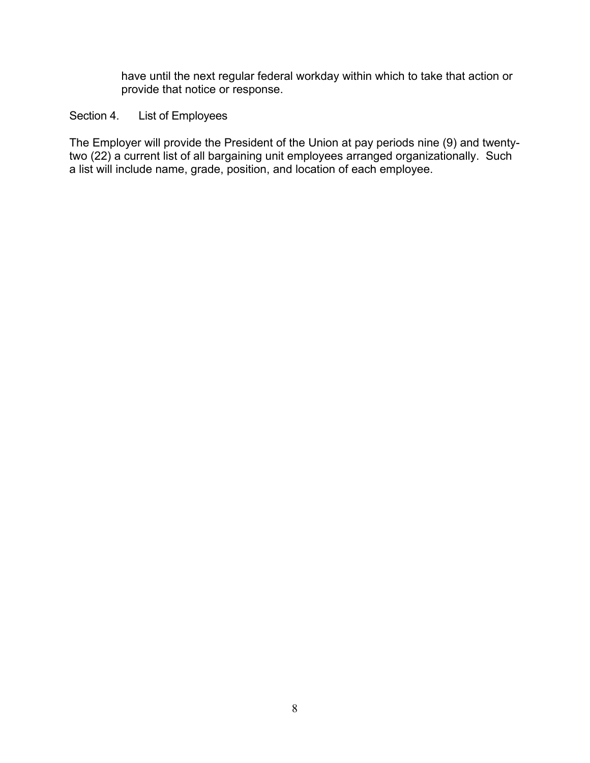have until the next regular federal workday within which to take that action or provide that notice or response.

#### Section 4. List of Employees

The Employer will provide the President of the Union at pay periods nine (9) and twentytwo (22) a current list of all bargaining unit employees arranged organizationally. Such a list will include name, grade, position, and location of each employee.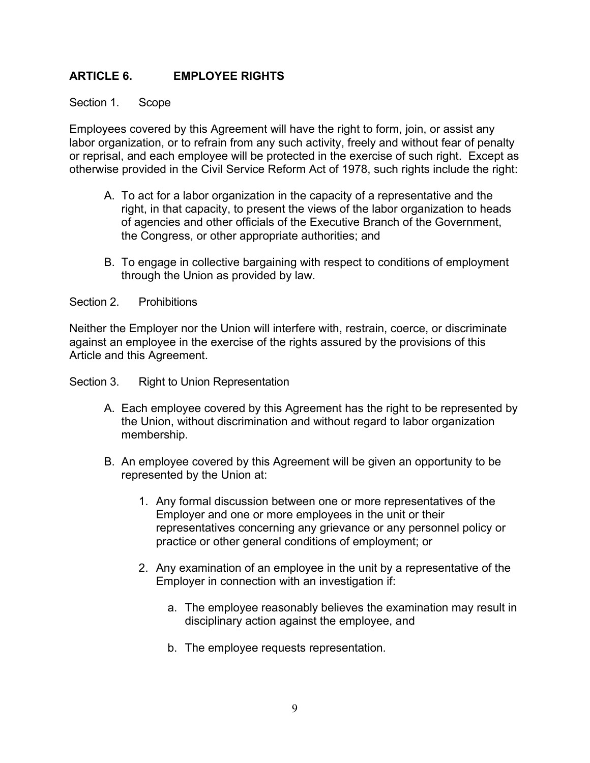#### **ARTICLE 6. EMPLOYEE RIGHTS**

#### Section 1. Scope

Employees covered by this Agreement will have the right to form, join, or assist any labor organization, or to refrain from any such activity, freely and without fear of penalty or reprisal, and each employee will be protected in the exercise of such right. Except as otherwise provided in the Civil Service Reform Act of 1978, such rights include the right:

- A. To act for a labor organization in the capacity of a representative and the right, in that capacity, to present the views of the labor organization to heads of agencies and other officials of the Executive Branch of the Government, the Congress, or other appropriate authorities; and
- B. To engage in collective bargaining with respect to conditions of employment through the Union as provided by law.

Section 2. Prohibitions

Neither the Employer nor the Union will interfere with, restrain, coerce, or discriminate against an employee in the exercise of the rights assured by the provisions of this Article and this Agreement.

Section 3. Right to Union Representation

- A. Each employee covered by this Agreement has the right to be represented by the Union, without discrimination and without regard to labor organization membership.
- B. An employee covered by this Agreement will be given an opportunity to be represented by the Union at:
	- 1. Any formal discussion between one or more representatives of the Employer and one or more employees in the unit or their representatives concerning any grievance or any personnel policy or practice or other general conditions of employment; or
	- 2. Any examination of an employee in the unit by a representative of the Employer in connection with an investigation if:
		- a. The employee reasonably believes the examination may result in disciplinary action against the employee, and
		- b. The employee requests representation.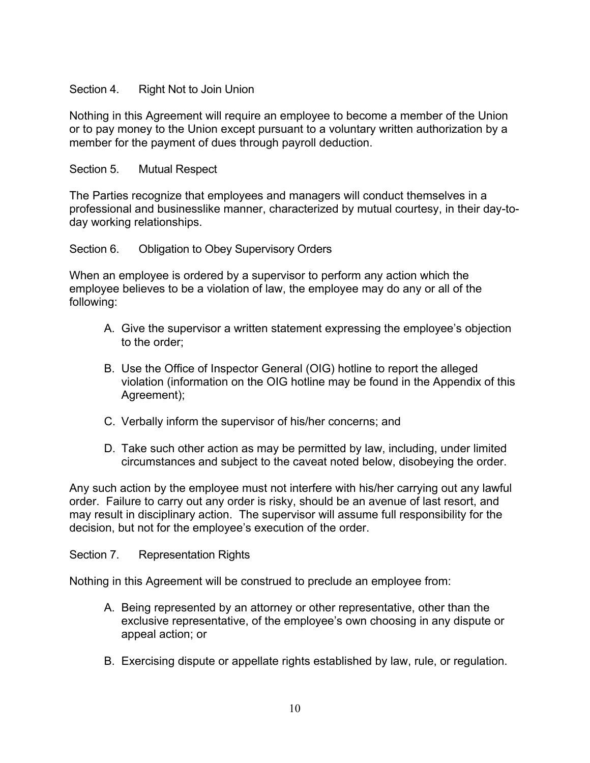#### Section 4. Right Not to Join Union

Nothing in this Agreement will require an employee to become a member of the Union or to pay money to the Union except pursuant to a voluntary written authorization by a member for the payment of dues through payroll deduction.

#### Section 5. Mutual Respect

The Parties recognize that employees and managers will conduct themselves in a professional and businesslike manner, characterized by mutual courtesy, in their day-today working relationships.

#### Section 6. Obligation to Obey Supervisory Orders

When an employee is ordered by a supervisor to perform any action which the employee believes to be a violation of law, the employee may do any or all of the following:

- A. Give the supervisor a written statement expressing the employee's objection to the order;
- B. Use the Office of Inspector General (OIG) hotline to report the alleged violation (information on the OIG hotline may be found in the Appendix of this Agreement);
- C. Verbally inform the supervisor of his/her concerns; and
- D. Take such other action as may be permitted by law, including, under limited circumstances and subject to the caveat noted below, disobeying the order.

Any such action by the employee must not interfere with his/her carrying out any lawful order. Failure to carry out any order is risky, should be an avenue of last resort, and may result in disciplinary action. The supervisor will assume full responsibility for the decision, but not for the employee's execution of the order.

Section 7. Representation Rights

Nothing in this Agreement will be construed to preclude an employee from:

- A. Being represented by an attorney or other representative, other than the exclusive representative, of the employee's own choosing in any dispute or appeal action; or
- B. Exercising dispute or appellate rights established by law, rule, or regulation.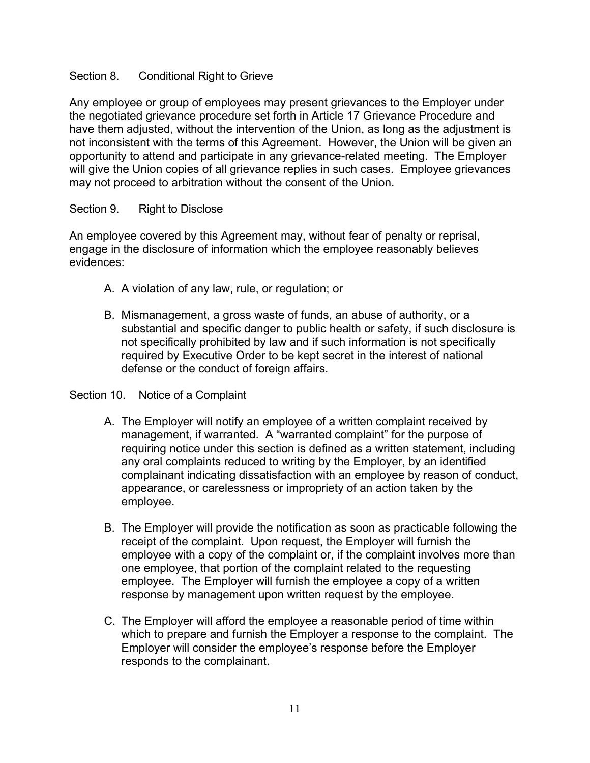#### Section 8. Conditional Right to Grieve

Any employee or group of employees may present grievances to the Employer under the negotiated grievance procedure set forth in Article 17 Grievance Procedure and have them adjusted, without the intervention of the Union, as long as the adjustment is not inconsistent with the terms of this Agreement. However, the Union will be given an opportunity to attend and participate in any grievance-related meeting. The Employer will give the Union copies of all grievance replies in such cases. Employee grievances may not proceed to arbitration without the consent of the Union.

#### Section 9. Right to Disclose

An employee covered by this Agreement may, without fear of penalty or reprisal, engage in the disclosure of information which the employee reasonably believes evidences:

- A. A violation of any law, rule, or regulation; or
- B. Mismanagement, a gross waste of funds, an abuse of authority, or a substantial and specific danger to public health or safety, if such disclosure is not specifically prohibited by law and if such information is not specifically required by Executive Order to be kept secret in the interest of national defense or the conduct of foreign affairs.

#### Section 10. Notice of a Complaint

- A. The Employer will notify an employee of a written complaint received by management, if warranted. A "warranted complaint" for the purpose of requiring notice under this section is defined as a written statement, including any oral complaints reduced to writing by the Employer, by an identified complainant indicating dissatisfaction with an employee by reason of conduct, appearance, or carelessness or impropriety of an action taken by the employee.
- B. The Employer will provide the notification as soon as practicable following the receipt of the complaint. Upon request, the Employer will furnish the employee with a copy of the complaint or, if the complaint involves more than one employee, that portion of the complaint related to the requesting employee. The Employer will furnish the employee a copy of a written response by management upon written request by the employee.
- C. The Employer will afford the employee a reasonable period of time within which to prepare and furnish the Employer a response to the complaint. The Employer will consider the employee's response before the Employer responds to the complainant.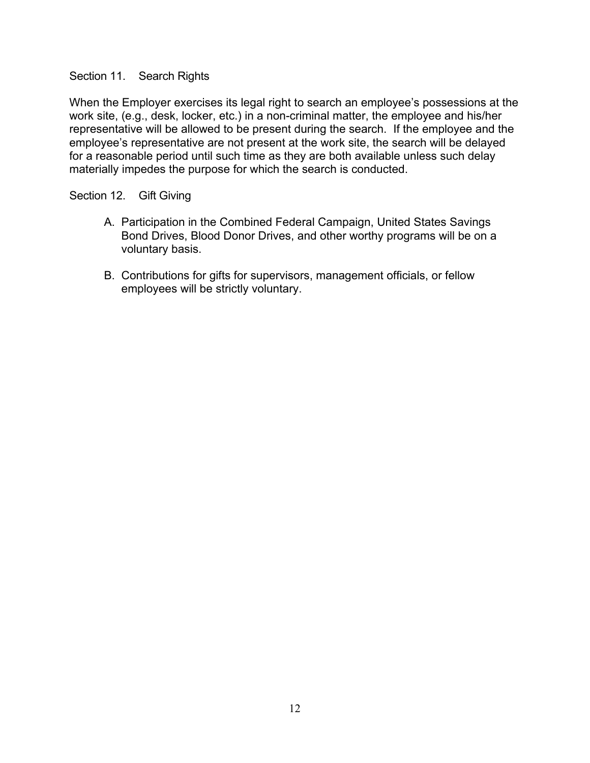#### Section 11. Search Rights

When the Employer exercises its legal right to search an employee's possessions at the work site, (e.g., desk, locker, etc.) in a non-criminal matter, the employee and his/her representative will be allowed to be present during the search. If the employee and the employee's representative are not present at the work site, the search will be delayed for a reasonable period until such time as they are both available unless such delay materially impedes the purpose for which the search is conducted.

#### Section 12. Gift Giving

- A. Participation in the Combined Federal Campaign, United States Savings Bond Drives, Blood Donor Drives, and other worthy programs will be on a voluntary basis.
- B. Contributions for gifts for supervisors, management officials, or fellow employees will be strictly voluntary.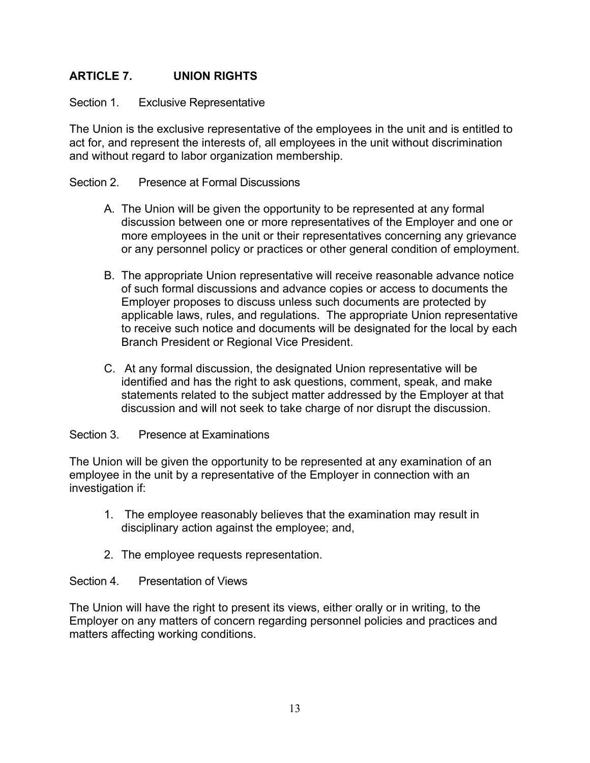#### **ARTICLE 7. UNION RIGHTS**

#### Section 1. Exclusive Representative

The Union is the exclusive representative of the employees in the unit and is entitled to act for, and represent the interests of, all employees in the unit without discrimination and without regard to labor organization membership.

#### Section 2. Presence at Formal Discussions

- A. The Union will be given the opportunity to be represented at any formal discussion between one or more representatives of the Employer and one or more employees in the unit or their representatives concerning any grievance or any personnel policy or practices or other general condition of employment.
- B. The appropriate Union representative will receive reasonable advance notice of such formal discussions and advance copies or access to documents the Employer proposes to discuss unless such documents are protected by applicable laws, rules, and regulations. The appropriate Union representative to receive such notice and documents will be designated for the local by each Branch President or Regional Vice President.
- C. At any formal discussion, the designated Union representative will be identified and has the right to ask questions, comment, speak, and make statements related to the subject matter addressed by the Employer at that discussion and will not seek to take charge of nor disrupt the discussion.

#### Section 3. Presence at Examinations

The Union will be given the opportunity to be represented at any examination of an employee in the unit by a representative of the Employer in connection with an investigation if:

- 1. The employee reasonably believes that the examination may result in disciplinary action against the employee; and,
- 2. The employee requests representation.

#### Section 4. Presentation of Views

The Union will have the right to present its views, either orally or in writing, to the Employer on any matters of concern regarding personnel policies and practices and matters affecting working conditions.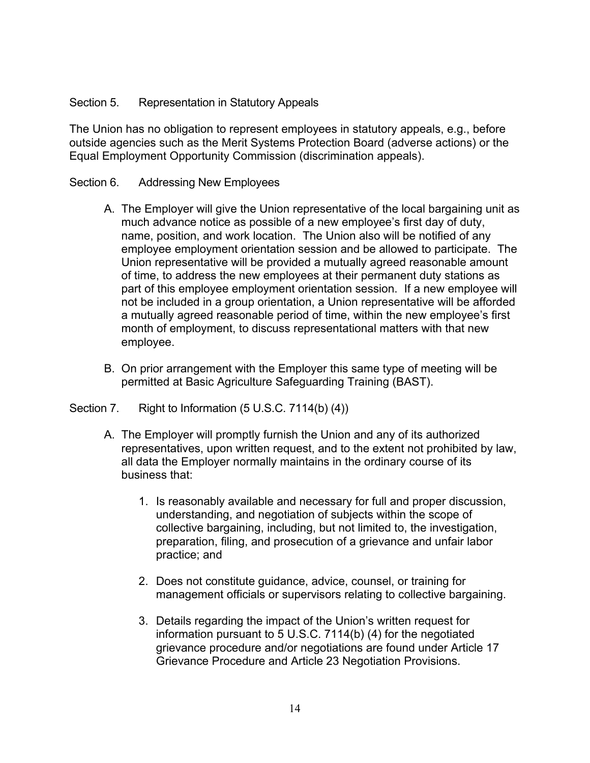#### Section 5. Representation in Statutory Appeals

The Union has no obligation to represent employees in statutory appeals, e.g., before outside agencies such as the Merit Systems Protection Board (adverse actions) or the Equal Employment Opportunity Commission (discrimination appeals).

#### Section 6. Addressing New Employees

- A. The Employer will give the Union representative of the local bargaining unit as much advance notice as possible of a new employee's first day of duty, name, position, and work location. The Union also will be notified of any employee employment orientation session and be allowed to participate. The Union representative will be provided a mutually agreed reasonable amount of time, to address the new employees at their permanent duty stations as part of this employee employment orientation session. If a new employee will not be included in a group orientation, a Union representative will be afforded a mutually agreed reasonable period of time, within the new employee's first month of employment, to discuss representational matters with that new employee.
- B. On prior arrangement with the Employer this same type of meeting will be permitted at Basic Agriculture Safeguarding Training (BAST).
- Section 7. Right to Information (5 U.S.C. 7114(b) (4))
	- A. The Employer will promptly furnish the Union and any of its authorized representatives, upon written request, and to the extent not prohibited by law, all data the Employer normally maintains in the ordinary course of its business that:
		- 1. Is reasonably available and necessary for full and proper discussion, understanding, and negotiation of subjects within the scope of collective bargaining, including, but not limited to, the investigation, preparation, filing, and prosecution of a grievance and unfair labor practice; and
		- 2. Does not constitute guidance, advice, counsel, or training for management officials or supervisors relating to collective bargaining.
		- 3. Details regarding the impact of the Union's written request for information pursuant to 5 U.S.C. 7114(b) (4) for the negotiated grievance procedure and/or negotiations are found under Article 17 Grievance Procedure and Article 23 Negotiation Provisions.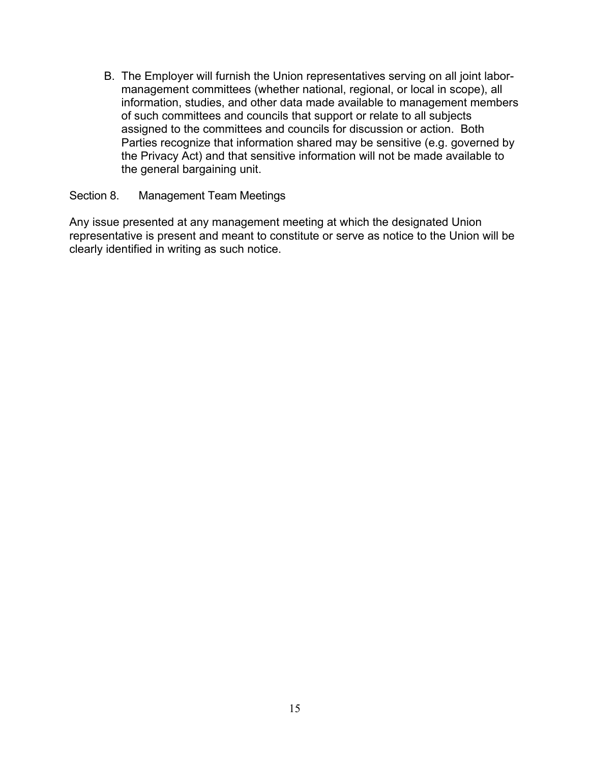B. The Employer will furnish the Union representatives serving on all joint labormanagement committees (whether national, regional, or local in scope), all information, studies, and other data made available to management members of such committees and councils that support or relate to all subjects assigned to the committees and councils for discussion or action. Both Parties recognize that information shared may be sensitive (e.g. governed by the Privacy Act) and that sensitive information will not be made available to the general bargaining unit.

#### Section 8. Management Team Meetings

Any issue presented at any management meeting at which the designated Union representative is present and meant to constitute or serve as notice to the Union will be clearly identified in writing as such notice.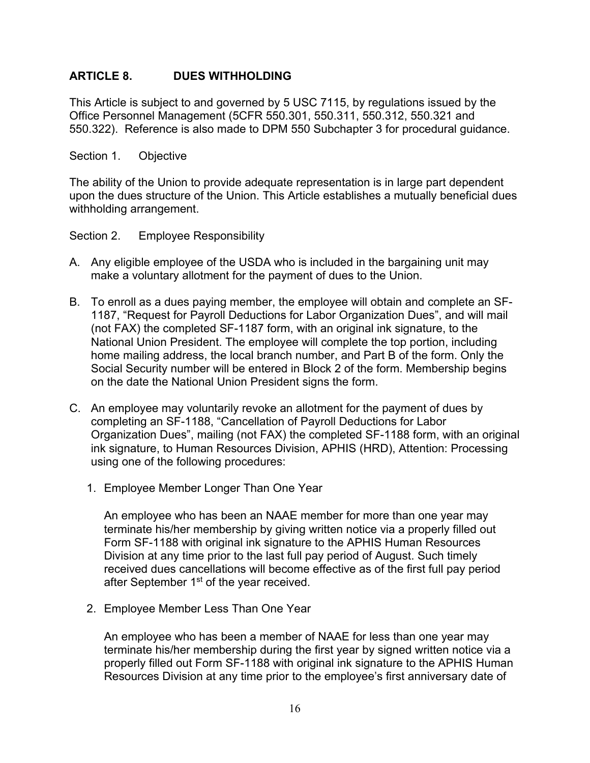#### **ARTICLE 8. DUES WITHHOLDING**

This Article is subject to and governed by 5 USC 7115, by regulations issued by the Office Personnel Management (5CFR 550.301, 550.311, 550.312, 550.321 and 550.322). Reference is also made to DPM 550 Subchapter 3 for procedural guidance.

#### Section 1. Objective

The ability of the Union to provide adequate representation is in large part dependent upon the dues structure of the Union. This Article establishes a mutually beneficial dues withholding arrangement.

#### Section 2. Employee Responsibility

- A. Any eligible employee of the USDA who is included in the bargaining unit may make a voluntary allotment for the payment of dues to the Union.
- B. To enroll as a dues paying member, the employee will obtain and complete an SF-1187, "Request for Payroll Deductions for Labor Organization Dues", and will mail (not FAX) the completed SF-1187 form, with an original ink signature, to the National Union President. The employee will complete the top portion, including home mailing address, the local branch number, and Part B of the form. Only the Social Security number will be entered in Block 2 of the form. Membership begins on the date the National Union President signs the form.
- C. An employee may voluntarily revoke an allotment for the payment of dues by completing an SF-1188, "Cancellation of Payroll Deductions for Labor Organization Dues", mailing (not FAX) the completed SF-1188 form, with an original ink signature, to Human Resources Division, APHIS (HRD), Attention: Processing using one of the following procedures:
	- 1. Employee Member Longer Than One Year

An employee who has been an NAAE member for more than one year may terminate his/her membership by giving written notice via a properly filled out Form SF-1188 with original ink signature to the APHIS Human Resources Division at any time prior to the last full pay period of August. Such timely received dues cancellations will become effective as of the first full pay period after September 1<sup>st</sup> of the year received.

2. Employee Member Less Than One Year

An employee who has been a member of NAAE for less than one year may terminate his/her membership during the first year by signed written notice via a properly filled out Form SF-1188 with original ink signature to the APHIS Human Resources Division at any time prior to the employee's first anniversary date of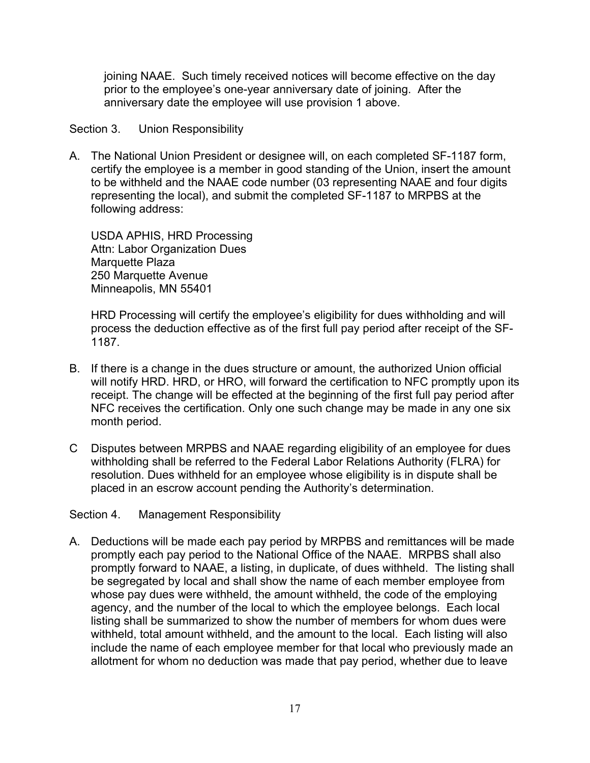joining NAAE. Such timely received notices will become effective on the day prior to the employee's one-year anniversary date of joining. After the anniversary date the employee will use provision 1 above.

#### Section 3. Union Responsibility

A. The National Union President or designee will, on each completed SF-1187 form, certify the employee is a member in good standing of the Union, insert the amount to be withheld and the NAAE code number (03 representing NAAE and four digits representing the local), and submit the completed SF-1187 to MRPBS at the following address:

USDA APHIS, HRD Processing Attn: Labor Organization Dues Marquette Plaza 250 Marquette Avenue Minneapolis, MN 55401

HRD Processing will certify the employee's eligibility for dues withholding and will process the deduction effective as of the first full pay period after receipt of the SF-1187.

- B. If there is a change in the dues structure or amount, the authorized Union official will notify HRD. HRD, or HRO, will forward the certification to NFC promptly upon its receipt. The change will be effected at the beginning of the first full pay period after NFC receives the certification. Only one such change may be made in any one six month period.
- C Disputes between MRPBS and NAAE regarding eligibility of an employee for dues withholding shall be referred to the Federal Labor Relations Authority (FLRA) for resolution. Dues withheld for an employee whose eligibility is in dispute shall be placed in an escrow account pending the Authority's determination.

Section 4. Management Responsibility

A. Deductions will be made each pay period by MRPBS and remittances will be made promptly each pay period to the National Office of the NAAE. MRPBS shall also promptly forward to NAAE, a listing, in duplicate, of dues withheld. The listing shall be segregated by local and shall show the name of each member employee from whose pay dues were withheld, the amount withheld, the code of the employing agency, and the number of the local to which the employee belongs. Each local listing shall be summarized to show the number of members for whom dues were withheld, total amount withheld, and the amount to the local. Each listing will also include the name of each employee member for that local who previously made an allotment for whom no deduction was made that pay period, whether due to leave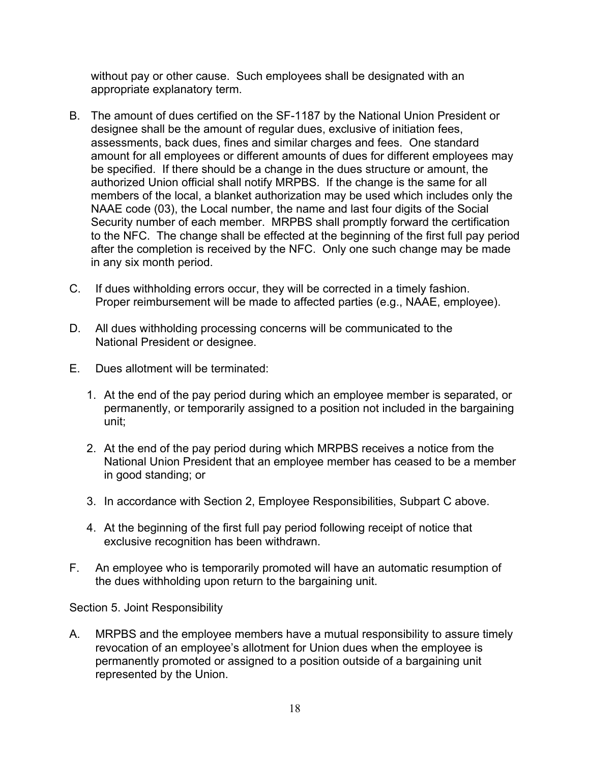without pay or other cause. Such employees shall be designated with an appropriate explanatory term.

- B. The amount of dues certified on the SF-1187 by the National Union President or designee shall be the amount of regular dues, exclusive of initiation fees, assessments, back dues, fines and similar charges and fees. One standard amount for all employees or different amounts of dues for different employees may be specified. If there should be a change in the dues structure or amount, the authorized Union official shall notify MRPBS. If the change is the same for all members of the local, a blanket authorization may be used which includes only the NAAE code (03), the Local number, the name and last four digits of the Social Security number of each member. MRPBS shall promptly forward the certification to the NFC. The change shall be effected at the beginning of the first full pay period after the completion is received by the NFC. Only one such change may be made in any six month period.
- C. If dues withholding errors occur, they will be corrected in a timely fashion. Proper reimbursement will be made to affected parties (e.g., NAAE, employee).
- D. All dues withholding processing concerns will be communicated to the National President or designee.
- E. Dues allotment will be terminated:
	- 1. At the end of the pay period during which an employee member is separated, or permanently, or temporarily assigned to a position not included in the bargaining unit;
	- 2. At the end of the pay period during which MRPBS receives a notice from the National Union President that an employee member has ceased to be a member in good standing; or
	- 3. In accordance with Section 2, Employee Responsibilities, Subpart C above.
	- 4. At the beginning of the first full pay period following receipt of notice that exclusive recognition has been withdrawn.
- F. An employee who is temporarily promoted will have an automatic resumption of the dues withholding upon return to the bargaining unit.

Section 5. Joint Responsibility

A. MRPBS and the employee members have a mutual responsibility to assure timely revocation of an employee's allotment for Union dues when the employee is permanently promoted or assigned to a position outside of a bargaining unit represented by the Union.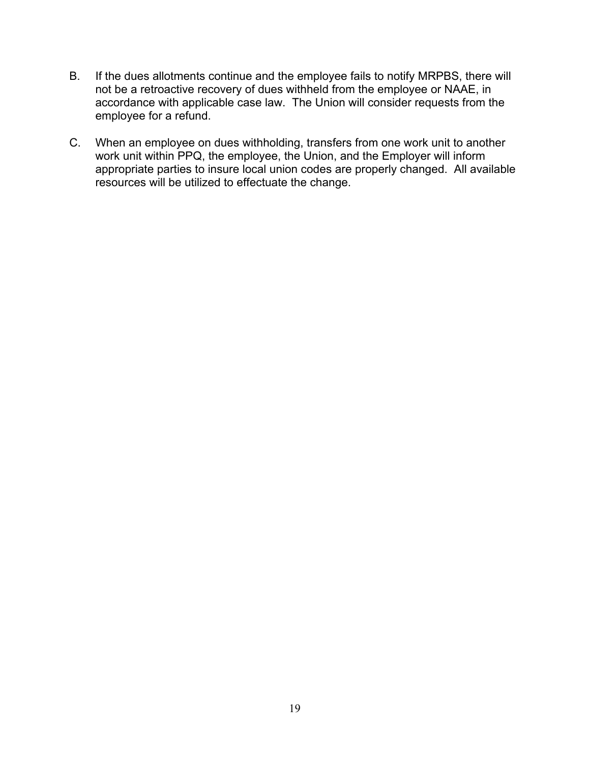- B. If the dues allotments continue and the employee fails to notify MRPBS, there will not be a retroactive recovery of dues withheld from the employee or NAAE, in accordance with applicable case law. The Union will consider requests from the employee for a refund.
- C. When an employee on dues withholding, transfers from one work unit to another work unit within PPQ, the employee, the Union, and the Employer will inform appropriate parties to insure local union codes are properly changed. All available resources will be utilized to effectuate the change.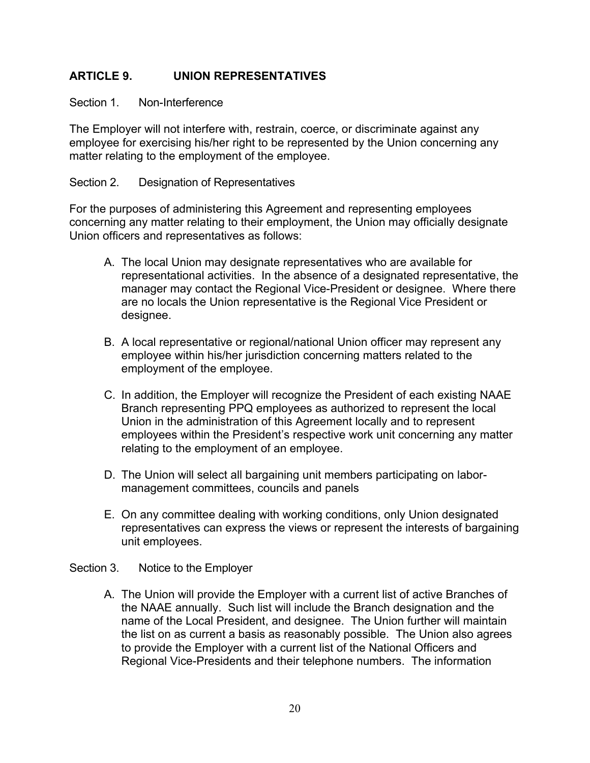#### **ARTICLE 9. UNION REPRESENTATIVES**

#### Section 1. Non-Interference

The Employer will not interfere with, restrain, coerce, or discriminate against any employee for exercising his/her right to be represented by the Union concerning any matter relating to the employment of the employee.

#### Section 2. Designation of Representatives

For the purposes of administering this Agreement and representing employees concerning any matter relating to their employment, the Union may officially designate Union officers and representatives as follows:

- A. The local Union may designate representatives who are available for representational activities. In the absence of a designated representative, the manager may contact the Regional Vice-President or designee. Where there are no locals the Union representative is the Regional Vice President or designee.
- B. A local representative or regional/national Union officer may represent any employee within his/her jurisdiction concerning matters related to the employment of the employee.
- C. In addition, the Employer will recognize the President of each existing NAAE Branch representing PPQ employees as authorized to represent the local Union in the administration of this Agreement locally and to represent employees within the President's respective work unit concerning any matter relating to the employment of an employee.
- D. The Union will select all bargaining unit members participating on labormanagement committees, councils and panels
- E. On any committee dealing with working conditions, only Union designated representatives can express the views or represent the interests of bargaining unit employees.

#### Section 3. Notice to the Employer

A. The Union will provide the Employer with a current list of active Branches of the NAAE annually. Such list will include the Branch designation and the name of the Local President, and designee. The Union further will maintain the list on as current a basis as reasonably possible. The Union also agrees to provide the Employer with a current list of the National Officers and Regional Vice-Presidents and their telephone numbers. The information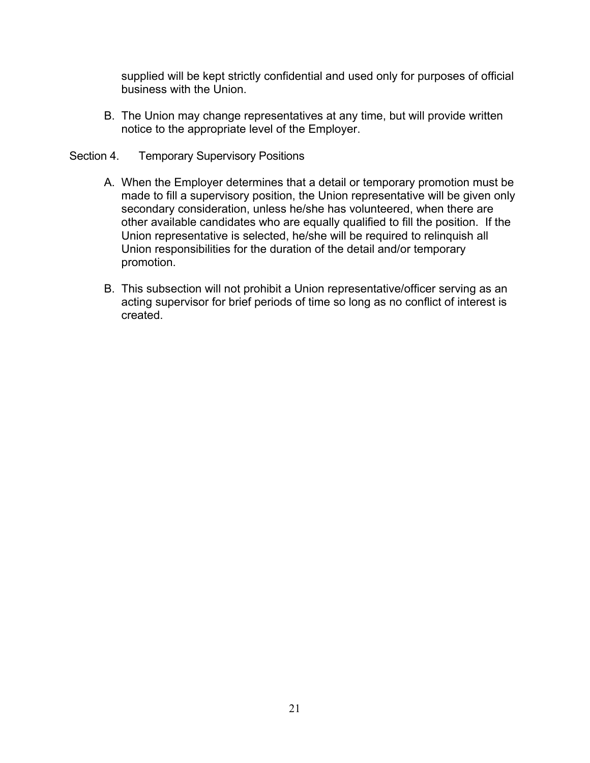supplied will be kept strictly confidential and used only for purposes of official business with the Union.

- B. The Union may change representatives at any time, but will provide written notice to the appropriate level of the Employer.
- Section 4. Temporary Supervisory Positions
	- A. When the Employer determines that a detail or temporary promotion must be made to fill a supervisory position, the Union representative will be given only secondary consideration, unless he/she has volunteered, when there are other available candidates who are equally qualified to fill the position. If the Union representative is selected, he/she will be required to relinquish all Union responsibilities for the duration of the detail and/or temporary promotion.
	- B. This subsection will not prohibit a Union representative/officer serving as an acting supervisor for brief periods of time so long as no conflict of interest is created.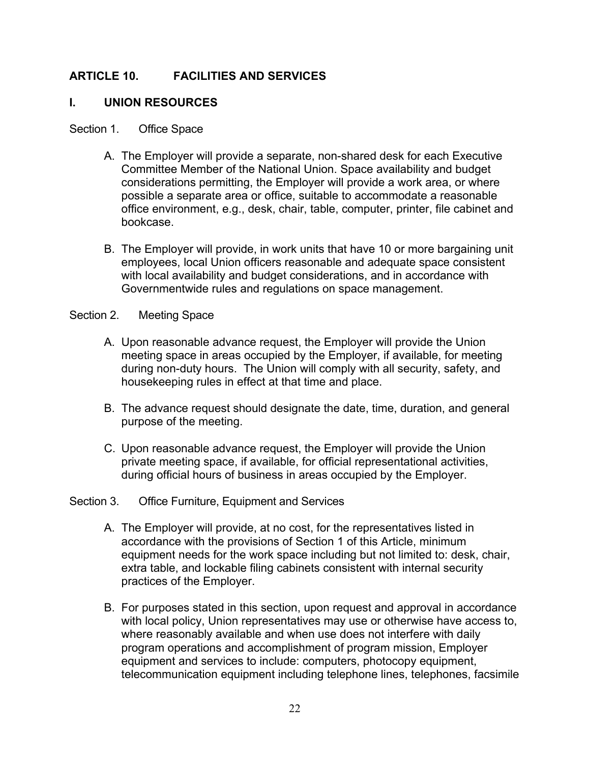#### **ARTICLE 10. FACILITIES AND SERVICES**

#### **I. UNION RESOURCES**

#### Section 1. Office Space

- A. The Employer will provide a separate, non-shared desk for each Executive Committee Member of the National Union. Space availability and budget considerations permitting, the Employer will provide a work area, or where possible a separate area or office, suitable to accommodate a reasonable office environment, e.g., desk, chair, table, computer, printer, file cabinet and bookcase.
- B. The Employer will provide, in work units that have 10 or more bargaining unit employees, local Union officers reasonable and adequate space consistent with local availability and budget considerations, and in accordance with Governmentwide rules and regulations on space management.

#### Section 2. Meeting Space

- A. Upon reasonable advance request, the Employer will provide the Union meeting space in areas occupied by the Employer, if available, for meeting during non-duty hours. The Union will comply with all security, safety, and housekeeping rules in effect at that time and place.
- B. The advance request should designate the date, time, duration, and general purpose of the meeting.
- C. Upon reasonable advance request, the Employer will provide the Union private meeting space, if available, for official representational activities, during official hours of business in areas occupied by the Employer.

#### Section 3. Office Furniture, Equipment and Services

- A. The Employer will provide, at no cost, for the representatives listed in accordance with the provisions of Section 1 of this Article, minimum equipment needs for the work space including but not limited to: desk, chair, extra table, and lockable filing cabinets consistent with internal security practices of the Employer.
- B. For purposes stated in this section, upon request and approval in accordance with local policy, Union representatives may use or otherwise have access to, where reasonably available and when use does not interfere with daily program operations and accomplishment of program mission, Employer equipment and services to include: computers, photocopy equipment, telecommunication equipment including telephone lines, telephones, facsimile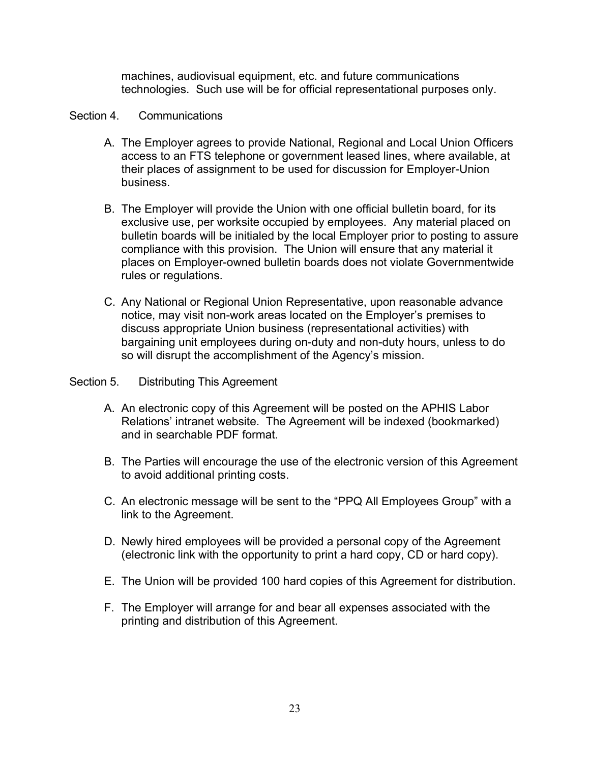machines, audiovisual equipment, etc. and future communications technologies. Such use will be for official representational purposes only.

#### Section 4. Communications

- A. The Employer agrees to provide National, Regional and Local Union Officers access to an FTS telephone or government leased lines, where available, at their places of assignment to be used for discussion for Employer-Union business.
- B. The Employer will provide the Union with one official bulletin board, for its exclusive use, per worksite occupied by employees. Any material placed on bulletin boards will be initialed by the local Employer prior to posting to assure compliance with this provision. The Union will ensure that any material it places on Employer-owned bulletin boards does not violate Governmentwide rules or regulations.
- C. Any National or Regional Union Representative, upon reasonable advance notice, may visit non-work areas located on the Employer's premises to discuss appropriate Union business (representational activities) with bargaining unit employees during on-duty and non-duty hours, unless to do so will disrupt the accomplishment of the Agency's mission.

#### Section 5. Distributing This Agreement

- A. An electronic copy of this Agreement will be posted on the APHIS Labor Relations' intranet website. The Agreement will be indexed (bookmarked) and in searchable PDF format.
- B. The Parties will encourage the use of the electronic version of this Agreement to avoid additional printing costs.
- C. An electronic message will be sent to the "PPQ All Employees Group" with a link to the Agreement.
- D. Newly hired employees will be provided a personal copy of the Agreement (electronic link with the opportunity to print a hard copy, CD or hard copy).
- E. The Union will be provided 100 hard copies of this Agreement for distribution.
- F. The Employer will arrange for and bear all expenses associated with the printing and distribution of this Agreement.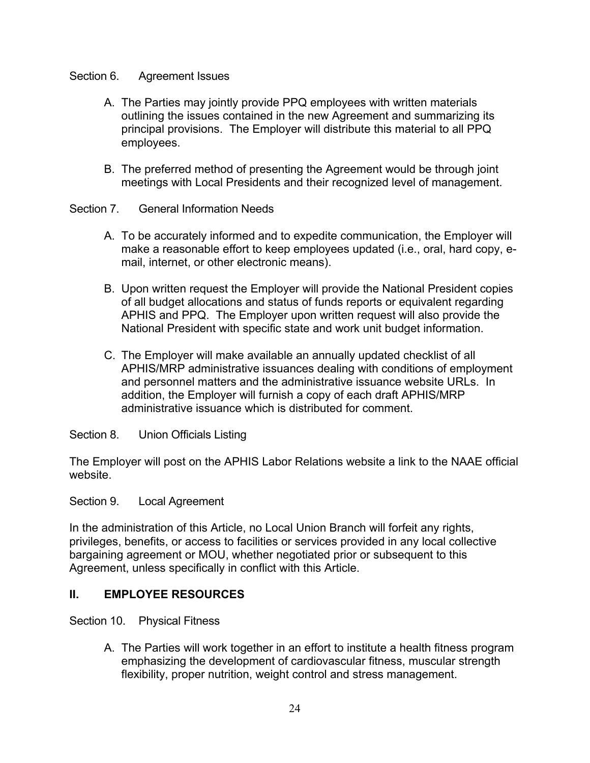### Section 6. Agreement Issues

- A. The Parties may jointly provide PPQ employees with written materials outlining the issues contained in the new Agreement and summarizing its principal provisions. The Employer will distribute this material to all PPQ employees.
- B. The preferred method of presenting the Agreement would be through joint meetings with Local Presidents and their recognized level of management.
- Section 7. General Information Needs
	- A. To be accurately informed and to expedite communication, the Employer will make a reasonable effort to keep employees updated (i.e., oral, hard copy, email, internet, or other electronic means).
	- B. Upon written request the Employer will provide the National President copies of all budget allocations and status of funds reports or equivalent regarding APHIS and PPQ. The Employer upon written request will also provide the National President with specific state and work unit budget information.
	- C. The Employer will make available an annually updated checklist of all APHIS/MRP administrative issuances dealing with conditions of employment and personnel matters and the administrative issuance website URLs. In addition, the Employer will furnish a copy of each draft APHIS/MRP administrative issuance which is distributed for comment.

#### Section 8. Union Officials Listing

The Employer will post on the APHIS Labor Relations website a link to the NAAE official website.

#### Section 9. Local Agreement

In the administration of this Article, no Local Union Branch will forfeit any rights, privileges, benefits, or access to facilities or services provided in any local collective bargaining agreement or MOU, whether negotiated prior or subsequent to this Agreement, unless specifically in conflict with this Article.

## **II. EMPLOYEE RESOURCES**

Section 10. Physical Fitness

A. The Parties will work together in an effort to institute a health fitness program emphasizing the development of cardiovascular fitness, muscular strength flexibility, proper nutrition, weight control and stress management.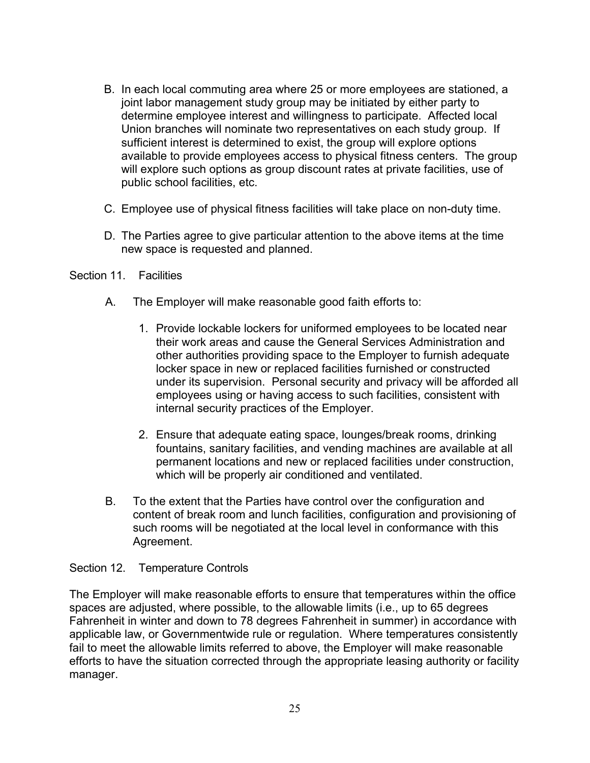- B. In each local commuting area where 25 or more employees are stationed, a joint labor management study group may be initiated by either party to determine employee interest and willingness to participate. Affected local Union branches will nominate two representatives on each study group. If sufficient interest is determined to exist, the group will explore options available to provide employees access to physical fitness centers. The group will explore such options as group discount rates at private facilities, use of public school facilities, etc.
- C. Employee use of physical fitness facilities will take place on non-duty time.
- D. The Parties agree to give particular attention to the above items at the time new space is requested and planned.

#### Section 11. Facilities

- A. The Employer will make reasonable good faith efforts to:
	- 1. Provide lockable lockers for uniformed employees to be located near their work areas and cause the General Services Administration and other authorities providing space to the Employer to furnish adequate locker space in new or replaced facilities furnished or constructed under its supervision. Personal security and privacy will be afforded all employees using or having access to such facilities, consistent with internal security practices of the Employer.
	- 2. Ensure that adequate eating space, lounges/break rooms, drinking fountains, sanitary facilities, and vending machines are available at all permanent locations and new or replaced facilities under construction, which will be properly air conditioned and ventilated.
- B. To the extent that the Parties have control over the configuration and content of break room and lunch facilities, configuration and provisioning of such rooms will be negotiated at the local level in conformance with this Agreement.

#### Section 12. Temperature Controls

The Employer will make reasonable efforts to ensure that temperatures within the office spaces are adjusted, where possible, to the allowable limits (i.e., up to 65 degrees Fahrenheit in winter and down to 78 degrees Fahrenheit in summer) in accordance with applicable law, or Governmentwide rule or regulation. Where temperatures consistently fail to meet the allowable limits referred to above, the Employer will make reasonable efforts to have the situation corrected through the appropriate leasing authority or facility manager.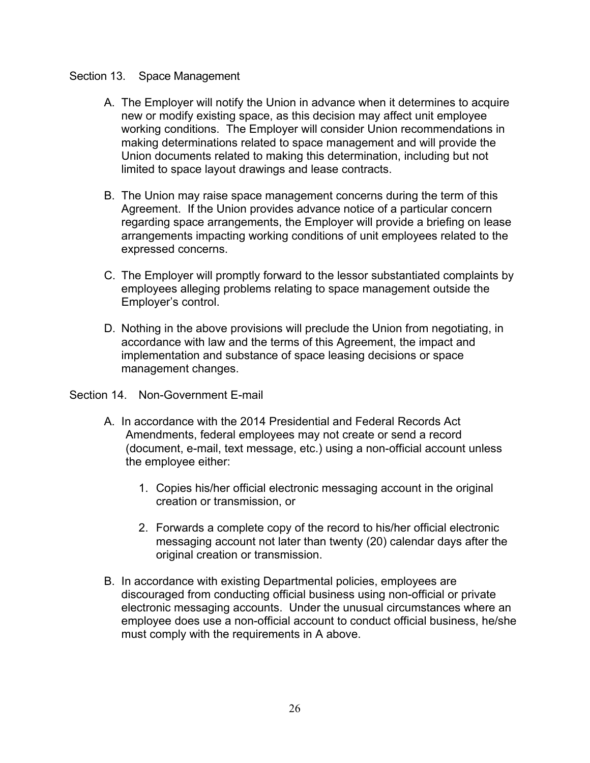### Section 13. Space Management

- A. The Employer will notify the Union in advance when it determines to acquire new or modify existing space, as this decision may affect unit employee working conditions. The Employer will consider Union recommendations in making determinations related to space management and will provide the Union documents related to making this determination, including but not limited to space layout drawings and lease contracts.
- B. The Union may raise space management concerns during the term of this Agreement. If the Union provides advance notice of a particular concern regarding space arrangements, the Employer will provide a briefing on lease arrangements impacting working conditions of unit employees related to the expressed concerns.
- C. The Employer will promptly forward to the lessor substantiated complaints by employees alleging problems relating to space management outside the Employer's control.
- D. Nothing in the above provisions will preclude the Union from negotiating, in accordance with law and the terms of this Agreement, the impact and implementation and substance of space leasing decisions or space management changes.

## Section 14. Non-Government E-mail

- A. In accordance with the 2014 Presidential and Federal Records Act Amendments, federal employees may not create or send a record (document, e-mail, text message, etc.) using a non-official account unless the employee either:
	- 1. Copies his/her official electronic messaging account in the original creation or transmission, or
	- 2. Forwards a complete copy of the record to his/her official electronic messaging account not later than twenty (20) calendar days after the original creation or transmission.
- B. In accordance with existing Departmental policies, employees are discouraged from conducting official business using non-official or private electronic messaging accounts. Under the unusual circumstances where an employee does use a non-official account to conduct official business, he/she must comply with the requirements in A above.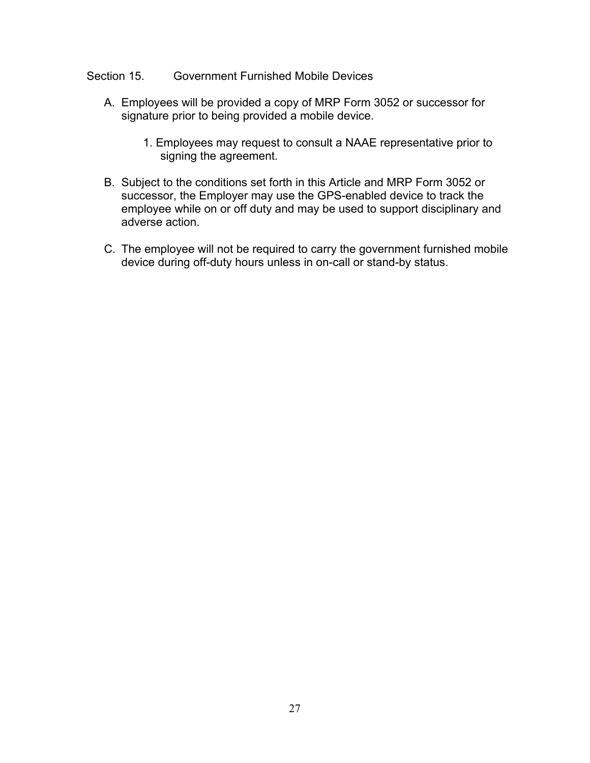### Section 15. Government Furnished Mobile Devices

- A. Employees will be provided a copy of MRP Form 3052 or successor for signature prior to being provided a mobile device.
	- 1. Employees may request to consult a NAAE representative prior to signing the agreement.
- B. Subject to the conditions set forth in this Article and MRP Form 3052 or successor, the Employer may use the GPS-enabled device to track the employee while on or off duty and may be used to support disciplinary and adverse action.
- C. The employee will not be required to carry the government furnished mobile device during off-duty hours unless in on-call or stand-by status.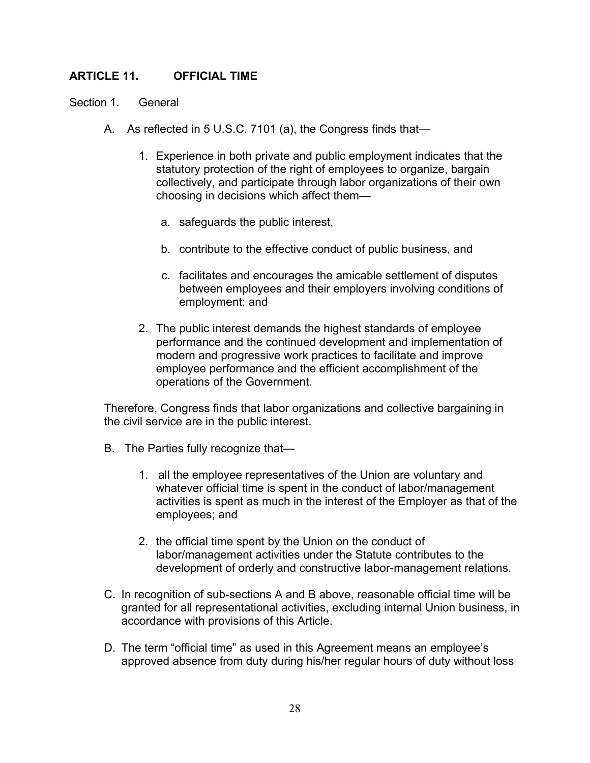# **ARTICLE 11. OFFICIAL TIME**

- Section 1. General
	- A. As reflected in 5 U.S.C. 7101 (a), the Congress finds that—
		- 1. Experience in both private and public employment indicates that the statutory protection of the right of employees to organize, bargain collectively, and participate through labor organizations of their own choosing in decisions which affect them
			- a. safeguards the public interest,
			- b. contribute to the effective conduct of public business, and
			- c. facilitates and encourages the amicable settlement of disputes between employees and their employers involving conditions of employment; and
		- 2. The public interest demands the highest standards of employee performance and the continued development and implementation of modern and progressive work practices to facilitate and improve employee performance and the efficient accomplishment of the operations of the Government.

Therefore, Congress finds that labor organizations and collective bargaining in the civil service are in the public interest.

- B. The Parties fully recognize that—
	- 1. all the employee representatives of the Union are voluntary and whatever official time is spent in the conduct of labor/management activities is spent as much in the interest of the Employer as that of the employees; and
	- 2. the official time spent by the Union on the conduct of labor/management activities under the Statute contributes to the development of orderly and constructive labor-management relations.
- C. In recognition of sub-sections A and B above, reasonable official time will be granted for all representational activities, excluding internal Union business, in accordance with provisions of this Article.
- D. The term "official time" as used in this Agreement means an employee's approved absence from duty during his/her regular hours of duty without loss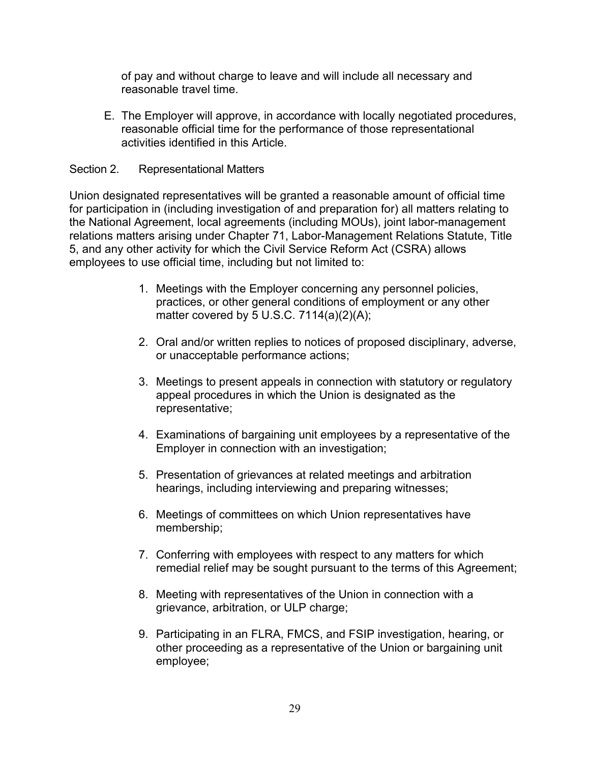of pay and without charge to leave and will include all necessary and reasonable travel time.

E. The Employer will approve, in accordance with locally negotiated procedures, reasonable official time for the performance of those representational activities identified in this Article.

## Section 2. Representational Matters

Union designated representatives will be granted a reasonable amount of official time for participation in (including investigation of and preparation for) all matters relating to the National Agreement, local agreements (including MOUs), joint labor-management relations matters arising under Chapter 71, Labor-Management Relations Statute, Title 5, and any other activity for which the Civil Service Reform Act (CSRA) allows employees to use official time, including but not limited to:

- 1. Meetings with the Employer concerning any personnel policies, practices, or other general conditions of employment or any other matter covered by 5 U.S.C.  $7114(a)(2)(A);$
- 2. Oral and/or written replies to notices of proposed disciplinary, adverse, or unacceptable performance actions;
- 3. Meetings to present appeals in connection with statutory or regulatory appeal procedures in which the Union is designated as the representative;
- 4. Examinations of bargaining unit employees by a representative of the Employer in connection with an investigation;
- 5. Presentation of grievances at related meetings and arbitration hearings, including interviewing and preparing witnesses;
- 6. Meetings of committees on which Union representatives have membership;
- 7. Conferring with employees with respect to any matters for which remedial relief may be sought pursuant to the terms of this Agreement;
- 8. Meeting with representatives of the Union in connection with a grievance, arbitration, or ULP charge;
- 9. Participating in an FLRA, FMCS, and FSIP investigation, hearing, or other proceeding as a representative of the Union or bargaining unit employee;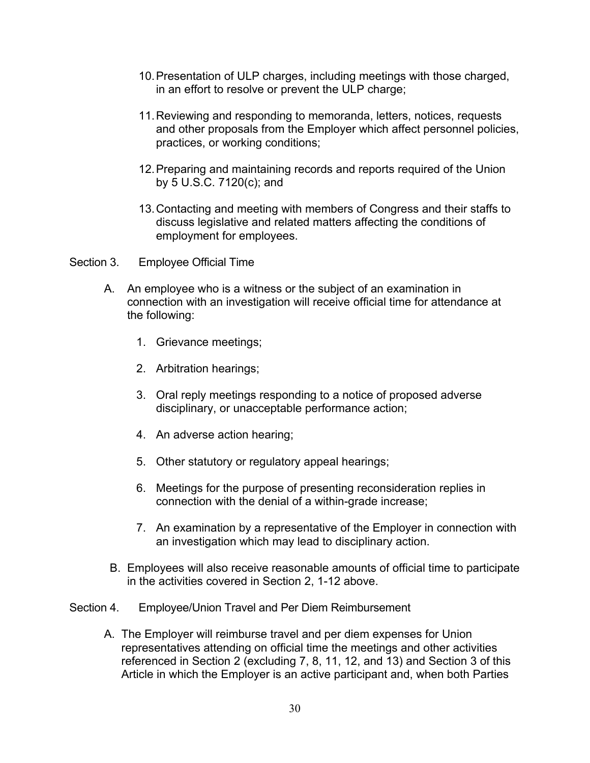- 10.Presentation of ULP charges, including meetings with those charged, in an effort to resolve or prevent the ULP charge;
- 11.Reviewing and responding to memoranda, letters, notices, requests and other proposals from the Employer which affect personnel policies, practices, or working conditions;
- 12.Preparing and maintaining records and reports required of the Union by 5 U.S.C. 7120(c); and
- 13.Contacting and meeting with members of Congress and their staffs to discuss legislative and related matters affecting the conditions of employment for employees.
- Section 3. Employee Official Time
	- A. An employee who is a witness or the subject of an examination in connection with an investigation will receive official time for attendance at the following:
		- 1. Grievance meetings;
		- 2. Arbitration hearings;
		- 3. Oral reply meetings responding to a notice of proposed adverse disciplinary, or unacceptable performance action;
		- 4. An adverse action hearing;
		- 5. Other statutory or regulatory appeal hearings;
		- 6. Meetings for the purpose of presenting reconsideration replies in connection with the denial of a within-grade increase;
		- 7. An examination by a representative of the Employer in connection with an investigation which may lead to disciplinary action.
		- B. Employees will also receive reasonable amounts of official time to participate in the activities covered in Section 2, 1-12 above.

## Section 4. Employee/Union Travel and Per Diem Reimbursement

A. The Employer will reimburse travel and per diem expenses for Union representatives attending on official time the meetings and other activities referenced in Section 2 (excluding 7, 8, 11, 12, and 13) and Section 3 of this Article in which the Employer is an active participant and, when both Parties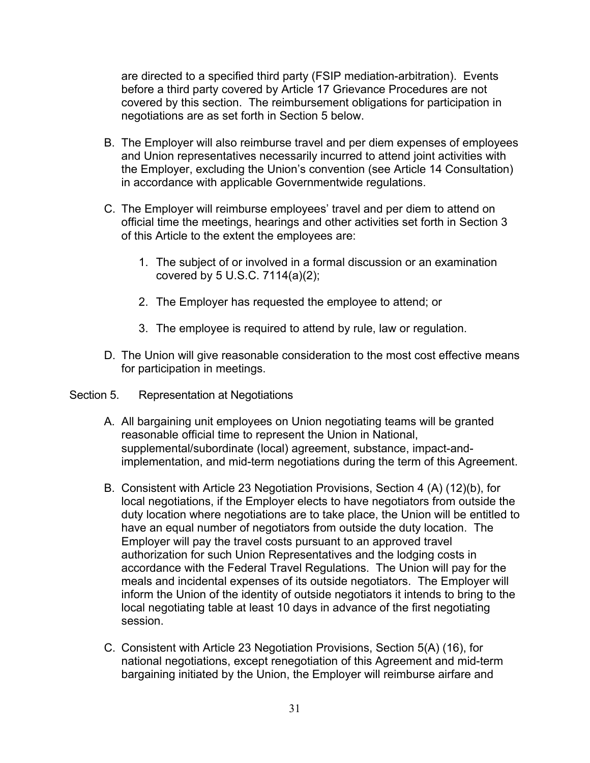are directed to a specified third party (FSIP mediation-arbitration). Events before a third party covered by Article 17 Grievance Procedures are not covered by this section. The reimbursement obligations for participation in negotiations are as set forth in Section 5 below.

- B. The Employer will also reimburse travel and per diem expenses of employees and Union representatives necessarily incurred to attend joint activities with the Employer, excluding the Union's convention (see Article 14 Consultation) in accordance with applicable Governmentwide regulations.
- C. The Employer will reimburse employees' travel and per diem to attend on official time the meetings, hearings and other activities set forth in Section 3 of this Article to the extent the employees are:
	- 1. The subject of or involved in a formal discussion or an examination covered by 5 U.S.C. 7114(a)(2);
	- 2. The Employer has requested the employee to attend; or
	- 3. The employee is required to attend by rule, law or regulation.
- D. The Union will give reasonable consideration to the most cost effective means for participation in meetings.
- Section 5. Representation at Negotiations
	- A. All bargaining unit employees on Union negotiating teams will be granted reasonable official time to represent the Union in National, supplemental/subordinate (local) agreement, substance, impact-andimplementation, and mid-term negotiations during the term of this Agreement.
	- B. Consistent with Article 23 Negotiation Provisions, Section 4 (A) (12)(b), for local negotiations, if the Employer elects to have negotiators from outside the duty location where negotiations are to take place, the Union will be entitled to have an equal number of negotiators from outside the duty location. The Employer will pay the travel costs pursuant to an approved travel authorization for such Union Representatives and the lodging costs in accordance with the Federal Travel Regulations. The Union will pay for the meals and incidental expenses of its outside negotiators. The Employer will inform the Union of the identity of outside negotiators it intends to bring to the local negotiating table at least 10 days in advance of the first negotiating session.
	- C. Consistent with Article 23 Negotiation Provisions, Section 5(A) (16), for national negotiations, except renegotiation of this Agreement and mid-term bargaining initiated by the Union, the Employer will reimburse airfare and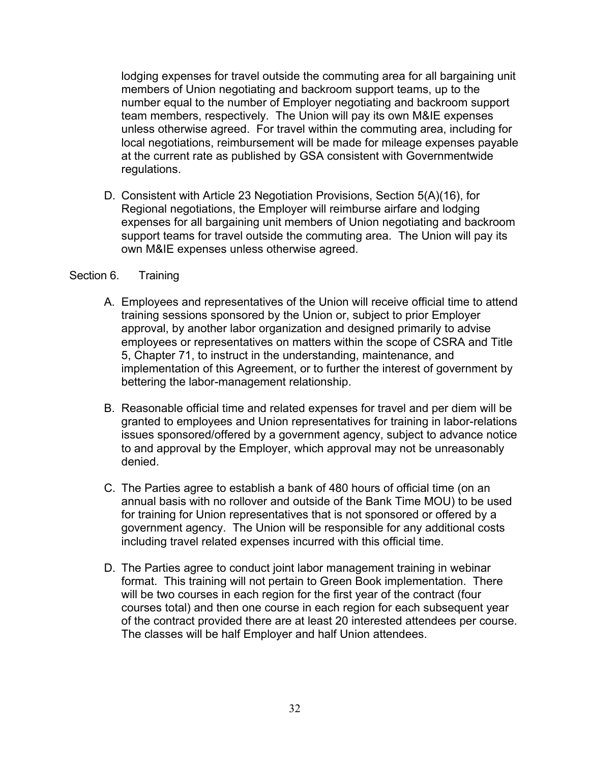lodging expenses for travel outside the commuting area for all bargaining unit members of Union negotiating and backroom support teams, up to the number equal to the number of Employer negotiating and backroom support team members, respectively. The Union will pay its own M&IE expenses unless otherwise agreed. For travel within the commuting area, including for local negotiations, reimbursement will be made for mileage expenses payable at the current rate as published by GSA consistent with Governmentwide regulations.

D. Consistent with Article 23 Negotiation Provisions, Section 5(A)(16), for Regional negotiations, the Employer will reimburse airfare and lodging expenses for all bargaining unit members of Union negotiating and backroom support teams for travel outside the commuting area. The Union will pay its own M&IE expenses unless otherwise agreed.

### Section 6. Training

- A. Employees and representatives of the Union will receive official time to attend training sessions sponsored by the Union or, subject to prior Employer approval, by another labor organization and designed primarily to advise employees or representatives on matters within the scope of CSRA and Title 5, Chapter 71, to instruct in the understanding, maintenance, and implementation of this Agreement, or to further the interest of government by bettering the labor-management relationship.
- B. Reasonable official time and related expenses for travel and per diem will be granted to employees and Union representatives for training in labor-relations issues sponsored/offered by a government agency, subject to advance notice to and approval by the Employer, which approval may not be unreasonably denied.
- C. The Parties agree to establish a bank of 480 hours of official time (on an annual basis with no rollover and outside of the Bank Time MOU) to be used for training for Union representatives that is not sponsored or offered by a government agency. The Union will be responsible for any additional costs including travel related expenses incurred with this official time.
- D. The Parties agree to conduct joint labor management training in webinar format. This training will not pertain to Green Book implementation. There will be two courses in each region for the first year of the contract (four courses total) and then one course in each region for each subsequent year of the contract provided there are at least 20 interested attendees per course. The classes will be half Employer and half Union attendees.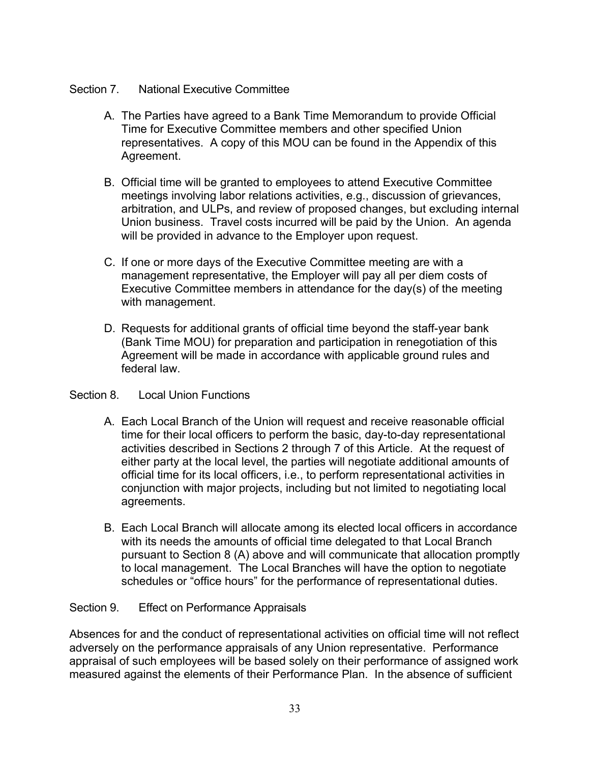## Section 7. National Executive Committee

- A. The Parties have agreed to a Bank Time Memorandum to provide Official Time for Executive Committee members and other specified Union representatives. A copy of this MOU can be found in the Appendix of this Agreement.
- B. Official time will be granted to employees to attend Executive Committee meetings involving labor relations activities, e.g., discussion of grievances, arbitration, and ULPs, and review of proposed changes, but excluding internal Union business. Travel costs incurred will be paid by the Union. An agenda will be provided in advance to the Employer upon request.
- C. If one or more days of the Executive Committee meeting are with a management representative, the Employer will pay all per diem costs of Executive Committee members in attendance for the day(s) of the meeting with management.
- D. Requests for additional grants of official time beyond the staff-year bank (Bank Time MOU) for preparation and participation in renegotiation of this Agreement will be made in accordance with applicable ground rules and federal law.

## Section 8. Local Union Functions

- A. Each Local Branch of the Union will request and receive reasonable official time for their local officers to perform the basic, day-to-day representational activities described in Sections 2 through 7 of this Article. At the request of either party at the local level, the parties will negotiate additional amounts of official time for its local officers, i.e., to perform representational activities in conjunction with major projects, including but not limited to negotiating local agreements.
- B. Each Local Branch will allocate among its elected local officers in accordance with its needs the amounts of official time delegated to that Local Branch pursuant to Section 8 (A) above and will communicate that allocation promptly to local management. The Local Branches will have the option to negotiate schedules or "office hours" for the performance of representational duties.

## Section 9. Effect on Performance Appraisals

Absences for and the conduct of representational activities on official time will not reflect adversely on the performance appraisals of any Union representative. Performance appraisal of such employees will be based solely on their performance of assigned work measured against the elements of their Performance Plan. In the absence of sufficient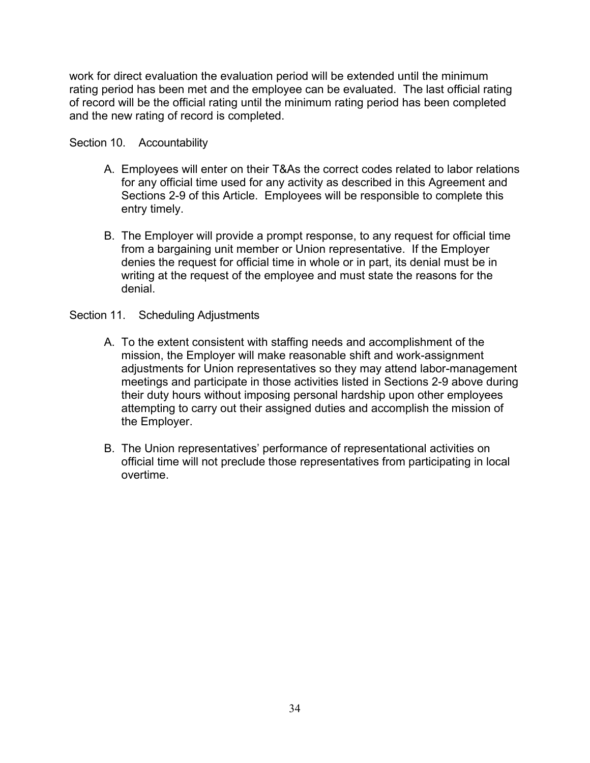work for direct evaluation the evaluation period will be extended until the minimum rating period has been met and the employee can be evaluated. The last official rating of record will be the official rating until the minimum rating period has been completed and the new rating of record is completed.

Section 10. Accountability

- A. Employees will enter on their T&As the correct codes related to labor relations for any official time used for any activity as described in this Agreement and Sections 2-9 of this Article. Employees will be responsible to complete this entry timely.
- B. The Employer will provide a prompt response, to any request for official time from a bargaining unit member or Union representative. If the Employer denies the request for official time in whole or in part, its denial must be in writing at the request of the employee and must state the reasons for the denial.

### Section 11. Scheduling Adjustments

- A. To the extent consistent with staffing needs and accomplishment of the mission, the Employer will make reasonable shift and work-assignment adjustments for Union representatives so they may attend labor-management meetings and participate in those activities listed in Sections 2-9 above during their duty hours without imposing personal hardship upon other employees attempting to carry out their assigned duties and accomplish the mission of the Employer.
- B. The Union representatives' performance of representational activities on official time will not preclude those representatives from participating in local overtime.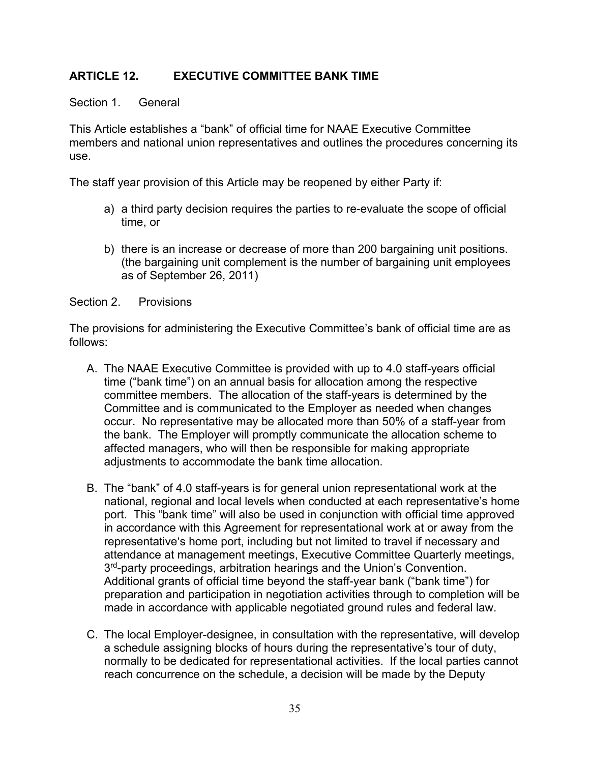# **ARTICLE 12. EXECUTIVE COMMITTEE BANK TIME**

### Section 1. General

This Article establishes a "bank" of official time for NAAE Executive Committee members and national union representatives and outlines the procedures concerning its use.

The staff year provision of this Article may be reopened by either Party if:

- a) a third party decision requires the parties to re-evaluate the scope of official time, or
- b) there is an increase or decrease of more than 200 bargaining unit positions. (the bargaining unit complement is the number of bargaining unit employees as of September 26, 2011)

Section 2. Provisions

The provisions for administering the Executive Committee's bank of official time are as follows:

- A. The NAAE Executive Committee is provided with up to 4.0 staff-years official time ("bank time") on an annual basis for allocation among the respective committee members. The allocation of the staff-years is determined by the Committee and is communicated to the Employer as needed when changes occur. No representative may be allocated more than 50% of a staff-year from the bank. The Employer will promptly communicate the allocation scheme to affected managers, who will then be responsible for making appropriate adjustments to accommodate the bank time allocation.
- B. The "bank" of 4.0 staff-years is for general union representational work at the national, regional and local levels when conducted at each representative's home port. This "bank time" will also be used in conjunction with official time approved in accordance with this Agreement for representational work at or away from the representative's home port, including but not limited to travel if necessary and attendance at management meetings, Executive Committee Quarterly meetings, 3<sup>rd</sup>-party proceedings, arbitration hearings and the Union's Convention. Additional grants of official time beyond the staff-year bank ("bank time") for preparation and participation in negotiation activities through to completion will be made in accordance with applicable negotiated ground rules and federal law.
- C. The local Employer-designee, in consultation with the representative, will develop a schedule assigning blocks of hours during the representative's tour of duty, normally to be dedicated for representational activities. If the local parties cannot reach concurrence on the schedule, a decision will be made by the Deputy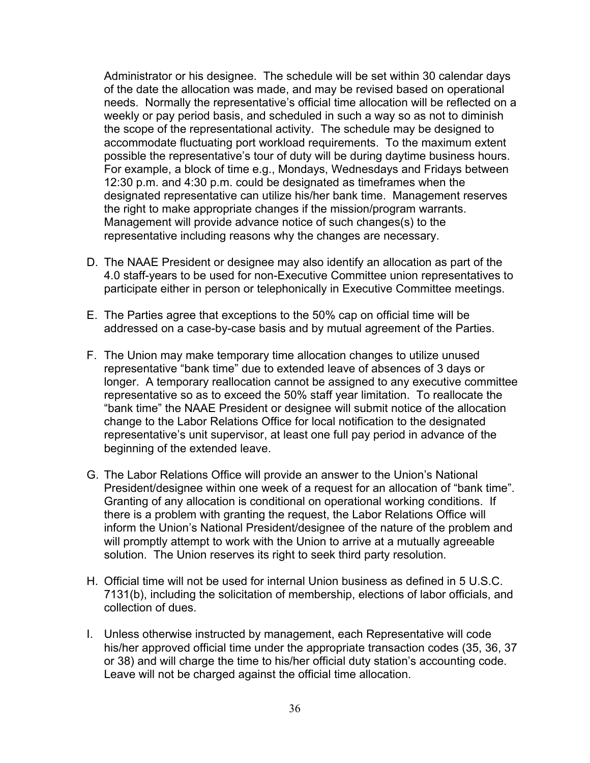Administrator or his designee. The schedule will be set within 30 calendar days of the date the allocation was made, and may be revised based on operational needs. Normally the representative's official time allocation will be reflected on a weekly or pay period basis, and scheduled in such a way so as not to diminish the scope of the representational activity. The schedule may be designed to accommodate fluctuating port workload requirements. To the maximum extent possible the representative's tour of duty will be during daytime business hours. For example, a block of time e.g., Mondays, Wednesdays and Fridays between 12:30 p.m. and 4:30 p.m. could be designated as timeframes when the designated representative can utilize his/her bank time. Management reserves the right to make appropriate changes if the mission/program warrants. Management will provide advance notice of such changes(s) to the representative including reasons why the changes are necessary.

- D. The NAAE President or designee may also identify an allocation as part of the 4.0 staff-years to be used for non-Executive Committee union representatives to participate either in person or telephonically in Executive Committee meetings.
- E. The Parties agree that exceptions to the 50% cap on official time will be addressed on a case-by-case basis and by mutual agreement of the Parties.
- F. The Union may make temporary time allocation changes to utilize unused representative "bank time" due to extended leave of absences of 3 days or longer. A temporary reallocation cannot be assigned to any executive committee representative so as to exceed the 50% staff year limitation. To reallocate the "bank time" the NAAE President or designee will submit notice of the allocation change to the Labor Relations Office for local notification to the designated representative's unit supervisor, at least one full pay period in advance of the beginning of the extended leave.
- G. The Labor Relations Office will provide an answer to the Union's National President/designee within one week of a request for an allocation of "bank time". Granting of any allocation is conditional on operational working conditions. If there is a problem with granting the request, the Labor Relations Office will inform the Union's National President/designee of the nature of the problem and will promptly attempt to work with the Union to arrive at a mutually agreeable solution. The Union reserves its right to seek third party resolution.
- H. Official time will not be used for internal Union business as defined in 5 U.S.C. 7131(b), including the solicitation of membership, elections of labor officials, and collection of dues.
- I. Unless otherwise instructed by management, each Representative will code his/her approved official time under the appropriate transaction codes (35, 36, 37 or 38) and will charge the time to his/her official duty station's accounting code. Leave will not be charged against the official time allocation.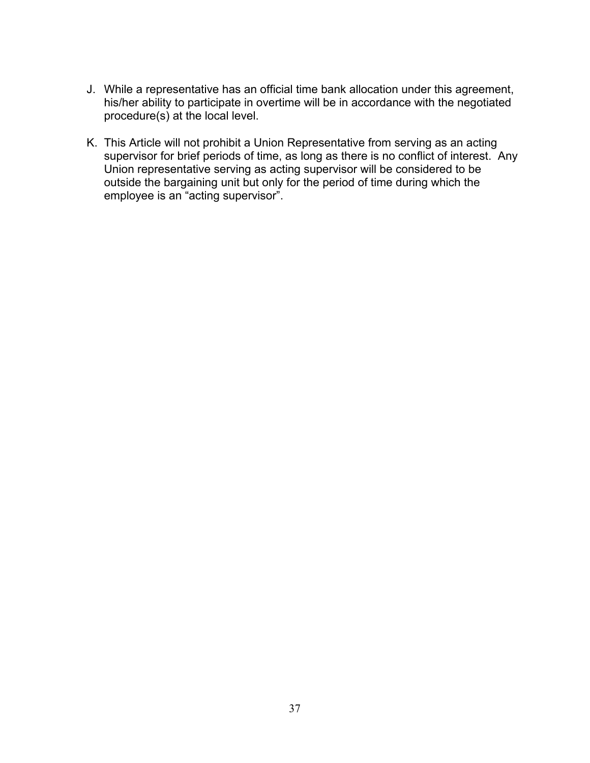- J. While a representative has an official time bank allocation under this agreement, his/her ability to participate in overtime will be in accordance with the negotiated procedure(s) at the local level.
- K. This Article will not prohibit a Union Representative from serving as an acting supervisor for brief periods of time, as long as there is no conflict of interest. Any Union representative serving as acting supervisor will be considered to be outside the bargaining unit but only for the period of time during which the employee is an "acting supervisor".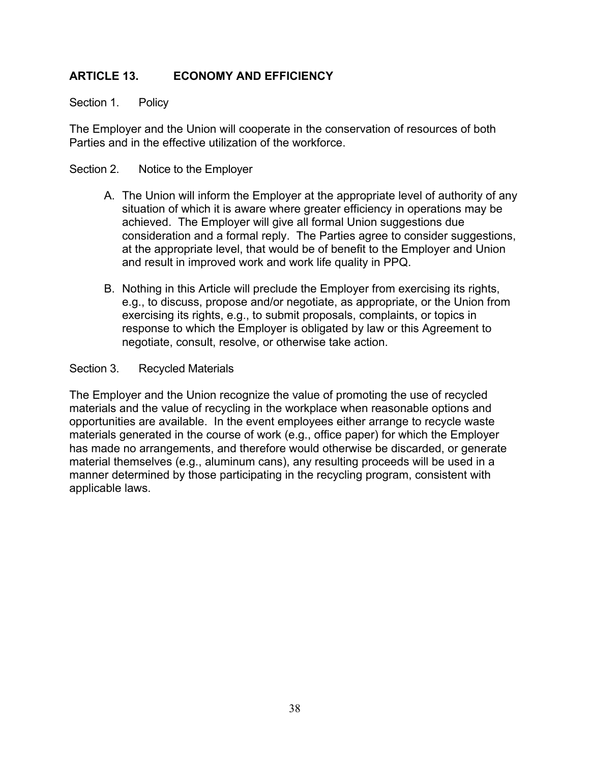# **ARTICLE 13. ECONOMY AND EFFICIENCY**

## Section 1. Policy

The Employer and the Union will cooperate in the conservation of resources of both Parties and in the effective utilization of the workforce.

## Section 2. Notice to the Employer

- A. The Union will inform the Employer at the appropriate level of authority of any situation of which it is aware where greater efficiency in operations may be achieved. The Employer will give all formal Union suggestions due consideration and a formal reply. The Parties agree to consider suggestions, at the appropriate level, that would be of benefit to the Employer and Union and result in improved work and work life quality in PPQ.
- B. Nothing in this Article will preclude the Employer from exercising its rights, e.g., to discuss, propose and/or negotiate, as appropriate, or the Union from exercising its rights, e.g., to submit proposals, complaints, or topics in response to which the Employer is obligated by law or this Agreement to negotiate, consult, resolve, or otherwise take action.

## Section 3. Recycled Materials

The Employer and the Union recognize the value of promoting the use of recycled materials and the value of recycling in the workplace when reasonable options and opportunities are available. In the event employees either arrange to recycle waste materials generated in the course of work (e.g., office paper) for which the Employer has made no arrangements, and therefore would otherwise be discarded, or generate material themselves (e.g., aluminum cans), any resulting proceeds will be used in a manner determined by those participating in the recycling program, consistent with applicable laws.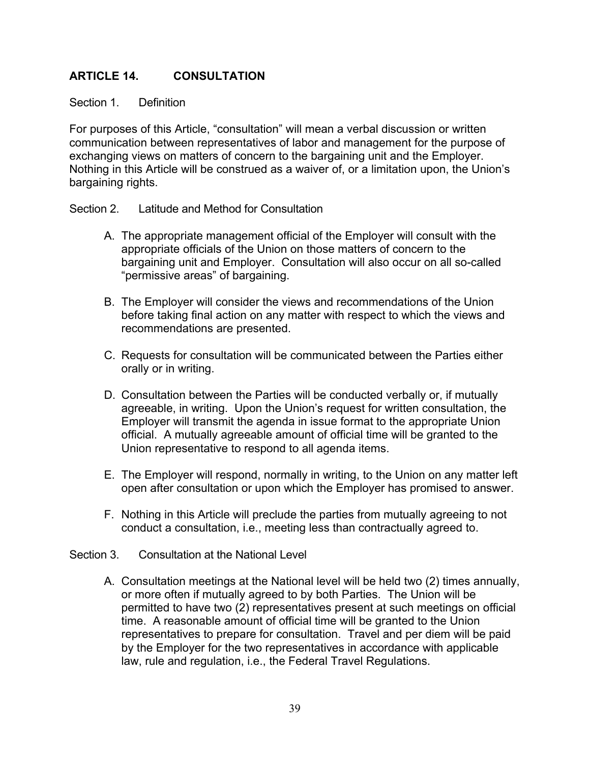# **ARTICLE 14. CONSULTATION**

### Section 1. Definition

For purposes of this Article, "consultation" will mean a verbal discussion or written communication between representatives of labor and management for the purpose of exchanging views on matters of concern to the bargaining unit and the Employer. Nothing in this Article will be construed as a waiver of, or a limitation upon, the Union's bargaining rights.

## Section 2. Latitude and Method for Consultation

- A. The appropriate management official of the Employer will consult with the appropriate officials of the Union on those matters of concern to the bargaining unit and Employer. Consultation will also occur on all so-called "permissive areas" of bargaining.
- B. The Employer will consider the views and recommendations of the Union before taking final action on any matter with respect to which the views and recommendations are presented.
- C. Requests for consultation will be communicated between the Parties either orally or in writing.
- D. Consultation between the Parties will be conducted verbally or, if mutually agreeable, in writing. Upon the Union's request for written consultation, the Employer will transmit the agenda in issue format to the appropriate Union official. A mutually agreeable amount of official time will be granted to the Union representative to respond to all agenda items.
- E. The Employer will respond, normally in writing, to the Union on any matter left open after consultation or upon which the Employer has promised to answer.
- F. Nothing in this Article will preclude the parties from mutually agreeing to not conduct a consultation, i.e., meeting less than contractually agreed to.

#### Section 3. Consultation at the National Level

A. Consultation meetings at the National level will be held two (2) times annually, or more often if mutually agreed to by both Parties. The Union will be permitted to have two (2) representatives present at such meetings on official time. A reasonable amount of official time will be granted to the Union representatives to prepare for consultation. Travel and per diem will be paid by the Employer for the two representatives in accordance with applicable law, rule and regulation, i.e., the Federal Travel Regulations.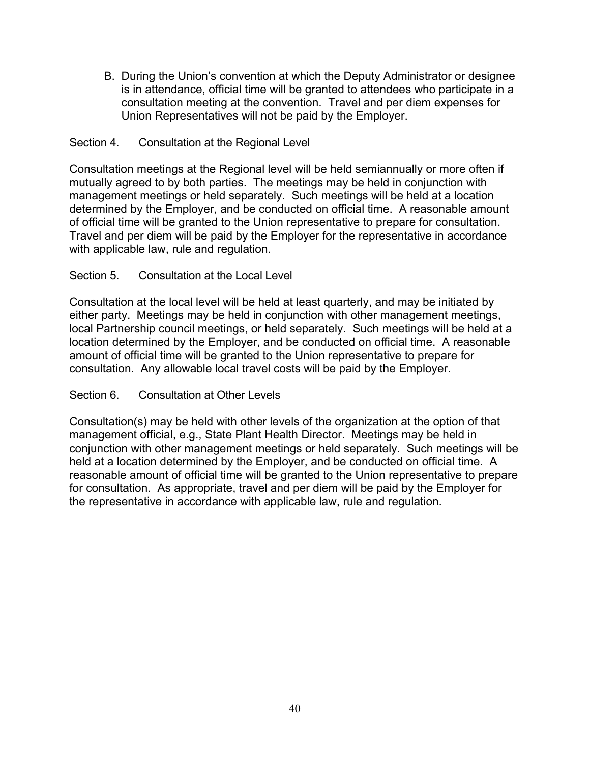B. During the Union's convention at which the Deputy Administrator or designee is in attendance, official time will be granted to attendees who participate in a consultation meeting at the convention. Travel and per diem expenses for Union Representatives will not be paid by the Employer.

# Section 4. Consultation at the Regional Level

Consultation meetings at the Regional level will be held semiannually or more often if mutually agreed to by both parties. The meetings may be held in conjunction with management meetings or held separately. Such meetings will be held at a location determined by the Employer, and be conducted on official time. A reasonable amount of official time will be granted to the Union representative to prepare for consultation. Travel and per diem will be paid by the Employer for the representative in accordance with applicable law, rule and regulation.

## Section 5. Consultation at the Local Level

Consultation at the local level will be held at least quarterly, and may be initiated by either party. Meetings may be held in conjunction with other management meetings, local Partnership council meetings, or held separately. Such meetings will be held at a location determined by the Employer, and be conducted on official time. A reasonable amount of official time will be granted to the Union representative to prepare for consultation. Any allowable local travel costs will be paid by the Employer.

## Section 6. Consultation at Other Levels

Consultation(s) may be held with other levels of the organization at the option of that management official, e.g., State Plant Health Director. Meetings may be held in conjunction with other management meetings or held separately. Such meetings will be held at a location determined by the Employer, and be conducted on official time. A reasonable amount of official time will be granted to the Union representative to prepare for consultation. As appropriate, travel and per diem will be paid by the Employer for the representative in accordance with applicable law, rule and regulation.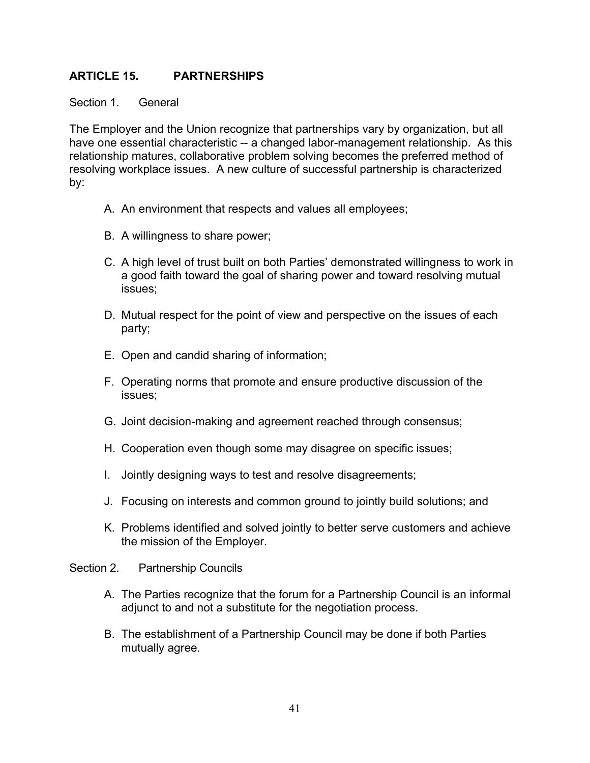# **ARTICLE 15. PARTNERSHIPS**

Section 1. General

The Employer and the Union recognize that partnerships vary by organization, but all have one essential characteristic -- a changed labor-management relationship. As this relationship matures, collaborative problem solving becomes the preferred method of resolving workplace issues. A new culture of successful partnership is characterized by:

- A. An environment that respects and values all employees;
- B. A willingness to share power;
- C. A high level of trust built on both Parties' demonstrated willingness to work in a good faith toward the goal of sharing power and toward resolving mutual issues;
- D. Mutual respect for the point of view and perspective on the issues of each party;
- E. Open and candid sharing of information;
- F. Operating norms that promote and ensure productive discussion of the issues;
- G. Joint decision-making and agreement reached through consensus;
- H. Cooperation even though some may disagree on specific issues;
- I. Jointly designing ways to test and resolve disagreements;
- J. Focusing on interests and common ground to jointly build solutions; and
- K. Problems identified and solved jointly to better serve customers and achieve the mission of the Employer.

#### Section 2. Partnership Councils

- A. The Parties recognize that the forum for a Partnership Council is an informal adjunct to and not a substitute for the negotiation process.
- B. The establishment of a Partnership Council may be done if both Parties mutually agree.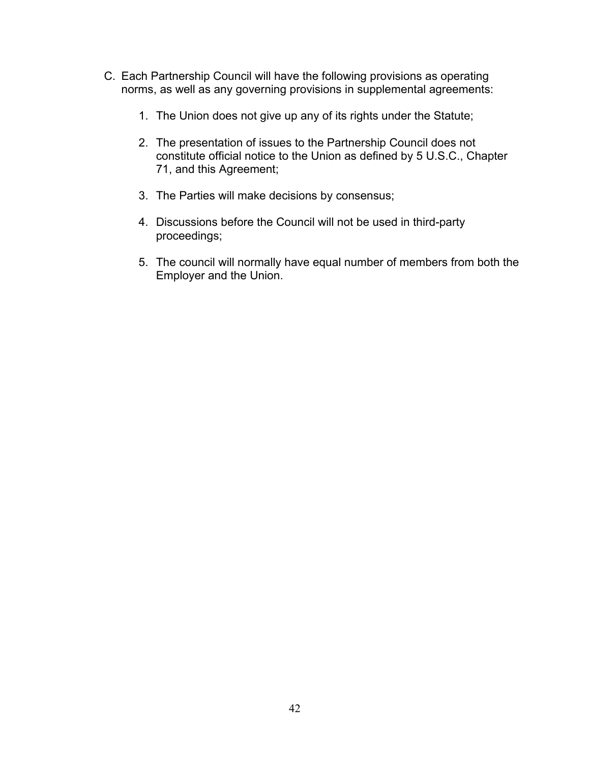- C. Each Partnership Council will have the following provisions as operating norms, as well as any governing provisions in supplemental agreements:
	- 1. The Union does not give up any of its rights under the Statute;
	- 2. The presentation of issues to the Partnership Council does not constitute official notice to the Union as defined by 5 U.S.C., Chapter 71, and this Agreement;
	- 3. The Parties will make decisions by consensus;
	- 4. Discussions before the Council will not be used in third-party proceedings;
	- 5. The council will normally have equal number of members from both the Employer and the Union.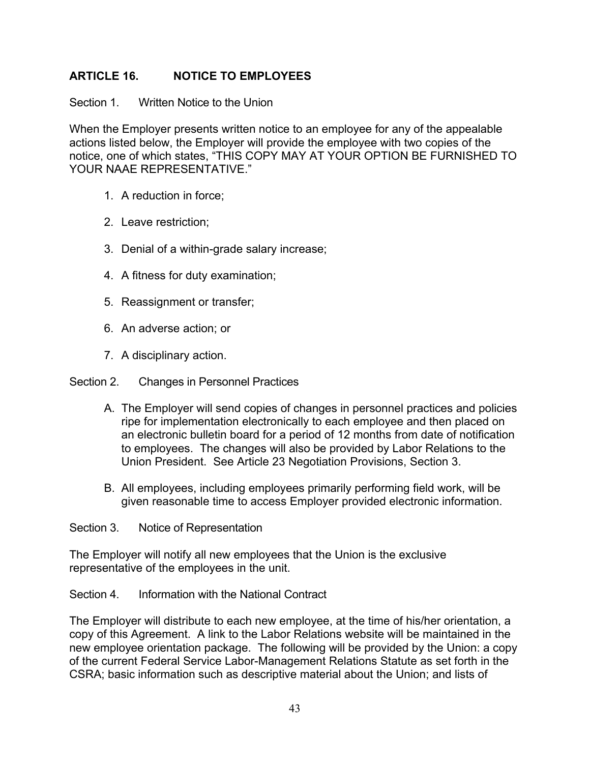# **ARTICLE 16. NOTICE TO EMPLOYEES**

Section 1. Written Notice to the Union

When the Employer presents written notice to an employee for any of the appealable actions listed below, the Employer will provide the employee with two copies of the notice, one of which states, "THIS COPY MAY AT YOUR OPTION BE FURNISHED TO YOUR NAAE REPRESENTATIVE."

- 1. A reduction in force;
- 2. Leave restriction;
- 3. Denial of a within-grade salary increase;
- 4. A fitness for duty examination;
- 5. Reassignment or transfer;
- 6. An adverse action; or
- 7. A disciplinary action.

Section 2. Changes in Personnel Practices

- A. The Employer will send copies of changes in personnel practices and policies ripe for implementation electronically to each employee and then placed on an electronic bulletin board for a period of 12 months from date of notification to employees. The changes will also be provided by Labor Relations to the Union President. See Article 23 Negotiation Provisions, Section 3.
- B. All employees, including employees primarily performing field work, will be given reasonable time to access Employer provided electronic information.

Section 3. Notice of Representation

The Employer will notify all new employees that the Union is the exclusive representative of the employees in the unit.

Section 4. Information with the National Contract

The Employer will distribute to each new employee, at the time of his/her orientation, a copy of this Agreement. A link to the Labor Relations website will be maintained in the new employee orientation package. The following will be provided by the Union: a copy of the current Federal Service Labor-Management Relations Statute as set forth in the CSRA; basic information such as descriptive material about the Union; and lists of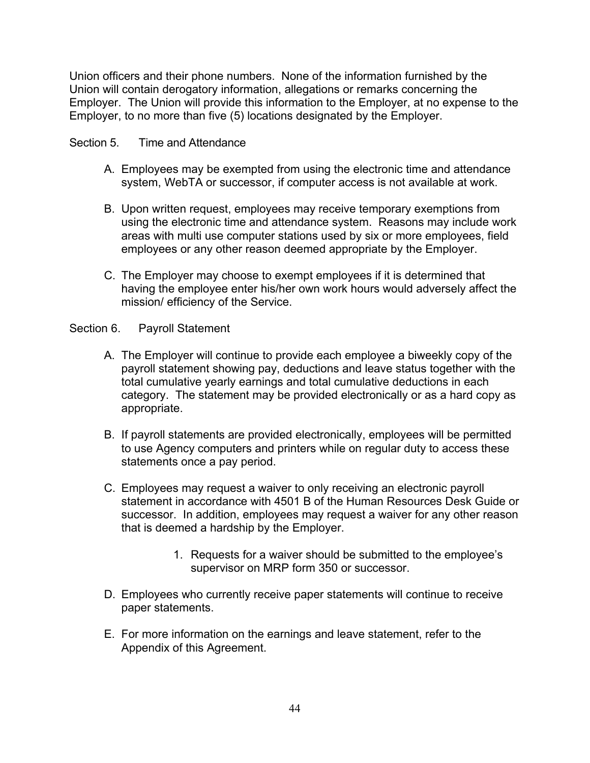Union officers and their phone numbers. None of the information furnished by the Union will contain derogatory information, allegations or remarks concerning the Employer. The Union will provide this information to the Employer, at no expense to the Employer, to no more than five (5) locations designated by the Employer.

Section 5. Time and Attendance

- A. Employees may be exempted from using the electronic time and attendance system, WebTA or successor, if computer access is not available at work.
- B. Upon written request, employees may receive temporary exemptions from using the electronic time and attendance system. Reasons may include work areas with multi use computer stations used by six or more employees, field employees or any other reason deemed appropriate by the Employer.
- C. The Employer may choose to exempt employees if it is determined that having the employee enter his/her own work hours would adversely affect the mission/ efficiency of the Service.

# Section 6. Payroll Statement

- A. The Employer will continue to provide each employee a biweekly copy of the payroll statement showing pay, deductions and leave status together with the total cumulative yearly earnings and total cumulative deductions in each category. The statement may be provided electronically or as a hard copy as appropriate.
- B. If payroll statements are provided electronically, employees will be permitted to use Agency computers and printers while on regular duty to access these statements once a pay period.
- C. Employees may request a waiver to only receiving an electronic payroll statement in accordance with 4501 B of the Human Resources Desk Guide or successor. In addition, employees may request a waiver for any other reason that is deemed a hardship by the Employer.
	- 1. Requests for a waiver should be submitted to the employee's supervisor on MRP form 350 or successor.
- D. Employees who currently receive paper statements will continue to receive paper statements.
- E. For more information on the earnings and leave statement, refer to the Appendix of this Agreement.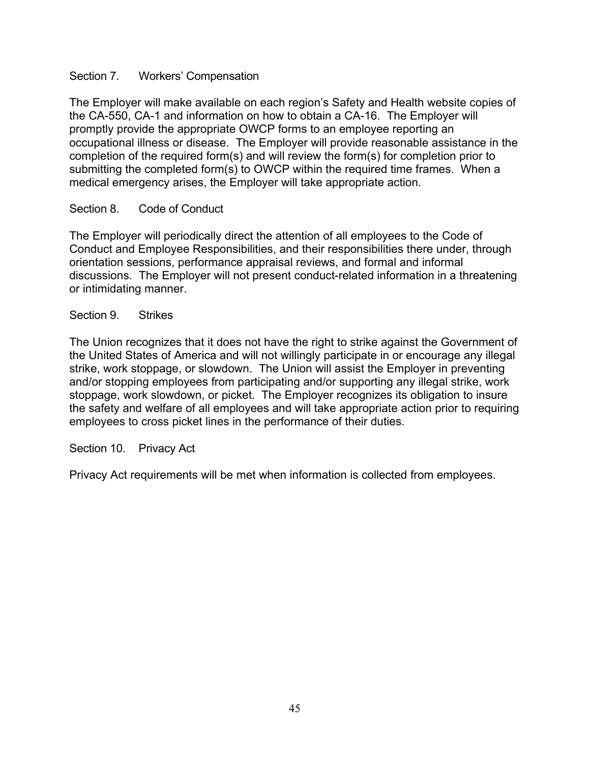# Section 7. Workers' Compensation

The Employer will make available on each region's Safety and Health website copies of the CA-550, CA-1 and information on how to obtain a CA-16. The Employer will promptly provide the appropriate OWCP forms to an employee reporting an occupational illness or disease. The Employer will provide reasonable assistance in the completion of the required form(s) and will review the form(s) for completion prior to submitting the completed form(s) to OWCP within the required time frames. When a medical emergency arises, the Employer will take appropriate action.

## Section 8. Code of Conduct

The Employer will periodically direct the attention of all employees to the Code of Conduct and Employee Responsibilities, and their responsibilities there under, through orientation sessions, performance appraisal reviews, and formal and informal discussions. The Employer will not present conduct-related information in a threatening or intimidating manner.

## Section 9. Strikes

The Union recognizes that it does not have the right to strike against the Government of the United States of America and will not willingly participate in or encourage any illegal strike, work stoppage, or slowdown. The Union will assist the Employer in preventing and/or stopping employees from participating and/or supporting any illegal strike, work stoppage, work slowdown, or picket. The Employer recognizes its obligation to insure the safety and welfare of all employees and will take appropriate action prior to requiring employees to cross picket lines in the performance of their duties.

## Section 10. Privacy Act

Privacy Act requirements will be met when information is collected from employees.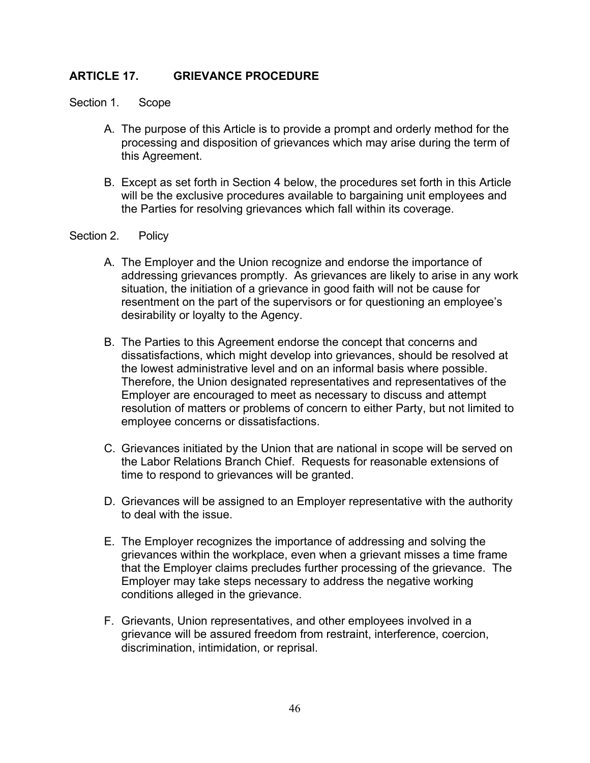# **ARTICLE 17. GRIEVANCE PROCEDURE**

Section 1. Scope

- A. The purpose of this Article is to provide a prompt and orderly method for the processing and disposition of grievances which may arise during the term of this Agreement.
- B. Except as set forth in Section 4 below, the procedures set forth in this Article will be the exclusive procedures available to bargaining unit employees and the Parties for resolving grievances which fall within its coverage.

#### Section 2. Policy

- A. The Employer and the Union recognize and endorse the importance of addressing grievances promptly. As grievances are likely to arise in any work situation, the initiation of a grievance in good faith will not be cause for resentment on the part of the supervisors or for questioning an employee's desirability or loyalty to the Agency.
- B. The Parties to this Agreement endorse the concept that concerns and dissatisfactions, which might develop into grievances, should be resolved at the lowest administrative level and on an informal basis where possible. Therefore, the Union designated representatives and representatives of the Employer are encouraged to meet as necessary to discuss and attempt resolution of matters or problems of concern to either Party, but not limited to employee concerns or dissatisfactions.
- C. Grievances initiated by the Union that are national in scope will be served on the Labor Relations Branch Chief. Requests for reasonable extensions of time to respond to grievances will be granted.
- D. Grievances will be assigned to an Employer representative with the authority to deal with the issue.
- E. The Employer recognizes the importance of addressing and solving the grievances within the workplace, even when a grievant misses a time frame that the Employer claims precludes further processing of the grievance. The Employer may take steps necessary to address the negative working conditions alleged in the grievance.
- F. Grievants, Union representatives, and other employees involved in a grievance will be assured freedom from restraint, interference, coercion, discrimination, intimidation, or reprisal.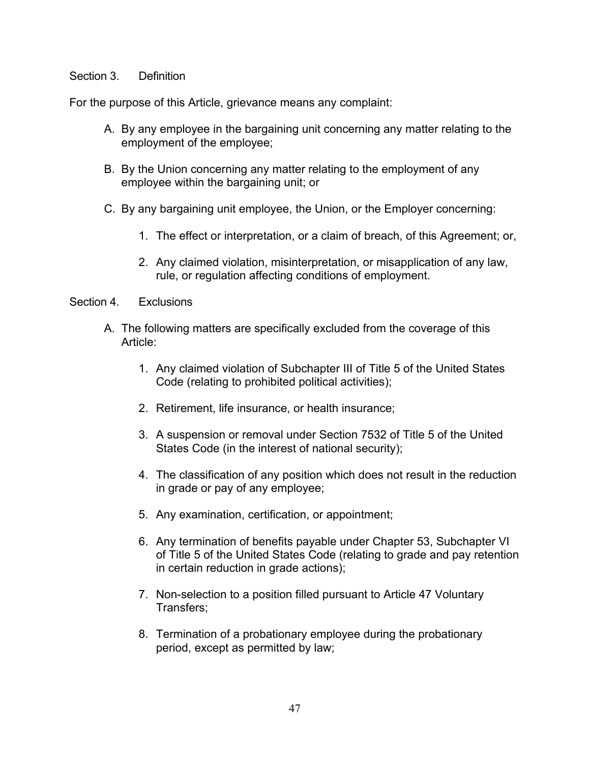### Section 3. Definition

For the purpose of this Article, grievance means any complaint:

- A. By any employee in the bargaining unit concerning any matter relating to the employment of the employee;
- B. By the Union concerning any matter relating to the employment of any employee within the bargaining unit; or
- C. By any bargaining unit employee, the Union, or the Employer concerning:
	- 1. The effect or interpretation, or a claim of breach, of this Agreement; or,
	- 2. Any claimed violation, misinterpretation, or misapplication of any law, rule, or regulation affecting conditions of employment.

### Section 4. Exclusions

- A. The following matters are specifically excluded from the coverage of this Article:
	- 1. Any claimed violation of Subchapter III of Title 5 of the United States Code (relating to prohibited political activities);
	- 2. Retirement, life insurance, or health insurance;
	- 3. A suspension or removal under Section 7532 of Title 5 of the United States Code (in the interest of national security);
	- 4. The classification of any position which does not result in the reduction in grade or pay of any employee;
	- 5. Any examination, certification, or appointment;
	- 6. Any termination of benefits payable under Chapter 53, Subchapter VI of Title 5 of the United States Code (relating to grade and pay retention in certain reduction in grade actions);
	- 7. Non-selection to a position filled pursuant to Article 47 Voluntary Transfers;
	- 8. Termination of a probationary employee during the probationary period, except as permitted by law;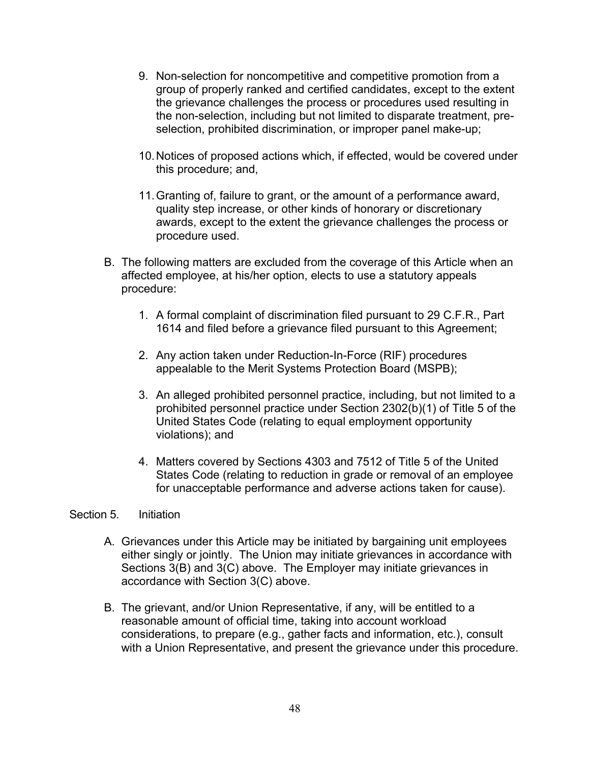- 9. Non-selection for noncompetitive and competitive promotion from a group of properly ranked and certified candidates, except to the extent the grievance challenges the process or procedures used resulting in the non-selection, including but not limited to disparate treatment, preselection, prohibited discrimination, or improper panel make-up;
- 10.Notices of proposed actions which, if effected, would be covered under this procedure; and,
- 11.Granting of, failure to grant, or the amount of a performance award, quality step increase, or other kinds of honorary or discretionary awards, except to the extent the grievance challenges the process or procedure used.
- B. The following matters are excluded from the coverage of this Article when an affected employee, at his/her option, elects to use a statutory appeals procedure:
	- 1. A formal complaint of discrimination filed pursuant to 29 C.F.R., Part 1614 and filed before a grievance filed pursuant to this Agreement;
	- 2. Any action taken under Reduction-In-Force (RIF) procedures appealable to the Merit Systems Protection Board (MSPB);
	- 3. An alleged prohibited personnel practice, including, but not limited to a prohibited personnel practice under Section 2302(b)(1) of Title 5 of the United States Code (relating to equal employment opportunity violations); and
	- 4. Matters covered by Sections 4303 and 7512 of Title 5 of the United States Code (relating to reduction in grade or removal of an employee for unacceptable performance and adverse actions taken for cause).

## Section 5. Initiation

- A. Grievances under this Article may be initiated by bargaining unit employees either singly or jointly. The Union may initiate grievances in accordance with Sections 3(B) and 3(C) above. The Employer may initiate grievances in accordance with Section 3(C) above.
- B. The grievant, and/or Union Representative, if any, will be entitled to a reasonable amount of official time, taking into account workload considerations, to prepare (e.g., gather facts and information, etc.), consult with a Union Representative, and present the grievance under this procedure.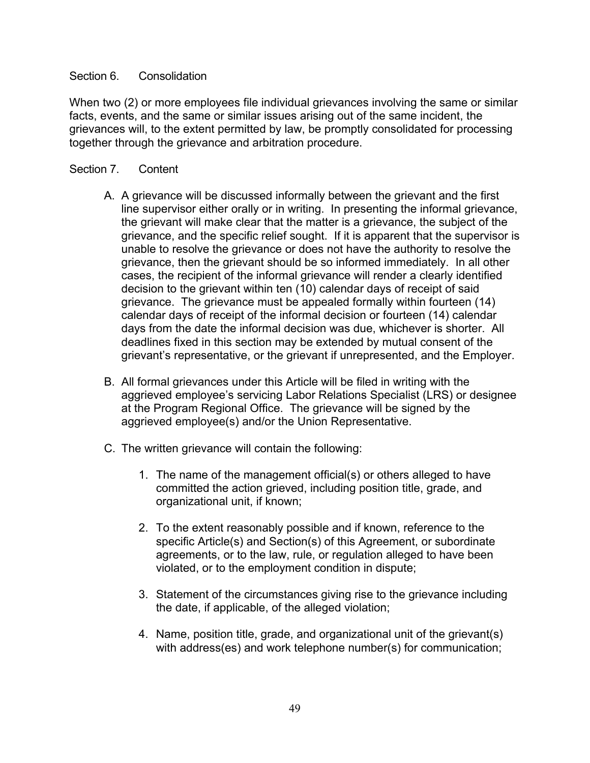### Section 6. Consolidation

When two (2) or more employees file individual grievances involving the same or similar facts, events, and the same or similar issues arising out of the same incident, the grievances will, to the extent permitted by law, be promptly consolidated for processing together through the grievance and arbitration procedure.

### Section 7. Content

- A. A grievance will be discussed informally between the grievant and the first line supervisor either orally or in writing. In presenting the informal grievance, the grievant will make clear that the matter is a grievance, the subject of the grievance, and the specific relief sought. If it is apparent that the supervisor is unable to resolve the grievance or does not have the authority to resolve the grievance, then the grievant should be so informed immediately. In all other cases, the recipient of the informal grievance will render a clearly identified decision to the grievant within ten (10) calendar days of receipt of said grievance. The grievance must be appealed formally within fourteen (14) calendar days of receipt of the informal decision or fourteen (14) calendar days from the date the informal decision was due, whichever is shorter. All deadlines fixed in this section may be extended by mutual consent of the grievant's representative, or the grievant if unrepresented, and the Employer.
- B. All formal grievances under this Article will be filed in writing with the aggrieved employee's servicing Labor Relations Specialist (LRS) or designee at the Program Regional Office. The grievance will be signed by the aggrieved employee(s) and/or the Union Representative.
- C. The written grievance will contain the following:
	- 1. The name of the management official(s) or others alleged to have committed the action grieved, including position title, grade, and organizational unit, if known;
	- 2. To the extent reasonably possible and if known, reference to the specific Article(s) and Section(s) of this Agreement, or subordinate agreements, or to the law, rule, or regulation alleged to have been violated, or to the employment condition in dispute;
	- 3. Statement of the circumstances giving rise to the grievance including the date, if applicable, of the alleged violation;
	- 4. Name, position title, grade, and organizational unit of the grievant(s) with address(es) and work telephone number(s) for communication;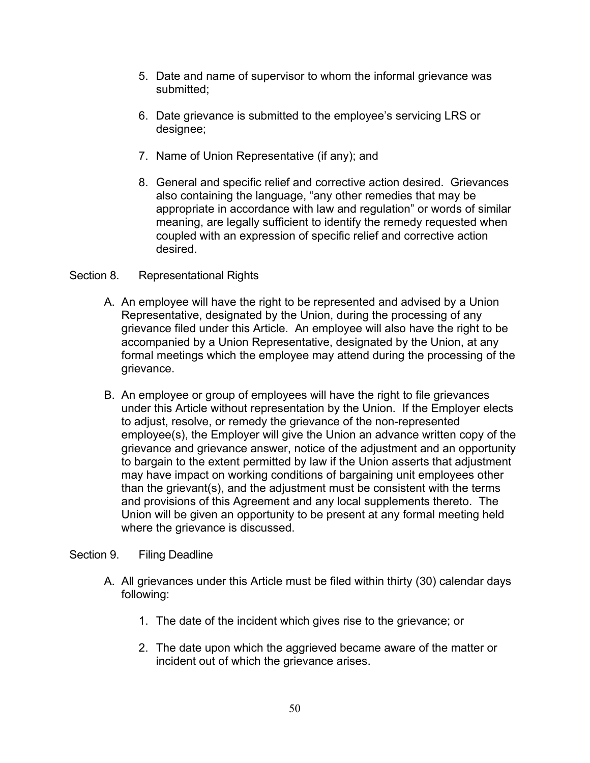- 5. Date and name of supervisor to whom the informal grievance was submitted;
- 6. Date grievance is submitted to the employee's servicing LRS or designee;
- 7. Name of Union Representative (if any); and
- 8. General and specific relief and corrective action desired. Grievances also containing the language, "any other remedies that may be appropriate in accordance with law and regulation" or words of similar meaning, are legally sufficient to identify the remedy requested when coupled with an expression of specific relief and corrective action desired.

## Section 8. Representational Rights

- A. An employee will have the right to be represented and advised by a Union Representative, designated by the Union, during the processing of any grievance filed under this Article. An employee will also have the right to be accompanied by a Union Representative, designated by the Union, at any formal meetings which the employee may attend during the processing of the grievance.
- B. An employee or group of employees will have the right to file grievances under this Article without representation by the Union. If the Employer elects to adjust, resolve, or remedy the grievance of the non-represented employee(s), the Employer will give the Union an advance written copy of the grievance and grievance answer, notice of the adjustment and an opportunity to bargain to the extent permitted by law if the Union asserts that adjustment may have impact on working conditions of bargaining unit employees other than the grievant(s), and the adjustment must be consistent with the terms and provisions of this Agreement and any local supplements thereto. The Union will be given an opportunity to be present at any formal meeting held where the grievance is discussed.

## Section 9. Filing Deadline

- A. All grievances under this Article must be filed within thirty (30) calendar days following:
	- 1. The date of the incident which gives rise to the grievance; or
	- 2. The date upon which the aggrieved became aware of the matter or incident out of which the grievance arises.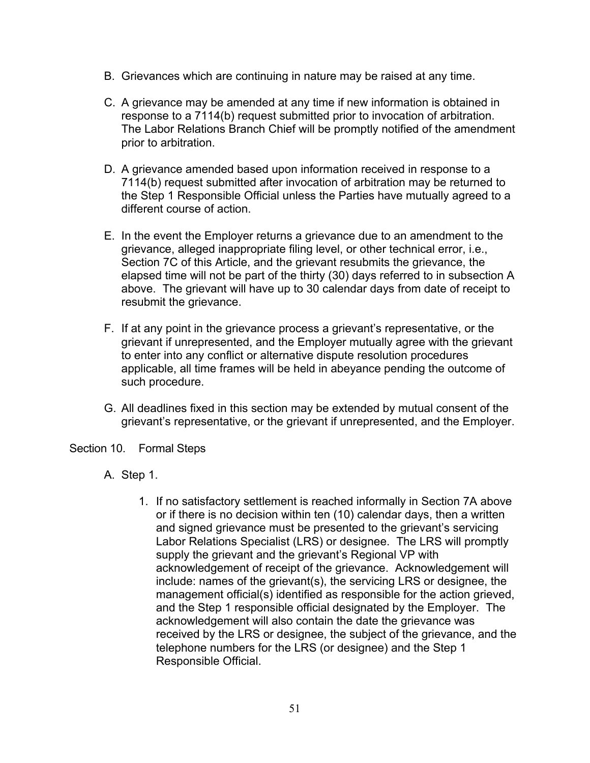- B. Grievances which are continuing in nature may be raised at any time.
- C. A grievance may be amended at any time if new information is obtained in response to a 7114(b) request submitted prior to invocation of arbitration. The Labor Relations Branch Chief will be promptly notified of the amendment prior to arbitration.
- D. A grievance amended based upon information received in response to a 7114(b) request submitted after invocation of arbitration may be returned to the Step 1 Responsible Official unless the Parties have mutually agreed to a different course of action.
- E. In the event the Employer returns a grievance due to an amendment to the grievance, alleged inappropriate filing level, or other technical error, i.e., Section 7C of this Article, and the grievant resubmits the grievance, the elapsed time will not be part of the thirty (30) days referred to in subsection A above. The grievant will have up to 30 calendar days from date of receipt to resubmit the grievance.
- F. If at any point in the grievance process a grievant's representative, or the grievant if unrepresented, and the Employer mutually agree with the grievant to enter into any conflict or alternative dispute resolution procedures applicable, all time frames will be held in abeyance pending the outcome of such procedure.
- G. All deadlines fixed in this section may be extended by mutual consent of the grievant's representative, or the grievant if unrepresented, and the Employer.

Section 10. Formal Steps

- A. Step 1.
	- 1. If no satisfactory settlement is reached informally in Section 7A above or if there is no decision within ten (10) calendar days, then a written and signed grievance must be presented to the grievant's servicing Labor Relations Specialist (LRS) or designee. The LRS will promptly supply the grievant and the grievant's Regional VP with acknowledgement of receipt of the grievance. Acknowledgement will include: names of the grievant(s), the servicing LRS or designee, the management official(s) identified as responsible for the action grieved, and the Step 1 responsible official designated by the Employer. The acknowledgement will also contain the date the grievance was received by the LRS or designee, the subject of the grievance, and the telephone numbers for the LRS (or designee) and the Step 1 Responsible Official.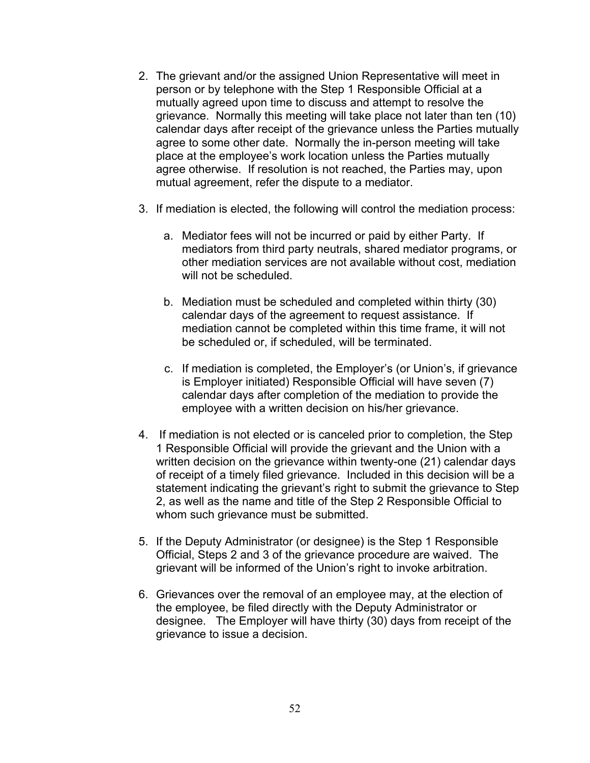- 2. The grievant and/or the assigned Union Representative will meet in person or by telephone with the Step 1 Responsible Official at a mutually agreed upon time to discuss and attempt to resolve the grievance. Normally this meeting will take place not later than ten (10) calendar days after receipt of the grievance unless the Parties mutually agree to some other date. Normally the in-person meeting will take place at the employee's work location unless the Parties mutually agree otherwise. If resolution is not reached, the Parties may, upon mutual agreement, refer the dispute to a mediator.
- 3. If mediation is elected, the following will control the mediation process:
	- a. Mediator fees will not be incurred or paid by either Party. If mediators from third party neutrals, shared mediator programs, or other mediation services are not available without cost, mediation will not be scheduled.
	- b. Mediation must be scheduled and completed within thirty (30) calendar days of the agreement to request assistance. If mediation cannot be completed within this time frame, it will not be scheduled or, if scheduled, will be terminated.
	- c. If mediation is completed, the Employer's (or Union's, if grievance is Employer initiated) Responsible Official will have seven (7) calendar days after completion of the mediation to provide the employee with a written decision on his/her grievance.
- 4. If mediation is not elected or is canceled prior to completion, the Step 1 Responsible Official will provide the grievant and the Union with a written decision on the grievance within twenty-one (21) calendar days of receipt of a timely filed grievance. Included in this decision will be a statement indicating the grievant's right to submit the grievance to Step 2, as well as the name and title of the Step 2 Responsible Official to whom such grievance must be submitted.
- 5. If the Deputy Administrator (or designee) is the Step 1 Responsible Official, Steps 2 and 3 of the grievance procedure are waived. The grievant will be informed of the Union's right to invoke arbitration.
- 6. Grievances over the removal of an employee may, at the election of the employee, be filed directly with the Deputy Administrator or designee. The Employer will have thirty (30) days from receipt of the grievance to issue a decision.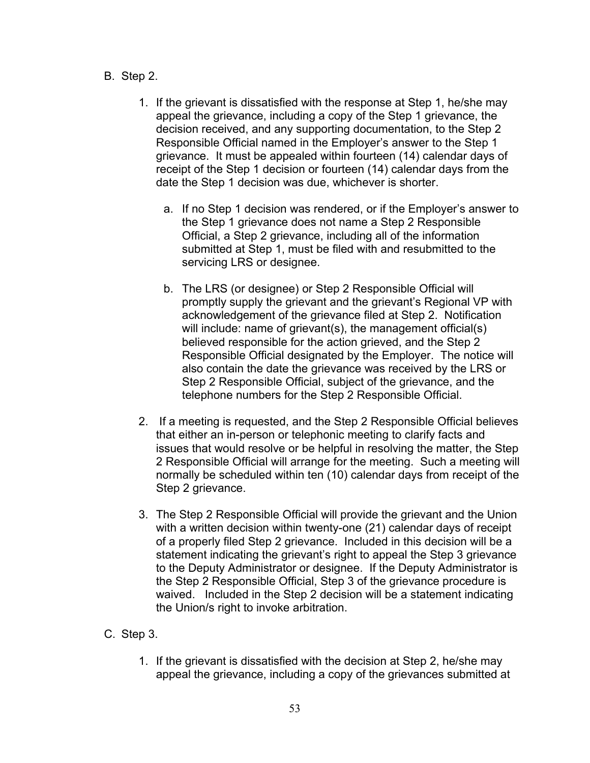### B. Step 2.

- 1. If the grievant is dissatisfied with the response at Step 1, he/she may appeal the grievance, including a copy of the Step 1 grievance, the decision received, and any supporting documentation, to the Step 2 Responsible Official named in the Employer's answer to the Step 1 grievance. It must be appealed within fourteen (14) calendar days of receipt of the Step 1 decision or fourteen (14) calendar days from the date the Step 1 decision was due, whichever is shorter.
	- a. If no Step 1 decision was rendered, or if the Employer's answer to the Step 1 grievance does not name a Step 2 Responsible Official, a Step 2 grievance, including all of the information submitted at Step 1, must be filed with and resubmitted to the servicing LRS or designee.
	- b. The LRS (or designee) or Step 2 Responsible Official will promptly supply the grievant and the grievant's Regional VP with acknowledgement of the grievance filed at Step 2. Notification will include: name of grievant(s), the management official(s) believed responsible for the action grieved, and the Step 2 Responsible Official designated by the Employer. The notice will also contain the date the grievance was received by the LRS or Step 2 Responsible Official, subject of the grievance, and the telephone numbers for the Step 2 Responsible Official.
- 2. If a meeting is requested, and the Step 2 Responsible Official believes that either an in-person or telephonic meeting to clarify facts and issues that would resolve or be helpful in resolving the matter, the Step 2 Responsible Official will arrange for the meeting. Such a meeting will normally be scheduled within ten (10) calendar days from receipt of the Step 2 grievance.
- 3. The Step 2 Responsible Official will provide the grievant and the Union with a written decision within twenty-one (21) calendar days of receipt of a properly filed Step 2 grievance. Included in this decision will be a statement indicating the grievant's right to appeal the Step 3 grievance to the Deputy Administrator or designee. If the Deputy Administrator is the Step 2 Responsible Official, Step 3 of the grievance procedure is waived. Included in the Step 2 decision will be a statement indicating the Union/s right to invoke arbitration.

## C. Step 3.

1. If the grievant is dissatisfied with the decision at Step 2, he/she may appeal the grievance, including a copy of the grievances submitted at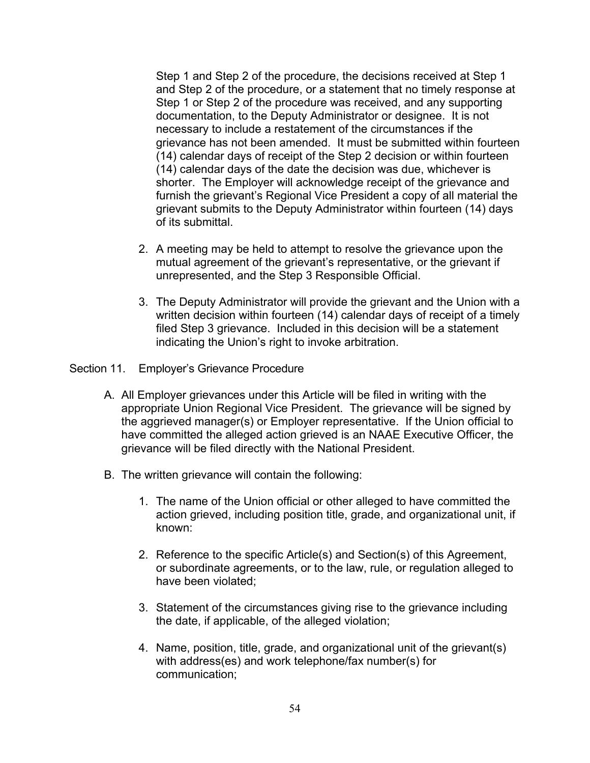Step 1 and Step 2 of the procedure, the decisions received at Step 1 and Step 2 of the procedure, or a statement that no timely response at Step 1 or Step 2 of the procedure was received, and any supporting documentation, to the Deputy Administrator or designee. It is not necessary to include a restatement of the circumstances if the grievance has not been amended. It must be submitted within fourteen (14) calendar days of receipt of the Step 2 decision or within fourteen (14) calendar days of the date the decision was due, whichever is shorter. The Employer will acknowledge receipt of the grievance and furnish the grievant's Regional Vice President a copy of all material the grievant submits to the Deputy Administrator within fourteen (14) days of its submittal.

- 2. A meeting may be held to attempt to resolve the grievance upon the mutual agreement of the grievant's representative, or the grievant if unrepresented, and the Step 3 Responsible Official.
- 3. The Deputy Administrator will provide the grievant and the Union with a written decision within fourteen (14) calendar days of receipt of a timely filed Step 3 grievance. Included in this decision will be a statement indicating the Union's right to invoke arbitration.

Section 11. Employer's Grievance Procedure

- A. All Employer grievances under this Article will be filed in writing with the appropriate Union Regional Vice President. The grievance will be signed by the aggrieved manager(s) or Employer representative. If the Union official to have committed the alleged action grieved is an NAAE Executive Officer, the grievance will be filed directly with the National President.
- B. The written grievance will contain the following:
	- 1. The name of the Union official or other alleged to have committed the action grieved, including position title, grade, and organizational unit, if known:
	- 2. Reference to the specific Article(s) and Section(s) of this Agreement, or subordinate agreements, or to the law, rule, or regulation alleged to have been violated;
	- 3. Statement of the circumstances giving rise to the grievance including the date, if applicable, of the alleged violation;
	- 4. Name, position, title, grade, and organizational unit of the grievant(s) with address(es) and work telephone/fax number(s) for communication;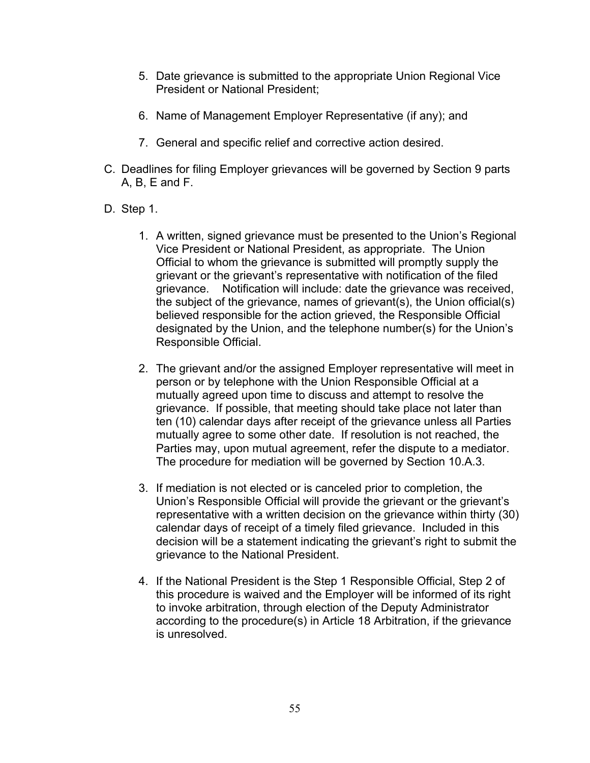- 5. Date grievance is submitted to the appropriate Union Regional Vice President or National President;
- 6. Name of Management Employer Representative (if any); and
- 7. General and specific relief and corrective action desired.
- C. Deadlines for filing Employer grievances will be governed by Section 9 parts A, B, E and F.
- D. Step 1.
	- 1. A written, signed grievance must be presented to the Union's Regional Vice President or National President, as appropriate. The Union Official to whom the grievance is submitted will promptly supply the grievant or the grievant's representative with notification of the filed grievance. Notification will include: date the grievance was received, the subject of the grievance, names of grievant(s), the Union official(s) believed responsible for the action grieved, the Responsible Official designated by the Union, and the telephone number(s) for the Union's Responsible Official.
	- 2. The grievant and/or the assigned Employer representative will meet in person or by telephone with the Union Responsible Official at a mutually agreed upon time to discuss and attempt to resolve the grievance. If possible, that meeting should take place not later than ten (10) calendar days after receipt of the grievance unless all Parties mutually agree to some other date. If resolution is not reached, the Parties may, upon mutual agreement, refer the dispute to a mediator. The procedure for mediation will be governed by Section 10.A.3.
	- 3. If mediation is not elected or is canceled prior to completion, the Union's Responsible Official will provide the grievant or the grievant's representative with a written decision on the grievance within thirty (30) calendar days of receipt of a timely filed grievance. Included in this decision will be a statement indicating the grievant's right to submit the grievance to the National President.
	- 4. If the National President is the Step 1 Responsible Official, Step 2 of this procedure is waived and the Employer will be informed of its right to invoke arbitration, through election of the Deputy Administrator according to the procedure(s) in Article 18 Arbitration, if the grievance is unresolved.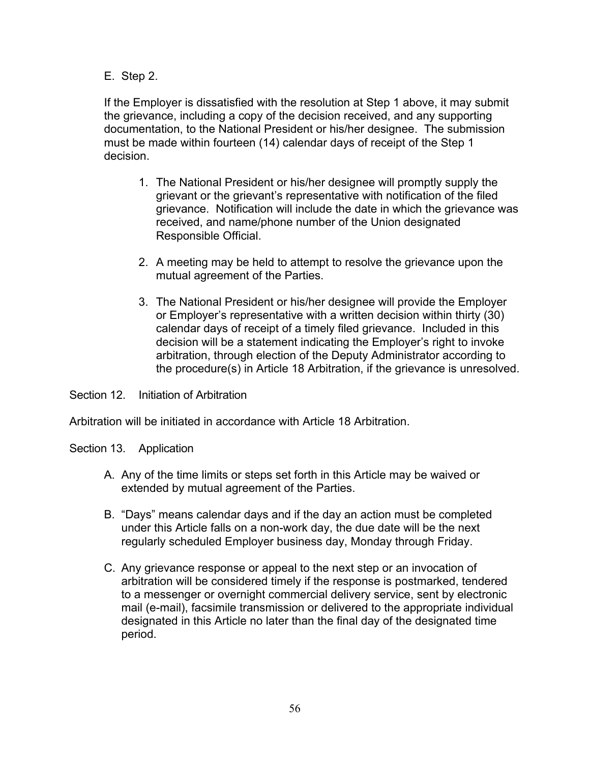E. Step 2.

If the Employer is dissatisfied with the resolution at Step 1 above, it may submit the grievance, including a copy of the decision received, and any supporting documentation, to the National President or his/her designee. The submission must be made within fourteen (14) calendar days of receipt of the Step 1 decision.

- 1. The National President or his/her designee will promptly supply the grievant or the grievant's representative with notification of the filed grievance. Notification will include the date in which the grievance was received, and name/phone number of the Union designated Responsible Official.
- 2. A meeting may be held to attempt to resolve the grievance upon the mutual agreement of the Parties.
- 3. The National President or his/her designee will provide the Employer or Employer's representative with a written decision within thirty (30) calendar days of receipt of a timely filed grievance. Included in this decision will be a statement indicating the Employer's right to invoke arbitration, through election of the Deputy Administrator according to the procedure(s) in Article 18 Arbitration, if the grievance is unresolved.

Section 12. Initiation of Arbitration

Arbitration will be initiated in accordance with Article 18 Arbitration.

Section 13. Application

- A. Any of the time limits or steps set forth in this Article may be waived or extended by mutual agreement of the Parties.
- B. "Days" means calendar days and if the day an action must be completed under this Article falls on a non-work day, the due date will be the next regularly scheduled Employer business day, Monday through Friday.
- C. Any grievance response or appeal to the next step or an invocation of arbitration will be considered timely if the response is postmarked, tendered to a messenger or overnight commercial delivery service, sent by electronic mail (e-mail), facsimile transmission or delivered to the appropriate individual designated in this Article no later than the final day of the designated time period.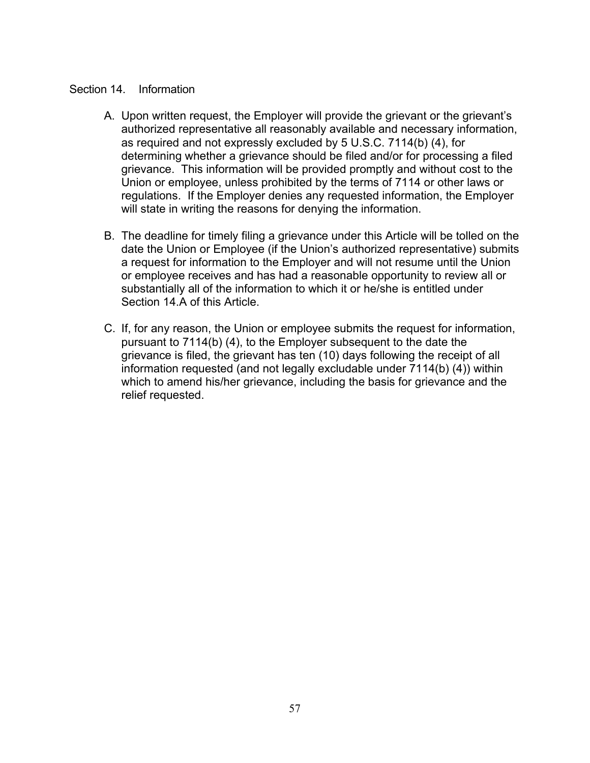### Section 14. Information

- A. Upon written request, the Employer will provide the grievant or the grievant's authorized representative all reasonably available and necessary information, as required and not expressly excluded by 5 U.S.C. 7114(b) (4), for determining whether a grievance should be filed and/or for processing a filed grievance. This information will be provided promptly and without cost to the Union or employee, unless prohibited by the terms of 7114 or other laws or regulations. If the Employer denies any requested information, the Employer will state in writing the reasons for denying the information.
- B. The deadline for timely filing a grievance under this Article will be tolled on the date the Union or Employee (if the Union's authorized representative) submits a request for information to the Employer and will not resume until the Union or employee receives and has had a reasonable opportunity to review all or substantially all of the information to which it or he/she is entitled under Section 14.A of this Article.
- C. If, for any reason, the Union or employee submits the request for information, pursuant to 7114(b) (4), to the Employer subsequent to the date the grievance is filed, the grievant has ten (10) days following the receipt of all information requested (and not legally excludable under 7114(b) (4)) within which to amend his/her grievance, including the basis for grievance and the relief requested.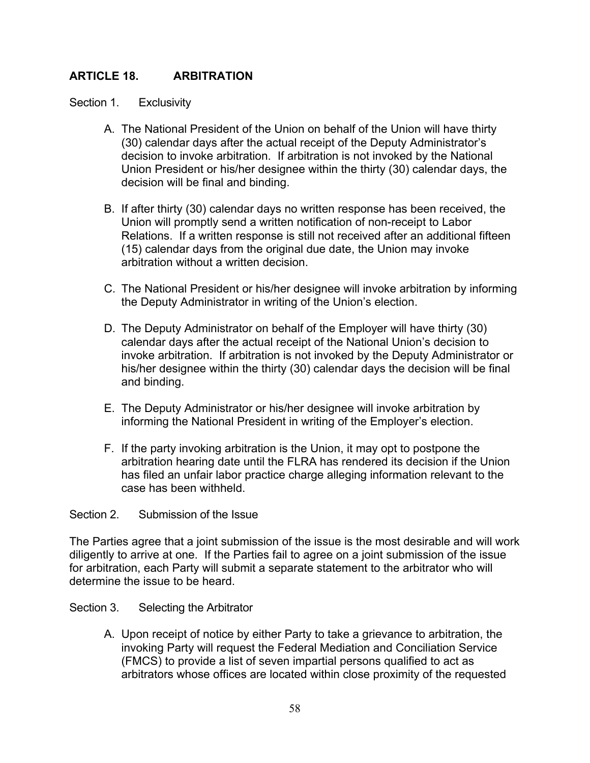# **ARTICLE 18. ARBITRATION**

### Section 1. Exclusivity

- A. The National President of the Union on behalf of the Union will have thirty (30) calendar days after the actual receipt of the Deputy Administrator's decision to invoke arbitration. If arbitration is not invoked by the National Union President or his/her designee within the thirty (30) calendar days, the decision will be final and binding.
- B. If after thirty (30) calendar days no written response has been received, the Union will promptly send a written notification of non-receipt to Labor Relations. If a written response is still not received after an additional fifteen (15) calendar days from the original due date, the Union may invoke arbitration without a written decision.
- C. The National President or his/her designee will invoke arbitration by informing the Deputy Administrator in writing of the Union's election.
- D. The Deputy Administrator on behalf of the Employer will have thirty (30) calendar days after the actual receipt of the National Union's decision to invoke arbitration. If arbitration is not invoked by the Deputy Administrator or his/her designee within the thirty (30) calendar days the decision will be final and binding.
- E. The Deputy Administrator or his/her designee will invoke arbitration by informing the National President in writing of the Employer's election.
- F. If the party invoking arbitration is the Union, it may opt to postpone the arbitration hearing date until the FLRA has rendered its decision if the Union has filed an unfair labor practice charge alleging information relevant to the case has been withheld.

#### Section 2. Submission of the Issue

The Parties agree that a joint submission of the issue is the most desirable and will work diligently to arrive at one. If the Parties fail to agree on a joint submission of the issue for arbitration, each Party will submit a separate statement to the arbitrator who will determine the issue to be heard.

## Section 3. Selecting the Arbitrator

A. Upon receipt of notice by either Party to take a grievance to arbitration, the invoking Party will request the Federal Mediation and Conciliation Service (FMCS) to provide a list of seven impartial persons qualified to act as arbitrators whose offices are located within close proximity of the requested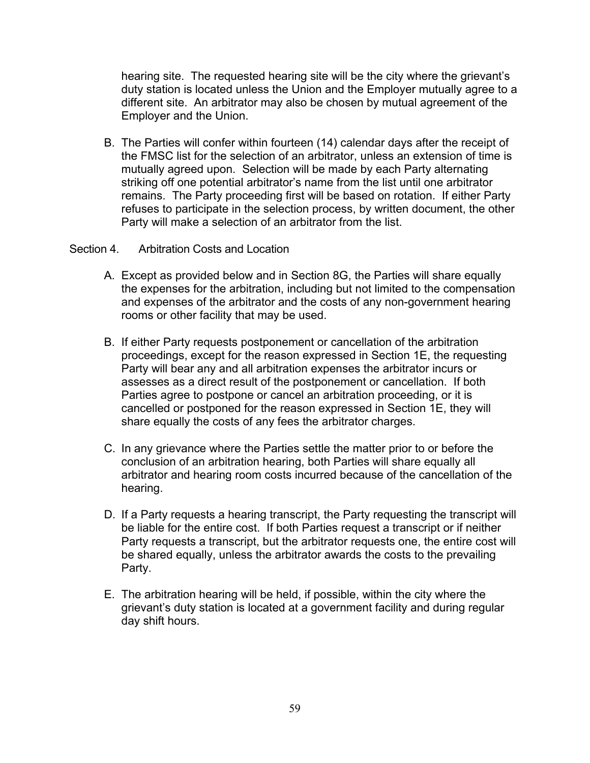hearing site. The requested hearing site will be the city where the grievant's duty station is located unless the Union and the Employer mutually agree to a different site. An arbitrator may also be chosen by mutual agreement of the Employer and the Union.

B. The Parties will confer within fourteen (14) calendar days after the receipt of the FMSC list for the selection of an arbitrator, unless an extension of time is mutually agreed upon. Selection will be made by each Party alternating striking off one potential arbitrator's name from the list until one arbitrator remains. The Party proceeding first will be based on rotation. If either Party refuses to participate in the selection process, by written document, the other Party will make a selection of an arbitrator from the list.

#### Section 4. Arbitration Costs and Location

- A. Except as provided below and in Section 8G, the Parties will share equally the expenses for the arbitration, including but not limited to the compensation and expenses of the arbitrator and the costs of any non-government hearing rooms or other facility that may be used.
- B. If either Party requests postponement or cancellation of the arbitration proceedings, except for the reason expressed in Section 1E, the requesting Party will bear any and all arbitration expenses the arbitrator incurs or assesses as a direct result of the postponement or cancellation. If both Parties agree to postpone or cancel an arbitration proceeding, or it is cancelled or postponed for the reason expressed in Section 1E, they will share equally the costs of any fees the arbitrator charges.
- C. In any grievance where the Parties settle the matter prior to or before the conclusion of an arbitration hearing, both Parties will share equally all arbitrator and hearing room costs incurred because of the cancellation of the hearing.
- D. If a Party requests a hearing transcript, the Party requesting the transcript will be liable for the entire cost. If both Parties request a transcript or if neither Party requests a transcript, but the arbitrator requests one, the entire cost will be shared equally, unless the arbitrator awards the costs to the prevailing Party.
- E. The arbitration hearing will be held, if possible, within the city where the grievant's duty station is located at a government facility and during regular day shift hours.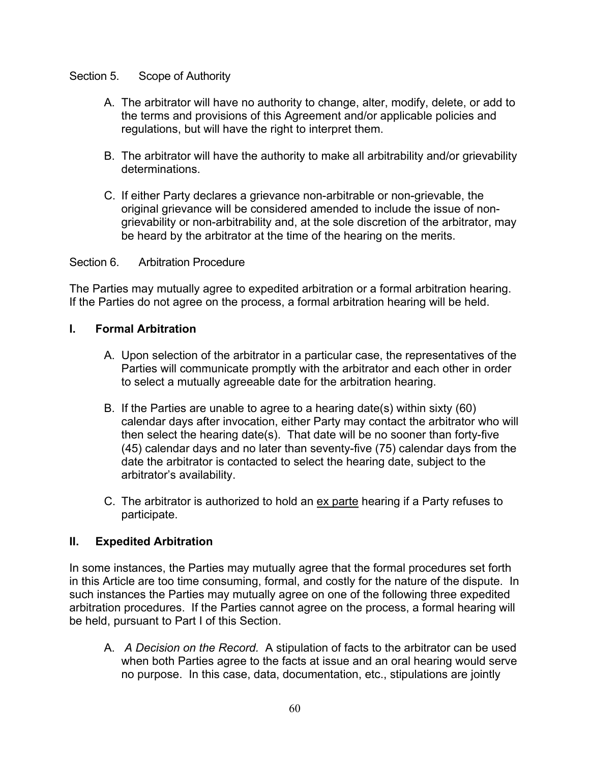### Section 5. Scope of Authority

- A. The arbitrator will have no authority to change, alter, modify, delete, or add to the terms and provisions of this Agreement and/or applicable policies and regulations, but will have the right to interpret them.
- B. The arbitrator will have the authority to make all arbitrability and/or grievability determinations.
- C. If either Party declares a grievance non-arbitrable or non-grievable, the original grievance will be considered amended to include the issue of nongrievability or non-arbitrability and, at the sole discretion of the arbitrator, may be heard by the arbitrator at the time of the hearing on the merits.

### Section 6. Arbitration Procedure

The Parties may mutually agree to expedited arbitration or a formal arbitration hearing. If the Parties do not agree on the process, a formal arbitration hearing will be held.

### **I. Formal Arbitration**

- A. Upon selection of the arbitrator in a particular case, the representatives of the Parties will communicate promptly with the arbitrator and each other in order to select a mutually agreeable date for the arbitration hearing.
- B. If the Parties are unable to agree to a hearing date(s) within sixty (60) calendar days after invocation, either Party may contact the arbitrator who will then select the hearing date(s). That date will be no sooner than forty-five (45) calendar days and no later than seventy-five (75) calendar days from the date the arbitrator is contacted to select the hearing date, subject to the arbitrator's availability.
- C. The arbitrator is authorized to hold an ex parte hearing if a Party refuses to participate.

# **II. Expedited Arbitration**

In some instances, the Parties may mutually agree that the formal procedures set forth in this Article are too time consuming, formal, and costly for the nature of the dispute. In such instances the Parties may mutually agree on one of the following three expedited arbitration procedures. If the Parties cannot agree on the process, a formal hearing will be held, pursuant to Part I of this Section.

A. *A Decision on the Record.* A stipulation of facts to the arbitrator can be used when both Parties agree to the facts at issue and an oral hearing would serve no purpose. In this case, data, documentation, etc., stipulations are jointly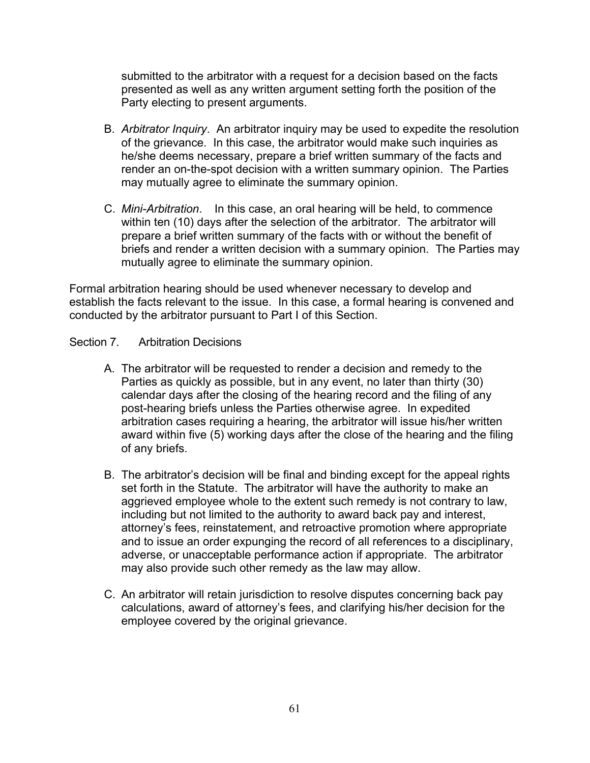submitted to the arbitrator with a request for a decision based on the facts presented as well as any written argument setting forth the position of the Party electing to present arguments.

- B. *Arbitrator Inquiry*. An arbitrator inquiry may be used to expedite the resolution of the grievance. In this case, the arbitrator would make such inquiries as he/she deems necessary, prepare a brief written summary of the facts and render an on-the-spot decision with a written summary opinion. The Parties may mutually agree to eliminate the summary opinion.
- C. *Mini-Arbitration*. In this case, an oral hearing will be held, to commence within ten (10) days after the selection of the arbitrator. The arbitrator will prepare a brief written summary of the facts with or without the benefit of briefs and render a written decision with a summary opinion. The Parties may mutually agree to eliminate the summary opinion.

Formal arbitration hearing should be used whenever necessary to develop and establish the facts relevant to the issue. In this case, a formal hearing is convened and conducted by the arbitrator pursuant to Part I of this Section.

#### Section 7. Arbitration Decisions

- A. The arbitrator will be requested to render a decision and remedy to the Parties as quickly as possible, but in any event, no later than thirty (30) calendar days after the closing of the hearing record and the filing of any post-hearing briefs unless the Parties otherwise agree. In expedited arbitration cases requiring a hearing, the arbitrator will issue his/her written award within five (5) working days after the close of the hearing and the filing of any briefs.
- B. The arbitrator's decision will be final and binding except for the appeal rights set forth in the Statute. The arbitrator will have the authority to make an aggrieved employee whole to the extent such remedy is not contrary to law, including but not limited to the authority to award back pay and interest, attorney's fees, reinstatement, and retroactive promotion where appropriate and to issue an order expunging the record of all references to a disciplinary, adverse, or unacceptable performance action if appropriate. The arbitrator may also provide such other remedy as the law may allow.
- C. An arbitrator will retain jurisdiction to resolve disputes concerning back pay calculations, award of attorney's fees, and clarifying his/her decision for the employee covered by the original grievance.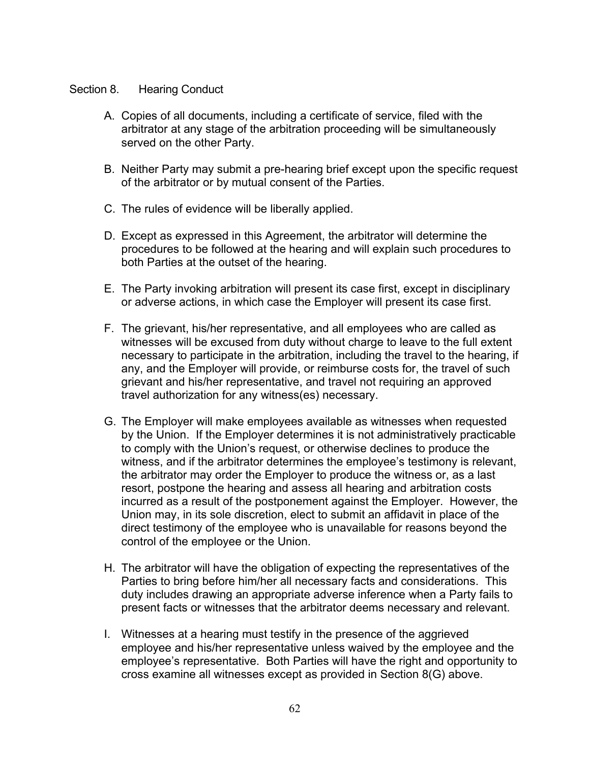#### Section 8. Hearing Conduct

- A. Copies of all documents, including a certificate of service, filed with the arbitrator at any stage of the arbitration proceeding will be simultaneously served on the other Party.
- B. Neither Party may submit a pre-hearing brief except upon the specific request of the arbitrator or by mutual consent of the Parties.
- C. The rules of evidence will be liberally applied.
- D. Except as expressed in this Agreement, the arbitrator will determine the procedures to be followed at the hearing and will explain such procedures to both Parties at the outset of the hearing.
- E. The Party invoking arbitration will present its case first, except in disciplinary or adverse actions, in which case the Employer will present its case first.
- F. The grievant, his/her representative, and all employees who are called as witnesses will be excused from duty without charge to leave to the full extent necessary to participate in the arbitration, including the travel to the hearing, if any, and the Employer will provide, or reimburse costs for, the travel of such grievant and his/her representative, and travel not requiring an approved travel authorization for any witness(es) necessary.
- G. The Employer will make employees available as witnesses when requested by the Union. If the Employer determines it is not administratively practicable to comply with the Union's request, or otherwise declines to produce the witness, and if the arbitrator determines the employee's testimony is relevant, the arbitrator may order the Employer to produce the witness or, as a last resort, postpone the hearing and assess all hearing and arbitration costs incurred as a result of the postponement against the Employer. However, the Union may, in its sole discretion, elect to submit an affidavit in place of the direct testimony of the employee who is unavailable for reasons beyond the control of the employee or the Union.
- H. The arbitrator will have the obligation of expecting the representatives of the Parties to bring before him/her all necessary facts and considerations. This duty includes drawing an appropriate adverse inference when a Party fails to present facts or witnesses that the arbitrator deems necessary and relevant.
- I. Witnesses at a hearing must testify in the presence of the aggrieved employee and his/her representative unless waived by the employee and the employee's representative. Both Parties will have the right and opportunity to cross examine all witnesses except as provided in Section 8(G) above.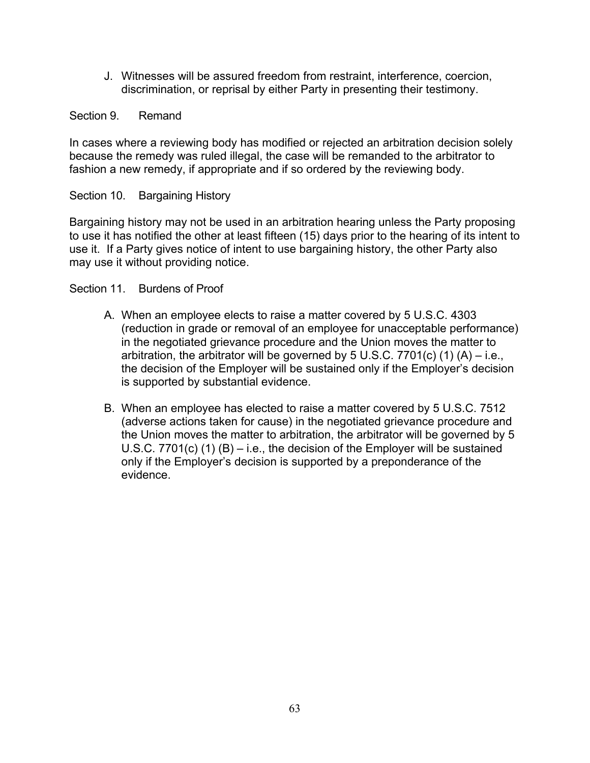J. Witnesses will be assured freedom from restraint, interference, coercion, discrimination, or reprisal by either Party in presenting their testimony.

Section 9. Remand

In cases where a reviewing body has modified or rejected an arbitration decision solely because the remedy was ruled illegal, the case will be remanded to the arbitrator to fashion a new remedy, if appropriate and if so ordered by the reviewing body.

### Section 10. Bargaining History

Bargaining history may not be used in an arbitration hearing unless the Party proposing to use it has notified the other at least fifteen (15) days prior to the hearing of its intent to use it. If a Party gives notice of intent to use bargaining history, the other Party also may use it without providing notice.

Section 11. Burdens of Proof

- A. When an employee elects to raise a matter covered by 5 U.S.C. 4303 (reduction in grade or removal of an employee for unacceptable performance) in the negotiated grievance procedure and the Union moves the matter to arbitration, the arbitrator will be governed by 5 U.S.C. 7701(c) (1)  $(A) - i.e.,$ the decision of the Employer will be sustained only if the Employer's decision is supported by substantial evidence.
- B. When an employee has elected to raise a matter covered by 5 U.S.C. 7512 (adverse actions taken for cause) in the negotiated grievance procedure and the Union moves the matter to arbitration, the arbitrator will be governed by 5 U.S.C. 7701(c) (1) (B) – i.e., the decision of the Employer will be sustained only if the Employer's decision is supported by a preponderance of the evidence.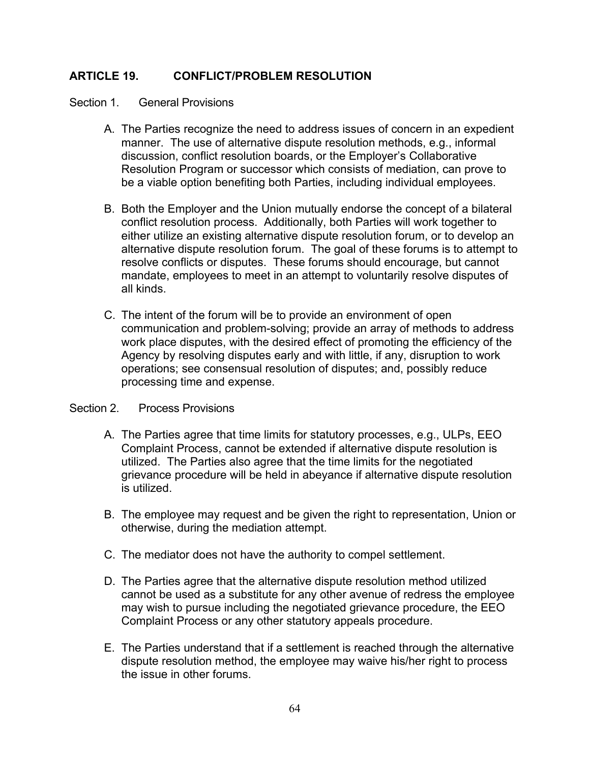# **ARTICLE 19. CONFLICT/PROBLEM RESOLUTION**

Section 1. General Provisions

- A. The Parties recognize the need to address issues of concern in an expedient manner. The use of alternative dispute resolution methods, e.g., informal discussion, conflict resolution boards, or the Employer's Collaborative Resolution Program or successor which consists of mediation, can prove to be a viable option benefiting both Parties, including individual employees.
- B. Both the Employer and the Union mutually endorse the concept of a bilateral conflict resolution process. Additionally, both Parties will work together to either utilize an existing alternative dispute resolution forum, or to develop an alternative dispute resolution forum. The goal of these forums is to attempt to resolve conflicts or disputes. These forums should encourage, but cannot mandate, employees to meet in an attempt to voluntarily resolve disputes of all kinds.
- C. The intent of the forum will be to provide an environment of open communication and problem-solving; provide an array of methods to address work place disputes, with the desired effect of promoting the efficiency of the Agency by resolving disputes early and with little, if any, disruption to work operations; see consensual resolution of disputes; and, possibly reduce processing time and expense.

#### Section 2. Process Provisions

- A. The Parties agree that time limits for statutory processes, e.g., ULPs, EEO Complaint Process, cannot be extended if alternative dispute resolution is utilized. The Parties also agree that the time limits for the negotiated grievance procedure will be held in abeyance if alternative dispute resolution is utilized.
- B. The employee may request and be given the right to representation, Union or otherwise, during the mediation attempt.
- C. The mediator does not have the authority to compel settlement.
- D. The Parties agree that the alternative dispute resolution method utilized cannot be used as a substitute for any other avenue of redress the employee may wish to pursue including the negotiated grievance procedure, the EEO Complaint Process or any other statutory appeals procedure.
- E. The Parties understand that if a settlement is reached through the alternative dispute resolution method, the employee may waive his/her right to process the issue in other forums.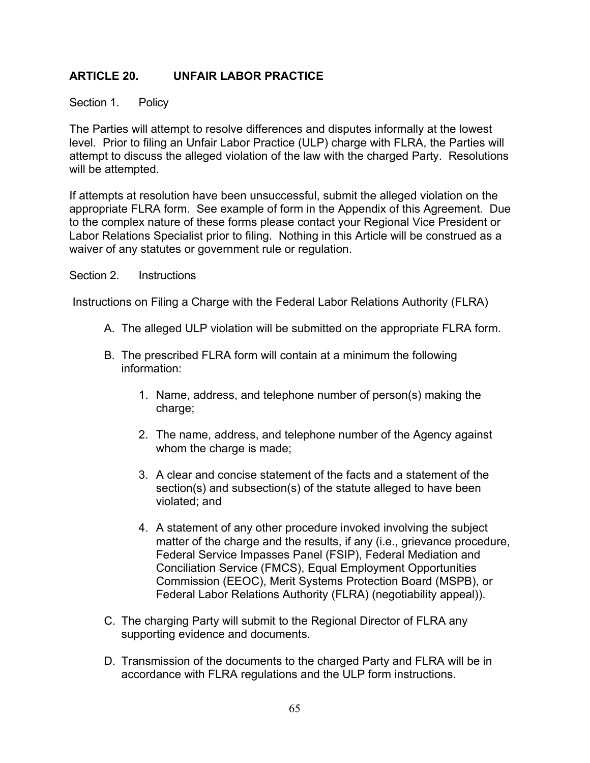# **ARTICLE 20. UNFAIR LABOR PRACTICE**

#### Section 1. Policy

The Parties will attempt to resolve differences and disputes informally at the lowest level. Prior to filing an Unfair Labor Practice (ULP) charge with FLRA, the Parties will attempt to discuss the alleged violation of the law with the charged Party. Resolutions will be attempted.

If attempts at resolution have been unsuccessful, submit the alleged violation on the appropriate FLRA form. See example of form in the Appendix of this Agreement. Due to the complex nature of these forms please contact your Regional Vice President or Labor Relations Specialist prior to filing. Nothing in this Article will be construed as a waiver of any statutes or government rule or regulation.

#### Section 2. Instructions

Instructions on Filing a Charge with the Federal Labor Relations Authority (FLRA)

- A. The alleged ULP violation will be submitted on the appropriate FLRA form.
- B. The prescribed FLRA form will contain at a minimum the following information:
	- 1. Name, address, and telephone number of person(s) making the charge;
	- 2. The name, address, and telephone number of the Agency against whom the charge is made;
	- 3. A clear and concise statement of the facts and a statement of the section(s) and subsection(s) of the statute alleged to have been violated; and
	- 4. A statement of any other procedure invoked involving the subject matter of the charge and the results, if any (i.e., grievance procedure, Federal Service Impasses Panel (FSIP), Federal Mediation and Conciliation Service (FMCS), Equal Employment Opportunities Commission (EEOC), Merit Systems Protection Board (MSPB), or Federal Labor Relations Authority (FLRA) (negotiability appeal)).
- C. The charging Party will submit to the Regional Director of FLRA any supporting evidence and documents.
- D. Transmission of the documents to the charged Party and FLRA will be in accordance with FLRA regulations and the ULP form instructions.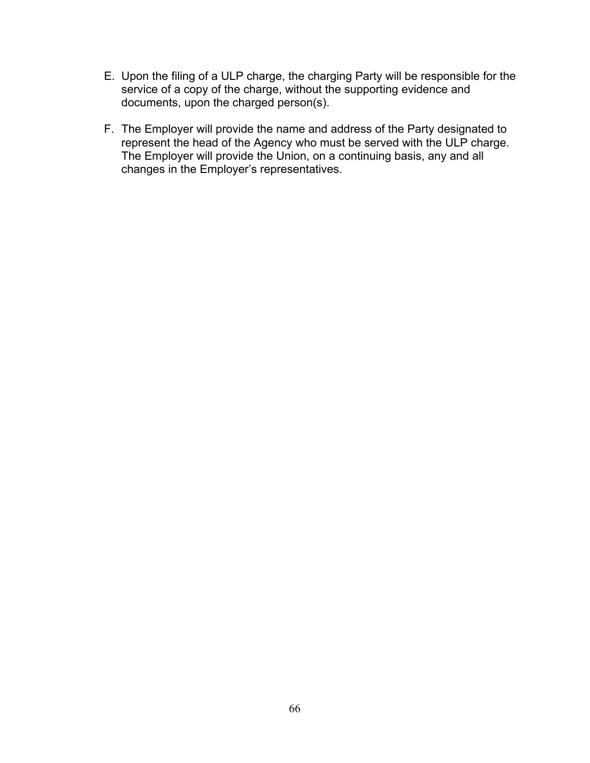- E. Upon the filing of a ULP charge, the charging Party will be responsible for the service of a copy of the charge, without the supporting evidence and documents, upon the charged person(s).
- F. The Employer will provide the name and address of the Party designated to represent the head of the Agency who must be served with the ULP charge. The Employer will provide the Union, on a continuing basis, any and all changes in the Employer's representatives.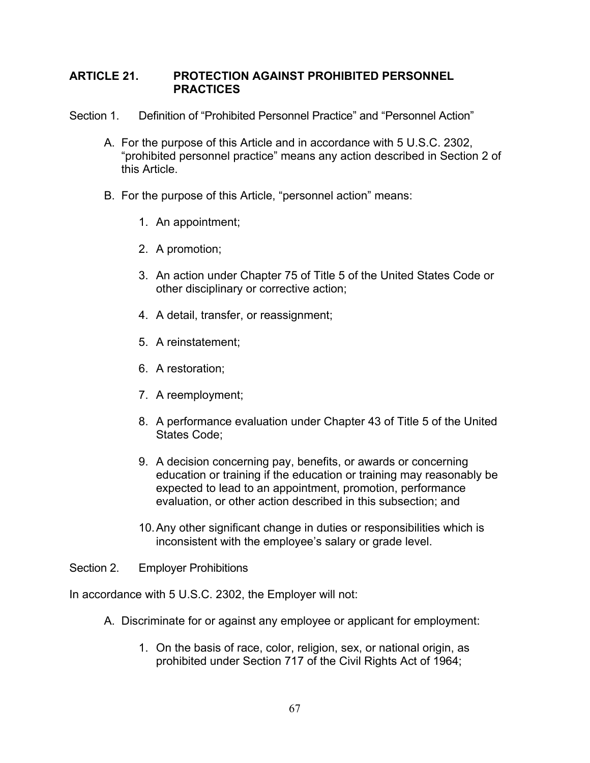#### **ARTICLE 21. PROTECTION AGAINST PROHIBITED PERSONNEL PRACTICES**

- Section 1. Definition of "Prohibited Personnel Practice" and "Personnel Action"
	- A. For the purpose of this Article and in accordance with 5 U.S.C. 2302, "prohibited personnel practice" means any action described in Section 2 of this Article.
	- B. For the purpose of this Article, "personnel action" means:
		- 1. An appointment;
		- 2. A promotion;
		- 3. An action under Chapter 75 of Title 5 of the United States Code or other disciplinary or corrective action;
		- 4. A detail, transfer, or reassignment;
		- 5. A reinstatement;
		- 6. A restoration;
		- 7. A reemployment;
		- 8. A performance evaluation under Chapter 43 of Title 5 of the United States Code;
		- 9. A decision concerning pay, benefits, or awards or concerning education or training if the education or training may reasonably be expected to lead to an appointment, promotion, performance evaluation, or other action described in this subsection; and
		- 10.Any other significant change in duties or responsibilities which is inconsistent with the employee's salary or grade level.

Section 2. Employer Prohibitions

In accordance with 5 U.S.C. 2302, the Employer will not:

- A. Discriminate for or against any employee or applicant for employment:
	- 1. On the basis of race, color, religion, sex, or national origin, as prohibited under Section 717 of the Civil Rights Act of 1964;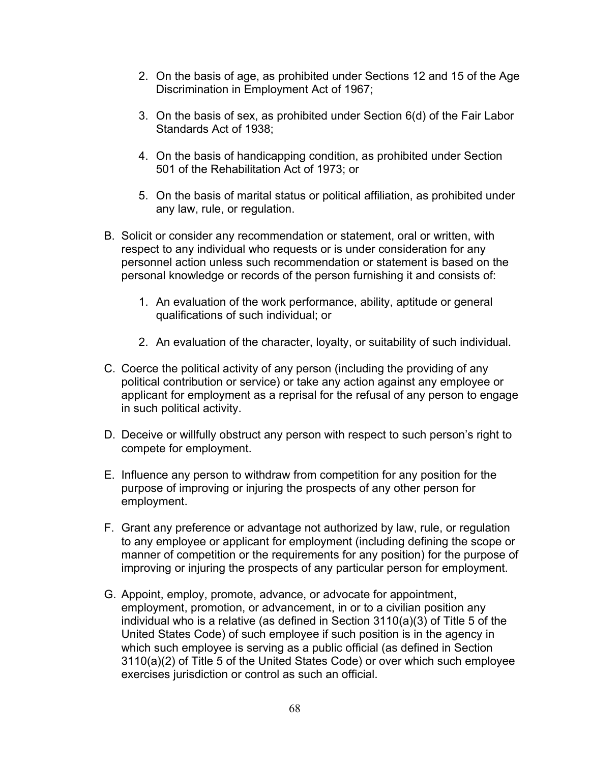- 2. On the basis of age, as prohibited under Sections 12 and 15 of the Age Discrimination in Employment Act of 1967;
- 3. On the basis of sex, as prohibited under Section 6(d) of the Fair Labor Standards Act of 1938;
- 4. On the basis of handicapping condition, as prohibited under Section 501 of the Rehabilitation Act of 1973; or
- 5. On the basis of marital status or political affiliation, as prohibited under any law, rule, or regulation.
- B. Solicit or consider any recommendation or statement, oral or written, with respect to any individual who requests or is under consideration for any personnel action unless such recommendation or statement is based on the personal knowledge or records of the person furnishing it and consists of:
	- 1. An evaluation of the work performance, ability, aptitude or general qualifications of such individual; or
	- 2. An evaluation of the character, loyalty, or suitability of such individual.
- C. Coerce the political activity of any person (including the providing of any political contribution or service) or take any action against any employee or applicant for employment as a reprisal for the refusal of any person to engage in such political activity.
- D. Deceive or willfully obstruct any person with respect to such person's right to compete for employment.
- E. Influence any person to withdraw from competition for any position for the purpose of improving or injuring the prospects of any other person for employment.
- F. Grant any preference or advantage not authorized by law, rule, or regulation to any employee or applicant for employment (including defining the scope or manner of competition or the requirements for any position) for the purpose of improving or injuring the prospects of any particular person for employment.
- G. Appoint, employ, promote, advance, or advocate for appointment, employment, promotion, or advancement, in or to a civilian position any individual who is a relative (as defined in Section 3110(a)(3) of Title 5 of the United States Code) of such employee if such position is in the agency in which such employee is serving as a public official (as defined in Section 3110(a)(2) of Title 5 of the United States Code) or over which such employee exercises jurisdiction or control as such an official.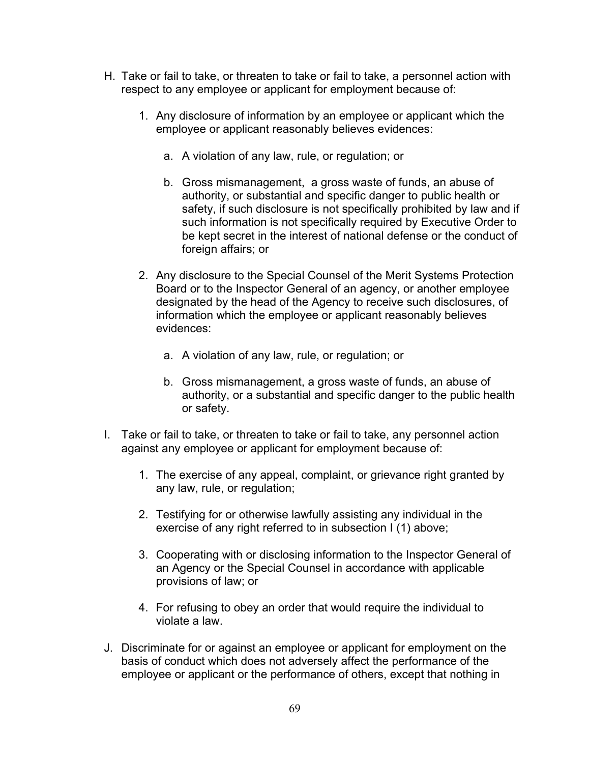- H. Take or fail to take, or threaten to take or fail to take, a personnel action with respect to any employee or applicant for employment because of:
	- 1. Any disclosure of information by an employee or applicant which the employee or applicant reasonably believes evidences:
		- a. A violation of any law, rule, or regulation; or
		- b. Gross mismanagement, a gross waste of funds, an abuse of authority, or substantial and specific danger to public health or safety, if such disclosure is not specifically prohibited by law and if such information is not specifically required by Executive Order to be kept secret in the interest of national defense or the conduct of foreign affairs; or
	- 2. Any disclosure to the Special Counsel of the Merit Systems Protection Board or to the Inspector General of an agency, or another employee designated by the head of the Agency to receive such disclosures, of information which the employee or applicant reasonably believes evidences:
		- a. A violation of any law, rule, or regulation; or
		- b. Gross mismanagement, a gross waste of funds, an abuse of authority, or a substantial and specific danger to the public health or safety.
- I. Take or fail to take, or threaten to take or fail to take, any personnel action against any employee or applicant for employment because of:
	- 1. The exercise of any appeal, complaint, or grievance right granted by any law, rule, or regulation;
	- 2. Testifying for or otherwise lawfully assisting any individual in the exercise of any right referred to in subsection I (1) above;
	- 3. Cooperating with or disclosing information to the Inspector General of an Agency or the Special Counsel in accordance with applicable provisions of law; or
	- 4. For refusing to obey an order that would require the individual to violate a law.
- J. Discriminate for or against an employee or applicant for employment on the basis of conduct which does not adversely affect the performance of the employee or applicant or the performance of others, except that nothing in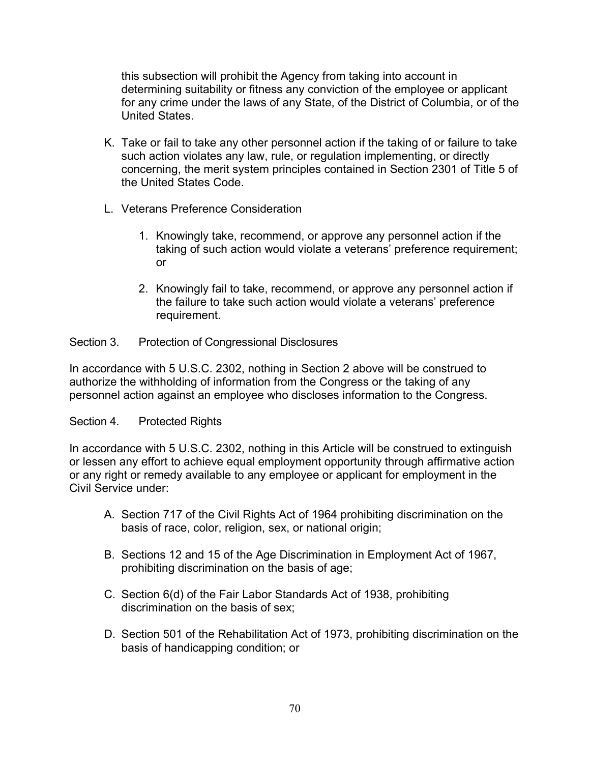this subsection will prohibit the Agency from taking into account in determining suitability or fitness any conviction of the employee or applicant for any crime under the laws of any State, of the District of Columbia, or of the United States.

- K. Take or fail to take any other personnel action if the taking of or failure to take such action violates any law, rule, or regulation implementing, or directly concerning, the merit system principles contained in Section 2301 of Title 5 of the United States Code.
- L. Veterans Preference Consideration
	- 1. Knowingly take, recommend, or approve any personnel action if the taking of such action would violate a veterans' preference requirement; or
	- 2. Knowingly fail to take, recommend, or approve any personnel action if the failure to take such action would violate a veterans' preference requirement.
- Section 3. Protection of Congressional Disclosures

In accordance with 5 U.S.C. 2302, nothing in Section 2 above will be construed to authorize the withholding of information from the Congress or the taking of any personnel action against an employee who discloses information to the Congress.

### Section 4. Protected Rights

In accordance with 5 U.S.C. 2302, nothing in this Article will be construed to extinguish or lessen any effort to achieve equal employment opportunity through affirmative action or any right or remedy available to any employee or applicant for employment in the Civil Service under:

- A. Section 717 of the Civil Rights Act of 1964 prohibiting discrimination on the basis of race, color, religion, sex, or national origin;
- B. Sections 12 and 15 of the Age Discrimination in Employment Act of 1967, prohibiting discrimination on the basis of age;
- C. Section 6(d) of the Fair Labor Standards Act of 1938, prohibiting discrimination on the basis of sex;
- D. Section 501 of the Rehabilitation Act of 1973, prohibiting discrimination on the basis of handicapping condition; or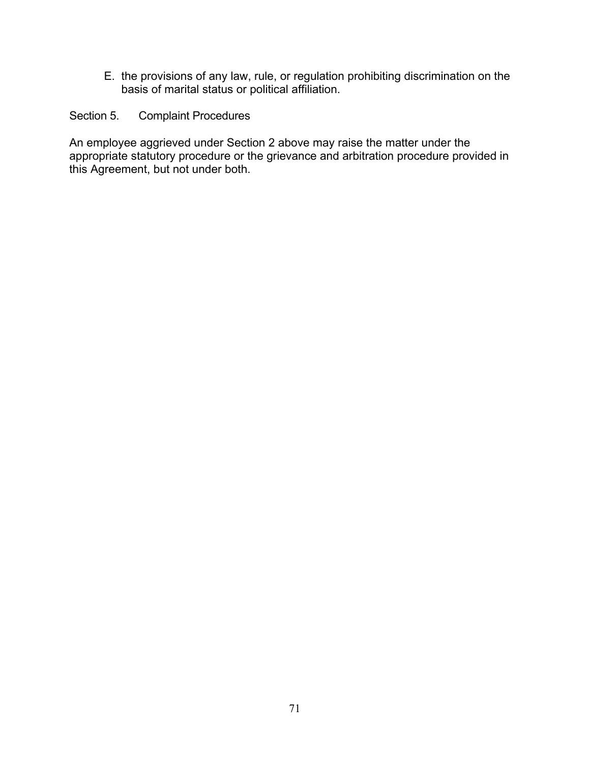E. the provisions of any law, rule, or regulation prohibiting discrimination on the basis of marital status or political affiliation.

Section 5. Complaint Procedures

An employee aggrieved under Section 2 above may raise the matter under the appropriate statutory procedure or the grievance and arbitration procedure provided in this Agreement, but not under both.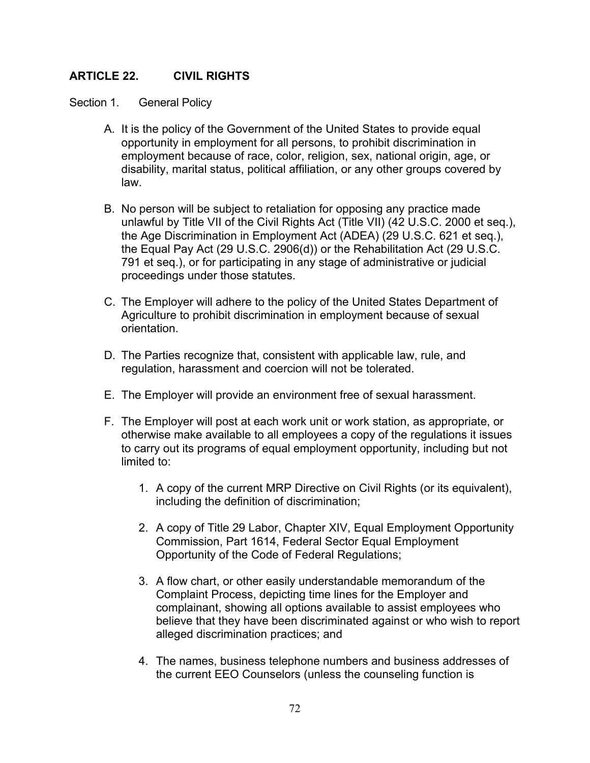# **ARTICLE 22. CIVIL RIGHTS**

Section 1. General Policy

- A. It is the policy of the Government of the United States to provide equal opportunity in employment for all persons, to prohibit discrimination in employment because of race, color, religion, sex, national origin, age, or disability, marital status, political affiliation, or any other groups covered by law.
- B. No person will be subject to retaliation for opposing any practice made unlawful by Title VII of the Civil Rights Act (Title VII) (42 U.S.C. 2000 et seq.), the Age Discrimination in Employment Act (ADEA) (29 U.S.C. 621 et seq.), the Equal Pay Act (29 U.S.C. 2906(d)) or the Rehabilitation Act (29 U.S.C. 791 et seq.), or for participating in any stage of administrative or judicial proceedings under those statutes.
- C. The Employer will adhere to the policy of the United States Department of Agriculture to prohibit discrimination in employment because of sexual orientation.
- D. The Parties recognize that, consistent with applicable law, rule, and regulation, harassment and coercion will not be tolerated.
- E. The Employer will provide an environment free of sexual harassment.
- F. The Employer will post at each work unit or work station, as appropriate, or otherwise make available to all employees a copy of the regulations it issues to carry out its programs of equal employment opportunity, including but not limited to:
	- 1. A copy of the current MRP Directive on Civil Rights (or its equivalent), including the definition of discrimination;
	- 2. A copy of Title 29 Labor, Chapter XIV, Equal Employment Opportunity Commission, Part 1614, Federal Sector Equal Employment Opportunity of the Code of Federal Regulations;
	- 3. A flow chart, or other easily understandable memorandum of the Complaint Process, depicting time lines for the Employer and complainant, showing all options available to assist employees who believe that they have been discriminated against or who wish to report alleged discrimination practices; and
	- 4. The names, business telephone numbers and business addresses of the current EEO Counselors (unless the counseling function is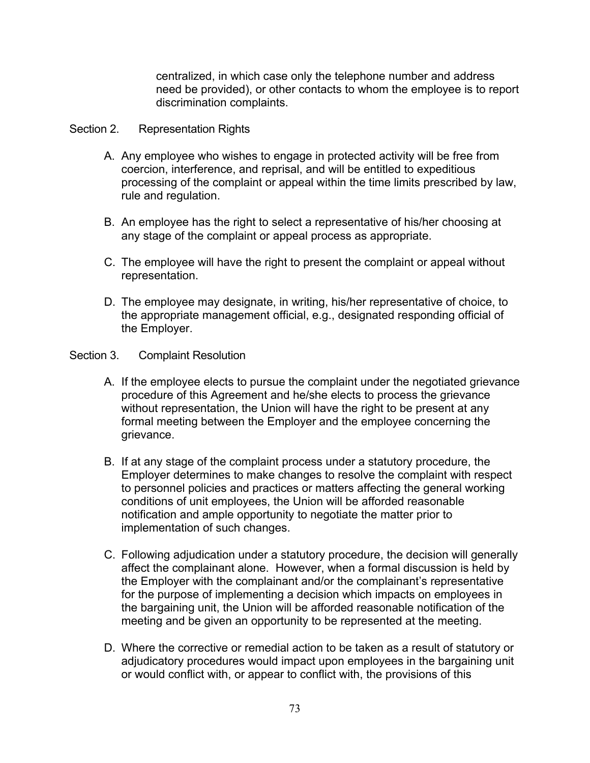centralized, in which case only the telephone number and address need be provided), or other contacts to whom the employee is to report discrimination complaints.

### Section 2. Representation Rights

- A. Any employee who wishes to engage in protected activity will be free from coercion, interference, and reprisal, and will be entitled to expeditious processing of the complaint or appeal within the time limits prescribed by law, rule and regulation.
- B. An employee has the right to select a representative of his/her choosing at any stage of the complaint or appeal process as appropriate.
- C. The employee will have the right to present the complaint or appeal without representation.
- D. The employee may designate, in writing, his/her representative of choice, to the appropriate management official, e.g., designated responding official of the Employer.

### Section 3. Complaint Resolution

- A. If the employee elects to pursue the complaint under the negotiated grievance procedure of this Agreement and he/she elects to process the grievance without representation, the Union will have the right to be present at any formal meeting between the Employer and the employee concerning the grievance.
- B. If at any stage of the complaint process under a statutory procedure, the Employer determines to make changes to resolve the complaint with respect to personnel policies and practices or matters affecting the general working conditions of unit employees, the Union will be afforded reasonable notification and ample opportunity to negotiate the matter prior to implementation of such changes.
- C. Following adjudication under a statutory procedure, the decision will generally affect the complainant alone. However, when a formal discussion is held by the Employer with the complainant and/or the complainant's representative for the purpose of implementing a decision which impacts on employees in the bargaining unit, the Union will be afforded reasonable notification of the meeting and be given an opportunity to be represented at the meeting.
- D. Where the corrective or remedial action to be taken as a result of statutory or adjudicatory procedures would impact upon employees in the bargaining unit or would conflict with, or appear to conflict with, the provisions of this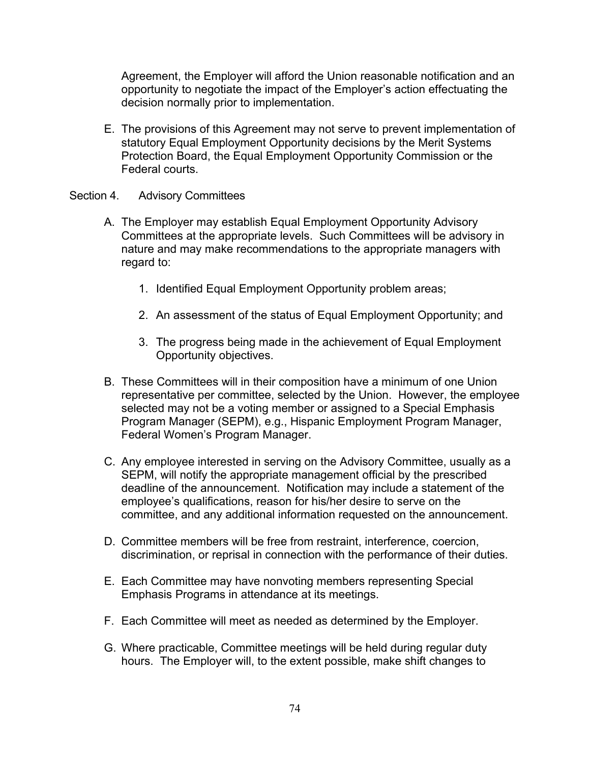Agreement, the Employer will afford the Union reasonable notification and an opportunity to negotiate the impact of the Employer's action effectuating the decision normally prior to implementation.

- E. The provisions of this Agreement may not serve to prevent implementation of statutory Equal Employment Opportunity decisions by the Merit Systems Protection Board, the Equal Employment Opportunity Commission or the Federal courts.
- Section 4. Advisory Committees
	- A. The Employer may establish Equal Employment Opportunity Advisory Committees at the appropriate levels. Such Committees will be advisory in nature and may make recommendations to the appropriate managers with regard to:
		- 1. Identified Equal Employment Opportunity problem areas;
		- 2. An assessment of the status of Equal Employment Opportunity; and
		- 3. The progress being made in the achievement of Equal Employment Opportunity objectives.
	- B. These Committees will in their composition have a minimum of one Union representative per committee, selected by the Union. However, the employee selected may not be a voting member or assigned to a Special Emphasis Program Manager (SEPM), e.g., Hispanic Employment Program Manager, Federal Women's Program Manager.
	- C. Any employee interested in serving on the Advisory Committee, usually as a SEPM, will notify the appropriate management official by the prescribed deadline of the announcement. Notification may include a statement of the employee's qualifications, reason for his/her desire to serve on the committee, and any additional information requested on the announcement.
	- D. Committee members will be free from restraint, interference, coercion, discrimination, or reprisal in connection with the performance of their duties.
	- E. Each Committee may have nonvoting members representing Special Emphasis Programs in attendance at its meetings.
	- F. Each Committee will meet as needed as determined by the Employer.
	- G. Where practicable, Committee meetings will be held during regular duty hours. The Employer will, to the extent possible, make shift changes to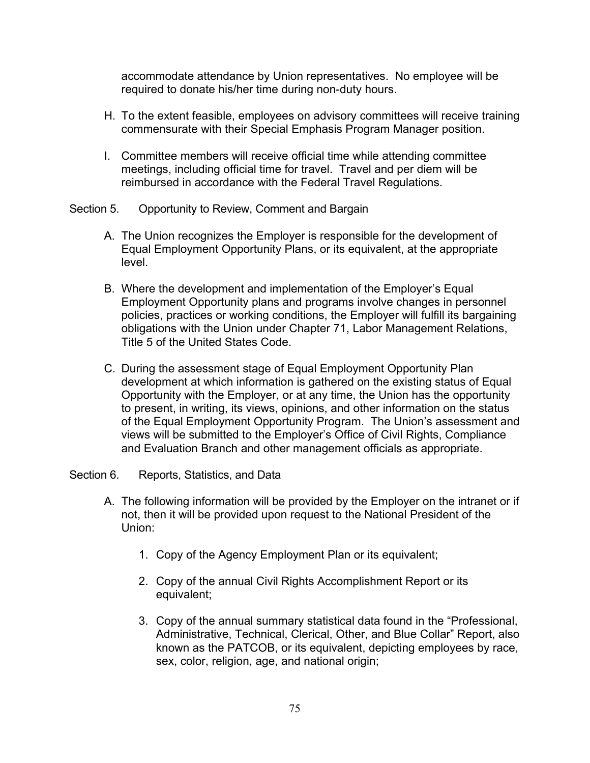accommodate attendance by Union representatives. No employee will be required to donate his/her time during non-duty hours.

- H. To the extent feasible, employees on advisory committees will receive training commensurate with their Special Emphasis Program Manager position.
- I. Committee members will receive official time while attending committee meetings, including official time for travel. Travel and per diem will be reimbursed in accordance with the Federal Travel Regulations.
- Section 5. Opportunity to Review, Comment and Bargain
	- A. The Union recognizes the Employer is responsible for the development of Equal Employment Opportunity Plans, or its equivalent, at the appropriate level.
	- B. Where the development and implementation of the Employer's Equal Employment Opportunity plans and programs involve changes in personnel policies, practices or working conditions, the Employer will fulfill its bargaining obligations with the Union under Chapter 71, Labor Management Relations, Title 5 of the United States Code.
	- C. During the assessment stage of Equal Employment Opportunity Plan development at which information is gathered on the existing status of Equal Opportunity with the Employer, or at any time, the Union has the opportunity to present, in writing, its views, opinions, and other information on the status of the Equal Employment Opportunity Program. The Union's assessment and views will be submitted to the Employer's Office of Civil Rights, Compliance and Evaluation Branch and other management officials as appropriate.
- Section 6. Reports, Statistics, and Data
	- A. The following information will be provided by the Employer on the intranet or if not, then it will be provided upon request to the National President of the Union:
		- 1. Copy of the Agency Employment Plan or its equivalent;
		- 2. Copy of the annual Civil Rights Accomplishment Report or its equivalent;
		- 3. Copy of the annual summary statistical data found in the "Professional, Administrative, Technical, Clerical, Other, and Blue Collar" Report, also known as the PATCOB, or its equivalent, depicting employees by race, sex, color, religion, age, and national origin;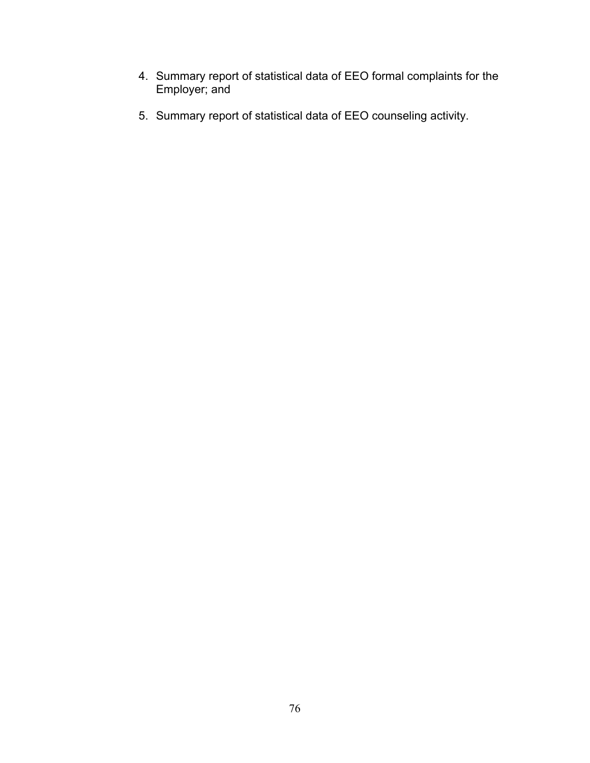- 4. Summary report of statistical data of EEO formal complaints for the Employer; and
- 5. Summary report of statistical data of EEO counseling activity.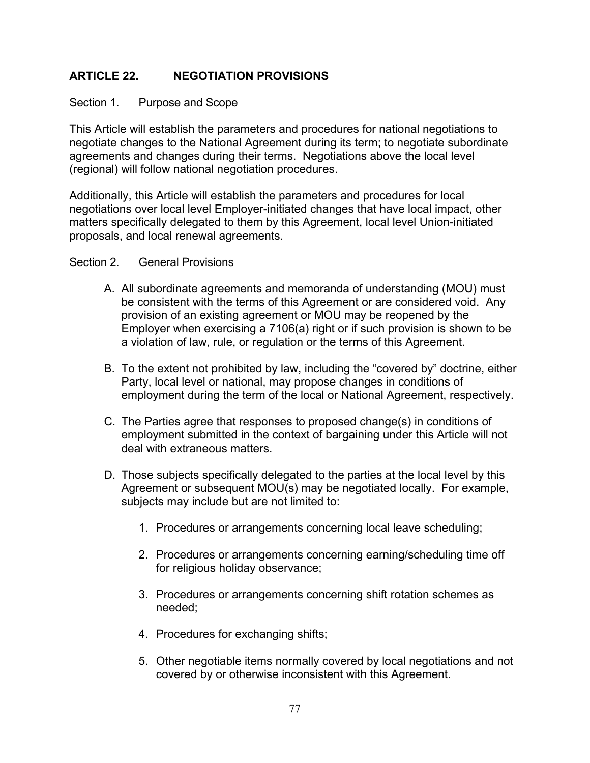# **ARTICLE 22. NEGOTIATION PROVISIONS**

### Section 1. Purpose and Scope

This Article will establish the parameters and procedures for national negotiations to negotiate changes to the National Agreement during its term; to negotiate subordinate agreements and changes during their terms. Negotiations above the local level (regional) will follow national negotiation procedures.

Additionally, this Article will establish the parameters and procedures for local negotiations over local level Employer-initiated changes that have local impact, other matters specifically delegated to them by this Agreement, local level Union-initiated proposals, and local renewal agreements.

#### Section 2. General Provisions

- A. All subordinate agreements and memoranda of understanding (MOU) must be consistent with the terms of this Agreement or are considered void. Any provision of an existing agreement or MOU may be reopened by the Employer when exercising a 7106(a) right or if such provision is shown to be a violation of law, rule, or regulation or the terms of this Agreement.
- B. To the extent not prohibited by law, including the "covered by" doctrine, either Party, local level or national, may propose changes in conditions of employment during the term of the local or National Agreement, respectively.
- C. The Parties agree that responses to proposed change(s) in conditions of employment submitted in the context of bargaining under this Article will not deal with extraneous matters.
- D. Those subjects specifically delegated to the parties at the local level by this Agreement or subsequent MOU(s) may be negotiated locally. For example, subjects may include but are not limited to:
	- 1. Procedures or arrangements concerning local leave scheduling;
	- 2. Procedures or arrangements concerning earning/scheduling time off for religious holiday observance;
	- 3. Procedures or arrangements concerning shift rotation schemes as needed;
	- 4. Procedures for exchanging shifts;
	- 5. Other negotiable items normally covered by local negotiations and not covered by or otherwise inconsistent with this Agreement.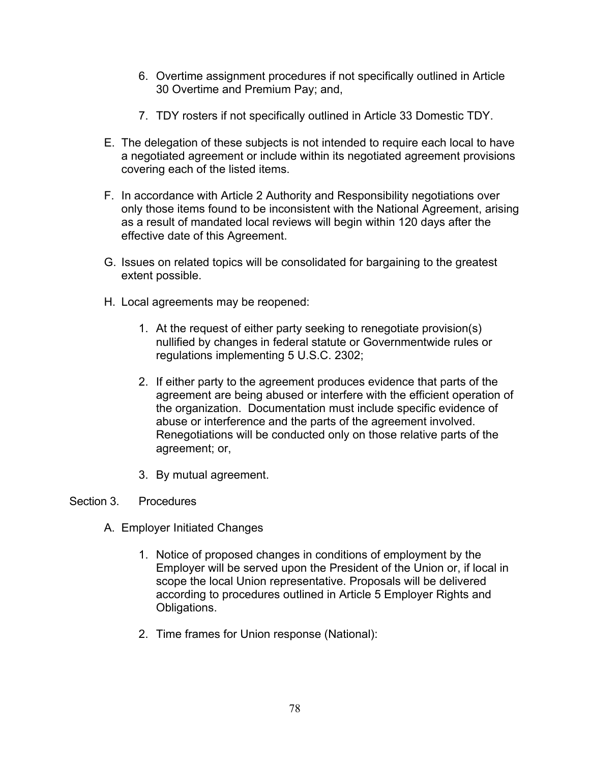- 6. Overtime assignment procedures if not specifically outlined in Article 30 Overtime and Premium Pay; and,
- 7. TDY rosters if not specifically outlined in Article 33 Domestic TDY.
- E. The delegation of these subjects is not intended to require each local to have a negotiated agreement or include within its negotiated agreement provisions covering each of the listed items.
- F. In accordance with Article 2 Authority and Responsibility negotiations over only those items found to be inconsistent with the National Agreement, arising as a result of mandated local reviews will begin within 120 days after the effective date of this Agreement.
- G. Issues on related topics will be consolidated for bargaining to the greatest extent possible.
- H. Local agreements may be reopened:
	- 1. At the request of either party seeking to renegotiate provision(s) nullified by changes in federal statute or Governmentwide rules or regulations implementing 5 U.S.C. 2302;
	- 2. If either party to the agreement produces evidence that parts of the agreement are being abused or interfere with the efficient operation of the organization. Documentation must include specific evidence of abuse or interference and the parts of the agreement involved. Renegotiations will be conducted only on those relative parts of the agreement; or,
	- 3. By mutual agreement.

# Section 3. Procedures

- A. Employer Initiated Changes
	- 1. Notice of proposed changes in conditions of employment by the Employer will be served upon the President of the Union or, if local in scope the local Union representative. Proposals will be delivered according to procedures outlined in Article 5 Employer Rights and Obligations.
	- 2. Time frames for Union response (National):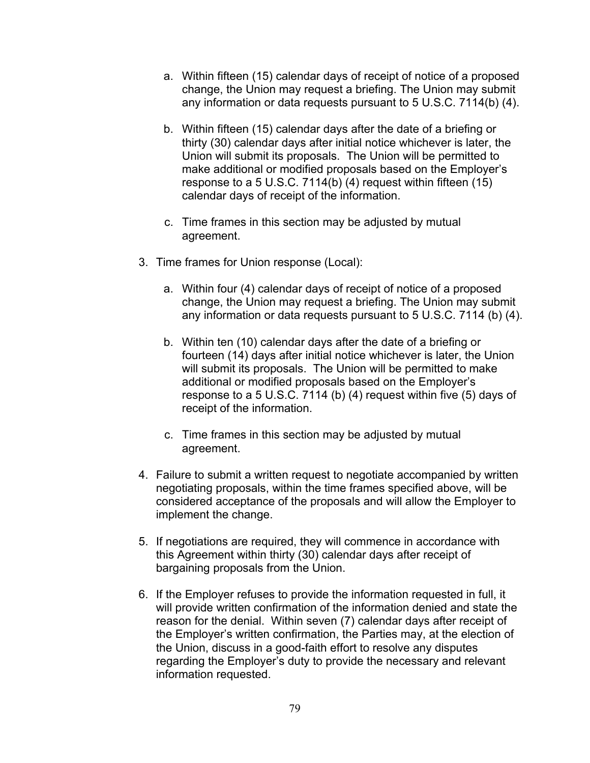- a. Within fifteen (15) calendar days of receipt of notice of a proposed change, the Union may request a briefing. The Union may submit any information or data requests pursuant to 5 U.S.C. 7114(b) (4).
- b. Within fifteen (15) calendar days after the date of a briefing or thirty (30) calendar days after initial notice whichever is later, the Union will submit its proposals. The Union will be permitted to make additional or modified proposals based on the Employer's response to a 5 U.S.C. 7114(b) (4) request within fifteen (15) calendar days of receipt of the information.
- c. Time frames in this section may be adjusted by mutual agreement.
- 3. Time frames for Union response (Local):
	- a. Within four (4) calendar days of receipt of notice of a proposed change, the Union may request a briefing. The Union may submit any information or data requests pursuant to 5 U.S.C. 7114 (b) (4).
	- b. Within ten (10) calendar days after the date of a briefing or fourteen (14) days after initial notice whichever is later, the Union will submit its proposals. The Union will be permitted to make additional or modified proposals based on the Employer's response to a 5 U.S.C. 7114 (b) (4) request within five (5) days of receipt of the information.
	- c. Time frames in this section may be adjusted by mutual agreement.
- 4. Failure to submit a written request to negotiate accompanied by written negotiating proposals, within the time frames specified above, will be considered acceptance of the proposals and will allow the Employer to implement the change.
- 5. If negotiations are required, they will commence in accordance with this Agreement within thirty (30) calendar days after receipt of bargaining proposals from the Union.
- 6. If the Employer refuses to provide the information requested in full, it will provide written confirmation of the information denied and state the reason for the denial. Within seven (7) calendar days after receipt of the Employer's written confirmation, the Parties may, at the election of the Union, discuss in a good-faith effort to resolve any disputes regarding the Employer's duty to provide the necessary and relevant information requested.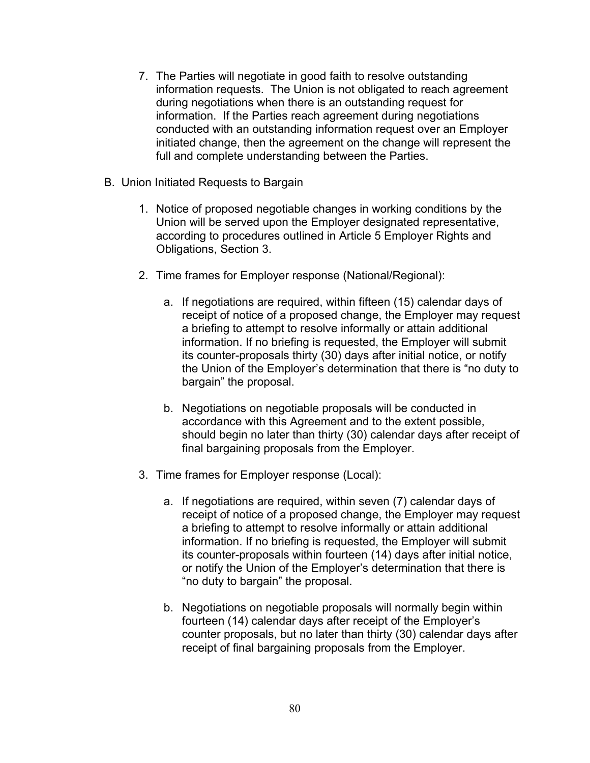- 7. The Parties will negotiate in good faith to resolve outstanding information requests. The Union is not obligated to reach agreement during negotiations when there is an outstanding request for information. If the Parties reach agreement during negotiations conducted with an outstanding information request over an Employer initiated change, then the agreement on the change will represent the full and complete understanding between the Parties.
- B. Union Initiated Requests to Bargain
	- 1. Notice of proposed negotiable changes in working conditions by the Union will be served upon the Employer designated representative, according to procedures outlined in Article 5 Employer Rights and Obligations, Section 3.
	- 2. Time frames for Employer response (National/Regional):
		- a. If negotiations are required, within fifteen (15) calendar days of receipt of notice of a proposed change, the Employer may request a briefing to attempt to resolve informally or attain additional information. If no briefing is requested, the Employer will submit its counter-proposals thirty (30) days after initial notice, or notify the Union of the Employer's determination that there is "no duty to bargain" the proposal.
		- b. Negotiations on negotiable proposals will be conducted in accordance with this Agreement and to the extent possible, should begin no later than thirty (30) calendar days after receipt of final bargaining proposals from the Employer.
	- 3. Time frames for Employer response (Local):
		- a. If negotiations are required, within seven (7) calendar days of receipt of notice of a proposed change, the Employer may request a briefing to attempt to resolve informally or attain additional information. If no briefing is requested, the Employer will submit its counter-proposals within fourteen (14) days after initial notice, or notify the Union of the Employer's determination that there is "no duty to bargain" the proposal.
		- b. Negotiations on negotiable proposals will normally begin within fourteen (14) calendar days after receipt of the Employer's counter proposals, but no later than thirty (30) calendar days after receipt of final bargaining proposals from the Employer.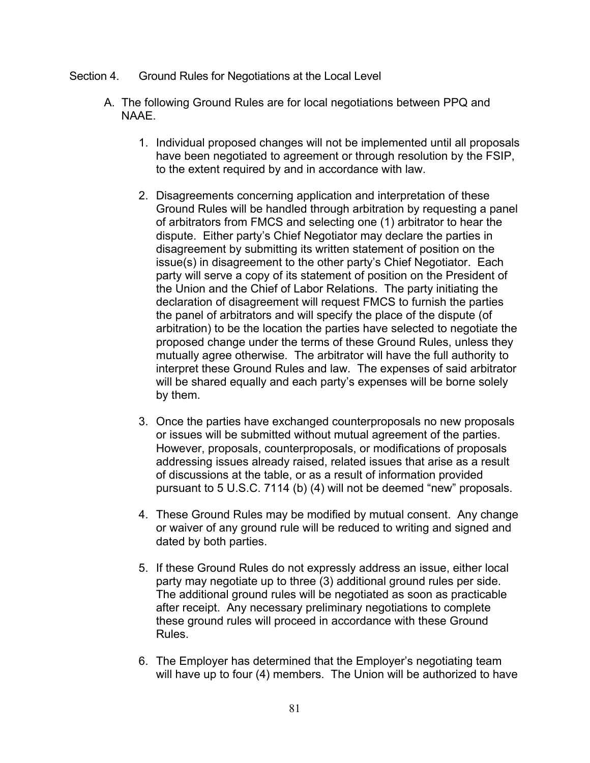- Section 4. Ground Rules for Negotiations at the Local Level
	- A. The following Ground Rules are for local negotiations between PPQ and NAAE.
		- 1. Individual proposed changes will not be implemented until all proposals have been negotiated to agreement or through resolution by the FSIP, to the extent required by and in accordance with law.
		- 2. Disagreements concerning application and interpretation of these Ground Rules will be handled through arbitration by requesting a panel of arbitrators from FMCS and selecting one (1) arbitrator to hear the dispute. Either party's Chief Negotiator may declare the parties in disagreement by submitting its written statement of position on the issue(s) in disagreement to the other party's Chief Negotiator. Each party will serve a copy of its statement of position on the President of the Union and the Chief of Labor Relations. The party initiating the declaration of disagreement will request FMCS to furnish the parties the panel of arbitrators and will specify the place of the dispute (of arbitration) to be the location the parties have selected to negotiate the proposed change under the terms of these Ground Rules, unless they mutually agree otherwise. The arbitrator will have the full authority to interpret these Ground Rules and law. The expenses of said arbitrator will be shared equally and each party's expenses will be borne solely by them.
		- 3. Once the parties have exchanged counterproposals no new proposals or issues will be submitted without mutual agreement of the parties. However, proposals, counterproposals, or modifications of proposals addressing issues already raised, related issues that arise as a result of discussions at the table, or as a result of information provided pursuant to 5 U.S.C. 7114 (b) (4) will not be deemed "new" proposals.
		- 4. These Ground Rules may be modified by mutual consent. Any change or waiver of any ground rule will be reduced to writing and signed and dated by both parties.
		- 5. If these Ground Rules do not expressly address an issue, either local party may negotiate up to three (3) additional ground rules per side. The additional ground rules will be negotiated as soon as practicable after receipt. Any necessary preliminary negotiations to complete these ground rules will proceed in accordance with these Ground Rules.
		- 6. The Employer has determined that the Employer's negotiating team will have up to four (4) members. The Union will be authorized to have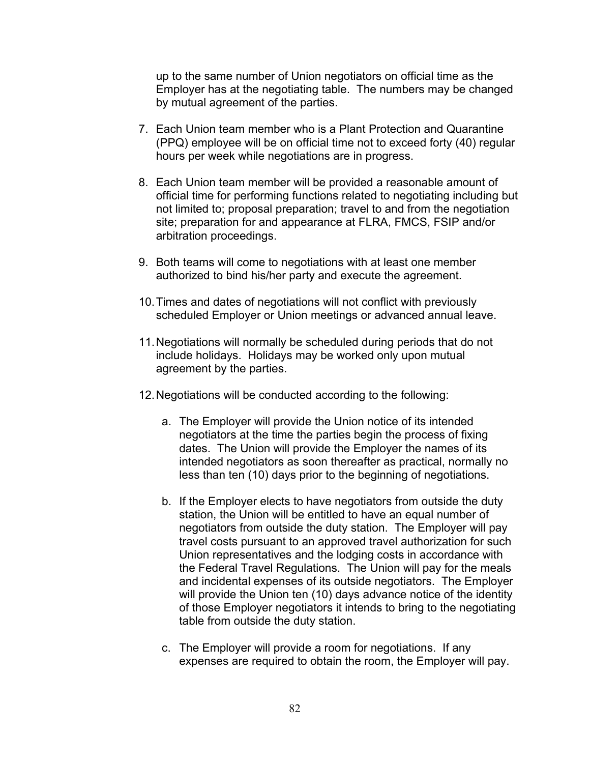up to the same number of Union negotiators on official time as the Employer has at the negotiating table. The numbers may be changed by mutual agreement of the parties.

- 7. Each Union team member who is a Plant Protection and Quarantine (PPQ) employee will be on official time not to exceed forty (40) regular hours per week while negotiations are in progress.
- 8. Each Union team member will be provided a reasonable amount of official time for performing functions related to negotiating including but not limited to; proposal preparation; travel to and from the negotiation site; preparation for and appearance at FLRA, FMCS, FSIP and/or arbitration proceedings.
- 9. Both teams will come to negotiations with at least one member authorized to bind his/her party and execute the agreement.
- 10.Times and dates of negotiations will not conflict with previously scheduled Employer or Union meetings or advanced annual leave.
- 11.Negotiations will normally be scheduled during periods that do not include holidays. Holidays may be worked only upon mutual agreement by the parties.
- 12.Negotiations will be conducted according to the following:
	- a. The Employer will provide the Union notice of its intended negotiators at the time the parties begin the process of fixing dates. The Union will provide the Employer the names of its intended negotiators as soon thereafter as practical, normally no less than ten (10) days prior to the beginning of negotiations.
	- b. If the Employer elects to have negotiators from outside the duty station, the Union will be entitled to have an equal number of negotiators from outside the duty station. The Employer will pay travel costs pursuant to an approved travel authorization for such Union representatives and the lodging costs in accordance with the Federal Travel Regulations. The Union will pay for the meals and incidental expenses of its outside negotiators. The Employer will provide the Union ten (10) days advance notice of the identity of those Employer negotiators it intends to bring to the negotiating table from outside the duty station.
	- c. The Employer will provide a room for negotiations. If any expenses are required to obtain the room, the Employer will pay.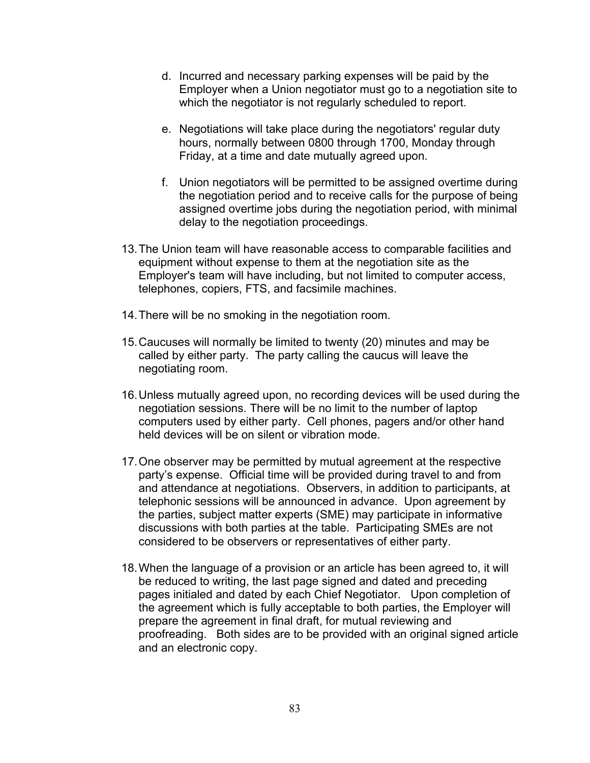- d. Incurred and necessary parking expenses will be paid by the Employer when a Union negotiator must go to a negotiation site to which the negotiator is not regularly scheduled to report.
- e. Negotiations will take place during the negotiators' regular duty hours, normally between 0800 through 1700, Monday through Friday, at a time and date mutually agreed upon.
- f. Union negotiators will be permitted to be assigned overtime during the negotiation period and to receive calls for the purpose of being assigned overtime jobs during the negotiation period, with minimal delay to the negotiation proceedings.
- 13.The Union team will have reasonable access to comparable facilities and equipment without expense to them at the negotiation site as the Employer's team will have including, but not limited to computer access, telephones, copiers, FTS, and facsimile machines.
- 14.There will be no smoking in the negotiation room.
- 15.Caucuses will normally be limited to twenty (20) minutes and may be called by either party. The party calling the caucus will leave the negotiating room.
- 16.Unless mutually agreed upon, no recording devices will be used during the negotiation sessions. There will be no limit to the number of laptop computers used by either party. Cell phones, pagers and/or other hand held devices will be on silent or vibration mode.
- 17.One observer may be permitted by mutual agreement at the respective party's expense. Official time will be provided during travel to and from and attendance at negotiations. Observers, in addition to participants, at telephonic sessions will be announced in advance. Upon agreement by the parties, subject matter experts (SME) may participate in informative discussions with both parties at the table. Participating SMEs are not considered to be observers or representatives of either party.
- 18.When the language of a provision or an article has been agreed to, it will be reduced to writing, the last page signed and dated and preceding pages initialed and dated by each Chief Negotiator. Upon completion of the agreement which is fully acceptable to both parties, the Employer will prepare the agreement in final draft, for mutual reviewing and proofreading. Both sides are to be provided with an original signed article and an electronic copy.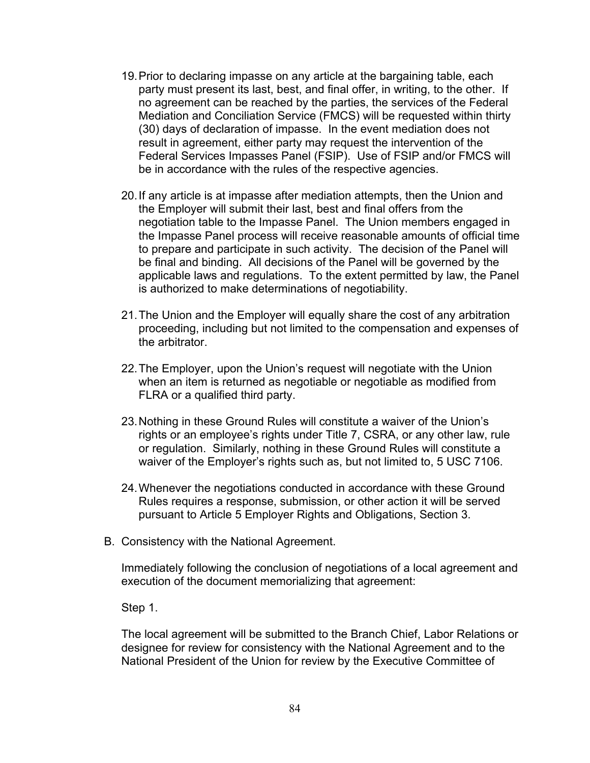- 19.Prior to declaring impasse on any article at the bargaining table, each party must present its last, best, and final offer, in writing, to the other. If no agreement can be reached by the parties, the services of the Federal Mediation and Conciliation Service (FMCS) will be requested within thirty (30) days of declaration of impasse. In the event mediation does not result in agreement, either party may request the intervention of the Federal Services Impasses Panel (FSIP). Use of FSIP and/or FMCS will be in accordance with the rules of the respective agencies.
- 20.If any article is at impasse after mediation attempts, then the Union and the Employer will submit their last, best and final offers from the negotiation table to the Impasse Panel. The Union members engaged in the Impasse Panel process will receive reasonable amounts of official time to prepare and participate in such activity. The decision of the Panel will be final and binding. All decisions of the Panel will be governed by the applicable laws and regulations. To the extent permitted by law, the Panel is authorized to make determinations of negotiability.
- 21.The Union and the Employer will equally share the cost of any arbitration proceeding, including but not limited to the compensation and expenses of the arbitrator.
- 22.The Employer, upon the Union's request will negotiate with the Union when an item is returned as negotiable or negotiable as modified from FLRA or a qualified third party.
- 23.Nothing in these Ground Rules will constitute a waiver of the Union's rights or an employee's rights under Title 7, CSRA, or any other law, rule or regulation. Similarly, nothing in these Ground Rules will constitute a waiver of the Employer's rights such as, but not limited to, 5 USC 7106.
- 24.Whenever the negotiations conducted in accordance with these Ground Rules requires a response, submission, or other action it will be served pursuant to Article 5 Employer Rights and Obligations, Section 3.
- B. Consistency with the National Agreement.

Immediately following the conclusion of negotiations of a local agreement and execution of the document memorializing that agreement:

Step 1.

The local agreement will be submitted to the Branch Chief, Labor Relations or designee for review for consistency with the National Agreement and to the National President of the Union for review by the Executive Committee of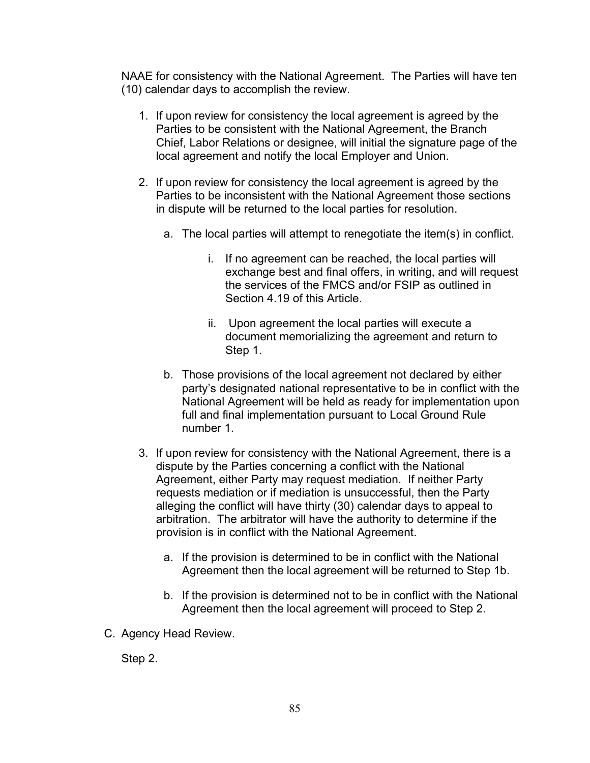NAAE for consistency with the National Agreement. The Parties will have ten (10) calendar days to accomplish the review.

- 1. If upon review for consistency the local agreement is agreed by the Parties to be consistent with the National Agreement, the Branch Chief, Labor Relations or designee, will initial the signature page of the local agreement and notify the local Employer and Union.
- 2. If upon review for consistency the local agreement is agreed by the Parties to be inconsistent with the National Agreement those sections in dispute will be returned to the local parties for resolution.
	- a. The local parties will attempt to renegotiate the item(s) in conflict.
		- i. If no agreement can be reached, the local parties will exchange best and final offers, in writing, and will request the services of the FMCS and/or FSIP as outlined in Section 4.19 of this Article.
		- ii. Upon agreement the local parties will execute a document memorializing the agreement and return to Step 1.
	- b. Those provisions of the local agreement not declared by either party's designated national representative to be in conflict with the National Agreement will be held as ready for implementation upon full and final implementation pursuant to Local Ground Rule number 1.
- 3. If upon review for consistency with the National Agreement, there is a dispute by the Parties concerning a conflict with the National Agreement, either Party may request mediation. If neither Party requests mediation or if mediation is unsuccessful, then the Party alleging the conflict will have thirty (30) calendar days to appeal to arbitration. The arbitrator will have the authority to determine if the provision is in conflict with the National Agreement.
	- a. If the provision is determined to be in conflict with the National Agreement then the local agreement will be returned to Step 1b.
	- b. If the provision is determined not to be in conflict with the National Agreement then the local agreement will proceed to Step 2.
- C. Agency Head Review.

Step 2.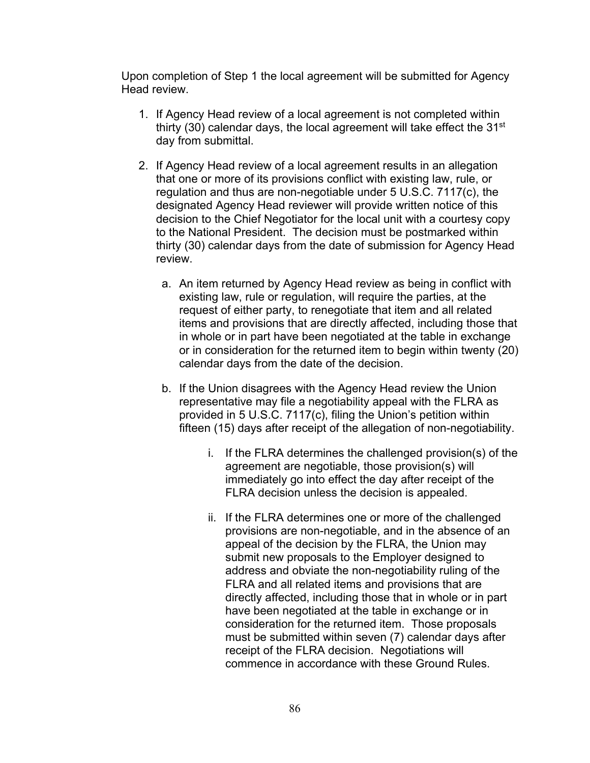Upon completion of Step 1 the local agreement will be submitted for Agency Head review.

- 1. If Agency Head review of a local agreement is not completed within thirty (30) calendar days, the local agreement will take effect the 31<sup>st</sup> day from submittal.
- 2. If Agency Head review of a local agreement results in an allegation that one or more of its provisions conflict with existing law, rule, or regulation and thus are non-negotiable under 5 U.S.C. 7117(c), the designated Agency Head reviewer will provide written notice of this decision to the Chief Negotiator for the local unit with a courtesy copy to the National President. The decision must be postmarked within thirty (30) calendar days from the date of submission for Agency Head review.
	- a. An item returned by Agency Head review as being in conflict with existing law, rule or regulation, will require the parties, at the request of either party, to renegotiate that item and all related items and provisions that are directly affected, including those that in whole or in part have been negotiated at the table in exchange or in consideration for the returned item to begin within twenty (20) calendar days from the date of the decision.
	- b. If the Union disagrees with the Agency Head review the Union representative may file a negotiability appeal with the FLRA as provided in 5 U.S.C. 7117(c), filing the Union's petition within fifteen (15) days after receipt of the allegation of non-negotiability.
		- i. If the FLRA determines the challenged provision(s) of the agreement are negotiable, those provision(s) will immediately go into effect the day after receipt of the FLRA decision unless the decision is appealed.
		- ii. If the FLRA determines one or more of the challenged provisions are non-negotiable, and in the absence of an appeal of the decision by the FLRA, the Union may submit new proposals to the Employer designed to address and obviate the non-negotiability ruling of the FLRA and all related items and provisions that are directly affected, including those that in whole or in part have been negotiated at the table in exchange or in consideration for the returned item. Those proposals must be submitted within seven (7) calendar days after receipt of the FLRA decision. Negotiations will commence in accordance with these Ground Rules.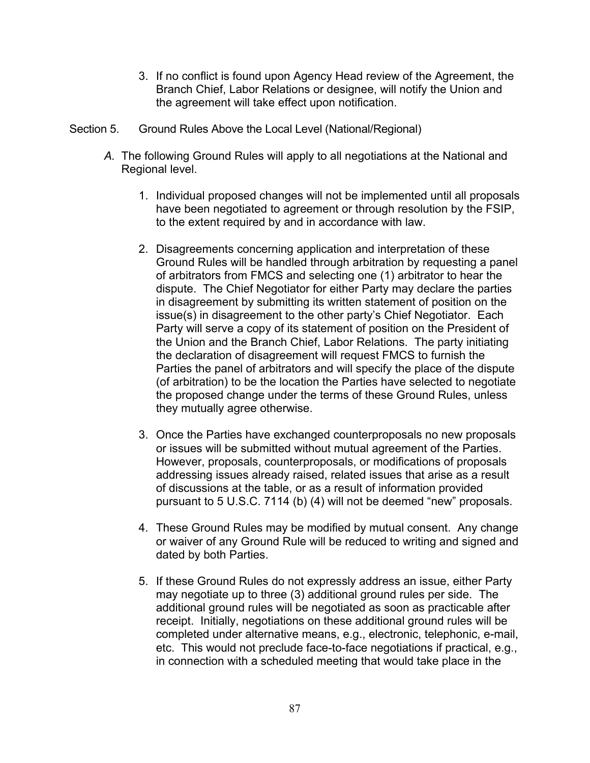- 3. If no conflict is found upon Agency Head review of the Agreement, the Branch Chief, Labor Relations or designee, will notify the Union and the agreement will take effect upon notification.
- Section 5. Ground Rules Above the Local Level (National/Regional)
	- *A.* The following Ground Rules will apply to all negotiations at the National and Regional level.
		- 1. Individual proposed changes will not be implemented until all proposals have been negotiated to agreement or through resolution by the FSIP, to the extent required by and in accordance with law.
		- 2. Disagreements concerning application and interpretation of these Ground Rules will be handled through arbitration by requesting a panel of arbitrators from FMCS and selecting one (1) arbitrator to hear the dispute. The Chief Negotiator for either Party may declare the parties in disagreement by submitting its written statement of position on the issue(s) in disagreement to the other party's Chief Negotiator. Each Party will serve a copy of its statement of position on the President of the Union and the Branch Chief, Labor Relations. The party initiating the declaration of disagreement will request FMCS to furnish the Parties the panel of arbitrators and will specify the place of the dispute (of arbitration) to be the location the Parties have selected to negotiate the proposed change under the terms of these Ground Rules, unless they mutually agree otherwise.
		- 3. Once the Parties have exchanged counterproposals no new proposals or issues will be submitted without mutual agreement of the Parties. However, proposals, counterproposals, or modifications of proposals addressing issues already raised, related issues that arise as a result of discussions at the table, or as a result of information provided pursuant to 5 U.S.C. 7114 (b) (4) will not be deemed "new" proposals.
		- 4. These Ground Rules may be modified by mutual consent. Any change or waiver of any Ground Rule will be reduced to writing and signed and dated by both Parties.
		- 5. If these Ground Rules do not expressly address an issue, either Party may negotiate up to three (3) additional ground rules per side. The additional ground rules will be negotiated as soon as practicable after receipt. Initially, negotiations on these additional ground rules will be completed under alternative means, e.g., electronic, telephonic, e-mail, etc. This would not preclude face-to-face negotiations if practical, e.g., in connection with a scheduled meeting that would take place in the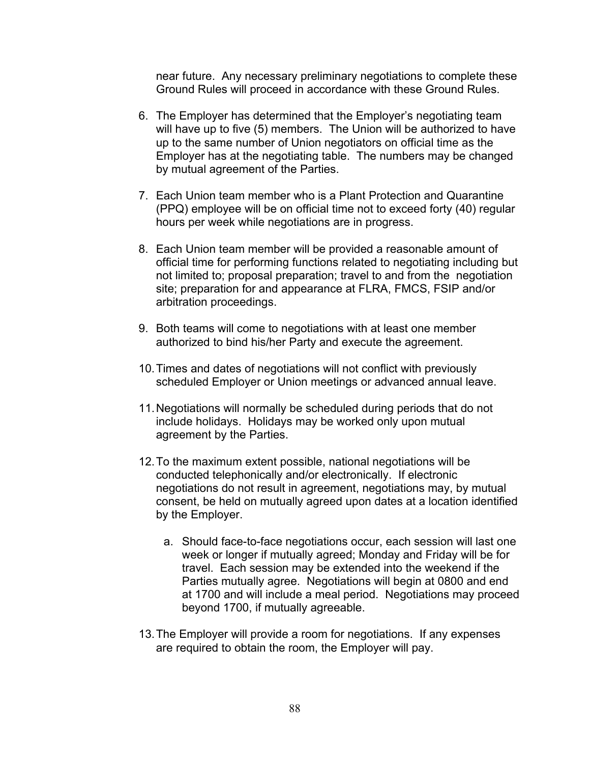near future. Any necessary preliminary negotiations to complete these Ground Rules will proceed in accordance with these Ground Rules.

- 6. The Employer has determined that the Employer's negotiating team will have up to five (5) members. The Union will be authorized to have up to the same number of Union negotiators on official time as the Employer has at the negotiating table. The numbers may be changed by mutual agreement of the Parties.
- 7. Each Union team member who is a Plant Protection and Quarantine (PPQ) employee will be on official time not to exceed forty (40) regular hours per week while negotiations are in progress.
- 8. Each Union team member will be provided a reasonable amount of official time for performing functions related to negotiating including but not limited to; proposal preparation; travel to and from the negotiation site; preparation for and appearance at FLRA, FMCS, FSIP and/or arbitration proceedings.
- 9. Both teams will come to negotiations with at least one member authorized to bind his/her Party and execute the agreement.
- 10.Times and dates of negotiations will not conflict with previously scheduled Employer or Union meetings or advanced annual leave.
- 11.Negotiations will normally be scheduled during periods that do not include holidays. Holidays may be worked only upon mutual agreement by the Parties.
- 12.To the maximum extent possible, national negotiations will be conducted telephonically and/or electronically. If electronic negotiations do not result in agreement, negotiations may, by mutual consent, be held on mutually agreed upon dates at a location identified by the Employer.
	- a. Should face-to-face negotiations occur, each session will last one week or longer if mutually agreed; Monday and Friday will be for travel. Each session may be extended into the weekend if the Parties mutually agree. Negotiations will begin at 0800 and end at 1700 and will include a meal period. Negotiations may proceed beyond 1700, if mutually agreeable.
- 13.The Employer will provide a room for negotiations. If any expenses are required to obtain the room, the Employer will pay.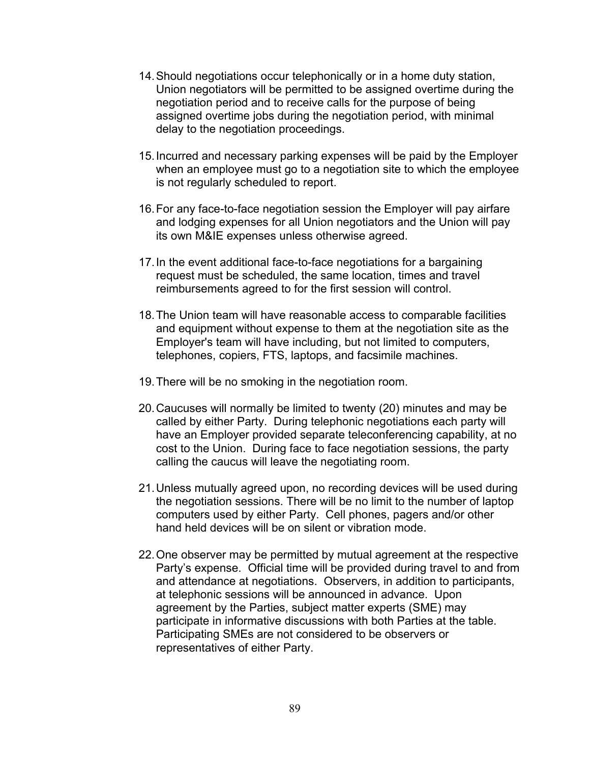- 14.Should negotiations occur telephonically or in a home duty station, Union negotiators will be permitted to be assigned overtime during the negotiation period and to receive calls for the purpose of being assigned overtime jobs during the negotiation period, with minimal delay to the negotiation proceedings.
- 15.Incurred and necessary parking expenses will be paid by the Employer when an employee must go to a negotiation site to which the employee is not regularly scheduled to report.
- 16.For any face-to-face negotiation session the Employer will pay airfare and lodging expenses for all Union negotiators and the Union will pay its own M&IE expenses unless otherwise agreed.
- 17.In the event additional face-to-face negotiations for a bargaining request must be scheduled, the same location, times and travel reimbursements agreed to for the first session will control.
- 18.The Union team will have reasonable access to comparable facilities and equipment without expense to them at the negotiation site as the Employer's team will have including, but not limited to computers, telephones, copiers, FTS, laptops, and facsimile machines.
- 19.There will be no smoking in the negotiation room.
- 20.Caucuses will normally be limited to twenty (20) minutes and may be called by either Party. During telephonic negotiations each party will have an Employer provided separate teleconferencing capability, at no cost to the Union. During face to face negotiation sessions, the party calling the caucus will leave the negotiating room.
- 21.Unless mutually agreed upon, no recording devices will be used during the negotiation sessions. There will be no limit to the number of laptop computers used by either Party. Cell phones, pagers and/or other hand held devices will be on silent or vibration mode.
- 22.One observer may be permitted by mutual agreement at the respective Party's expense. Official time will be provided during travel to and from and attendance at negotiations. Observers, in addition to participants, at telephonic sessions will be announced in advance. Upon agreement by the Parties, subject matter experts (SME) may participate in informative discussions with both Parties at the table. Participating SMEs are not considered to be observers or representatives of either Party.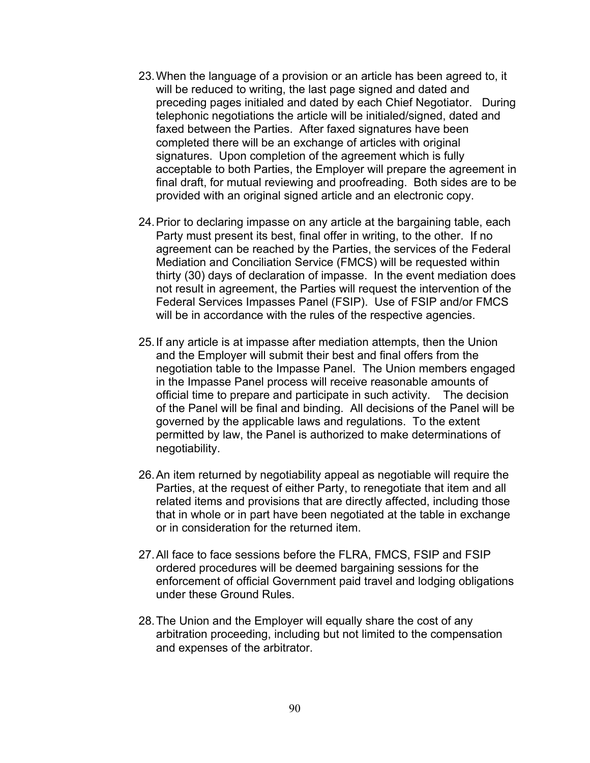- 23.When the language of a provision or an article has been agreed to, it will be reduced to writing, the last page signed and dated and preceding pages initialed and dated by each Chief Negotiator. During telephonic negotiations the article will be initialed/signed, dated and faxed between the Parties. After faxed signatures have been completed there will be an exchange of articles with original signatures. Upon completion of the agreement which is fully acceptable to both Parties, the Employer will prepare the agreement in final draft, for mutual reviewing and proofreading. Both sides are to be provided with an original signed article and an electronic copy.
- 24.Prior to declaring impasse on any article at the bargaining table, each Party must present its best, final offer in writing, to the other. If no agreement can be reached by the Parties, the services of the Federal Mediation and Conciliation Service (FMCS) will be requested within thirty (30) days of declaration of impasse. In the event mediation does not result in agreement, the Parties will request the intervention of the Federal Services Impasses Panel (FSIP). Use of FSIP and/or FMCS will be in accordance with the rules of the respective agencies.
- 25.If any article is at impasse after mediation attempts, then the Union and the Employer will submit their best and final offers from the negotiation table to the Impasse Panel. The Union members engaged in the Impasse Panel process will receive reasonable amounts of official time to prepare and participate in such activity. The decision of the Panel will be final and binding. All decisions of the Panel will be governed by the applicable laws and regulations. To the extent permitted by law, the Panel is authorized to make determinations of negotiability.
- 26.An item returned by negotiability appeal as negotiable will require the Parties, at the request of either Party, to renegotiate that item and all related items and provisions that are directly affected, including those that in whole or in part have been negotiated at the table in exchange or in consideration for the returned item.
- 27.All face to face sessions before the FLRA, FMCS, FSIP and FSIP ordered procedures will be deemed bargaining sessions for the enforcement of official Government paid travel and lodging obligations under these Ground Rules.
- 28.The Union and the Employer will equally share the cost of any arbitration proceeding, including but not limited to the compensation and expenses of the arbitrator.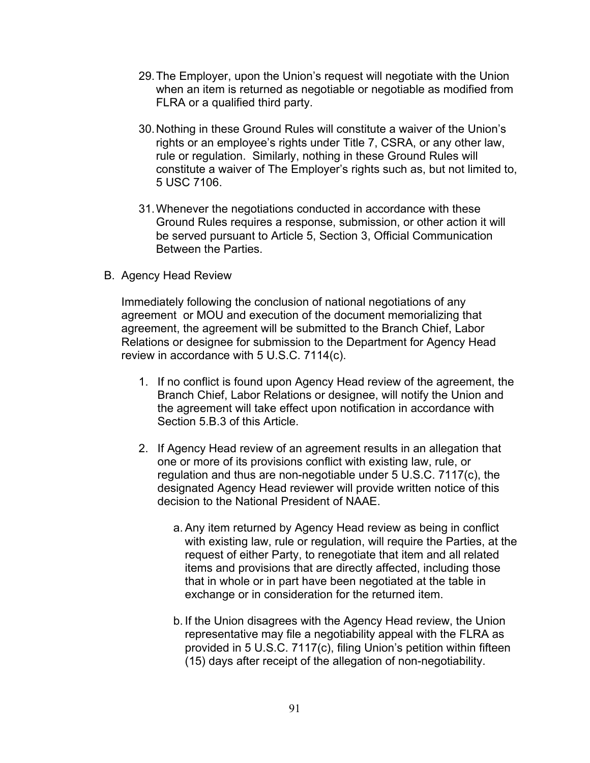- 29.The Employer, upon the Union's request will negotiate with the Union when an item is returned as negotiable or negotiable as modified from FLRA or a qualified third party.
- 30.Nothing in these Ground Rules will constitute a waiver of the Union's rights or an employee's rights under Title 7, CSRA, or any other law, rule or regulation. Similarly, nothing in these Ground Rules will constitute a waiver of The Employer's rights such as, but not limited to, 5 USC 7106.
- 31.Whenever the negotiations conducted in accordance with these Ground Rules requires a response, submission, or other action it will be served pursuant to Article 5, Section 3, Official Communication Between the Parties.
- B. Agency Head Review

Immediately following the conclusion of national negotiations of any agreement or MOU and execution of the document memorializing that agreement, the agreement will be submitted to the Branch Chief, Labor Relations or designee for submission to the Department for Agency Head review in accordance with 5 U.S.C. 7114(c).

- 1. If no conflict is found upon Agency Head review of the agreement, the Branch Chief, Labor Relations or designee, will notify the Union and the agreement will take effect upon notification in accordance with Section 5.B.3 of this Article.
- 2. If Agency Head review of an agreement results in an allegation that one or more of its provisions conflict with existing law, rule, or regulation and thus are non-negotiable under 5 U.S.C. 7117(c), the designated Agency Head reviewer will provide written notice of this decision to the National President of NAAE.
	- a. Any item returned by Agency Head review as being in conflict with existing law, rule or regulation, will require the Parties, at the request of either Party, to renegotiate that item and all related items and provisions that are directly affected, including those that in whole or in part have been negotiated at the table in exchange or in consideration for the returned item.
	- b. If the Union disagrees with the Agency Head review, the Union representative may file a negotiability appeal with the FLRA as provided in 5 U.S.C. 7117(c), filing Union's petition within fifteen (15) days after receipt of the allegation of non-negotiability.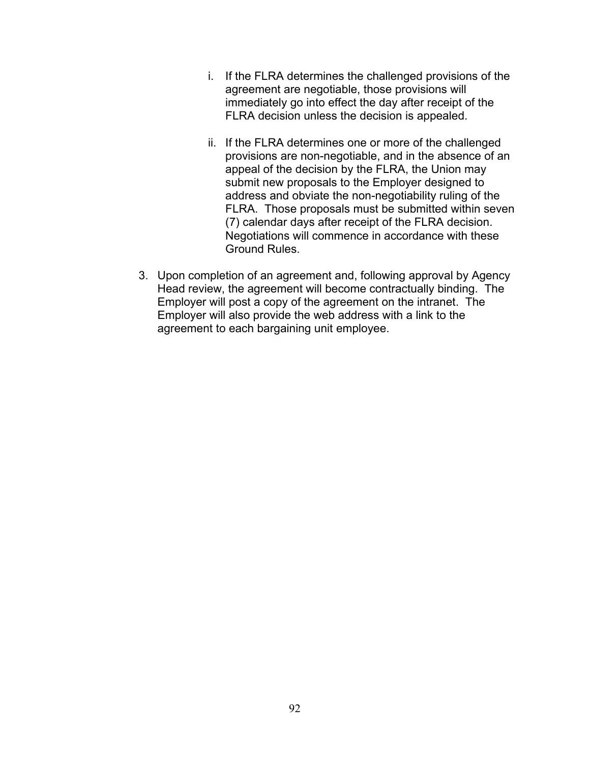- i. If the FLRA determines the challenged provisions of the agreement are negotiable, those provisions will immediately go into effect the day after receipt of the FLRA decision unless the decision is appealed.
- ii. If the FLRA determines one or more of the challenged provisions are non-negotiable, and in the absence of an appeal of the decision by the FLRA, the Union may submit new proposals to the Employer designed to address and obviate the non-negotiability ruling of the FLRA. Those proposals must be submitted within seven (7) calendar days after receipt of the FLRA decision. Negotiations will commence in accordance with these Ground Rules.
- 3. Upon completion of an agreement and, following approval by Agency Head review, the agreement will become contractually binding. The Employer will post a copy of the agreement on the intranet. The Employer will also provide the web address with a link to the agreement to each bargaining unit employee.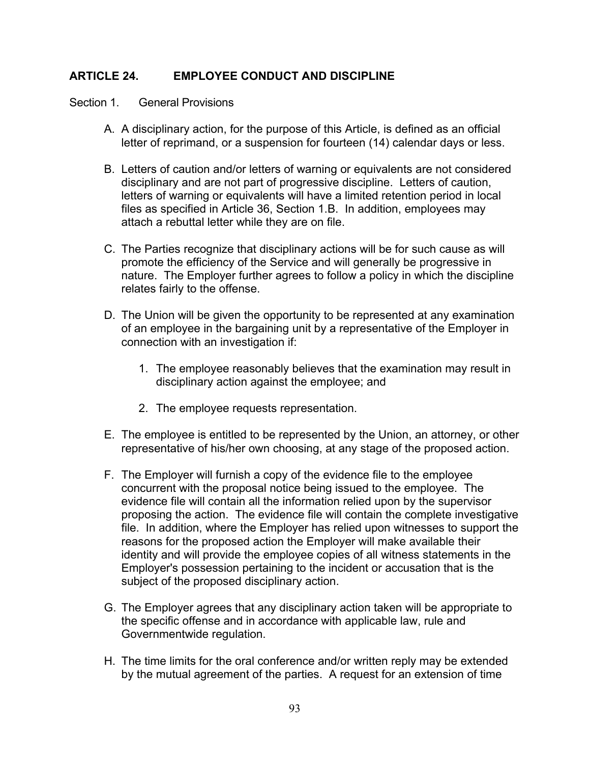# **ARTICLE 24. EMPLOYEE CONDUCT AND DISCIPLINE**

Section 1. General Provisions

- A. A disciplinary action, for the purpose of this Article, is defined as an official letter of reprimand, or a suspension for fourteen (14) calendar days or less.
- B. Letters of caution and/or letters of warning or equivalents are not considered disciplinary and are not part of progressive discipline. Letters of caution, letters of warning or equivalents will have a limited retention period in local files as specified in Article 36, Section 1.B. In addition, employees may attach a rebuttal letter while they are on file.
- C. The Parties recognize that disciplinary actions will be for such cause as will promote the efficiency of the Service and will generally be progressive in nature. The Employer further agrees to follow a policy in which the discipline relates fairly to the offense.
- D. The Union will be given the opportunity to be represented at any examination of an employee in the bargaining unit by a representative of the Employer in connection with an investigation if:
	- 1. The employee reasonably believes that the examination may result in disciplinary action against the employee; and
	- 2. The employee requests representation.
- E. The employee is entitled to be represented by the Union, an attorney, or other representative of his/her own choosing, at any stage of the proposed action.
- F. The Employer will furnish a copy of the evidence file to the employee concurrent with the proposal notice being issued to the employee. The evidence file will contain all the information relied upon by the supervisor proposing the action. The evidence file will contain the complete investigative file. In addition, where the Employer has relied upon witnesses to support the reasons for the proposed action the Employer will make available their identity and will provide the employee copies of all witness statements in the Employer's possession pertaining to the incident or accusation that is the subject of the proposed disciplinary action.
- G. The Employer agrees that any disciplinary action taken will be appropriate to the specific offense and in accordance with applicable law, rule and Governmentwide regulation.
- H. The time limits for the oral conference and/or written reply may be extended by the mutual agreement of the parties. A request for an extension of time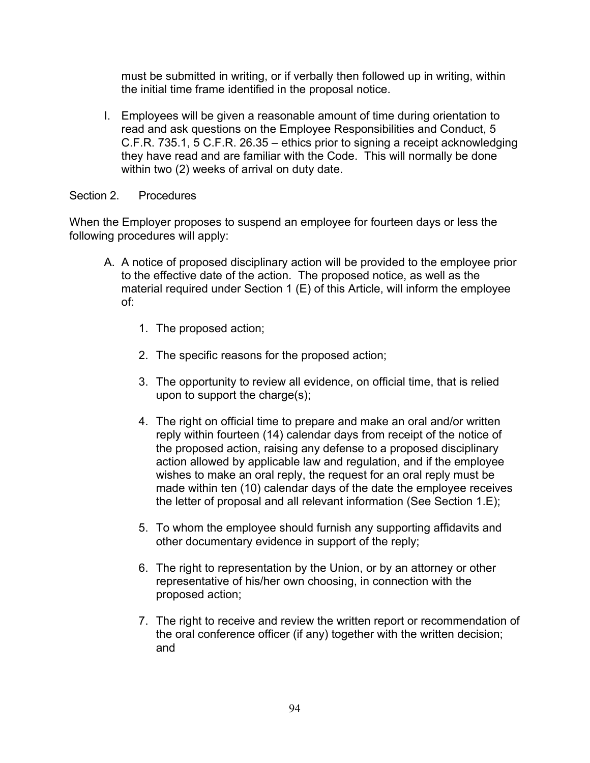must be submitted in writing, or if verbally then followed up in writing, within the initial time frame identified in the proposal notice.

I. Employees will be given a reasonable amount of time during orientation to read and ask questions on the Employee Responsibilities and Conduct, 5 C.F.R. 735.1, 5 C.F.R. 26.35 – ethics prior to signing a receipt acknowledging they have read and are familiar with the Code. This will normally be done within two (2) weeks of arrival on duty date.

### Section 2. Procedures

When the Employer proposes to suspend an employee for fourteen days or less the following procedures will apply:

- A. A notice of proposed disciplinary action will be provided to the employee prior to the effective date of the action. The proposed notice, as well as the material required under Section 1 (E) of this Article, will inform the employee of:
	- 1. The proposed action;
	- 2. The specific reasons for the proposed action;
	- 3. The opportunity to review all evidence, on official time, that is relied upon to support the charge(s);
	- 4. The right on official time to prepare and make an oral and/or written reply within fourteen (14) calendar days from receipt of the notice of the proposed action, raising any defense to a proposed disciplinary action allowed by applicable law and regulation, and if the employee wishes to make an oral reply, the request for an oral reply must be made within ten (10) calendar days of the date the employee receives the letter of proposal and all relevant information (See Section 1.E);
	- 5. To whom the employee should furnish any supporting affidavits and other documentary evidence in support of the reply;
	- 6. The right to representation by the Union, or by an attorney or other representative of his/her own choosing, in connection with the proposed action;
	- 7. The right to receive and review the written report or recommendation of the oral conference officer (if any) together with the written decision; and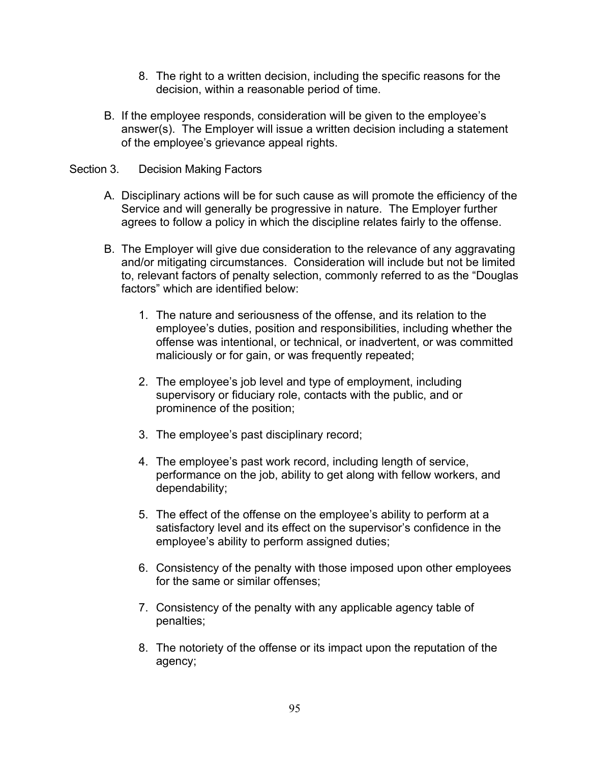- 8. The right to a written decision, including the specific reasons for the decision, within a reasonable period of time.
- B. If the employee responds, consideration will be given to the employee's answer(s). The Employer will issue a written decision including a statement of the employee's grievance appeal rights.
- Section 3. Decision Making Factors
	- A. Disciplinary actions will be for such cause as will promote the efficiency of the Service and will generally be progressive in nature. The Employer further agrees to follow a policy in which the discipline relates fairly to the offense.
	- B. The Employer will give due consideration to the relevance of any aggravating and/or mitigating circumstances. Consideration will include but not be limited to, relevant factors of penalty selection, commonly referred to as the "Douglas factors" which are identified below:
		- 1. The nature and seriousness of the offense, and its relation to the employee's duties, position and responsibilities, including whether the offense was intentional, or technical, or inadvertent, or was committed maliciously or for gain, or was frequently repeated;
		- 2. The employee's job level and type of employment, including supervisory or fiduciary role, contacts with the public, and or prominence of the position;
		- 3. The employee's past disciplinary record;
		- 4. The employee's past work record, including length of service, performance on the job, ability to get along with fellow workers, and dependability;
		- 5. The effect of the offense on the employee's ability to perform at a satisfactory level and its effect on the supervisor's confidence in the employee's ability to perform assigned duties;
		- 6. Consistency of the penalty with those imposed upon other employees for the same or similar offenses;
		- 7. Consistency of the penalty with any applicable agency table of penalties;
		- 8. The notoriety of the offense or its impact upon the reputation of the agency;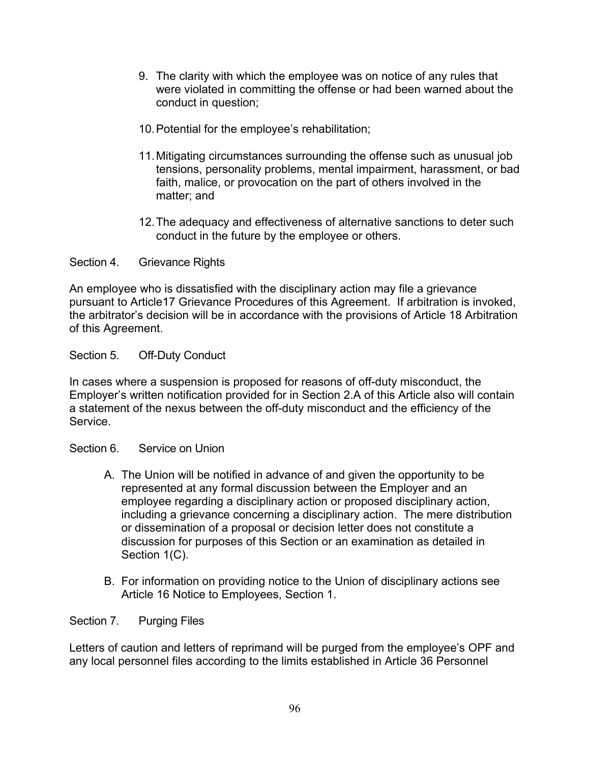- 9. The clarity with which the employee was on notice of any rules that were violated in committing the offense or had been warned about the conduct in question;
- 10.Potential for the employee's rehabilitation;
- 11.Mitigating circumstances surrounding the offense such as unusual job tensions, personality problems, mental impairment, harassment, or bad faith, malice, or provocation on the part of others involved in the matter; and
- 12.The adequacy and effectiveness of alternative sanctions to deter such conduct in the future by the employee or others.

# Section 4. Grievance Rights

An employee who is dissatisfied with the disciplinary action may file a grievance pursuant to Article17 Grievance Procedures of this Agreement. If arbitration is invoked, the arbitrator's decision will be in accordance with the provisions of Article 18 Arbitration of this Agreement.

## Section 5. Off-Duty Conduct

In cases where a suspension is proposed for reasons of off-duty misconduct, the Employer's written notification provided for in Section 2.A of this Article also will contain a statement of the nexus between the off-duty misconduct and the efficiency of the Service.

Section 6. Service on Union

- A. The Union will be notified in advance of and given the opportunity to be represented at any formal discussion between the Employer and an employee regarding a disciplinary action or proposed disciplinary action, including a grievance concerning a disciplinary action. The mere distribution or dissemination of a proposal or decision letter does not constitute a discussion for purposes of this Section or an examination as detailed in Section 1(C).
- B. For information on providing notice to the Union of disciplinary actions see Article 16 Notice to Employees, Section 1.

Section 7. Purging Files

Letters of caution and letters of reprimand will be purged from the employee's OPF and any local personnel files according to the limits established in Article 36 Personnel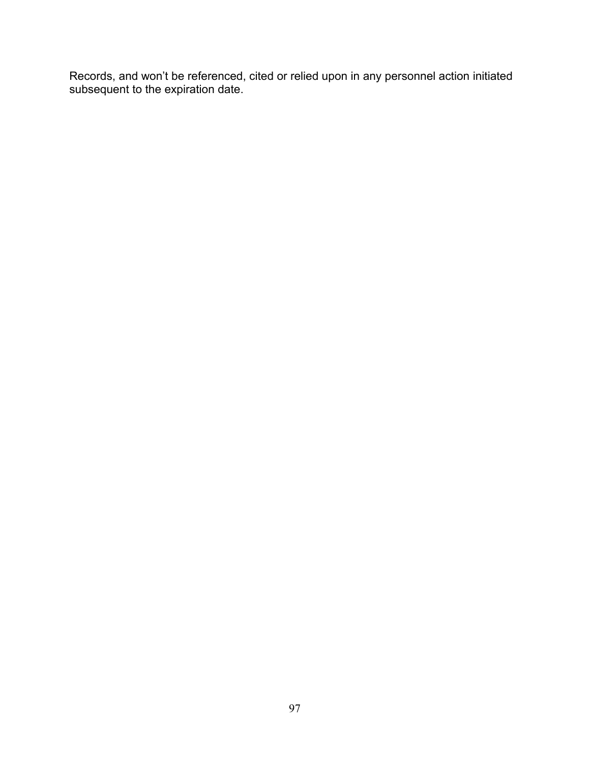Records, and won't be referenced, cited or relied upon in any personnel action initiated subsequent to the expiration date.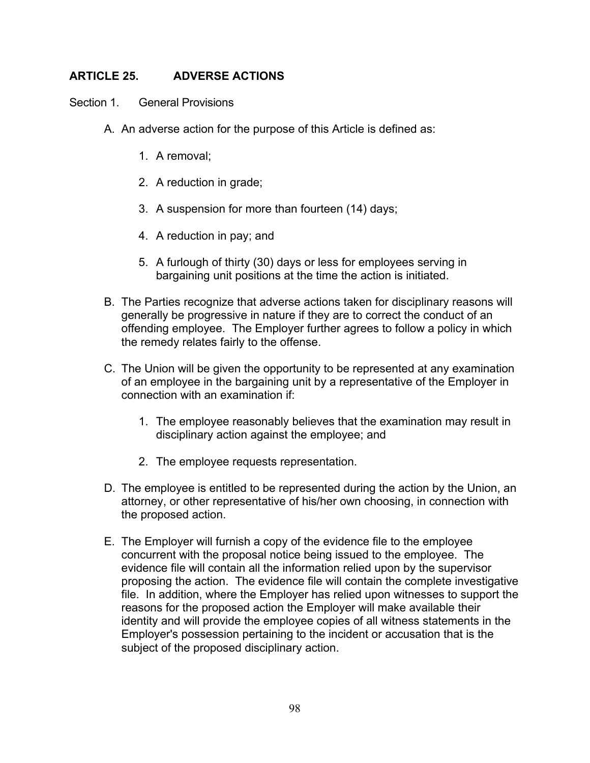# **ARTICLE 25. ADVERSE ACTIONS**

Section 1. General Provisions

- A. An adverse action for the purpose of this Article is defined as:
	- 1. A removal;
	- 2. A reduction in grade;
	- 3. A suspension for more than fourteen (14) days;
	- 4. A reduction in pay; and
	- 5. A furlough of thirty (30) days or less for employees serving in bargaining unit positions at the time the action is initiated.
- B. The Parties recognize that adverse actions taken for disciplinary reasons will generally be progressive in nature if they are to correct the conduct of an offending employee. The Employer further agrees to follow a policy in which the remedy relates fairly to the offense.
- C. The Union will be given the opportunity to be represented at any examination of an employee in the bargaining unit by a representative of the Employer in connection with an examination if:
	- 1. The employee reasonably believes that the examination may result in disciplinary action against the employee; and
	- 2. The employee requests representation.
- D. The employee is entitled to be represented during the action by the Union, an attorney, or other representative of his/her own choosing, in connection with the proposed action.
- E. The Employer will furnish a copy of the evidence file to the employee concurrent with the proposal notice being issued to the employee. The evidence file will contain all the information relied upon by the supervisor proposing the action. The evidence file will contain the complete investigative file. In addition, where the Employer has relied upon witnesses to support the reasons for the proposed action the Employer will make available their identity and will provide the employee copies of all witness statements in the Employer's possession pertaining to the incident or accusation that is the subject of the proposed disciplinary action.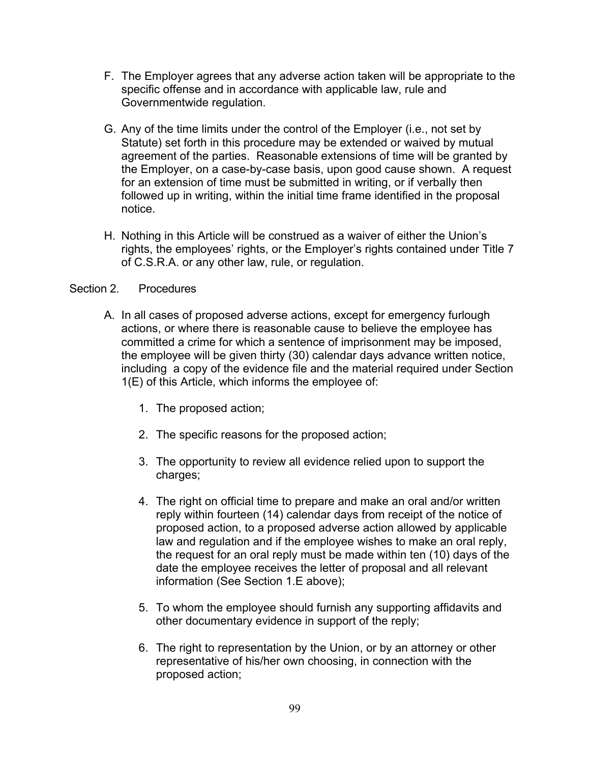- F. The Employer agrees that any adverse action taken will be appropriate to the specific offense and in accordance with applicable law, rule and Governmentwide regulation.
- G. Any of the time limits under the control of the Employer (i.e., not set by Statute) set forth in this procedure may be extended or waived by mutual agreement of the parties. Reasonable extensions of time will be granted by the Employer, on a case-by-case basis, upon good cause shown. A request for an extension of time must be submitted in writing, or if verbally then followed up in writing, within the initial time frame identified in the proposal notice.
- H. Nothing in this Article will be construed as a waiver of either the Union's rights, the employees' rights, or the Employer's rights contained under Title 7 of C.S.R.A. or any other law, rule, or regulation.

# Section 2. Procedures

- A. In all cases of proposed adverse actions, except for emergency furlough actions, or where there is reasonable cause to believe the employee has committed a crime for which a sentence of imprisonment may be imposed, the employee will be given thirty (30) calendar days advance written notice, including a copy of the evidence file and the material required under Section 1(E) of this Article, which informs the employee of:
	- 1. The proposed action;
	- 2. The specific reasons for the proposed action;
	- 3. The opportunity to review all evidence relied upon to support the charges;
	- 4. The right on official time to prepare and make an oral and/or written reply within fourteen (14) calendar days from receipt of the notice of proposed action, to a proposed adverse action allowed by applicable law and regulation and if the employee wishes to make an oral reply, the request for an oral reply must be made within ten (10) days of the date the employee receives the letter of proposal and all relevant information (See Section 1.E above);
	- 5. To whom the employee should furnish any supporting affidavits and other documentary evidence in support of the reply;
	- 6. The right to representation by the Union, or by an attorney or other representative of his/her own choosing, in connection with the proposed action;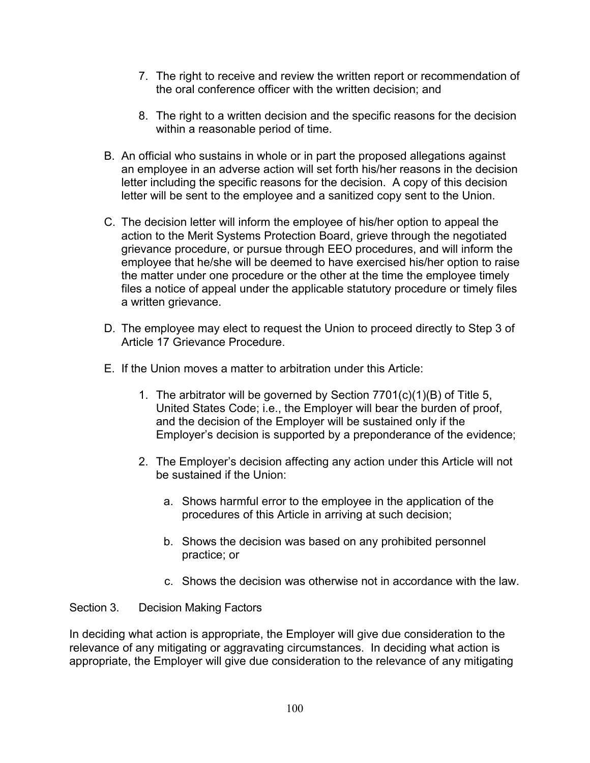- 7. The right to receive and review the written report or recommendation of the oral conference officer with the written decision; and
- 8. The right to a written decision and the specific reasons for the decision within a reasonable period of time.
- B. An official who sustains in whole or in part the proposed allegations against an employee in an adverse action will set forth his/her reasons in the decision letter including the specific reasons for the decision. A copy of this decision letter will be sent to the employee and a sanitized copy sent to the Union.
- C. The decision letter will inform the employee of his/her option to appeal the action to the Merit Systems Protection Board, grieve through the negotiated grievance procedure, or pursue through EEO procedures, and will inform the employee that he/she will be deemed to have exercised his/her option to raise the matter under one procedure or the other at the time the employee timely files a notice of appeal under the applicable statutory procedure or timely files a written grievance.
- D. The employee may elect to request the Union to proceed directly to Step 3 of Article 17 Grievance Procedure.
- E. If the Union moves a matter to arbitration under this Article:
	- 1. The arbitrator will be governed by Section 7701(c)(1)(B) of Title 5, United States Code; i.e., the Employer will bear the burden of proof, and the decision of the Employer will be sustained only if the Employer's decision is supported by a preponderance of the evidence;
	- 2. The Employer's decision affecting any action under this Article will not be sustained if the Union:
		- a. Shows harmful error to the employee in the application of the procedures of this Article in arriving at such decision;
		- b. Shows the decision was based on any prohibited personnel practice; or
		- c. Shows the decision was otherwise not in accordance with the law.

## Section 3. Decision Making Factors

In deciding what action is appropriate, the Employer will give due consideration to the relevance of any mitigating or aggravating circumstances. In deciding what action is appropriate, the Employer will give due consideration to the relevance of any mitigating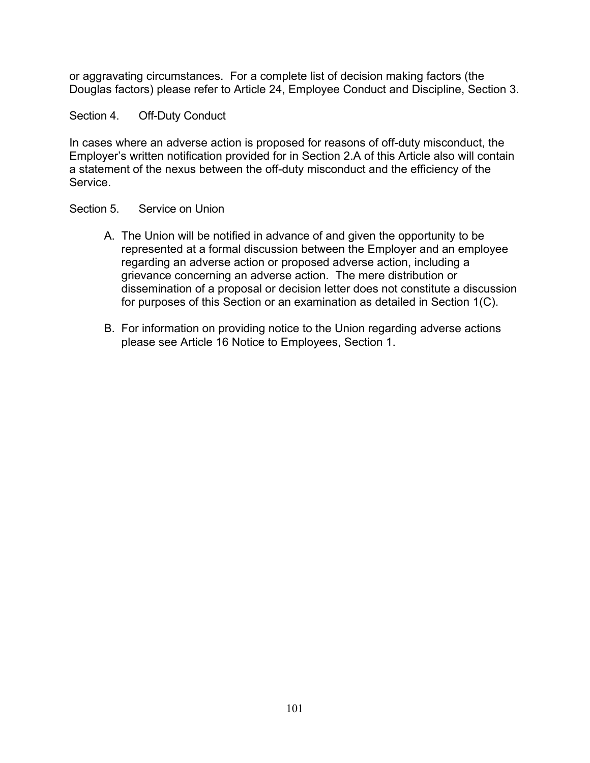or aggravating circumstances. For a complete list of decision making factors (the Douglas factors) please refer to Article 24, Employee Conduct and Discipline, Section 3.

Section 4. Off-Duty Conduct

In cases where an adverse action is proposed for reasons of off-duty misconduct, the Employer's written notification provided for in Section 2.A of this Article also will contain a statement of the nexus between the off-duty misconduct and the efficiency of the Service.

## Section 5. Service on Union

- A. The Union will be notified in advance of and given the opportunity to be represented at a formal discussion between the Employer and an employee regarding an adverse action or proposed adverse action, including a grievance concerning an adverse action. The mere distribution or dissemination of a proposal or decision letter does not constitute a discussion for purposes of this Section or an examination as detailed in Section 1(C).
- B. For information on providing notice to the Union regarding adverse actions please see Article 16 Notice to Employees, Section 1.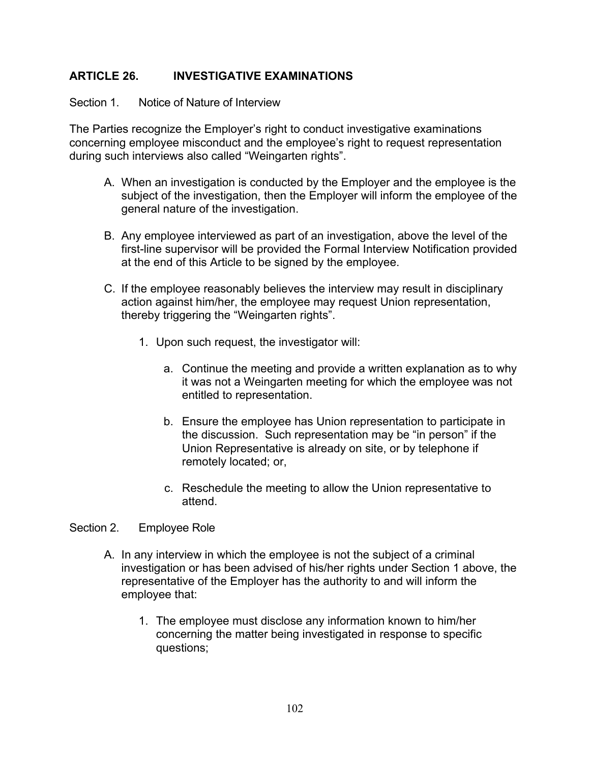# **ARTICLE 26. INVESTIGATIVE EXAMINATIONS**

#### Section 1. Notice of Nature of Interview

The Parties recognize the Employer's right to conduct investigative examinations concerning employee misconduct and the employee's right to request representation during such interviews also called "Weingarten rights".

- A. When an investigation is conducted by the Employer and the employee is the subject of the investigation, then the Employer will inform the employee of the general nature of the investigation.
- B. Any employee interviewed as part of an investigation, above the level of the first-line supervisor will be provided the Formal Interview Notification provided at the end of this Article to be signed by the employee.
- C. If the employee reasonably believes the interview may result in disciplinary action against him/her, the employee may request Union representation, thereby triggering the "Weingarten rights".
	- 1. Upon such request, the investigator will:
		- a. Continue the meeting and provide a written explanation as to why it was not a Weingarten meeting for which the employee was not entitled to representation.
		- b. Ensure the employee has Union representation to participate in the discussion. Such representation may be "in person" if the Union Representative is already on site, or by telephone if remotely located; or,
		- c. Reschedule the meeting to allow the Union representative to attend.

#### Section 2. Employee Role

- A. In any interview in which the employee is not the subject of a criminal investigation or has been advised of his/her rights under Section 1 above, the representative of the Employer has the authority to and will inform the employee that:
	- 1. The employee must disclose any information known to him/her concerning the matter being investigated in response to specific questions;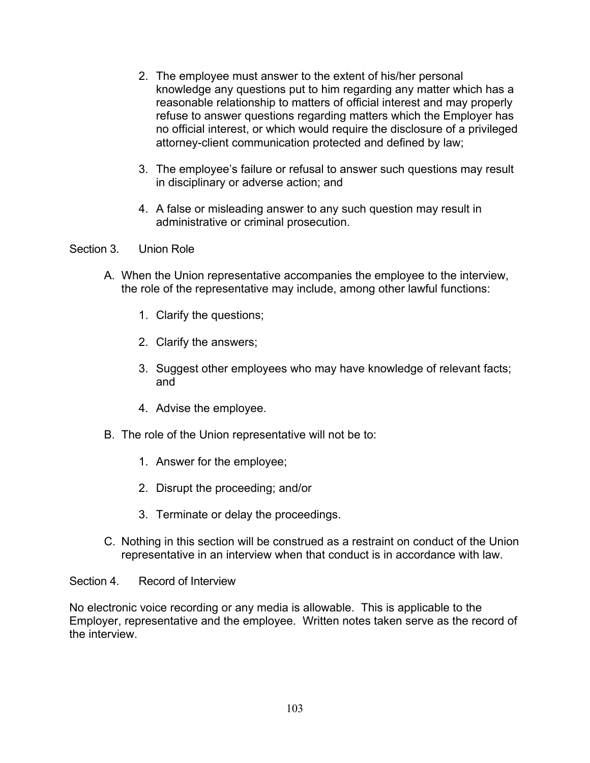- 2. The employee must answer to the extent of his/her personal knowledge any questions put to him regarding any matter which has a reasonable relationship to matters of official interest and may properly refuse to answer questions regarding matters which the Employer has no official interest, or which would require the disclosure of a privileged attorney-client communication protected and defined by law;
- 3. The employee's failure or refusal to answer such questions may result in disciplinary or adverse action; and
- 4. A false or misleading answer to any such question may result in administrative or criminal prosecution.

## Section 3. Union Role

- A. When the Union representative accompanies the employee to the interview, the role of the representative may include, among other lawful functions:
	- 1. Clarify the questions;
	- 2. Clarify the answers;
	- 3. Suggest other employees who may have knowledge of relevant facts; and
	- 4. Advise the employee.
- B. The role of the Union representative will not be to:
	- 1. Answer for the employee;
	- 2. Disrupt the proceeding; and/or
	- 3. Terminate or delay the proceedings.
- C. Nothing in this section will be construed as a restraint on conduct of the Union representative in an interview when that conduct is in accordance with law.

## Section 4. Record of Interview

No electronic voice recording or any media is allowable. This is applicable to the Employer, representative and the employee. Written notes taken serve as the record of the interview.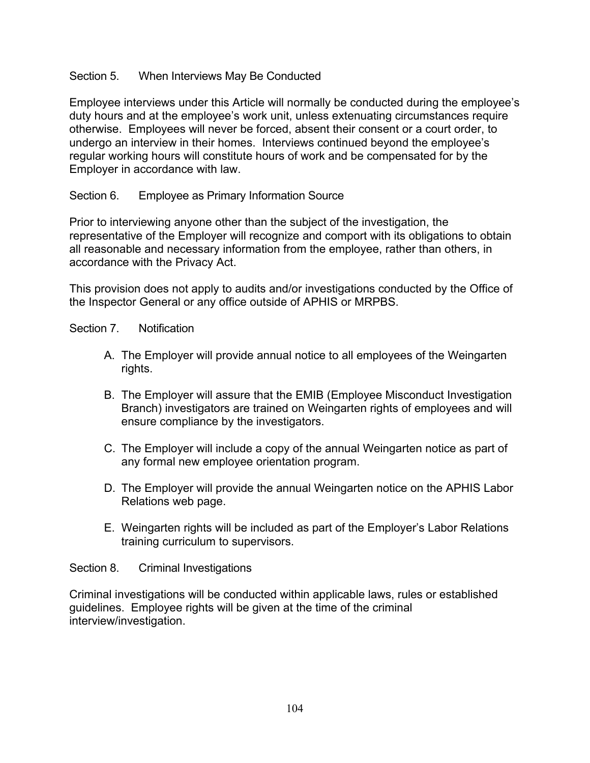## Section 5. When Interviews May Be Conducted

Employee interviews under this Article will normally be conducted during the employee's duty hours and at the employee's work unit, unless extenuating circumstances require otherwise. Employees will never be forced, absent their consent or a court order, to undergo an interview in their homes. Interviews continued beyond the employee's regular working hours will constitute hours of work and be compensated for by the Employer in accordance with law.

# Section 6. Employee as Primary Information Source

Prior to interviewing anyone other than the subject of the investigation, the representative of the Employer will recognize and comport with its obligations to obtain all reasonable and necessary information from the employee, rather than others, in accordance with the Privacy Act.

This provision does not apply to audits and/or investigations conducted by the Office of the Inspector General or any office outside of APHIS or MRPBS.

#### Section 7 Notification

- A. The Employer will provide annual notice to all employees of the Weingarten rights.
- B. The Employer will assure that the EMIB (Employee Misconduct Investigation Branch) investigators are trained on Weingarten rights of employees and will ensure compliance by the investigators.
- C. The Employer will include a copy of the annual Weingarten notice as part of any formal new employee orientation program.
- D. The Employer will provide the annual Weingarten notice on the APHIS Labor Relations web page.
- E. Weingarten rights will be included as part of the Employer's Labor Relations training curriculum to supervisors.

## Section 8. Criminal Investigations

Criminal investigations will be conducted within applicable laws, rules or established guidelines. Employee rights will be given at the time of the criminal interview/investigation.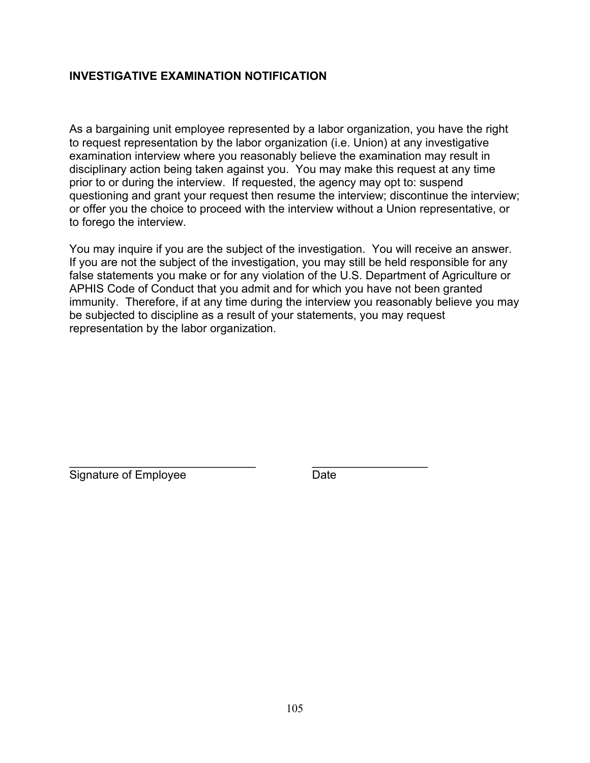# **INVESTIGATIVE EXAMINATION NOTIFICATION**

As a bargaining unit employee represented by a labor organization, you have the right to request representation by the labor organization (i.e. Union) at any investigative examination interview where you reasonably believe the examination may result in disciplinary action being taken against you. You may make this request at any time prior to or during the interview. If requested, the agency may opt to: suspend questioning and grant your request then resume the interview; discontinue the interview; or offer you the choice to proceed with the interview without a Union representative, or to forego the interview.

You may inquire if you are the subject of the investigation. You will receive an answer. If you are not the subject of the investigation, you may still be held responsible for any false statements you make or for any violation of the U.S. Department of Agriculture or APHIS Code of Conduct that you admit and for which you have not been granted immunity. Therefore, if at any time during the interview you reasonably believe you may be subjected to discipline as a result of your statements, you may request representation by the labor organization.

\_\_\_\_\_\_\_\_\_\_\_\_\_\_\_\_\_\_\_\_\_\_\_\_\_\_\_\_\_ \_\_\_\_\_\_\_\_\_\_\_\_\_\_\_\_\_\_ Signature of Employee Date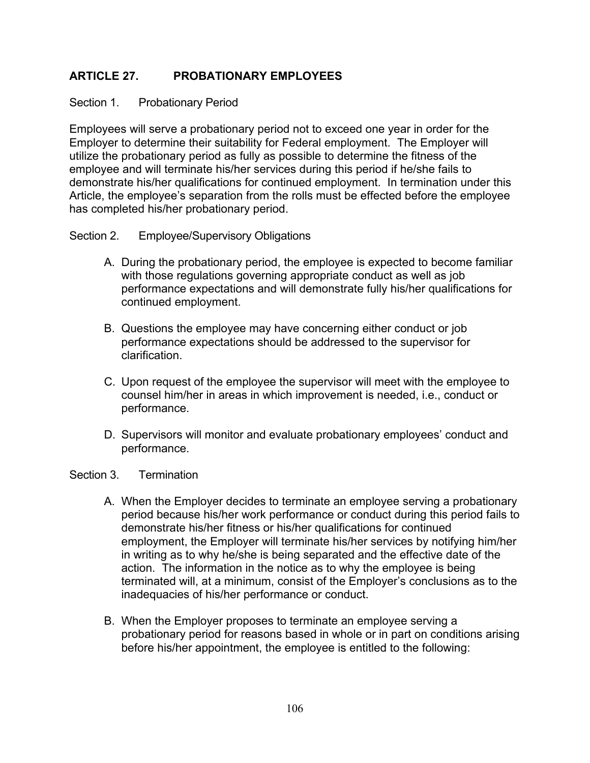# **ARTICLE 27. PROBATIONARY EMPLOYEES**

#### Section 1. Probationary Period

Employees will serve a probationary period not to exceed one year in order for the Employer to determine their suitability for Federal employment. The Employer will utilize the probationary period as fully as possible to determine the fitness of the employee and will terminate his/her services during this period if he/she fails to demonstrate his/her qualifications for continued employment. In termination under this Article, the employee's separation from the rolls must be effected before the employee has completed his/her probationary period.

#### Section 2. Employee/Supervisory Obligations

- A. During the probationary period, the employee is expected to become familiar with those regulations governing appropriate conduct as well as job performance expectations and will demonstrate fully his/her qualifications for continued employment.
- B. Questions the employee may have concerning either conduct or job performance expectations should be addressed to the supervisor for clarification.
- C. Upon request of the employee the supervisor will meet with the employee to counsel him/her in areas in which improvement is needed, i.e., conduct or performance.
- D. Supervisors will monitor and evaluate probationary employees' conduct and performance.

#### Section 3. Termination

- A. When the Employer decides to terminate an employee serving a probationary period because his/her work performance or conduct during this period fails to demonstrate his/her fitness or his/her qualifications for continued employment, the Employer will terminate his/her services by notifying him/her in writing as to why he/she is being separated and the effective date of the action. The information in the notice as to why the employee is being terminated will, at a minimum, consist of the Employer's conclusions as to the inadequacies of his/her performance or conduct.
- B. When the Employer proposes to terminate an employee serving a probationary period for reasons based in whole or in part on conditions arising before his/her appointment, the employee is entitled to the following: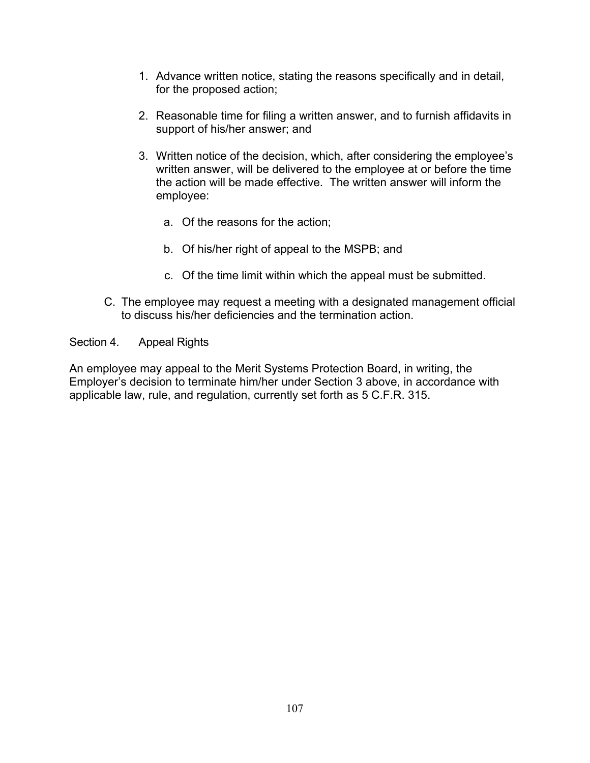- 1. Advance written notice, stating the reasons specifically and in detail, for the proposed action;
- 2. Reasonable time for filing a written answer, and to furnish affidavits in support of his/her answer; and
- 3. Written notice of the decision, which, after considering the employee's written answer, will be delivered to the employee at or before the time the action will be made effective. The written answer will inform the employee:
	- a. Of the reasons for the action;
	- b. Of his/her right of appeal to the MSPB; and
	- c. Of the time limit within which the appeal must be submitted.
- C. The employee may request a meeting with a designated management official to discuss his/her deficiencies and the termination action.
- Section 4. Appeal Rights

An employee may appeal to the Merit Systems Protection Board, in writing, the Employer's decision to terminate him/her under Section 3 above, in accordance with applicable law, rule, and regulation, currently set forth as 5 C.F.R. 315.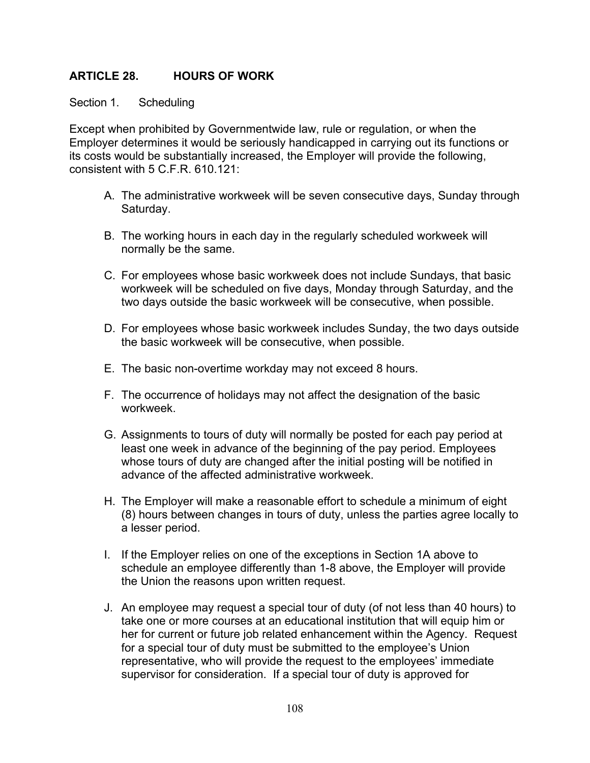# **ARTICLE 28. HOURS OF WORK**

#### Section 1. Scheduling

Except when prohibited by Governmentwide law, rule or regulation, or when the Employer determines it would be seriously handicapped in carrying out its functions or its costs would be substantially increased, the Employer will provide the following, consistent with 5 C.F.R. 610.121:

- A. The administrative workweek will be seven consecutive days, Sunday through Saturday.
- B. The working hours in each day in the regularly scheduled workweek will normally be the same.
- C. For employees whose basic workweek does not include Sundays, that basic workweek will be scheduled on five days, Monday through Saturday, and the two days outside the basic workweek will be consecutive, when possible.
- D. For employees whose basic workweek includes Sunday, the two days outside the basic workweek will be consecutive, when possible.
- E. The basic non-overtime workday may not exceed 8 hours.
- F. The occurrence of holidays may not affect the designation of the basic workweek.
- G. Assignments to tours of duty will normally be posted for each pay period at least one week in advance of the beginning of the pay period. Employees whose tours of duty are changed after the initial posting will be notified in advance of the affected administrative workweek.
- H. The Employer will make a reasonable effort to schedule a minimum of eight (8) hours between changes in tours of duty, unless the parties agree locally to a lesser period.
- I. If the Employer relies on one of the exceptions in Section 1A above to schedule an employee differently than 1-8 above, the Employer will provide the Union the reasons upon written request.
- J. An employee may request a special tour of duty (of not less than 40 hours) to take one or more courses at an educational institution that will equip him or her for current or future job related enhancement within the Agency. Request for a special tour of duty must be submitted to the employee's Union representative, who will provide the request to the employees' immediate supervisor for consideration. If a special tour of duty is approved for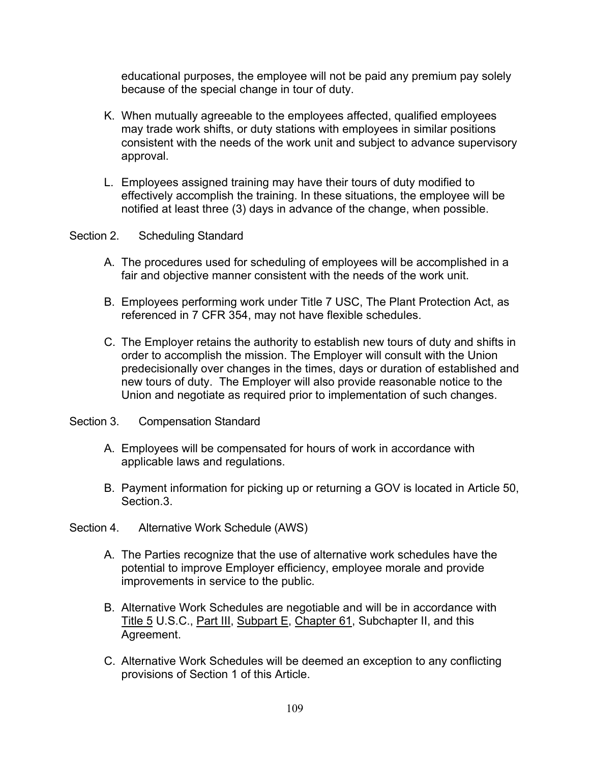educational purposes, the employee will not be paid any premium pay solely because of the special change in tour of duty.

- K. When mutually agreeable to the employees affected, qualified employees may trade work shifts, or duty stations with employees in similar positions consistent with the needs of the work unit and subject to advance supervisory approval.
- L. Employees assigned training may have their tours of duty modified to effectively accomplish the training. In these situations, the employee will be notified at least three (3) days in advance of the change, when possible.

Section 2. Scheduling Standard

- A. The procedures used for scheduling of employees will be accomplished in a fair and objective manner consistent with the needs of the work unit.
- B. Employees performing work under Title 7 USC, The Plant Protection Act, as referenced in 7 CFR 354, may not have flexible schedules.
- C. The Employer retains the authority to establish new tours of duty and shifts in order to accomplish the mission. The Employer will consult with the Union predecisionally over changes in the times, days or duration of established and new tours of duty. The Employer will also provide reasonable notice to the Union and negotiate as required prior to implementation of such changes.
- Section 3. Compensation Standard
	- A. Employees will be compensated for hours of work in accordance with applicable laws and regulations.
	- B. Payment information for picking up or returning a GOV is located in Article 50, Section.3.
- Section 4. Alternative Work Schedule (AWS)
	- A. The Parties recognize that the use of alternative work schedules have the potential to improve Employer efficiency, employee morale and provide improvements in service to the public.
	- B. Alternative Work Schedules are negotiable and will be in accordance with [Title 5](http://www4.law.cornell.edu/uscode/html/uscode05/usc_sup_01_5.html-GOVERNMENTORGANIZATIONANDEMPLOYEES) U.S.C., [Part III,](http://www4.law.cornell.edu/uscode/html/uscode05/usc_sup_01_5_10_III.htmlEMPLOYEES) [Subpart E,](http://www4.law.cornell.edu/uscode/html/uscode05/usc_sup_01_5_10_III_20_E.htmlAttendanceandLeave) [Chapter 61,](http://www4.law.cornell.edu/uscode/html/uscode05/usc_sup_01_5_10_III_20_E_30_61.html-HOURSOFWORK) Subchapter II, and this Agreement.
	- C. Alternative Work Schedules will be deemed an exception to any conflicting provisions of Section 1 of this Article.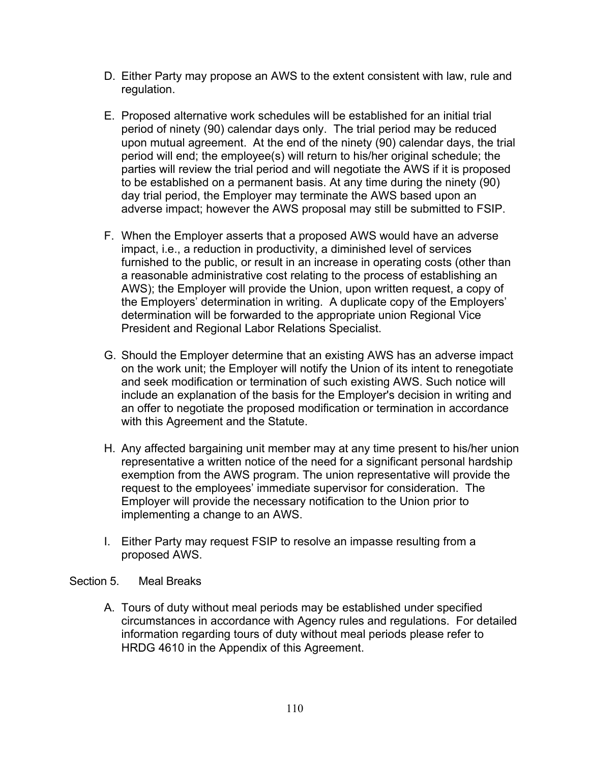- D. Either Party may propose an AWS to the extent consistent with law, rule and regulation.
- E. Proposed alternative work schedules will be established for an initial trial period of ninety (90) calendar days only. The trial period may be reduced upon mutual agreement. At the end of the ninety (90) calendar days, the trial period will end; the employee(s) will return to his/her original schedule; the parties will review the trial period and will negotiate the AWS if it is proposed to be established on a permanent basis. At any time during the ninety (90) day trial period, the Employer may terminate the AWS based upon an adverse impact; however the AWS proposal may still be submitted to FSIP.
- F. When the Employer asserts that a proposed AWS would have an adverse impact, i.e., a reduction in productivity, a diminished level of services furnished to the public, or result in an increase in operating costs (other than a reasonable administrative cost relating to the process of establishing an AWS); the Employer will provide the Union, upon written request, a copy of the Employers' determination in writing. A duplicate copy of the Employers' determination will be forwarded to the appropriate union Regional Vice President and Regional Labor Relations Specialist.
- G. Should the Employer determine that an existing AWS has an adverse impact on the work unit; the Employer will notify the Union of its intent to renegotiate and seek modification or termination of such existing AWS. Such notice will include an explanation of the basis for the Employer's decision in writing and an offer to negotiate the proposed modification or termination in accordance with this Agreement and the Statute.
- H. Any affected bargaining unit member may at any time present to his/her union representative a written notice of the need for a significant personal hardship exemption from the AWS program. The union representative will provide the request to the employees' immediate supervisor for consideration. The Employer will provide the necessary notification to the Union prior to implementing a change to an AWS.
- I. Either Party may request FSIP to resolve an impasse resulting from a proposed AWS.

## Section 5. Meal Breaks

A. Tours of duty without meal periods may be established under specified circumstances in accordance with Agency rules and regulations. For detailed information regarding tours of duty without meal periods please refer to HRDG 4610 in the Appendix of this Agreement.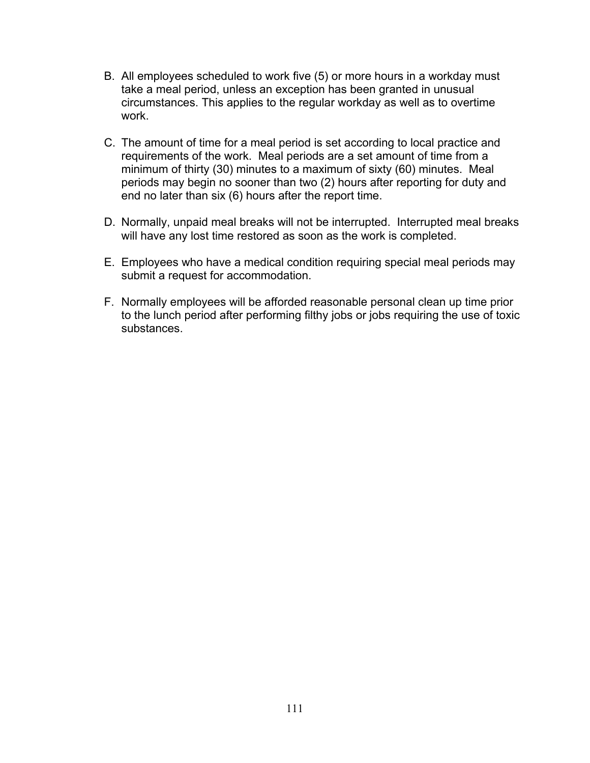- B. All employees scheduled to work five (5) or more hours in a workday must take a meal period, unless an exception has been granted in unusual circumstances. This applies to the regular workday as well as to overtime work.
- C. The amount of time for a meal period is set according to local practice and requirements of the work. Meal periods are a set amount of time from a minimum of thirty (30) minutes to a maximum of sixty (60) minutes. Meal periods may begin no sooner than two (2) hours after reporting for duty and end no later than six (6) hours after the report time.
- D. Normally, unpaid meal breaks will not be interrupted. Interrupted meal breaks will have any lost time restored as soon as the work is completed.
- E. Employees who have a medical condition requiring special meal periods may submit a request for accommodation.
- F. Normally employees will be afforded reasonable personal clean up time prior to the lunch period after performing filthy jobs or jobs requiring the use of toxic substances.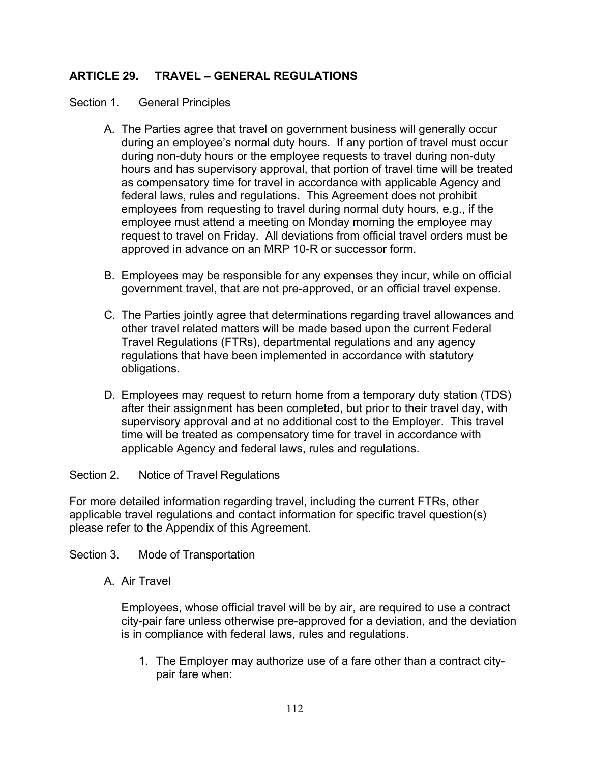# **ARTICLE 29. TRAVEL – GENERAL REGULATIONS**

#### Section 1. General Principles

- A. The Parties agree that travel on government business will generally occur during an employee's normal duty hours. If any portion of travel must occur during non-duty hours or the employee requests to travel during non-duty hours and has supervisory approval, that portion of travel time will be treated as compensatory time for travel in accordance with applicable Agency and federal laws, rules and regulations**.** This Agreement does not prohibit employees from requesting to travel during normal duty hours, e.g., if the employee must attend a meeting on Monday morning the employee may request to travel on Friday. All deviations from official travel orders must be approved in advance on an MRP 10-R or successor form.
- B. Employees may be responsible for any expenses they incur, while on official government travel, that are not pre-approved, or an official travel expense.
- C. The Parties jointly agree that determinations regarding travel allowances and other travel related matters will be made based upon the current Federal Travel Regulations (FTRs), departmental regulations and any agency regulations that have been implemented in accordance with statutory obligations.
- D. Employees may request to return home from a temporary duty station (TDS) after their assignment has been completed, but prior to their travel day, with supervisory approval and at no additional cost to the Employer. This travel time will be treated as compensatory time for travel in accordance with applicable Agency and federal laws, rules and regulations.

Section 2. Notice of Travel Regulations

For more detailed information regarding travel, including the current FTRs, other applicable travel regulations and contact information for specific travel question(s) please refer to the Appendix of this Agreement.

- Section 3. Mode of Transportation
	- A. Air Travel

Employees, whose official travel will be by air, are required to use a contract city-pair fare unless otherwise pre-approved for a deviation, and the deviation is in compliance with federal laws, rules and regulations.

1. The Employer may authorize use of a fare other than a contract citypair fare when: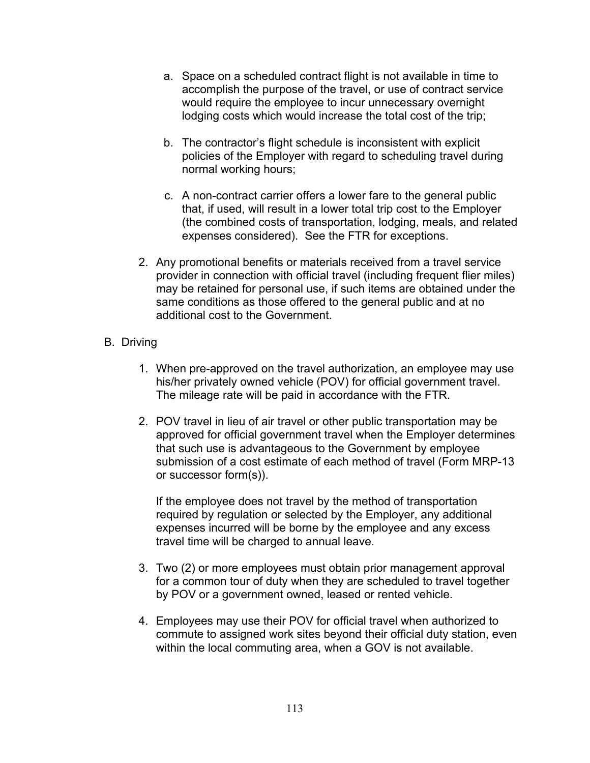- a. Space on a scheduled contract flight is not available in time to accomplish the purpose of the travel, or use of contract service would require the employee to incur unnecessary overnight lodging costs which would increase the total cost of the trip;
- b. The contractor's flight schedule is inconsistent with explicit policies of the Employer with regard to scheduling travel during normal working hours;
- c. A non-contract carrier offers a lower fare to the general public that, if used, will result in a lower total trip cost to the Employer (the combined costs of transportation, lodging, meals, and related expenses considered). See the FTR for exceptions.
- 2. Any promotional benefits or materials received from a travel service provider in connection with official travel (including frequent flier miles) may be retained for personal use, if such items are obtained under the same conditions as those offered to the general public and at no additional cost to the Government.
- B. Driving
	- 1. When pre-approved on the travel authorization, an employee may use his/her privately owned vehicle (POV) for official government travel. The mileage rate will be paid in accordance with the FTR.
	- 2. POV travel in lieu of air travel or other public transportation may be approved for official government travel when the Employer determines that such use is advantageous to the Government by employee submission of a cost estimate of each method of travel (Form MRP-13 or successor form(s)).

If the employee does not travel by the method of transportation required by regulation or selected by the Employer, any additional expenses incurred will be borne by the employee and any excess travel time will be charged to annual leave.

- 3. Two (2) or more employees must obtain prior management approval for a common tour of duty when they are scheduled to travel together by POV or a government owned, leased or rented vehicle.
- 4. Employees may use their POV for official travel when authorized to commute to assigned work sites beyond their official duty station, even within the local commuting area, when a GOV is not available.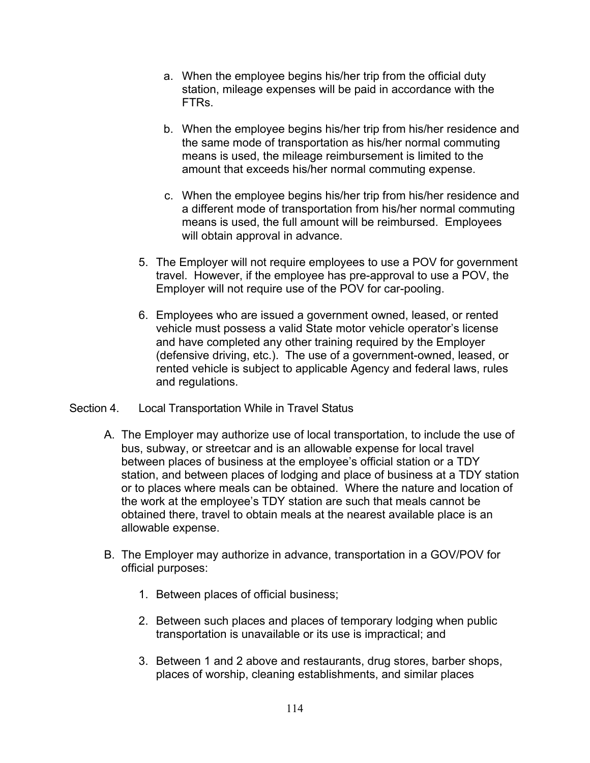- a. When the employee begins his/her trip from the official duty station, mileage expenses will be paid in accordance with the FTRs.
- b. When the employee begins his/her trip from his/her residence and the same mode of transportation as his/her normal commuting means is used, the mileage reimbursement is limited to the amount that exceeds his/her normal commuting expense.
- c. When the employee begins his/her trip from his/her residence and a different mode of transportation from his/her normal commuting means is used, the full amount will be reimbursed. Employees will obtain approval in advance.
- 5. The Employer will not require employees to use a POV for government travel. However, if the employee has pre-approval to use a POV, the Employer will not require use of the POV for car-pooling.
- 6. Employees who are issued a government owned, leased, or rented vehicle must possess a valid State motor vehicle operator's license and have completed any other training required by the Employer (defensive driving, etc.). The use of a government-owned, leased, or rented vehicle is subject to applicable Agency and federal laws, rules and regulations.

## Section 4. Local Transportation While in Travel Status

- A. The Employer may authorize use of local transportation, to include the use of bus, subway, or streetcar and is an allowable expense for local travel between places of business at the employee's official station or a TDY station, and between places of lodging and place of business at a TDY station or to places where meals can be obtained. Where the nature and location of the work at the employee's TDY station are such that meals cannot be obtained there, travel to obtain meals at the nearest available place is an allowable expense.
- B. The Employer may authorize in advance, transportation in a GOV/POV for official purposes:
	- 1. Between places of official business;
	- 2. Between such places and places of temporary lodging when public transportation is unavailable or its use is impractical; and
	- 3. Between 1 and 2 above and restaurants, drug stores, barber shops, places of worship, cleaning establishments, and similar places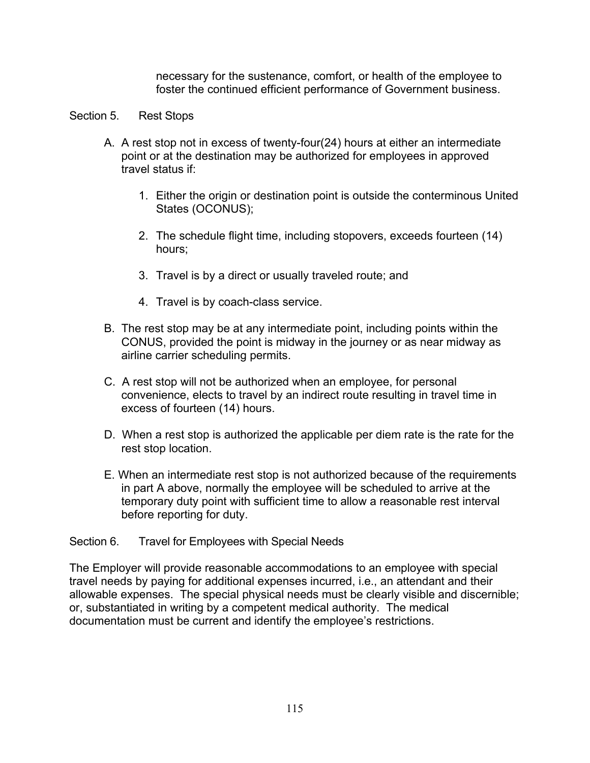necessary for the sustenance, comfort, or health of the employee to foster the continued efficient performance of Government business.

#### Section 5. Rest Stops

- A. A rest stop not in excess of twenty-four(24) hours at either an intermediate point or at the destination may be authorized for employees in approved travel status if:
	- 1. Either the origin or destination point is outside the conterminous United States (OCONUS);
	- 2. The schedule flight time, including stopovers, exceeds fourteen (14) hours;
	- 3. Travel is by a direct or usually traveled route; and
	- 4. Travel is by coach-class service.
- B. The rest stop may be at any intermediate point, including points within the CONUS, provided the point is midway in the journey or as near midway as airline carrier scheduling permits.
- C. A rest stop will not be authorized when an employee, for personal convenience, elects to travel by an indirect route resulting in travel time in excess of fourteen (14) hours.
- D. When a rest stop is authorized the applicable per diem rate is the rate for the rest stop location.
- E. When an intermediate rest stop is not authorized because of the requirements in part A above, normally the employee will be scheduled to arrive at the temporary duty point with sufficient time to allow a reasonable rest interval before reporting for duty.

## Section 6. Travel for Employees with Special Needs

The Employer will provide reasonable accommodations to an employee with special travel needs by paying for additional expenses incurred, i.e., an attendant and their allowable expenses. The special physical needs must be clearly visible and discernible; or, substantiated in writing by a competent medical authority. The medical documentation must be current and identify the employee's restrictions.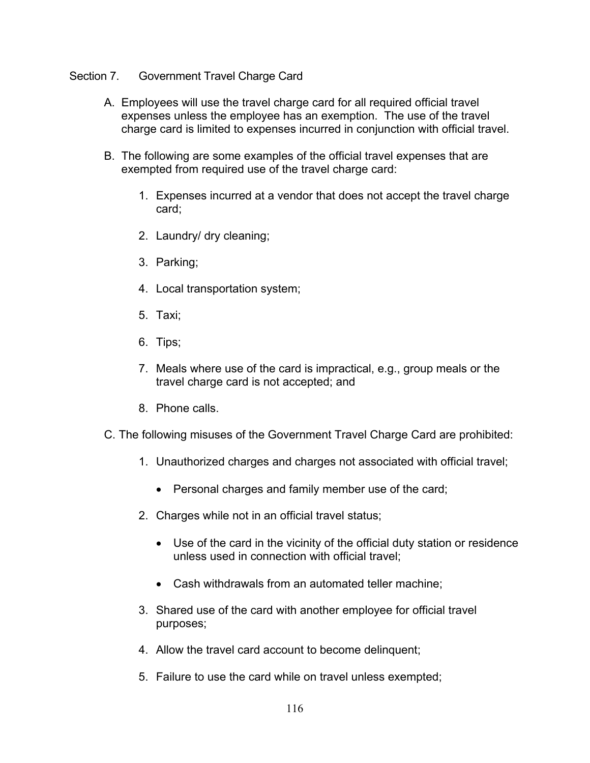#### Section 7. Government Travel Charge Card

- A. Employees will use the travel charge card for all required official travel expenses unless the employee has an exemption. The use of the travel charge card is limited to expenses incurred in conjunction with official travel.
- B. The following are some examples of the official travel expenses that are exempted from required use of the travel charge card:
	- 1. Expenses incurred at a vendor that does not accept the travel charge card;
	- 2. Laundry/ dry cleaning;
	- 3. Parking;
	- 4. Local transportation system;
	- 5. Taxi;
	- 6. Tips;
	- 7. Meals where use of the card is impractical, e.g., group meals or the travel charge card is not accepted; and
	- 8. Phone calls.
- C. The following misuses of the Government Travel Charge Card are prohibited:
	- 1. Unauthorized charges and charges not associated with official travel;
		- Personal charges and family member use of the card;
	- 2. Charges while not in an official travel status;
		- Use of the card in the vicinity of the official duty station or residence unless used in connection with official travel;
		- Cash withdrawals from an automated teller machine;
	- 3. Shared use of the card with another employee for official travel purposes;
	- 4. Allow the travel card account to become delinquent;
	- 5. Failure to use the card while on travel unless exempted;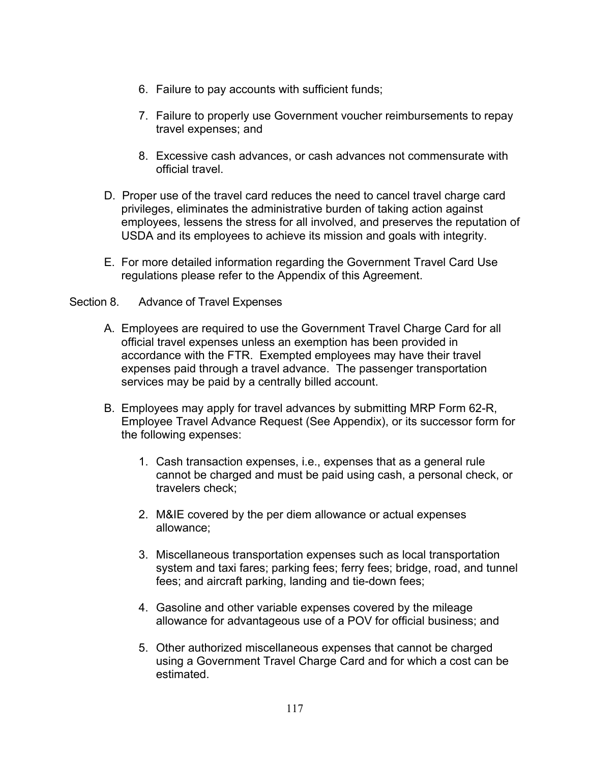- 6. Failure to pay accounts with sufficient funds;
- 7. Failure to properly use Government voucher reimbursements to repay travel expenses; and
- 8. Excessive cash advances, or cash advances not commensurate with official travel.
- D. Proper use of the travel card reduces the need to cancel travel charge card privileges, eliminates the administrative burden of taking action against employees, lessens the stress for all involved, and preserves the reputation of USDA and its employees to achieve its mission and goals with integrity.
- E. For more detailed information regarding the Government Travel Card Use regulations please refer to the Appendix of this Agreement.

## Section 8. Advance of Travel Expenses

- A. Employees are required to use the Government Travel Charge Card for all official travel expenses unless an exemption has been provided in accordance with the FTR. Exempted employees may have their travel expenses paid through a travel advance. The passenger transportation services may be paid by a centrally billed account.
- B. Employees may apply for travel advances by submitting MRP Form 62-R, Employee Travel Advance Request (See Appendix), or its successor form for the following expenses:
	- 1. Cash transaction expenses, i.e., expenses that as a general rule cannot be charged and must be paid using cash, a personal check, or travelers check;
	- 2. M&IE covered by the per diem allowance or actual expenses allowance;
	- 3. Miscellaneous transportation expenses such as local transportation system and taxi fares; parking fees; ferry fees; bridge, road, and tunnel fees; and aircraft parking, landing and tie-down fees;
	- 4. Gasoline and other variable expenses covered by the mileage allowance for advantageous use of a POV for official business; and
	- 5. Other authorized miscellaneous expenses that cannot be charged using a Government Travel Charge Card and for which a cost can be estimated.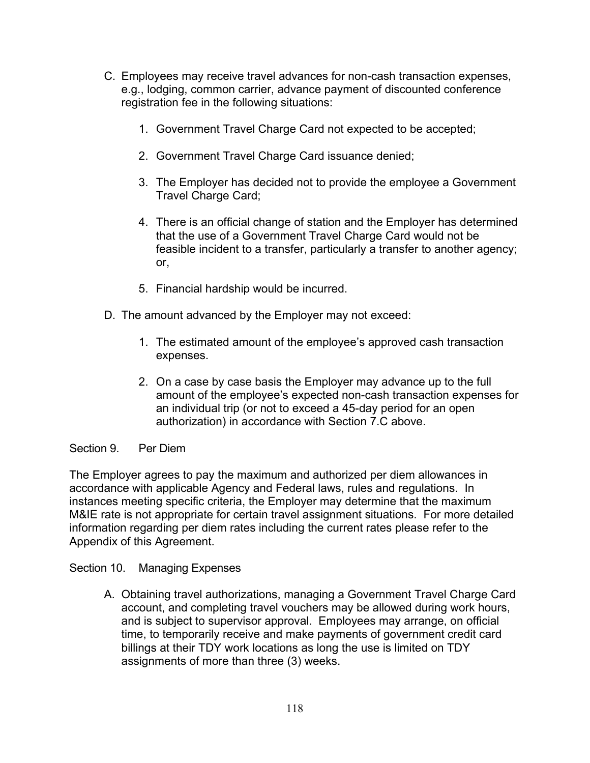- C. Employees may receive travel advances for non-cash transaction expenses, e.g., lodging, common carrier, advance payment of discounted conference registration fee in the following situations:
	- 1. Government Travel Charge Card not expected to be accepted;
	- 2. Government Travel Charge Card issuance denied;
	- 3. The Employer has decided not to provide the employee a Government Travel Charge Card;
	- 4. There is an official change of station and the Employer has determined that the use of a Government Travel Charge Card would not be feasible incident to a transfer, particularly a transfer to another agency; or,
	- 5. Financial hardship would be incurred.
- D. The amount advanced by the Employer may not exceed:
	- 1. The estimated amount of the employee's approved cash transaction expenses.
	- 2. On a case by case basis the Employer may advance up to the full amount of the employee's expected non-cash transaction expenses for an individual trip (or not to exceed a 45-day period for an open authorization) in accordance with Section 7.C above.

Section 9. Per Diem

The Employer agrees to pay the maximum and authorized per diem allowances in accordance with applicable Agency and Federal laws, rules and regulations. In instances meeting specific criteria, the Employer may determine that the maximum M&IE rate is not appropriate for certain travel assignment situations. For more detailed information regarding per diem rates including the current rates please refer to the Appendix of this Agreement.

Section 10. Managing Expenses

A. Obtaining travel authorizations, managing a Government Travel Charge Card account, and completing travel vouchers may be allowed during work hours, and is subject to supervisor approval. Employees may arrange, on official time, to temporarily receive and make payments of government credit card billings at their TDY work locations as long the use is limited on TDY assignments of more than three (3) weeks.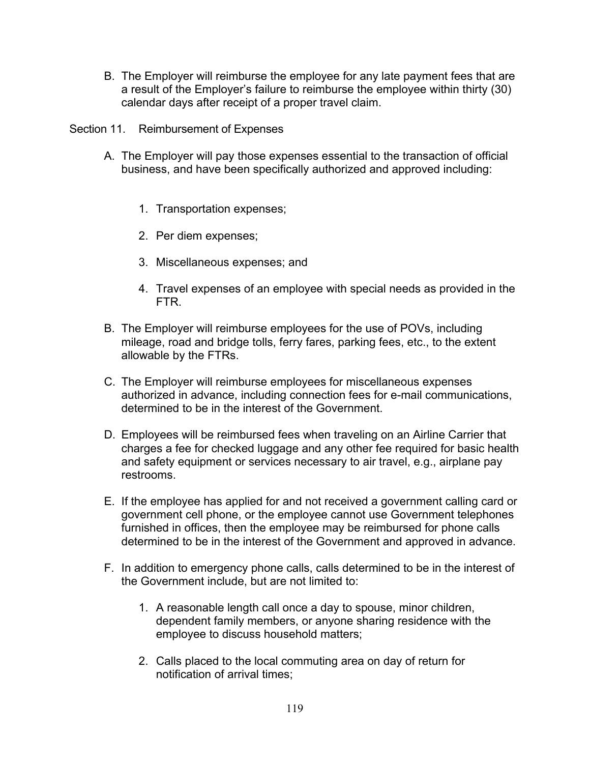B. The Employer will reimburse the employee for any late payment fees that are a result of the Employer's failure to reimburse the employee within thirty (30) calendar days after receipt of a proper travel claim.

Section 11. Reimbursement of Expenses

- A. The Employer will pay those expenses essential to the transaction of official business, and have been specifically authorized and approved including:
	- 1. Transportation expenses;
	- 2. Per diem expenses;
	- 3. Miscellaneous expenses; and
	- 4. Travel expenses of an employee with special needs as provided in the FTR.
- B. The Employer will reimburse employees for the use of POVs, including mileage, road and bridge tolls, ferry fares, parking fees, etc., to the extent allowable by the FTRs.
- C. The Employer will reimburse employees for miscellaneous expenses authorized in advance, including connection fees for e-mail communications, determined to be in the interest of the Government.
- D. Employees will be reimbursed fees when traveling on an Airline Carrier that charges a fee for checked luggage and any other fee required for basic health and safety equipment or services necessary to air travel, e.g., airplane pay restrooms.
- E. If the employee has applied for and not received a government calling card or government cell phone, or the employee cannot use Government telephones furnished in offices, then the employee may be reimbursed for phone calls determined to be in the interest of the Government and approved in advance.
- F. In addition to emergency phone calls, calls determined to be in the interest of the Government include, but are not limited to:
	- 1. A reasonable length call once a day to spouse, minor children, dependent family members, or anyone sharing residence with the employee to discuss household matters;
	- 2. Calls placed to the local commuting area on day of return for notification of arrival times;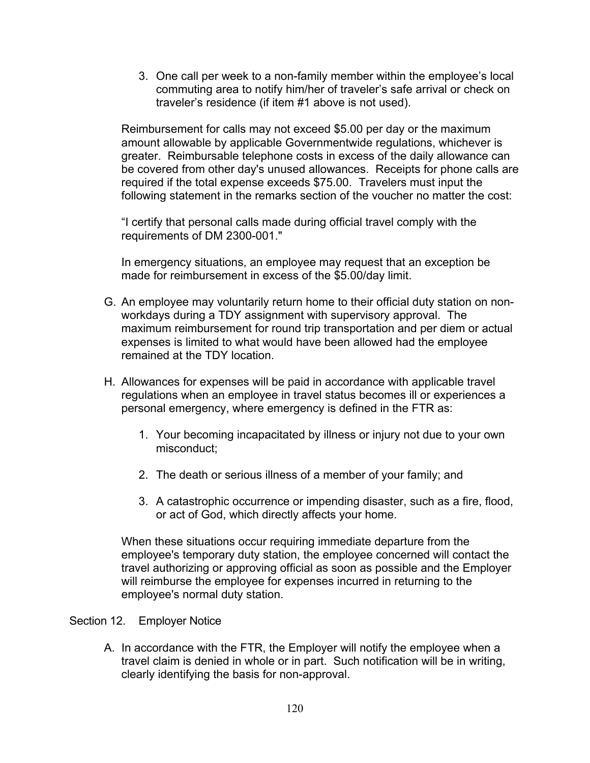3. One call per week to a non-family member within the employee's local commuting area to notify him/her of traveler's safe arrival or check on traveler's residence (if item #1 above is not used).

Reimbursement for calls may not exceed \$5.00 per day or the maximum amount allowable by applicable Governmentwide regulations, whichever is greater. Reimbursable telephone costs in excess of the daily allowance can be covered from other day's unused allowances. Receipts for phone calls are required if the total expense exceeds \$75.00. Travelers must input the following statement in the remarks section of the voucher no matter the cost:

"I certify that personal calls made during official travel comply with the requirements of DM 2300-001."

In emergency situations, an employee may request that an exception be made for reimbursement in excess of the \$5.00/day limit.

- G. An employee may voluntarily return home to their official duty station on nonworkdays during a TDY assignment with supervisory approval. The maximum reimbursement for round trip transportation and per diem or actual expenses is limited to what would have been allowed had the employee remained at the TDY location.
- H. Allowances for expenses will be paid in accordance with applicable travel regulations when an employee in travel status becomes ill or experiences a personal emergency, where emergency is defined in the FTR as:
	- 1. Your becoming incapacitated by illness or injury not due to your own misconduct;
	- 2. The death or serious illness of a member of your family; and
	- 3. A catastrophic occurrence or impending disaster, such as a fire, flood, or act of God, which directly affects your home.

When these situations occur requiring immediate departure from the employee's temporary duty station, the employee concerned will contact the travel authorizing or approving official as soon as possible and the Employer will reimburse the employee for expenses incurred in returning to the employee's normal duty station.

## Section 12. Employer Notice

A. In accordance with the FTR, the Employer will notify the employee when a travel claim is denied in whole or in part. Such notification will be in writing, clearly identifying the basis for non-approval.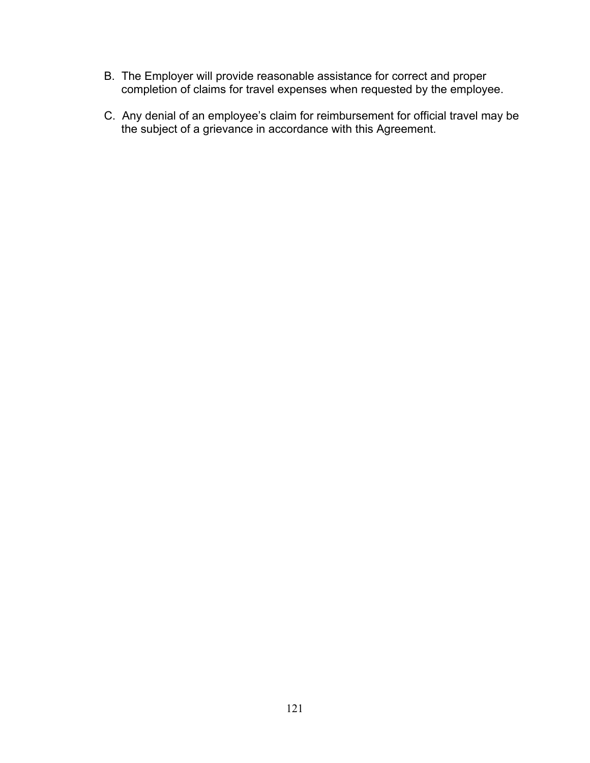- B. The Employer will provide reasonable assistance for correct and proper completion of claims for travel expenses when requested by the employee.
- C. Any denial of an employee's claim for reimbursement for official travel may be the subject of a grievance in accordance with this Agreement.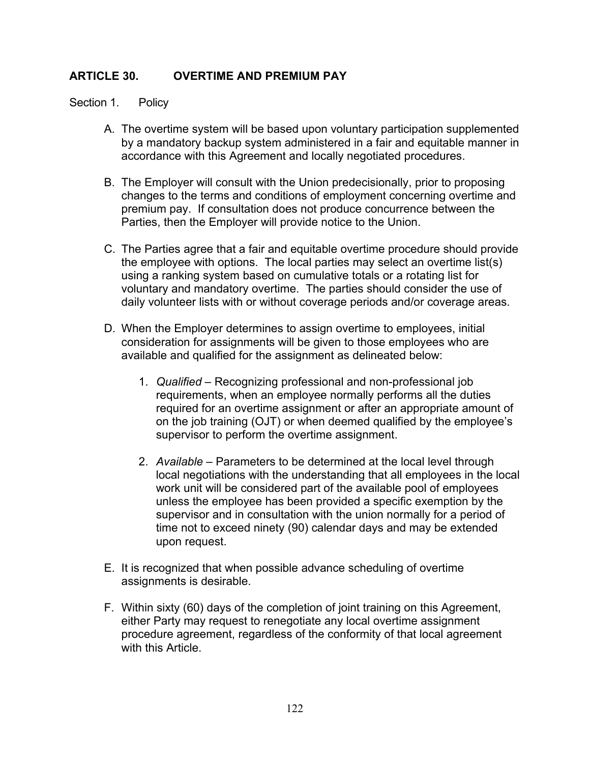# **ARTICLE 30. OVERTIME AND PREMIUM PAY**

#### Section 1. Policy

- A. The overtime system will be based upon voluntary participation supplemented by a mandatory backup system administered in a fair and equitable manner in accordance with this Agreement and locally negotiated procedures.
- B. The Employer will consult with the Union predecisionally, prior to proposing changes to the terms and conditions of employment concerning overtime and premium pay. If consultation does not produce concurrence between the Parties, then the Employer will provide notice to the Union.
- C. The Parties agree that a fair and equitable overtime procedure should provide the employee with options. The local parties may select an overtime list(s) using a ranking system based on cumulative totals or a rotating list for voluntary and mandatory overtime. The parties should consider the use of daily volunteer lists with or without coverage periods and/or coverage areas.
- D. When the Employer determines to assign overtime to employees, initial consideration for assignments will be given to those employees who are available and qualified for the assignment as delineated below:
	- 1. *Qualified* Recognizing professional and non-professional job requirements, when an employee normally performs all the duties required for an overtime assignment or after an appropriate amount of on the job training (OJT) or when deemed qualified by the employee's supervisor to perform the overtime assignment.
	- 2. *Available* Parameters to be determined at the local level through local negotiations with the understanding that all employees in the local work unit will be considered part of the available pool of employees unless the employee has been provided a specific exemption by the supervisor and in consultation with the union normally for a period of time not to exceed ninety (90) calendar days and may be extended upon request.
- E. It is recognized that when possible advance scheduling of overtime assignments is desirable.
- F. Within sixty (60) days of the completion of joint training on this Agreement, either Party may request to renegotiate any local overtime assignment procedure agreement, regardless of the conformity of that local agreement with this Article.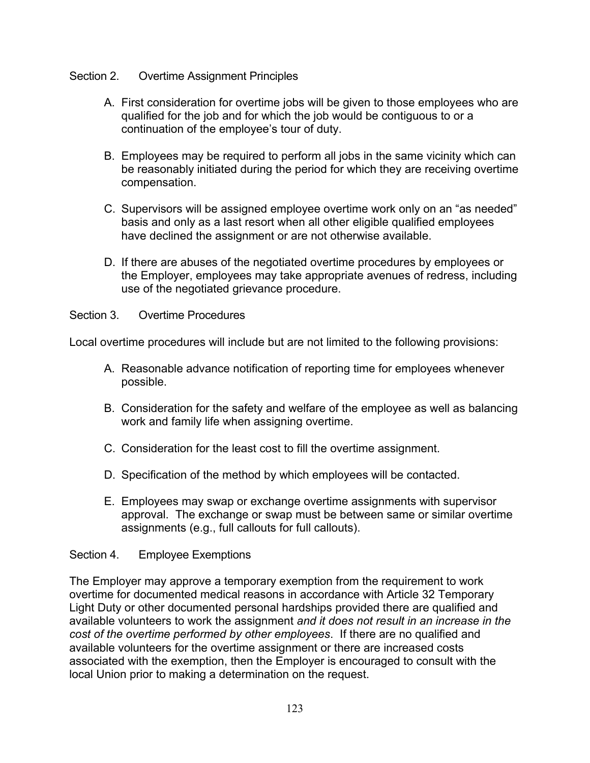- Section 2. Overtime Assignment Principles
	- A. First consideration for overtime jobs will be given to those employees who are qualified for the job and for which the job would be contiguous to or a continuation of the employee's tour of duty.
	- B. Employees may be required to perform all jobs in the same vicinity which can be reasonably initiated during the period for which they are receiving overtime compensation.
	- C. Supervisors will be assigned employee overtime work only on an "as needed" basis and only as a last resort when all other eligible qualified employees have declined the assignment or are not otherwise available.
	- D. If there are abuses of the negotiated overtime procedures by employees or the Employer, employees may take appropriate avenues of redress, including use of the negotiated grievance procedure.

## Section 3. Overtime Procedures

Local overtime procedures will include but are not limited to the following provisions:

- A. Reasonable advance notification of reporting time for employees whenever possible.
- B. Consideration for the safety and welfare of the employee as well as balancing work and family life when assigning overtime.
- C. Consideration for the least cost to fill the overtime assignment.
- D. Specification of the method by which employees will be contacted.
- E. Employees may swap or exchange overtime assignments with supervisor approval. The exchange or swap must be between same or similar overtime assignments (e.g., full callouts for full callouts).

## Section 4. Employee Exemptions

The Employer may approve a temporary exemption from the requirement to work overtime for documented medical reasons in accordance with Article 32 Temporary Light Duty or other documented personal hardships provided there are qualified and available volunteers to work the assignment *and it does not result in an increase in the cost of the overtime performed by other employees*. If there are no qualified and available volunteers for the overtime assignment or there are increased costs associated with the exemption, then the Employer is encouraged to consult with the local Union prior to making a determination on the request.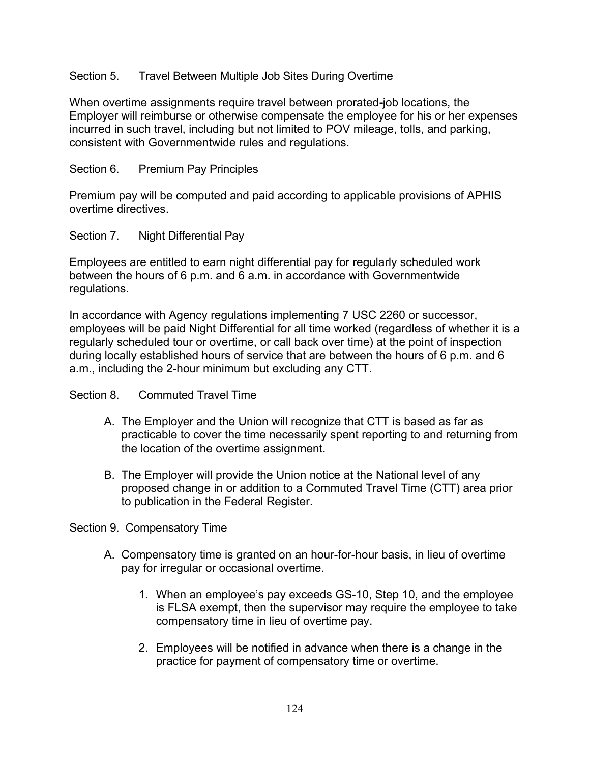## Section 5. Travel Between Multiple Job Sites During Overtime

When overtime assignments require travel between prorated**-**job locations, the Employer will reimburse or otherwise compensate the employee for his or her expenses incurred in such travel, including but not limited to POV mileage, tolls, and parking, consistent with Governmentwide rules and regulations.

## Section 6. Premium Pay Principles

Premium pay will be computed and paid according to applicable provisions of APHIS overtime directives.

# Section 7. Night Differential Pay

Employees are entitled to earn night differential pay for regularly scheduled work between the hours of 6 p.m. and 6 a.m. in accordance with Governmentwide regulations.

In accordance with Agency regulations implementing 7 USC 2260 or successor, employees will be paid Night Differential for all time worked (regardless of whether it is a regularly scheduled tour or overtime, or call back over time) at the point of inspection during locally established hours of service that are between the hours of 6 p.m. and 6 a.m., including the 2-hour minimum but excluding any CTT.

## Section 8. Commuted Travel Time

- A. The Employer and the Union will recognize that CTT is based as far as practicable to cover the time necessarily spent reporting to and returning from the location of the overtime assignment.
- B. The Employer will provide the Union notice at the National level of any proposed change in or addition to a Commuted Travel Time (CTT) area prior to publication in the Federal Register.

Section 9. Compensatory Time

- A. Compensatory time is granted on an hour-for-hour basis, in lieu of overtime pay for irregular or occasional overtime.
	- 1. When an employee's pay exceeds GS-10, Step 10, and the employee is FLSA exempt, then the supervisor may require the employee to take compensatory time in lieu of overtime pay.
	- 2. Employees will be notified in advance when there is a change in the practice for payment of compensatory time or overtime.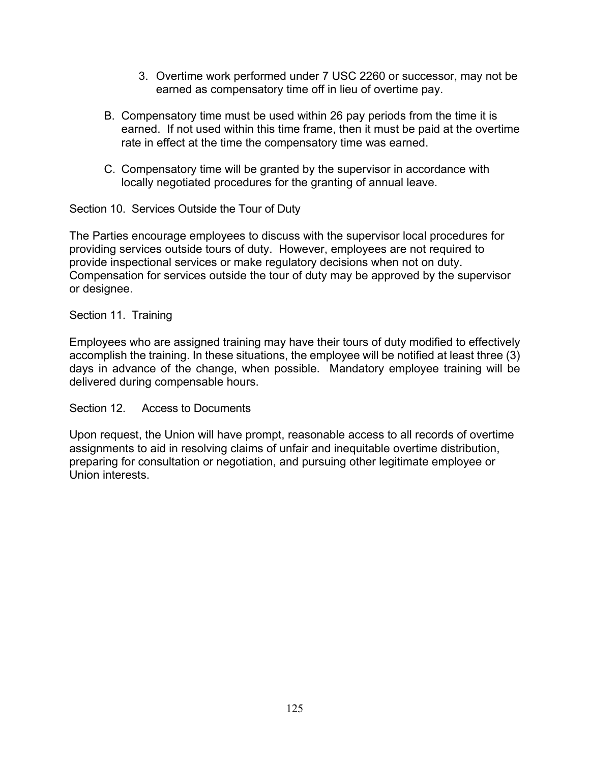- 3. Overtime work performed under 7 USC 2260 or successor, may not be earned as compensatory time off in lieu of overtime pay.
- B. Compensatory time must be used within 26 pay periods from the time it is earned. If not used within this time frame, then it must be paid at the overtime rate in effect at the time the compensatory time was earned.
- C. Compensatory time will be granted by the supervisor in accordance with locally negotiated procedures for the granting of annual leave.

Section 10. Services Outside the Tour of Duty

The Parties encourage employees to discuss with the supervisor local procedures for providing services outside tours of duty. However, employees are not required to provide inspectional services or make regulatory decisions when not on duty. Compensation for services outside the tour of duty may be approved by the supervisor or designee.

Section 11. Training

Employees who are assigned training may have their tours of duty modified to effectively accomplish the training. In these situations, the employee will be notified at least three (3) days in advance of the change, when possible. Mandatory employee training will be delivered during compensable hours.

Section 12. Access to Documents

Upon request, the Union will have prompt, reasonable access to all records of overtime assignments to aid in resolving claims of unfair and inequitable overtime distribution, preparing for consultation or negotiation, and pursuing other legitimate employee or Union interests.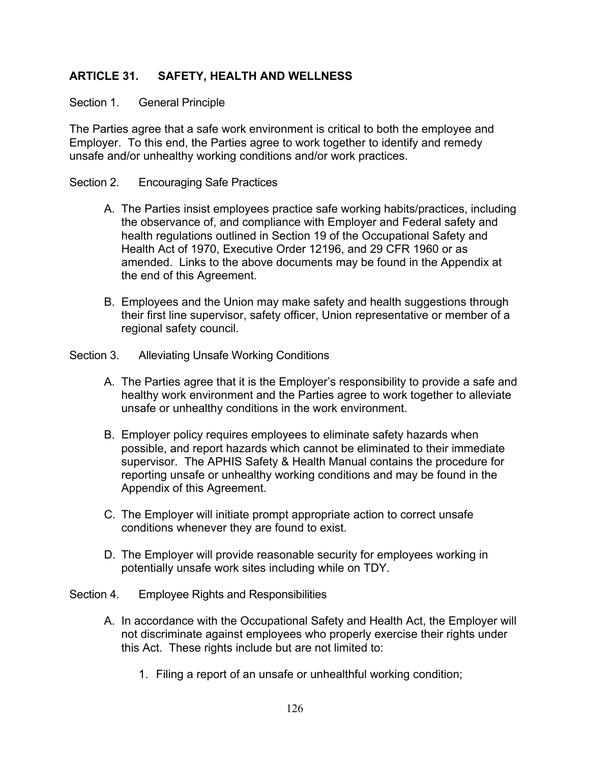# **ARTICLE 31. SAFETY, HEALTH AND WELLNESS**

#### Section 1. General Principle

The Parties agree that a safe work environment is critical to both the employee and Employer. To this end, the Parties agree to work together to identify and remedy unsafe and/or unhealthy working conditions and/or work practices.

#### Section 2. Encouraging Safe Practices

- A. The Parties insist employees practice safe working habits/practices, including the observance of, and compliance with Employer and Federal safety and health regulations outlined in Section 19 of the Occupational Safety and Health Act of 1970, Executive Order 12196, and 29 CFR 1960 or as amended. Links to the above documents may be found in the Appendix at the end of this Agreement.
- B. Employees and the Union may make safety and health suggestions through their first line supervisor, safety officer, Union representative or member of a regional safety council.

Section 3. Alleviating Unsafe Working Conditions

- A. The Parties agree that it is the Employer's responsibility to provide a safe and healthy work environment and the Parties agree to work together to alleviate unsafe or unhealthy conditions in the work environment.
- B. Employer policy requires employees to eliminate safety hazards when possible, and report hazards which cannot be eliminated to their immediate supervisor. The APHIS Safety & Health Manual contains the procedure for reporting unsafe or unhealthy working conditions and may be found in the Appendix of this Agreement.
- C. The Employer will initiate prompt appropriate action to correct unsafe conditions whenever they are found to exist.
- D. The Employer will provide reasonable security for employees working in potentially unsafe work sites including while on TDY.
- Section 4. Employee Rights and Responsibilities
	- A. In accordance with the Occupational Safety and Health Act, the Employer will not discriminate against employees who properly exercise their rights under this Act. These rights include but are not limited to:
		- 1. Filing a report of an unsafe or unhealthful working condition;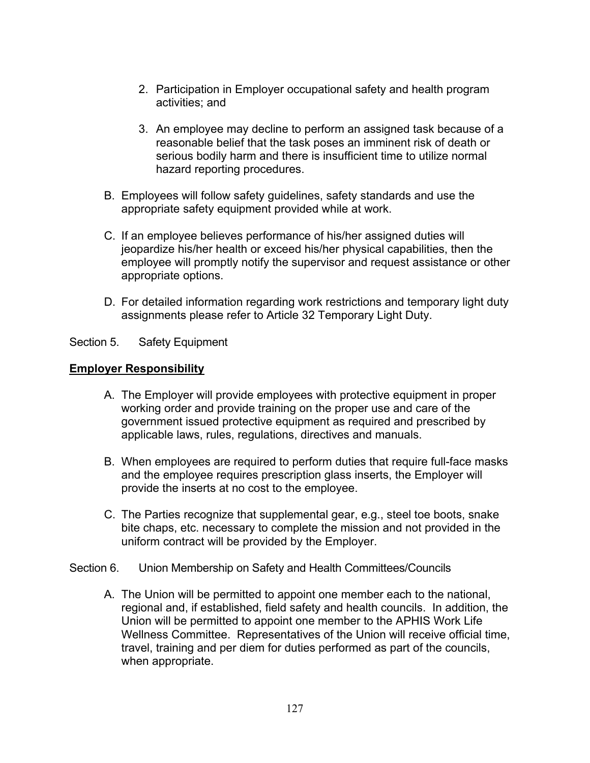- 2. Participation in Employer occupational safety and health program activities; and
- 3. An employee may decline to perform an assigned task because of a reasonable belief that the task poses an imminent risk of death or serious bodily harm and there is insufficient time to utilize normal hazard reporting procedures.
- B. Employees will follow safety guidelines, safety standards and use the appropriate safety equipment provided while at work.
- C. If an employee believes performance of his/her assigned duties will jeopardize his/her health or exceed his/her physical capabilities, then the employee will promptly notify the supervisor and request assistance or other appropriate options.
- D. For detailed information regarding work restrictions and temporary light duty assignments please refer to Article 32 Temporary Light Duty.

# Section 5. Safety Equipment

# **Employer Responsibility**

- A. The Employer will provide employees with protective equipment in proper working order and provide training on the proper use and care of the government issued protective equipment as required and prescribed by applicable laws, rules, regulations, directives and manuals.
- B. When employees are required to perform duties that require full-face masks and the employee requires prescription glass inserts, the Employer will provide the inserts at no cost to the employee.
- C. The Parties recognize that supplemental gear, e.g., steel toe boots, snake bite chaps, etc. necessary to complete the mission and not provided in the uniform contract will be provided by the Employer.

## Section 6. Union Membership on Safety and Health Committees/Councils

A. The Union will be permitted to appoint one member each to the national, regional and, if established, field safety and health councils. In addition, the Union will be permitted to appoint one member to the APHIS Work Life Wellness Committee. Representatives of the Union will receive official time, travel, training and per diem for duties performed as part of the councils, when appropriate.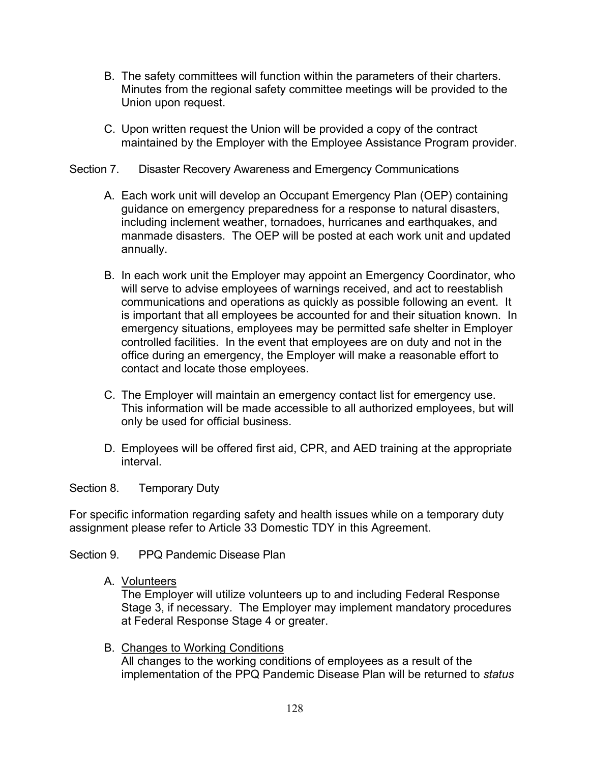- B. The safety committees will function within the parameters of their charters. Minutes from the regional safety committee meetings will be provided to the Union upon request.
- C. Upon written request the Union will be provided a copy of the contract maintained by the Employer with the Employee Assistance Program provider.
- Section 7. Disaster Recovery Awareness and Emergency Communications
	- A. Each work unit will develop an Occupant Emergency Plan (OEP) containing guidance on emergency preparedness for a response to natural disasters, including inclement weather, tornadoes, hurricanes and earthquakes, and manmade disasters. The OEP will be posted at each work unit and updated annually.
	- B. In each work unit the Employer may appoint an Emergency Coordinator, who will serve to advise employees of warnings received, and act to reestablish communications and operations as quickly as possible following an event. It is important that all employees be accounted for and their situation known. In emergency situations, employees may be permitted safe shelter in Employer controlled facilities. In the event that employees are on duty and not in the office during an emergency, the Employer will make a reasonable effort to contact and locate those employees.
	- C. The Employer will maintain an emergency contact list for emergency use. This information will be made accessible to all authorized employees, but will only be used for official business.
	- D. Employees will be offered first aid, CPR, and AED training at the appropriate interval.
- Section 8. Temporary Duty

For specific information regarding safety and health issues while on a temporary duty assignment please refer to Article 33 Domestic TDY in this Agreement.

Section 9. PPQ Pandemic Disease Plan

A. Volunteers

The Employer will utilize volunteers up to and including Federal Response Stage 3, if necessary. The Employer may implement mandatory procedures at Federal Response Stage 4 or greater.

B. Changes to Working Conditions All changes to the working conditions of employees as a result of the implementation of the PPQ Pandemic Disease Plan will be returned to *status*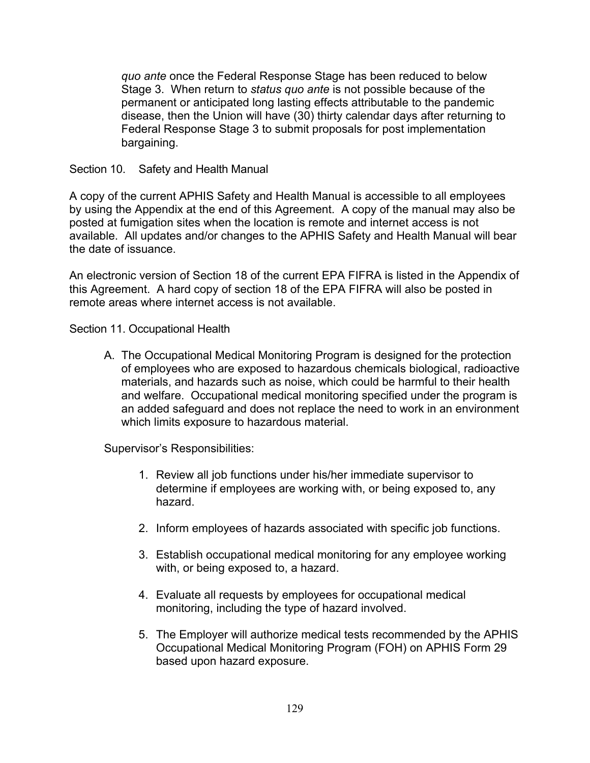*quo ante* once the Federal Response Stage has been reduced to below Stage 3. When return to *status quo ante* is not possible because of the permanent or anticipated long lasting effects attributable to the pandemic disease, then the Union will have (30) thirty calendar days after returning to Federal Response Stage 3 to submit proposals for post implementation bargaining.

Section 10. Safety and Health Manual

A copy of the current APHIS Safety and Health Manual is accessible to all employees by using the Appendix at the end of this Agreement. A copy of the manual may also be posted at fumigation sites when the location is remote and internet access is not available. All updates and/or changes to the APHIS Safety and Health Manual will bear the date of issuance.

An electronic version of Section 18 of the current EPA FIFRA is listed in the Appendix of this Agreement. A hard copy of section 18 of the EPA FIFRA will also be posted in remote areas where internet access is not available.

Section 11. Occupational Health

A. The Occupational Medical Monitoring Program is designed for the protection of employees who are exposed to hazardous chemicals biological, radioactive materials, and hazards such as noise, which could be harmful to their health and welfare. Occupational medical monitoring specified under the program is an added safeguard and does not replace the need to work in an environment which limits exposure to hazardous material.

Supervisor's Responsibilities:

- 1. Review all job functions under his/her immediate supervisor to determine if employees are working with, or being exposed to, any hazard.
- 2. Inform employees of hazards associated with specific job functions.
- 3. Establish occupational medical monitoring for any employee working with, or being exposed to, a hazard.
- 4. Evaluate all requests by employees for occupational medical monitoring, including the type of hazard involved.
- 5. The Employer will authorize medical tests recommended by the APHIS Occupational Medical Monitoring Program (FOH) on APHIS Form 29 based upon hazard exposure.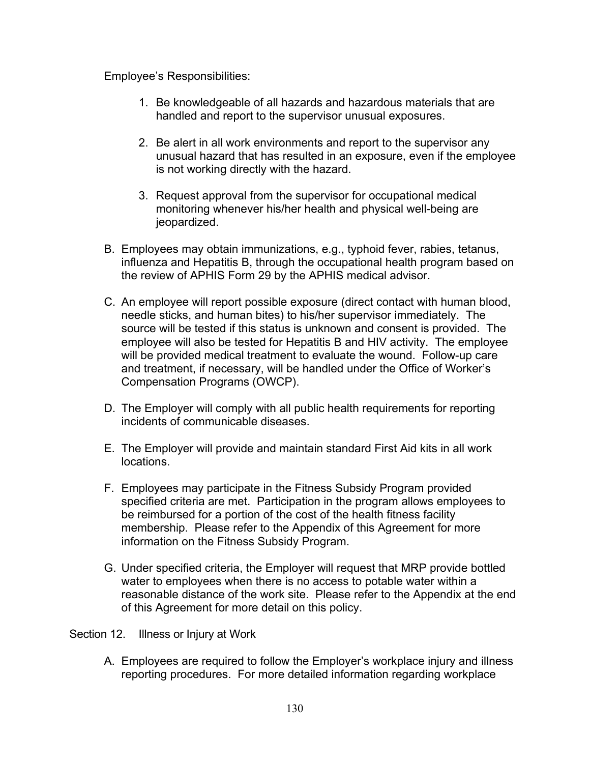Employee's Responsibilities:

- 1. Be knowledgeable of all hazards and hazardous materials that are handled and report to the supervisor unusual exposures.
- 2. Be alert in all work environments and report to the supervisor any unusual hazard that has resulted in an exposure, even if the employee is not working directly with the hazard.
- 3. Request approval from the supervisor for occupational medical monitoring whenever his/her health and physical well-being are jeopardized.
- B. Employees may obtain immunizations, e.g., typhoid fever, rabies, tetanus, influenza and Hepatitis B, through the occupational health program based on the review of APHIS Form 29 by the APHIS medical advisor.
- C. An employee will report possible exposure (direct contact with human blood, needle sticks, and human bites) to his/her supervisor immediately. The source will be tested if this status is unknown and consent is provided. The employee will also be tested for Hepatitis B and HIV activity. The employee will be provided medical treatment to evaluate the wound. Follow-up care and treatment, if necessary, will be handled under the Office of Worker's Compensation Programs (OWCP).
- D. The Employer will comply with all public health requirements for reporting incidents of communicable diseases.
- E. The Employer will provide and maintain standard First Aid kits in all work locations.
- F. Employees may participate in the Fitness Subsidy Program provided specified criteria are met. Participation in the program allows employees to be reimbursed for a portion of the cost of the health fitness facility membership. Please refer to the Appendix of this Agreement for more information on the Fitness Subsidy Program.
- G. Under specified criteria, the Employer will request that MRP provide bottled water to employees when there is no access to potable water within a reasonable distance of the work site. Please refer to the Appendix at the end of this Agreement for more detail on this policy.

Section 12. Illness or Injury at Work

A. Employees are required to follow the Employer's workplace injury and illness reporting procedures. For more detailed information regarding workplace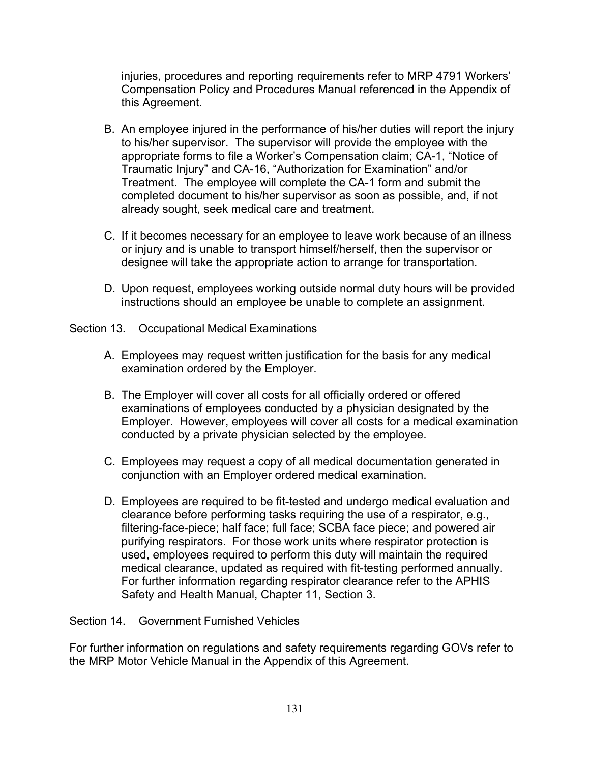injuries, procedures and reporting requirements refer to MRP 4791 Workers' Compensation Policy and Procedures Manual referenced in the Appendix of this Agreement.

- B. An employee injured in the performance of his/her duties will report the injury to his/her supervisor. The supervisor will provide the employee with the appropriate forms to file a Worker's Compensation claim; CA-1, "Notice of Traumatic Injury" and CA-16, "Authorization for Examination" and/or Treatment. The employee will complete the CA-1 form and submit the completed document to his/her supervisor as soon as possible, and, if not already sought, seek medical care and treatment.
- C. If it becomes necessary for an employee to leave work because of an illness or injury and is unable to transport himself/herself, then the supervisor or designee will take the appropriate action to arrange for transportation.
- D. Upon request, employees working outside normal duty hours will be provided instructions should an employee be unable to complete an assignment.

Section 13. Occupational Medical Examinations

- A. Employees may request written justification for the basis for any medical examination ordered by the Employer.
- B. The Employer will cover all costs for all officially ordered or offered examinations of employees conducted by a physician designated by the Employer. However, employees will cover all costs for a medical examination conducted by a private physician selected by the employee.
- C. Employees may request a copy of all medical documentation generated in conjunction with an Employer ordered medical examination.
- D. Employees are required to be fit-tested and undergo medical evaluation and clearance before performing tasks requiring the use of a respirator, e.g., filtering-face-piece; half face; full face; SCBA face piece; and powered air purifying respirators. For those work units where respirator protection is used, employees required to perform this duty will maintain the required medical clearance, updated as required with fit-testing performed annually. For further information regarding respirator clearance refer to the APHIS Safety and Health Manual, Chapter 11, Section 3.

Section 14. Government Furnished Vehicles

For further information on regulations and safety requirements regarding GOVs refer to the MRP Motor Vehicle Manual in the Appendix of this Agreement.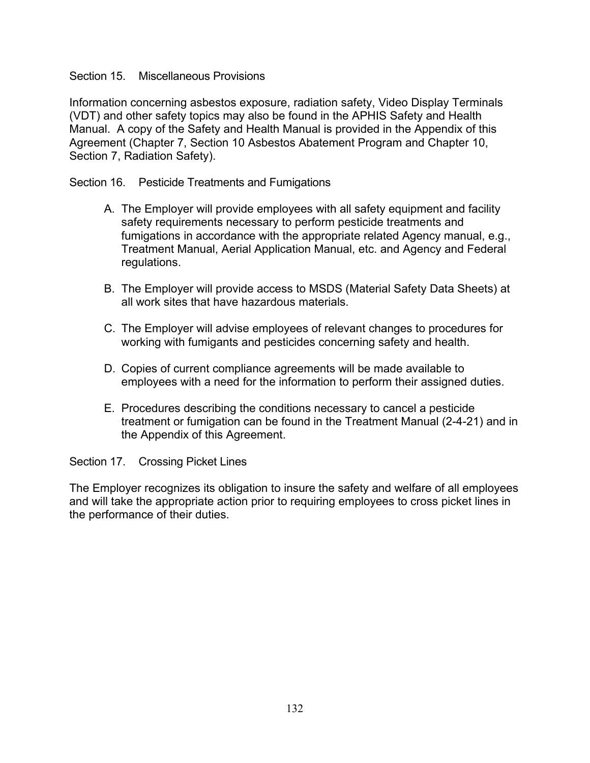### Section 15. Miscellaneous Provisions

Information concerning asbestos exposure, radiation safety, Video Display Terminals (VDT) and other safety topics may also be found in the APHIS Safety and Health Manual. A copy of the Safety and Health Manual is provided in the Appendix of this Agreement (Chapter 7, Section 10 Asbestos Abatement Program and Chapter 10, Section 7, Radiation Safety).

Section 16. Pesticide Treatments and Fumigations

- A. The Employer will provide employees with all safety equipment and facility safety requirements necessary to perform pesticide treatments and fumigations in accordance with the appropriate related Agency manual, e.g., Treatment Manual, Aerial Application Manual, etc. and Agency and Federal regulations.
- B. The Employer will provide access to MSDS (Material Safety Data Sheets) at all work sites that have hazardous materials.
- C. The Employer will advise employees of relevant changes to procedures for working with fumigants and pesticides concerning safety and health.
- D. Copies of current compliance agreements will be made available to employees with a need for the information to perform their assigned duties.
- E. Procedures describing the conditions necessary to cancel a pesticide treatment or fumigation can be found in the Treatment Manual (2-4-21) and in the Appendix of this Agreement.

Section 17. Crossing Picket Lines

The Employer recognizes its obligation to insure the safety and welfare of all employees and will take the appropriate action prior to requiring employees to cross picket lines in the performance of their duties.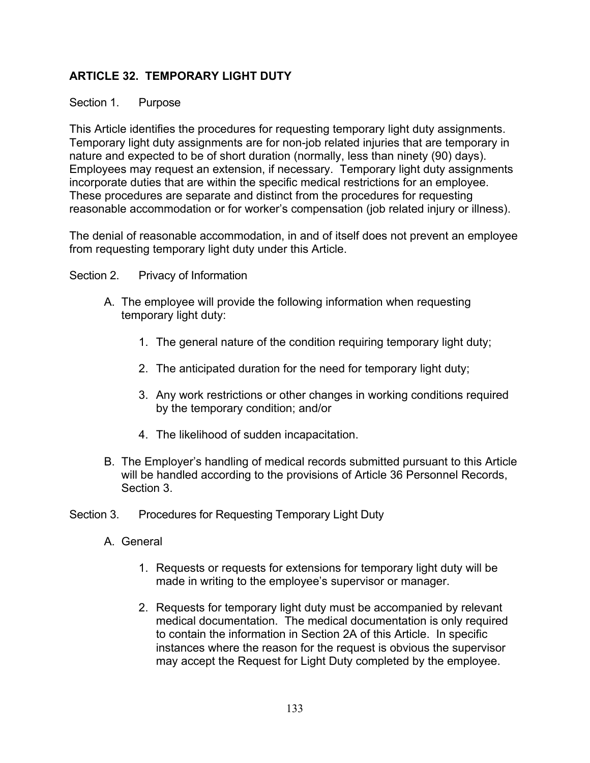# **ARTICLE 32. TEMPORARY LIGHT DUTY**

# Section 1. Purpose

This Article identifies the procedures for requesting temporary light duty assignments. Temporary light duty assignments are for non-job related injuries that are temporary in nature and expected to be of short duration (normally, less than ninety (90) days). Employees may request an extension, if necessary. Temporary light duty assignments incorporate duties that are within the specific medical restrictions for an employee. These procedures are separate and distinct from the procedures for requesting reasonable accommodation or for worker's compensation (job related injury or illness).

The denial of reasonable accommodation, in and of itself does not prevent an employee from requesting temporary light duty under this Article.

# Section 2. Privacy of Information

- A. The employee will provide the following information when requesting temporary light duty:
	- 1. The general nature of the condition requiring temporary light duty;
	- 2. The anticipated duration for the need for temporary light duty;
	- 3. Any work restrictions or other changes in working conditions required by the temporary condition; and/or
	- 4. The likelihood of sudden incapacitation.
- B. The Employer's handling of medical records submitted pursuant to this Article will be handled according to the provisions of Article 36 Personnel Records, Section 3.
- Section 3. Procedures for Requesting Temporary Light Duty
	- A. General
		- 1. Requests or requests for extensions for temporary light duty will be made in writing to the employee's supervisor or manager.
		- 2. Requests for temporary light duty must be accompanied by relevant medical documentation. The medical documentation is only required to contain the information in Section 2A of this Article. In specific instances where the reason for the request is obvious the supervisor may accept the Request for Light Duty completed by the employee.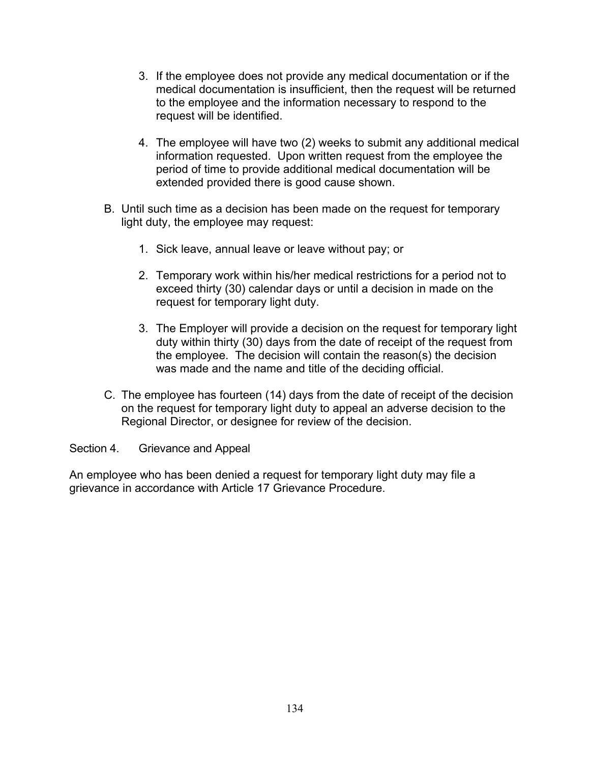- 3. If the employee does not provide any medical documentation or if the medical documentation is insufficient, then the request will be returned to the employee and the information necessary to respond to the request will be identified.
- 4. The employee will have two (2) weeks to submit any additional medical information requested. Upon written request from the employee the period of time to provide additional medical documentation will be extended provided there is good cause shown.
- B. Until such time as a decision has been made on the request for temporary light duty, the employee may request:
	- 1. Sick leave, annual leave or leave without pay; or
	- 2. Temporary work within his/her medical restrictions for a period not to exceed thirty (30) calendar days or until a decision in made on the request for temporary light duty.
	- 3. The Employer will provide a decision on the request for temporary light duty within thirty (30) days from the date of receipt of the request from the employee. The decision will contain the reason(s) the decision was made and the name and title of the deciding official.
- C. The employee has fourteen (14) days from the date of receipt of the decision on the request for temporary light duty to appeal an adverse decision to the Regional Director, or designee for review of the decision.

Section 4. Grievance and Appeal

An employee who has been denied a request for temporary light duty may file a grievance in accordance with Article 17 Grievance Procedure.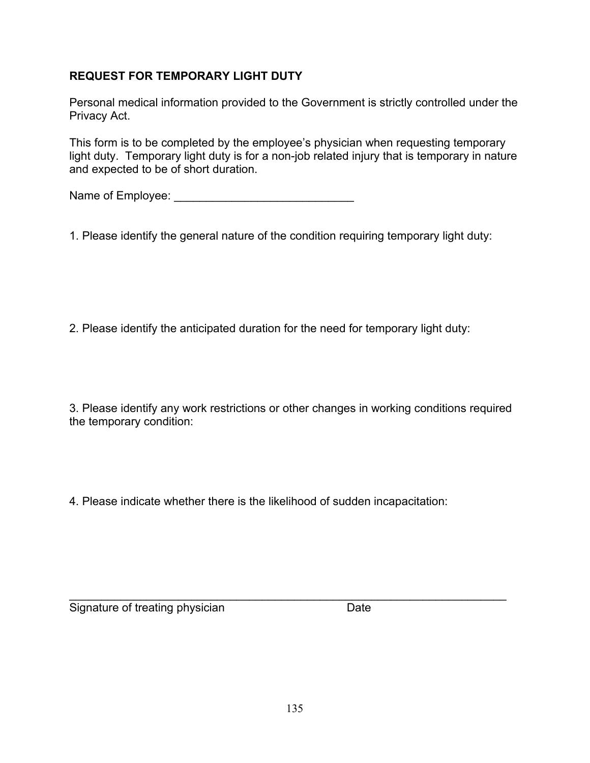# **REQUEST FOR TEMPORARY LIGHT DUTY**

Personal medical information provided to the Government is strictly controlled under the Privacy Act.

This form is to be completed by the employee's physician when requesting temporary light duty. Temporary light duty is for a non-job related injury that is temporary in nature and expected to be of short duration.

Name of Employee:  $\blacksquare$ 

1. Please identify the general nature of the condition requiring temporary light duty:

2. Please identify the anticipated duration for the need for temporary light duty:

3. Please identify any work restrictions or other changes in working conditions required the temporary condition:

4. Please indicate whether there is the likelihood of sudden incapacitation:

\_\_\_\_\_\_\_\_\_\_\_\_\_\_\_\_\_\_\_\_\_\_\_\_\_\_\_\_\_\_\_\_\_\_\_\_\_\_\_\_\_\_\_\_\_\_\_\_\_\_\_\_\_\_\_\_\_\_\_\_\_\_\_\_\_\_\_\_ Signature of treating physician Date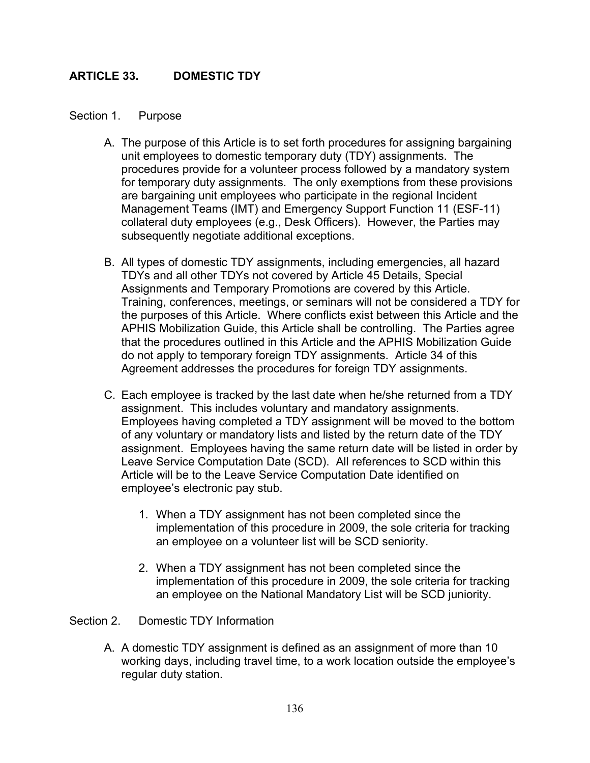# **ARTICLE 33. DOMESTIC TDY**

#### Section 1. Purpose

- A. The purpose of this Article is to set forth procedures for assigning bargaining unit employees to domestic temporary duty (TDY) assignments. The procedures provide for a volunteer process followed by a mandatory system for temporary duty assignments. The only exemptions from these provisions are bargaining unit employees who participate in the regional Incident Management Teams (IMT) and Emergency Support Function 11 (ESF-11) collateral duty employees (e.g., Desk Officers). However, the Parties may subsequently negotiate additional exceptions.
- B. All types of domestic TDY assignments, including emergencies, all hazard TDYs and all other TDYs not covered by Article 45 Details, Special Assignments and Temporary Promotions are covered by this Article. Training, conferences, meetings, or seminars will not be considered a TDY for the purposes of this Article. Where conflicts exist between this Article and the APHIS Mobilization Guide, this Article shall be controlling. The Parties agree that the procedures outlined in this Article and the APHIS Mobilization Guide do not apply to temporary foreign TDY assignments. Article 34 of this Agreement addresses the procedures for foreign TDY assignments.
- C. Each employee is tracked by the last date when he/she returned from a TDY assignment. This includes voluntary and mandatory assignments. Employees having completed a TDY assignment will be moved to the bottom of any voluntary or mandatory lists and listed by the return date of the TDY assignment. Employees having the same return date will be listed in order by Leave Service Computation Date (SCD). All references to SCD within this Article will be to the Leave Service Computation Date identified on employee's electronic pay stub.
	- 1. When a TDY assignment has not been completed since the implementation of this procedure in 2009, the sole criteria for tracking an employee on a volunteer list will be SCD seniority.
	- 2. When a TDY assignment has not been completed since the implementation of this procedure in 2009, the sole criteria for tracking an employee on the National Mandatory List will be SCD juniority.

### Section 2. Domestic TDY Information

A. A domestic TDY assignment is defined as an assignment of more than 10 working days, including travel time, to a work location outside the employee's regular duty station.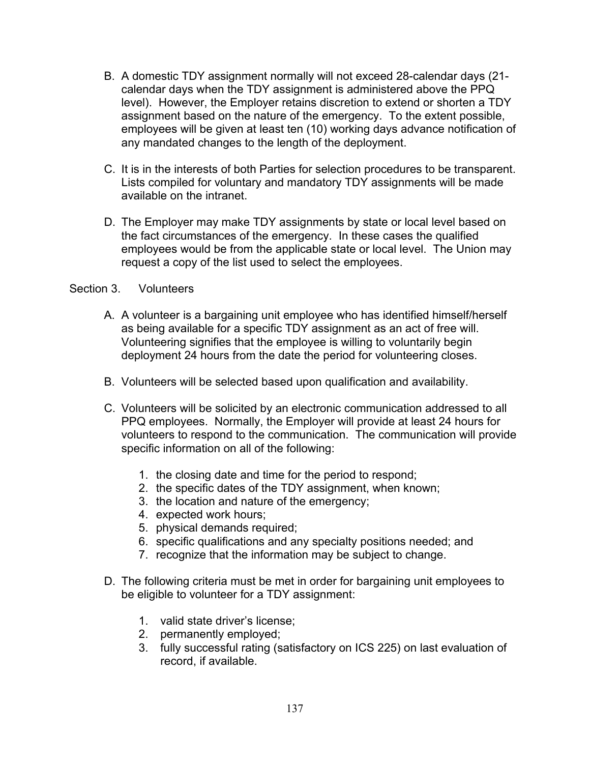- B. A domestic TDY assignment normally will not exceed 28-calendar days (21 calendar days when the TDY assignment is administered above the PPQ level). However, the Employer retains discretion to extend or shorten a TDY assignment based on the nature of the emergency. To the extent possible, employees will be given at least ten (10) working days advance notification of any mandated changes to the length of the deployment.
- C. It is in the interests of both Parties for selection procedures to be transparent. Lists compiled for voluntary and mandatory TDY assignments will be made available on the intranet.
- D. The Employer may make TDY assignments by state or local level based on the fact circumstances of the emergency. In these cases the qualified employees would be from the applicable state or local level. The Union may request a copy of the list used to select the employees.

## Section 3. Volunteers

- A. A volunteer is a bargaining unit employee who has identified himself/herself as being available for a specific TDY assignment as an act of free will. Volunteering signifies that the employee is willing to voluntarily begin deployment 24 hours from the date the period for volunteering closes.
- B. Volunteers will be selected based upon qualification and availability.
- C. Volunteers will be solicited by an electronic communication addressed to all PPQ employees. Normally, the Employer will provide at least 24 hours for volunteers to respond to the communication. The communication will provide specific information on all of the following:
	- 1. the closing date and time for the period to respond;
	- 2. the specific dates of the TDY assignment, when known;
	- 3. the location and nature of the emergency;
	- 4. expected work hours;
	- 5. physical demands required;
	- 6. specific qualifications and any specialty positions needed; and
	- 7. recognize that the information may be subject to change.
- D. The following criteria must be met in order for bargaining unit employees to be eligible to volunteer for a TDY assignment:
	- 1. valid state driver's license;
	- 2. permanently employed;
	- 3. fully successful rating (satisfactory on ICS 225) on last evaluation of record, if available.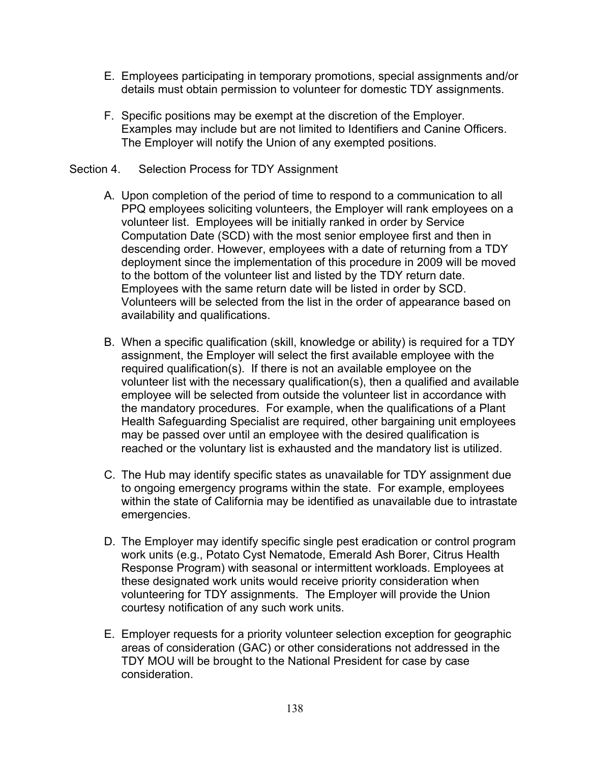- E. Employees participating in temporary promotions, special assignments and/or details must obtain permission to volunteer for domestic TDY assignments.
- F. Specific positions may be exempt at the discretion of the Employer. Examples may include but are not limited to Identifiers and Canine Officers. The Employer will notify the Union of any exempted positions.

### Section 4. Selection Process for TDY Assignment

- A. Upon completion of the period of time to respond to a communication to all PPQ employees soliciting volunteers, the Employer will rank employees on a volunteer list. Employees will be initially ranked in order by Service Computation Date (SCD) with the most senior employee first and then in descending order. However, employees with a date of returning from a TDY deployment since the implementation of this procedure in 2009 will be moved to the bottom of the volunteer list and listed by the TDY return date. Employees with the same return date will be listed in order by SCD. Volunteers will be selected from the list in the order of appearance based on availability and qualifications.
- B. When a specific qualification (skill, knowledge or ability) is required for a TDY assignment, the Employer will select the first available employee with the required qualification(s). If there is not an available employee on the volunteer list with the necessary qualification(s), then a qualified and available employee will be selected from outside the volunteer list in accordance with the mandatory procedures. For example, when the qualifications of a Plant Health Safeguarding Specialist are required, other bargaining unit employees may be passed over until an employee with the desired qualification is reached or the voluntary list is exhausted and the mandatory list is utilized.
- C. The Hub may identify specific states as unavailable for TDY assignment due to ongoing emergency programs within the state. For example, employees within the state of California may be identified as unavailable due to intrastate emergencies.
- D. The Employer may identify specific single pest eradication or control program work units (e.g., Potato Cyst Nematode, Emerald Ash Borer, Citrus Health Response Program) with seasonal or intermittent workloads. Employees at these designated work units would receive priority consideration when volunteering for TDY assignments. The Employer will provide the Union courtesy notification of any such work units.
- E. Employer requests for a priority volunteer selection exception for geographic areas of consideration (GAC) or other considerations not addressed in the TDY MOU will be brought to the National President for case by case consideration.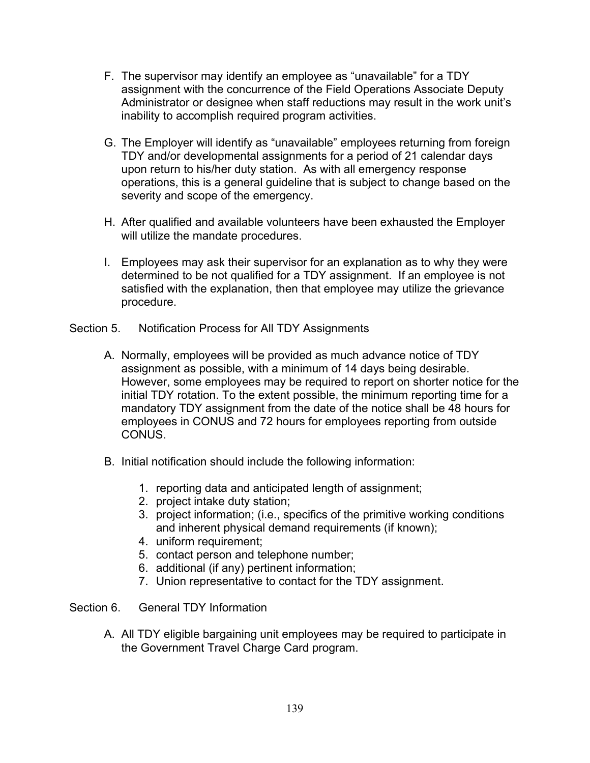- F. The supervisor may identify an employee as "unavailable" for a TDY assignment with the concurrence of the Field Operations Associate Deputy Administrator or designee when staff reductions may result in the work unit's inability to accomplish required program activities.
- G. The Employer will identify as "unavailable" employees returning from foreign TDY and/or developmental assignments for a period of 21 calendar days upon return to his/her duty station. As with all emergency response operations, this is a general guideline that is subject to change based on the severity and scope of the emergency.
- H. After qualified and available volunteers have been exhausted the Employer will utilize the mandate procedures.
- I. Employees may ask their supervisor for an explanation as to why they were determined to be not qualified for a TDY assignment. If an employee is not satisfied with the explanation, then that employee may utilize the grievance procedure.

Section 5. Notification Process for All TDY Assignments

- A. Normally, employees will be provided as much advance notice of TDY assignment as possible, with a minimum of 14 days being desirable. However, some employees may be required to report on shorter notice for the initial TDY rotation. To the extent possible, the minimum reporting time for a mandatory TDY assignment from the date of the notice shall be 48 hours for employees in CONUS and 72 hours for employees reporting from outside CONUS.
- B. Initial notification should include the following information:
	- 1. reporting data and anticipated length of assignment;
	- 2. project intake duty station;
	- 3. project information; (i.e., specifics of the primitive working conditions and inherent physical demand requirements (if known);
	- 4. uniform requirement;
	- 5. contact person and telephone number;
	- 6. additional (if any) pertinent information;
	- 7. Union representative to contact for the TDY assignment.

## Section 6. General TDY Information

A. All TDY eligible bargaining unit employees may be required to participate in the Government Travel Charge Card program.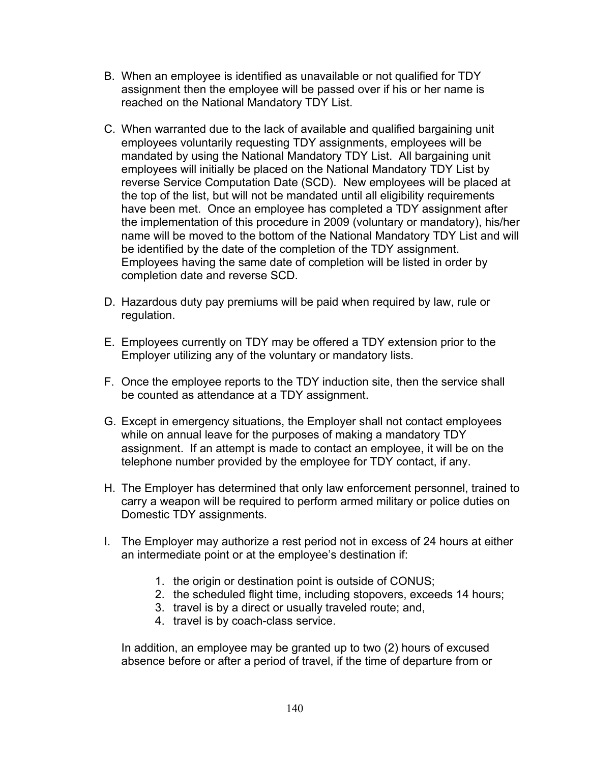- B. When an employee is identified as unavailable or not qualified for TDY assignment then the employee will be passed over if his or her name is reached on the National Mandatory TDY List.
- C. When warranted due to the lack of available and qualified bargaining unit employees voluntarily requesting TDY assignments, employees will be mandated by using the National Mandatory TDY List. All bargaining unit employees will initially be placed on the National Mandatory TDY List by reverse Service Computation Date (SCD). New employees will be placed at the top of the list, but will not be mandated until all eligibility requirements have been met. Once an employee has completed a TDY assignment after the implementation of this procedure in 2009 (voluntary or mandatory), his/her name will be moved to the bottom of the National Mandatory TDY List and will be identified by the date of the completion of the TDY assignment. Employees having the same date of completion will be listed in order by completion date and reverse SCD.
- D. Hazardous duty pay premiums will be paid when required by law, rule or regulation.
- E. Employees currently on TDY may be offered a TDY extension prior to the Employer utilizing any of the voluntary or mandatory lists.
- F. Once the employee reports to the TDY induction site, then the service shall be counted as attendance at a TDY assignment.
- G. Except in emergency situations, the Employer shall not contact employees while on annual leave for the purposes of making a mandatory TDY assignment. If an attempt is made to contact an employee, it will be on the telephone number provided by the employee for TDY contact, if any.
- H. The Employer has determined that only law enforcement personnel, trained to carry a weapon will be required to perform armed military or police duties on Domestic TDY assignments.
- I. The Employer may authorize a rest period not in excess of 24 hours at either an intermediate point or at the employee's destination if:
	- 1. the origin or destination point is outside of CONUS;
	- 2. the scheduled flight time, including stopovers, exceeds 14 hours;
	- 3. travel is by a direct or usually traveled route; and,
	- 4. travel is by coach-class service.

In addition, an employee may be granted up to two (2) hours of excused absence before or after a period of travel, if the time of departure from or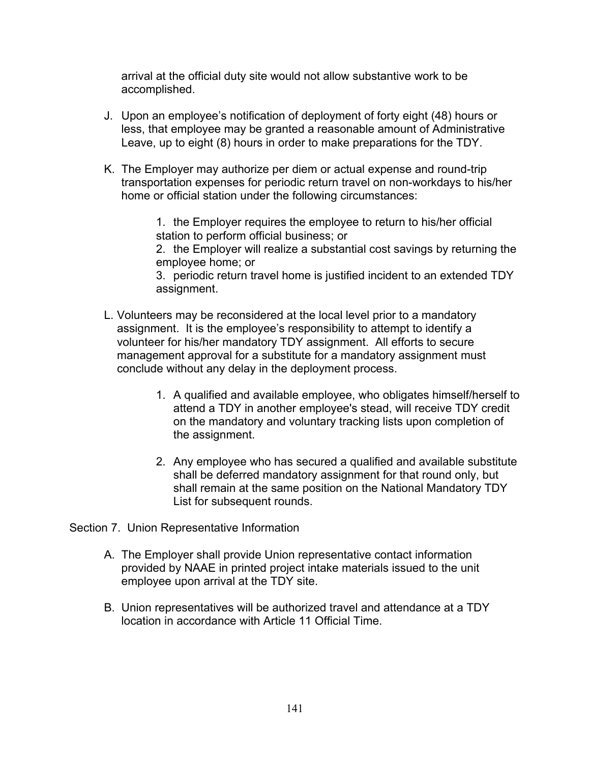arrival at the official duty site would not allow substantive work to be accomplished.

- J. Upon an employee's notification of deployment of forty eight (48) hours or less, that employee may be granted a reasonable amount of Administrative Leave, up to eight (8) hours in order to make preparations for the TDY.
- K. The Employer may authorize per diem or actual expense and round-trip transportation expenses for periodic return travel on non-workdays to his/her home or official station under the following circumstances:

1. the Employer requires the employee to return to his/her official station to perform official business; or

2. the Employer will realize a substantial cost savings by returning the employee home; or

3. periodic return travel home is justified incident to an extended TDY assignment.

- L. Volunteers may be reconsidered at the local level prior to a mandatory assignment. It is the employee's responsibility to attempt to identify a volunteer for his/her mandatory TDY assignment. All efforts to secure management approval for a substitute for a mandatory assignment must conclude without any delay in the deployment process.
	- 1. A qualified and available employee, who obligates himself/herself to attend a TDY in another employee's stead, will receive TDY credit on the mandatory and voluntary tracking lists upon completion of the assignment.
	- 2. Any employee who has secured a qualified and available substitute shall be deferred mandatory assignment for that round only, but shall remain at the same position on the National Mandatory TDY List for subsequent rounds.

Section 7. Union Representative Information

- A. The Employer shall provide Union representative contact information provided by NAAE in printed project intake materials issued to the unit employee upon arrival at the TDY site.
- B. Union representatives will be authorized travel and attendance at a TDY location in accordance with Article 11 Official Time.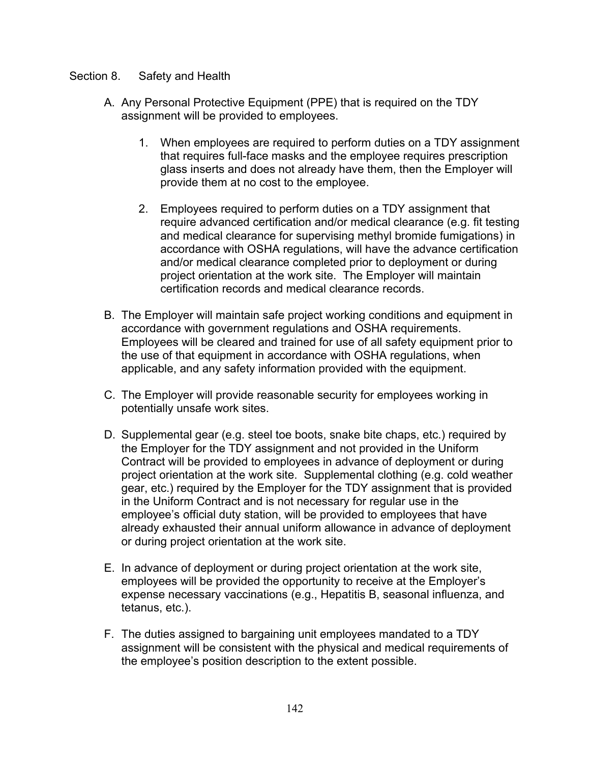### Section 8. Safety and Health

- A. Any Personal Protective Equipment (PPE) that is required on the TDY assignment will be provided to employees.
	- 1. When employees are required to perform duties on a TDY assignment that requires full-face masks and the employee requires prescription glass inserts and does not already have them, then the Employer will provide them at no cost to the employee.
	- 2. Employees required to perform duties on a TDY assignment that require advanced certification and/or medical clearance (e.g. fit testing and medical clearance for supervising methyl bromide fumigations) in accordance with OSHA regulations, will have the advance certification and/or medical clearance completed prior to deployment or during project orientation at the work site. The Employer will maintain certification records and medical clearance records.
- B. The Employer will maintain safe project working conditions and equipment in accordance with government regulations and OSHA requirements. Employees will be cleared and trained for use of all safety equipment prior to the use of that equipment in accordance with OSHA regulations, when applicable, and any safety information provided with the equipment.
- C. The Employer will provide reasonable security for employees working in potentially unsafe work sites.
- D. Supplemental gear (e.g. steel toe boots, snake bite chaps, etc.) required by the Employer for the TDY assignment and not provided in the Uniform Contract will be provided to employees in advance of deployment or during project orientation at the work site. Supplemental clothing (e.g. cold weather gear, etc.) required by the Employer for the TDY assignment that is provided in the Uniform Contract and is not necessary for regular use in the employee's official duty station, will be provided to employees that have already exhausted their annual uniform allowance in advance of deployment or during project orientation at the work site.
- E. In advance of deployment or during project orientation at the work site, employees will be provided the opportunity to receive at the Employer's expense necessary vaccinations (e.g., Hepatitis B, seasonal influenza, and tetanus, etc.).
- F. The duties assigned to bargaining unit employees mandated to a TDY assignment will be consistent with the physical and medical requirements of the employee's position description to the extent possible.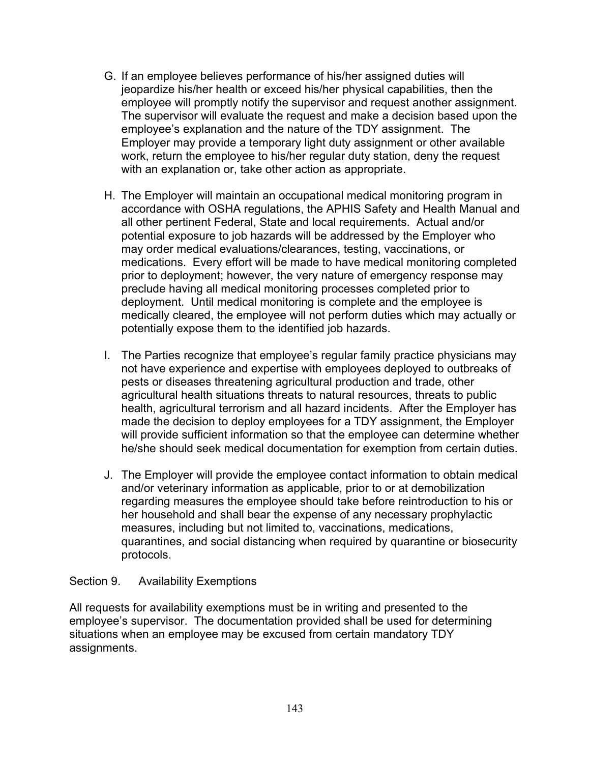- G. If an employee believes performance of his/her assigned duties will jeopardize his/her health or exceed his/her physical capabilities, then the employee will promptly notify the supervisor and request another assignment. The supervisor will evaluate the request and make a decision based upon the employee's explanation and the nature of the TDY assignment. The Employer may provide a temporary light duty assignment or other available work, return the employee to his/her regular duty station, deny the request with an explanation or, take other action as appropriate.
- H. The Employer will maintain an occupational medical monitoring program in accordance with OSHA regulations, the APHIS Safety and Health Manual and all other pertinent Federal, State and local requirements. Actual and/or potential exposure to job hazards will be addressed by the Employer who may order medical evaluations/clearances, testing, vaccinations, or medications. Every effort will be made to have medical monitoring completed prior to deployment; however, the very nature of emergency response may preclude having all medical monitoring processes completed prior to deployment. Until medical monitoring is complete and the employee is medically cleared, the employee will not perform duties which may actually or potentially expose them to the identified job hazards.
- I. The Parties recognize that employee's regular family practice physicians may not have experience and expertise with employees deployed to outbreaks of pests or diseases threatening agricultural production and trade, other agricultural health situations threats to natural resources, threats to public health, agricultural terrorism and all hazard incidents. After the Employer has made the decision to deploy employees for a TDY assignment, the Employer will provide sufficient information so that the employee can determine whether he/she should seek medical documentation for exemption from certain duties.
- J. The Employer will provide the employee contact information to obtain medical and/or veterinary information as applicable, prior to or at demobilization regarding measures the employee should take before reintroduction to his or her household and shall bear the expense of any necessary prophylactic measures, including but not limited to, vaccinations, medications, quarantines, and social distancing when required by quarantine or biosecurity protocols.

## Section 9. Availability Exemptions

All requests for availability exemptions must be in writing and presented to the employee's supervisor. The documentation provided shall be used for determining situations when an employee may be excused from certain mandatory TDY assignments.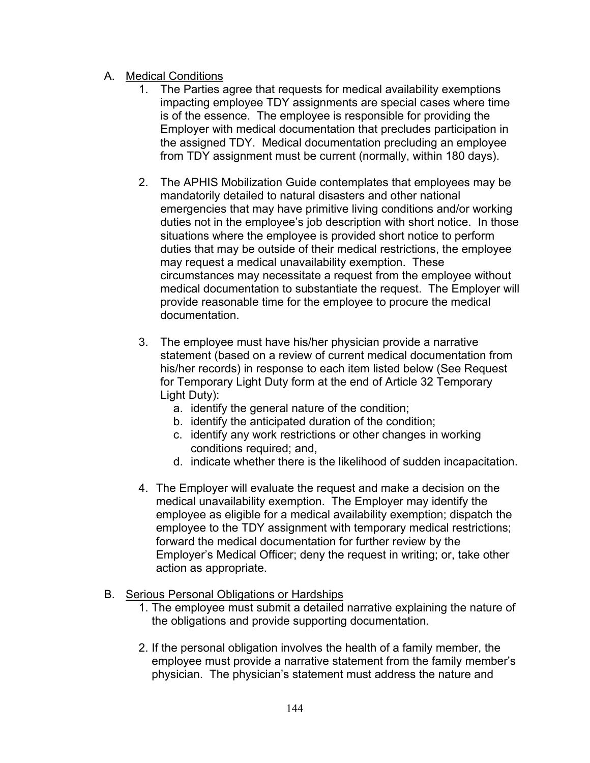# A. Medical Conditions

- The Parties agree that requests for medical availability exemptions impacting employee TDY assignments are special cases where time is of the essence. The employee is responsible for providing the Employer with medical documentation that precludes participation in the assigned TDY. Medical documentation precluding an employee from TDY assignment must be current (normally, within 180 days).
- 2. The APHIS Mobilization Guide contemplates that employees may be mandatorily detailed to natural disasters and other national emergencies that may have primitive living conditions and/or working duties not in the employee's job description with short notice. In those situations where the employee is provided short notice to perform duties that may be outside of their medical restrictions, the employee may request a medical unavailability exemption. These circumstances may necessitate a request from the employee without medical documentation to substantiate the request. The Employer will provide reasonable time for the employee to procure the medical documentation.
- 3. The employee must have his/her physician provide a narrative statement (based on a review of current medical documentation from his/her records) in response to each item listed below (See Request for Temporary Light Duty form at the end of Article 32 Temporary Light Duty):
	- a. identify the general nature of the condition;
	- b. identify the anticipated duration of the condition;
	- c. identify any work restrictions or other changes in working conditions required; and,
	- d. indicate whether there is the likelihood of sudden incapacitation.
- 4. The Employer will evaluate the request and make a decision on the medical unavailability exemption. The Employer may identify the employee as eligible for a medical availability exemption; dispatch the employee to the TDY assignment with temporary medical restrictions; forward the medical documentation for further review by the Employer's Medical Officer; deny the request in writing; or, take other action as appropriate.

## B. Serious Personal Obligations or Hardships

- 1. The employee must submit a detailed narrative explaining the nature of the obligations and provide supporting documentation.
- 2. If the personal obligation involves the health of a family member, the employee must provide a narrative statement from the family member's physician. The physician's statement must address the nature and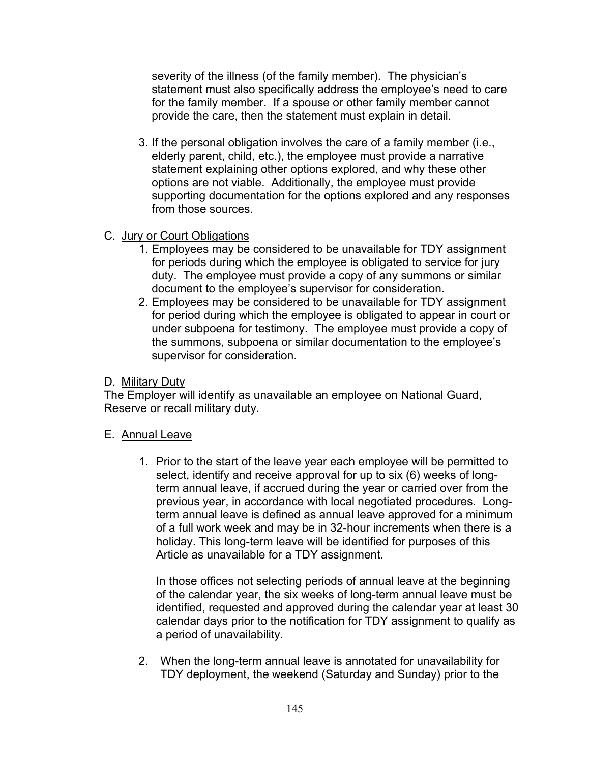severity of the illness (of the family member). The physician's statement must also specifically address the employee's need to care for the family member. If a spouse or other family member cannot provide the care, then the statement must explain in detail.

- 3. If the personal obligation involves the care of a family member (i.e., elderly parent, child, etc.), the employee must provide a narrative statement explaining other options explored, and why these other options are not viable. Additionally, the employee must provide supporting documentation for the options explored and any responses from those sources.
- C. Jury or Court Obligations
	- 1. Employees may be considered to be unavailable for TDY assignment for periods during which the employee is obligated to service for jury duty. The employee must provide a copy of any summons or similar document to the employee's supervisor for consideration.
	- 2. Employees may be considered to be unavailable for TDY assignment for period during which the employee is obligated to appear in court or under subpoena for testimony. The employee must provide a copy of the summons, subpoena or similar documentation to the employee's supervisor for consideration.

## D. Military Duty

The Employer will identify as unavailable an employee on National Guard, Reserve or recall military duty.

## E. Annual Leave

1. Prior to the start of the leave year each employee will be permitted to select, identify and receive approval for up to six (6) weeks of longterm annual leave, if accrued during the year or carried over from the previous year, in accordance with local negotiated procedures. Longterm annual leave is defined as annual leave approved for a minimum of a full work week and may be in 32-hour increments when there is a holiday. This long-term leave will be identified for purposes of this Article as unavailable for a TDY assignment.

In those offices not selecting periods of annual leave at the beginning of the calendar year, the six weeks of long-term annual leave must be identified, requested and approved during the calendar year at least 30 calendar days prior to the notification for TDY assignment to qualify as a period of unavailability.

2. When the long-term annual leave is annotated for unavailability for TDY deployment, the weekend (Saturday and Sunday) prior to the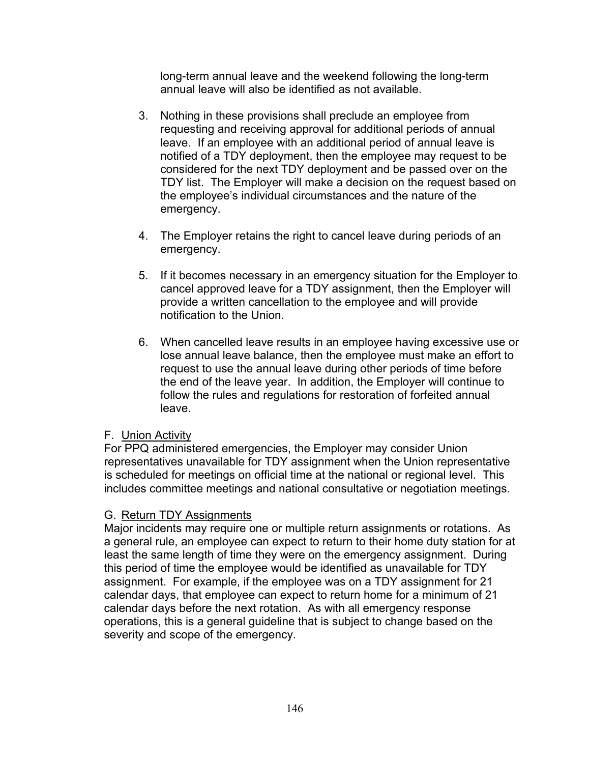long-term annual leave and the weekend following the long-term annual leave will also be identified as not available.

- 3. Nothing in these provisions shall preclude an employee from requesting and receiving approval for additional periods of annual leave. If an employee with an additional period of annual leave is notified of a TDY deployment, then the employee may request to be considered for the next TDY deployment and be passed over on the TDY list. The Employer will make a decision on the request based on the employee's individual circumstances and the nature of the emergency.
- 4. The Employer retains the right to cancel leave during periods of an emergency.
- 5. If it becomes necessary in an emergency situation for the Employer to cancel approved leave for a TDY assignment, then the Employer will provide a written cancellation to the employee and will provide notification to the Union.
- 6. When cancelled leave results in an employee having excessive use or lose annual leave balance, then the employee must make an effort to request to use the annual leave during other periods of time before the end of the leave year. In addition, the Employer will continue to follow the rules and regulations for restoration of forfeited annual leave.

## F. Union Activity

For PPQ administered emergencies, the Employer may consider Union representatives unavailable for TDY assignment when the Union representative is scheduled for meetings on official time at the national or regional level. This includes committee meetings and national consultative or negotiation meetings.

# G. Return TDY Assignments

Major incidents may require one or multiple return assignments or rotations. As a general rule, an employee can expect to return to their home duty station for at least the same length of time they were on the emergency assignment. During this period of time the employee would be identified as unavailable for TDY assignment. For example, if the employee was on a TDY assignment for 21 calendar days, that employee can expect to return home for a minimum of 21 calendar days before the next rotation. As with all emergency response operations, this is a general guideline that is subject to change based on the severity and scope of the emergency.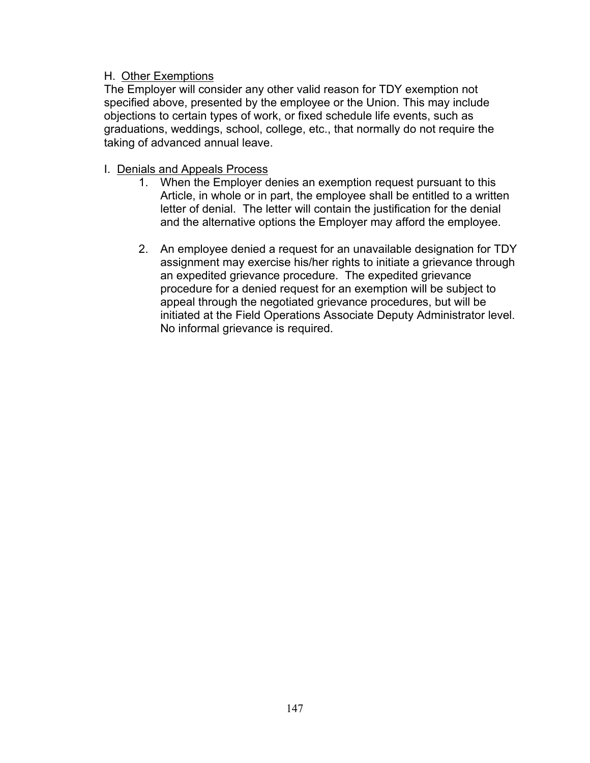# H. Other Exemptions

The Employer will consider any other valid reason for TDY exemption not specified above, presented by the employee or the Union. This may include objections to certain types of work, or fixed schedule life events, such as graduations, weddings, school, college, etc., that normally do not require the taking of advanced annual leave.

# I. Denials and Appeals Process

- 1. When the Employer denies an exemption request pursuant to this Article, in whole or in part, the employee shall be entitled to a written letter of denial. The letter will contain the justification for the denial and the alternative options the Employer may afford the employee.
- 2. An employee denied a request for an unavailable designation for TDY assignment may exercise his/her rights to initiate a grievance through an expedited grievance procedure. The expedited grievance procedure for a denied request for an exemption will be subject to appeal through the negotiated grievance procedures, but will be initiated at the Field Operations Associate Deputy Administrator level. No informal grievance is required.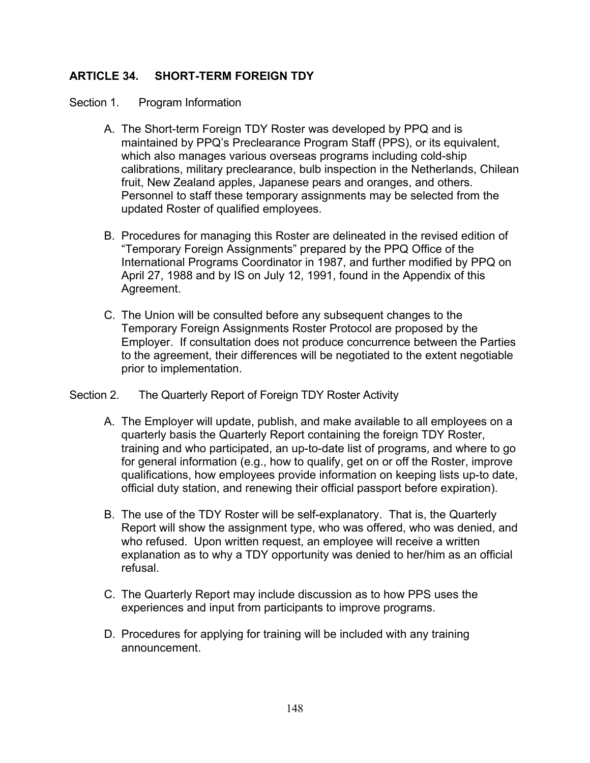# **ARTICLE 34. SHORT-TERM FOREIGN TDY**

## Section 1. Program Information

- A. The Short-term Foreign TDY Roster was developed by PPQ and is maintained by PPQ's Preclearance Program Staff (PPS), or its equivalent, which also manages various overseas programs including cold-ship calibrations, military preclearance, bulb inspection in the Netherlands, Chilean fruit, New Zealand apples, Japanese pears and oranges, and others. Personnel to staff these temporary assignments may be selected from the updated Roster of qualified employees.
- B. Procedures for managing this Roster are delineated in the revised edition of "Temporary Foreign Assignments" prepared by the PPQ Office of the International Programs Coordinator in 1987, and further modified by PPQ on April 27, 1988 and by IS on July 12, 1991, found in the Appendix of this Agreement.
- C. The Union will be consulted before any subsequent changes to the Temporary Foreign Assignments Roster Protocol are proposed by the Employer. If consultation does not produce concurrence between the Parties to the agreement, their differences will be negotiated to the extent negotiable prior to implementation.
- Section 2. The Quarterly Report of Foreign TDY Roster Activity
	- A. The Employer will update, publish, and make available to all employees on a quarterly basis the Quarterly Report containing the foreign TDY Roster, training and who participated, an up-to-date list of programs, and where to go for general information (e.g., how to qualify, get on or off the Roster, improve qualifications, how employees provide information on keeping lists up-to date, official duty station, and renewing their official passport before expiration).
	- B. The use of the TDY Roster will be self-explanatory. That is, the Quarterly Report will show the assignment type, who was offered, who was denied, and who refused. Upon written request, an employee will receive a written explanation as to why a TDY opportunity was denied to her/him as an official refusal.
	- C. The Quarterly Report may include discussion as to how PPS uses the experiences and input from participants to improve programs.
	- D. Procedures for applying for training will be included with any training announcement.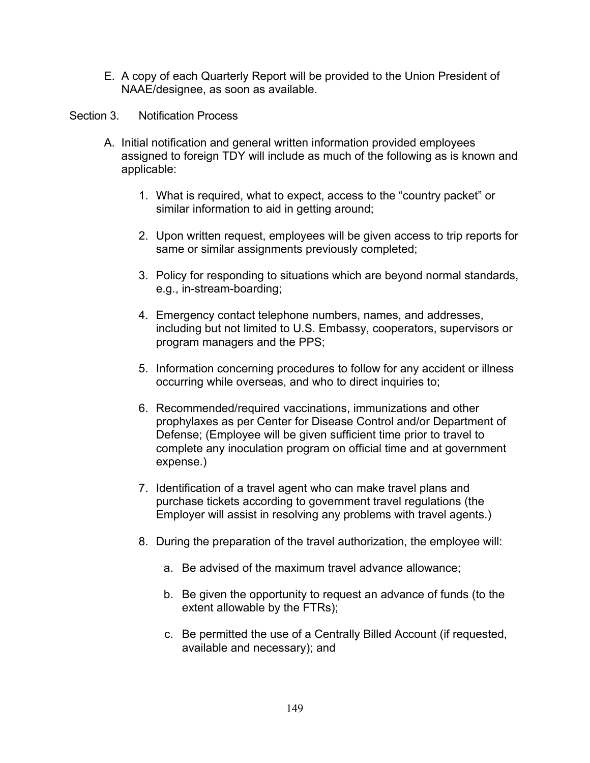E. A copy of each Quarterly Report will be provided to the Union President of NAAE/designee, as soon as available.

Section 3. Notification Process

- A. Initial notification and general written information provided employees assigned to foreign TDY will include as much of the following as is known and applicable:
	- 1. What is required, what to expect, access to the "country packet" or similar information to aid in getting around;
	- 2. Upon written request, employees will be given access to trip reports for same or similar assignments previously completed;
	- 3. Policy for responding to situations which are beyond normal standards, e.g., in-stream-boarding;
	- 4. Emergency contact telephone numbers, names, and addresses, including but not limited to U.S. Embassy, cooperators, supervisors or program managers and the PPS;
	- 5. Information concerning procedures to follow for any accident or illness occurring while overseas, and who to direct inquiries to;
	- 6. Recommended/required vaccinations, immunizations and other prophylaxes as per Center for Disease Control and/or Department of Defense; (Employee will be given sufficient time prior to travel to complete any inoculation program on official time and at government expense.)
	- 7. Identification of a travel agent who can make travel plans and purchase tickets according to government travel regulations (the Employer will assist in resolving any problems with travel agents.)
	- 8. During the preparation of the travel authorization, the employee will:
		- a. Be advised of the maximum travel advance allowance;
		- b. Be given the opportunity to request an advance of funds (to the extent allowable by the FTRs);
		- c. Be permitted the use of a Centrally Billed Account (if requested, available and necessary); and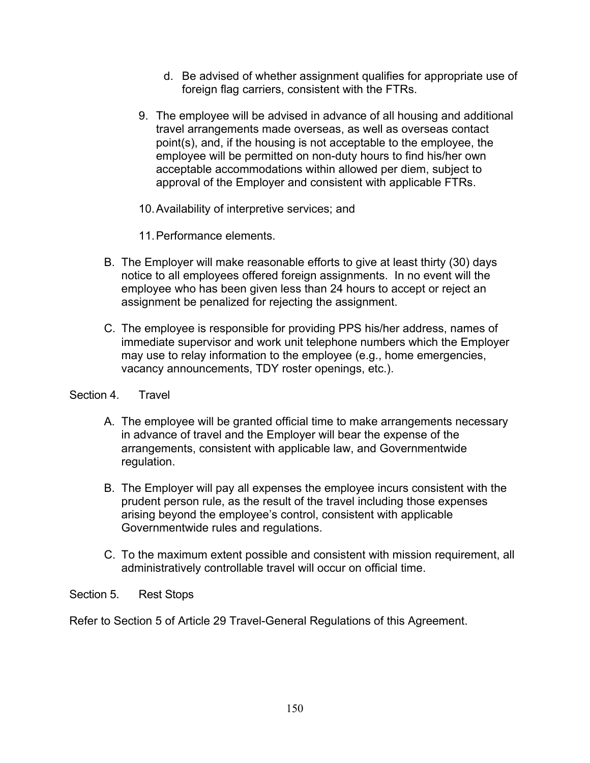- d. Be advised of whether assignment qualifies for appropriate use of foreign flag carriers, consistent with the FTRs.
- 9. The employee will be advised in advance of all housing and additional travel arrangements made overseas, as well as overseas contact point(s), and, if the housing is not acceptable to the employee, the employee will be permitted on non-duty hours to find his/her own acceptable accommodations within allowed per diem, subject to approval of the Employer and consistent with applicable FTRs.
- 10.Availability of interpretive services; and
- 11.Performance elements.
- B. The Employer will make reasonable efforts to give at least thirty (30) days notice to all employees offered foreign assignments. In no event will the employee who has been given less than 24 hours to accept or reject an assignment be penalized for rejecting the assignment.
- C. The employee is responsible for providing PPS his/her address, names of immediate supervisor and work unit telephone numbers which the Employer may use to relay information to the employee (e.g., home emergencies, vacancy announcements, TDY roster openings, etc.).

## Section 4 Travel

- A. The employee will be granted official time to make arrangements necessary in advance of travel and the Employer will bear the expense of the arrangements, consistent with applicable law, and Governmentwide regulation.
- B. The Employer will pay all expenses the employee incurs consistent with the prudent person rule, as the result of the travel including those expenses arising beyond the employee's control, consistent with applicable Governmentwide rules and regulations.
- C. To the maximum extent possible and consistent with mission requirement, all administratively controllable travel will occur on official time.

## Section 5. Rest Stops

Refer to Section 5 of Article 29 Travel-General Regulations of this Agreement.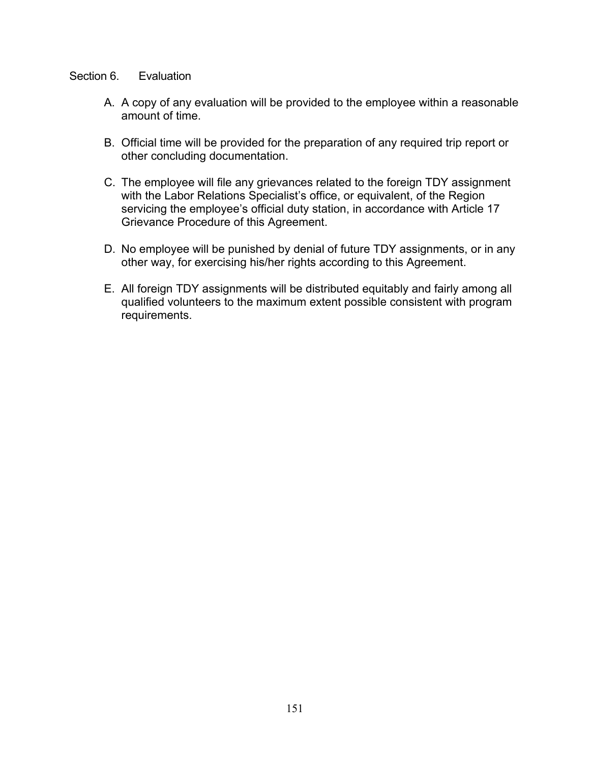### Section 6. Evaluation

- A. A copy of any evaluation will be provided to the employee within a reasonable amount of time.
- B. Official time will be provided for the preparation of any required trip report or other concluding documentation.
- C. The employee will file any grievances related to the foreign TDY assignment with the Labor Relations Specialist's office, or equivalent, of the Region servicing the employee's official duty station, in accordance with Article 17 Grievance Procedure of this Agreement.
- D. No employee will be punished by denial of future TDY assignments, or in any other way, for exercising his/her rights according to this Agreement.
- E. All foreign TDY assignments will be distributed equitably and fairly among all qualified volunteers to the maximum extent possible consistent with program requirements.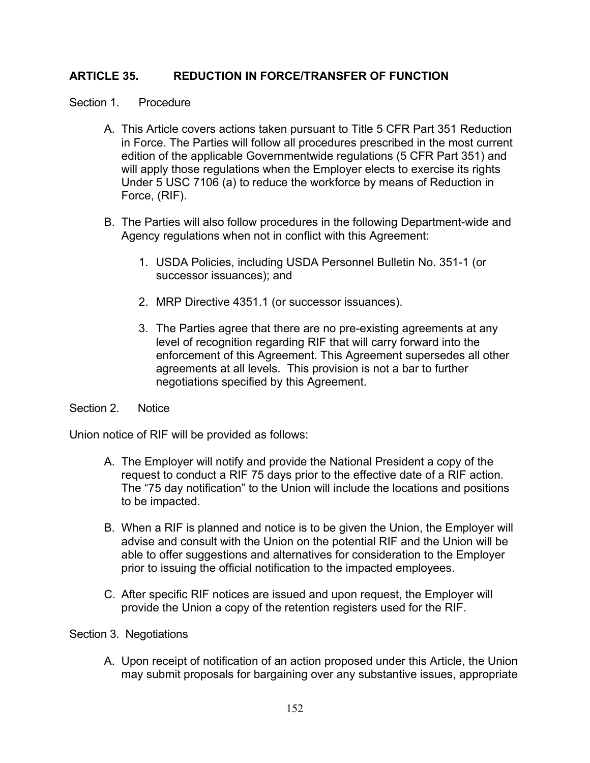# **ARTICLE 35. REDUCTION IN FORCE/TRANSFER OF FUNCTION**

### Section 1. Procedure

- A. This Article covers actions taken pursuant to Title 5 CFR Part 351 Reduction in Force. The Parties will follow all procedures prescribed in the most current edition of the applicable Governmentwide regulations (5 CFR Part 351) and will apply those regulations when the Employer elects to exercise its rights Under 5 USC 7106 (a) to reduce the workforce by means of Reduction in Force, (RIF).
- B. The Parties will also follow procedures in the following Department-wide and Agency regulations when not in conflict with this Agreement:
	- 1. USDA Policies, including USDA Personnel Bulletin No. 351-1 (or successor issuances); and
	- 2. MRP Directive 4351.1 (or successor issuances).
	- 3. The Parties agree that there are no pre-existing agreements at any level of recognition regarding RIF that will carry forward into the enforcement of this Agreement. This Agreement supersedes all other agreements at all levels. This provision is not a bar to further negotiations specified by this Agreement.

#### Section 2. Notice

Union notice of RIF will be provided as follows:

- A. The Employer will notify and provide the National President a copy of the request to conduct a RIF 75 days prior to the effective date of a RIF action. The "75 day notification" to the Union will include the locations and positions to be impacted.
- B. When a RIF is planned and notice is to be given the Union, the Employer will advise and consult with the Union on the potential RIF and the Union will be able to offer suggestions and alternatives for consideration to the Employer prior to issuing the official notification to the impacted employees.
- C. After specific RIF notices are issued and upon request, the Employer will provide the Union a copy of the retention registers used for the RIF.

#### Section 3. Negotiations

A. Upon receipt of notification of an action proposed under this Article, the Union may submit proposals for bargaining over any substantive issues, appropriate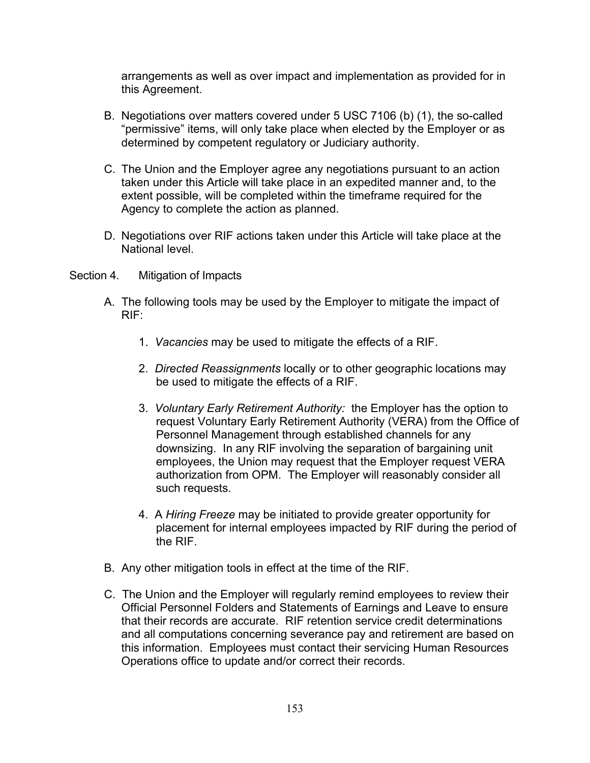arrangements as well as over impact and implementation as provided for in this Agreement.

- B. Negotiations over matters covered under 5 USC 7106 (b) (1), the so-called "permissive" items, will only take place when elected by the Employer or as determined by competent regulatory or Judiciary authority.
- C. The Union and the Employer agree any negotiations pursuant to an action taken under this Article will take place in an expedited manner and, to the extent possible, will be completed within the timeframe required for the Agency to complete the action as planned.
- D. Negotiations over RIF actions taken under this Article will take place at the National level.
- Section 4. Mitigation of Impacts
	- A. The following tools may be used by the Employer to mitigate the impact of RIF:
		- 1. *Vacancies* may be used to mitigate the effects of a RIF.
		- 2. *Directed Reassignments* locally or to other geographic locations may be used to mitigate the effects of a RIF.
		- 3. *Voluntary Early Retirement Authority:* the Employer has the option to request Voluntary Early Retirement Authority (VERA) from the Office of Personnel Management through established channels for any downsizing. In any RIF involving the separation of bargaining unit employees, the Union may request that the Employer request VERA authorization from OPM. The Employer will reasonably consider all such requests.
		- 4. A *Hiring Freeze* may be initiated to provide greater opportunity for placement for internal employees impacted by RIF during the period of the RIF.
	- B. Any other mitigation tools in effect at the time of the RIF.
	- C. The Union and the Employer will regularly remind employees to review their Official Personnel Folders and Statements of Earnings and Leave to ensure that their records are accurate. RIF retention service credit determinations and all computations concerning severance pay and retirement are based on this information. Employees must contact their servicing Human Resources Operations office to update and/or correct their records.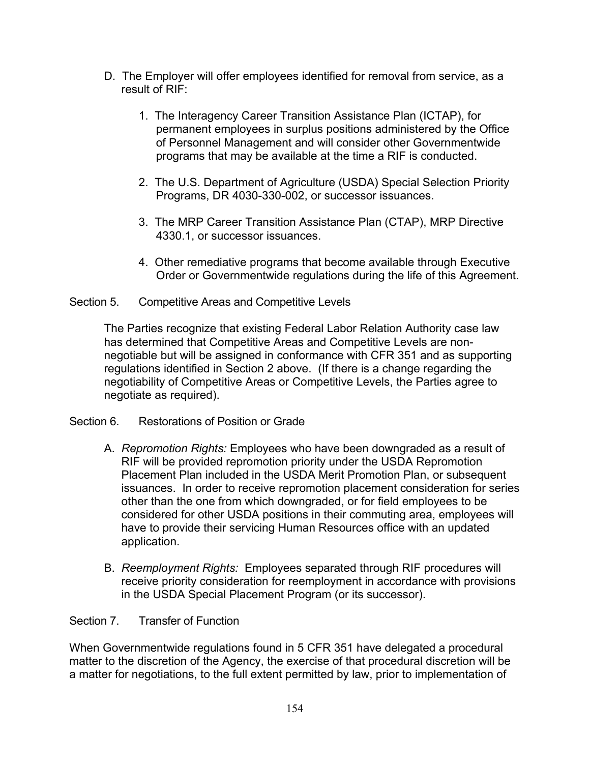- D. The Employer will offer employees identified for removal from service, as a result of RIF:
	- 1. The Interagency Career Transition Assistance Plan (ICTAP), for permanent employees in surplus positions administered by the Office of Personnel Management and will consider other Governmentwide programs that may be available at the time a RIF is conducted.
	- 2. The U.S. Department of Agriculture (USDA) Special Selection Priority Programs, DR 4030-330-002, or successor issuances.
	- 3. The MRP Career Transition Assistance Plan (CTAP), MRP Directive 4330.1, or successor issuances.
	- 4. Other remediative programs that become available through Executive Order or Governmentwide regulations during the life of this Agreement.

# Section 5. Competitive Areas and Competitive Levels

The Parties recognize that existing Federal Labor Relation Authority case law has determined that Competitive Areas and Competitive Levels are nonnegotiable but will be assigned in conformance with CFR 351 and as supporting regulations identified in Section 2 above. (If there is a change regarding the negotiability of Competitive Areas or Competitive Levels, the Parties agree to negotiate as required).

## Section 6. Restorations of Position or Grade

- A. *Repromotion Rights:* Employees who have been downgraded as a result of RIF will be provided repromotion priority under the USDA Repromotion Placement Plan included in the USDA Merit Promotion Plan, or subsequent issuances. In order to receive repromotion placement consideration for series other than the one from which downgraded, or for field employees to be considered for other USDA positions in their commuting area, employees will have to provide their servicing Human Resources office with an updated application.
- B. *Reemployment Rights:* Employees separated through RIF procedures will receive priority consideration for reemployment in accordance with provisions in the USDA Special Placement Program (or its successor).

# Section 7. Transfer of Function

When Governmentwide regulations found in 5 CFR 351 have delegated a procedural matter to the discretion of the Agency, the exercise of that procedural discretion will be a matter for negotiations, to the full extent permitted by law, prior to implementation of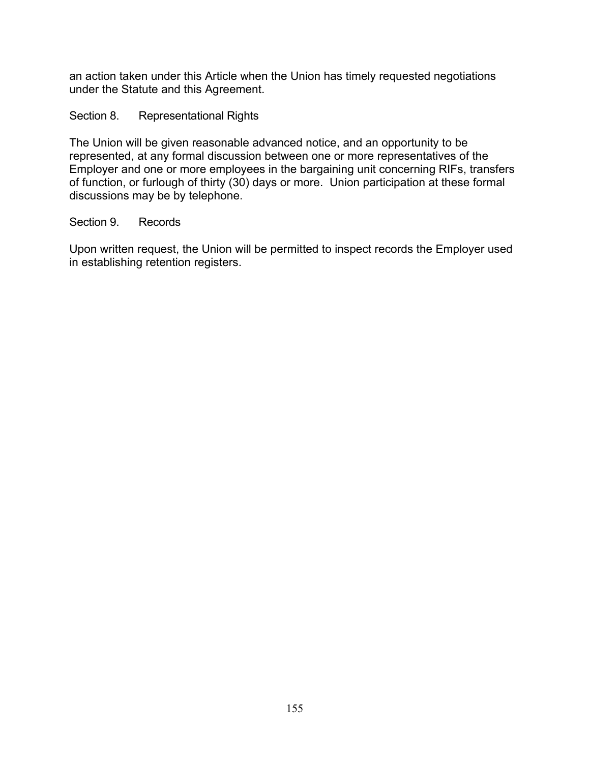an action taken under this Article when the Union has timely requested negotiations under the Statute and this Agreement.

Section 8. Representational Rights

The Union will be given reasonable advanced notice, and an opportunity to be represented, at any formal discussion between one or more representatives of the Employer and one or more employees in the bargaining unit concerning RIFs, transfers of function, or furlough of thirty (30) days or more. Union participation at these formal discussions may be by telephone.

Section 9. Records

Upon written request, the Union will be permitted to inspect records the Employer used in establishing retention registers.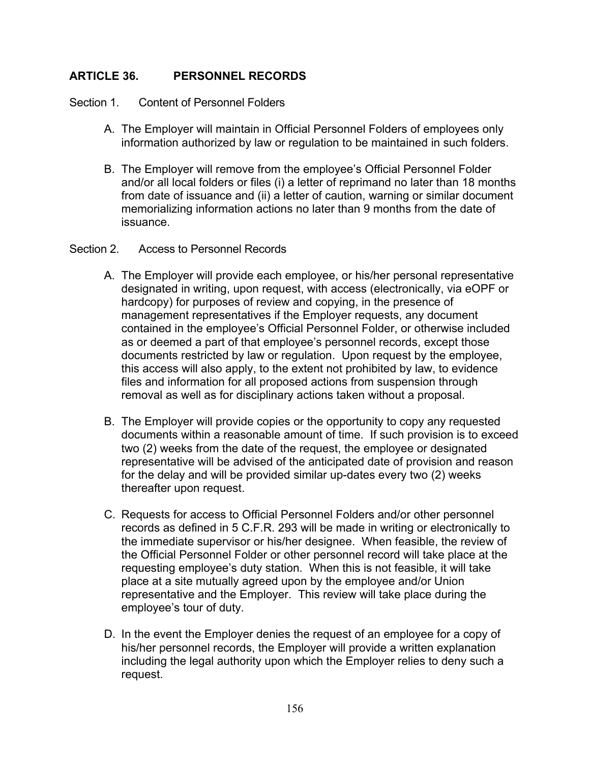# **ARTICLE 36. PERSONNEL RECORDS**

Section 1. Content of Personnel Folders

- A. The Employer will maintain in Official Personnel Folders of employees only information authorized by law or regulation to be maintained in such folders.
- B. The Employer will remove from the employee's Official Personnel Folder and/or all local folders or files (i) a letter of reprimand no later than 18 months from date of issuance and (ii) a letter of caution, warning or similar document memorializing information actions no later than 9 months from the date of issuance.

#### Section 2. Access to Personnel Records

- A. The Employer will provide each employee, or his/her personal representative designated in writing, upon request, with access (electronically, via eOPF or hardcopy) for purposes of review and copying, in the presence of management representatives if the Employer requests, any document contained in the employee's Official Personnel Folder, or otherwise included as or deemed a part of that employee's personnel records, except those documents restricted by law or regulation. Upon request by the employee, this access will also apply, to the extent not prohibited by law, to evidence files and information for all proposed actions from suspension through removal as well as for disciplinary actions taken without a proposal.
- B. The Employer will provide copies or the opportunity to copy any requested documents within a reasonable amount of time. If such provision is to exceed two (2) weeks from the date of the request, the employee or designated representative will be advised of the anticipated date of provision and reason for the delay and will be provided similar up-dates every two (2) weeks thereafter upon request.
- C. Requests for access to Official Personnel Folders and/or other personnel records as defined in 5 C.F.R. 293 will be made in writing or electronically to the immediate supervisor or his/her designee. When feasible, the review of the Official Personnel Folder or other personnel record will take place at the requesting employee's duty station. When this is not feasible, it will take place at a site mutually agreed upon by the employee and/or Union representative and the Employer. This review will take place during the employee's tour of duty.
- D. In the event the Employer denies the request of an employee for a copy of his/her personnel records, the Employer will provide a written explanation including the legal authority upon which the Employer relies to deny such a request.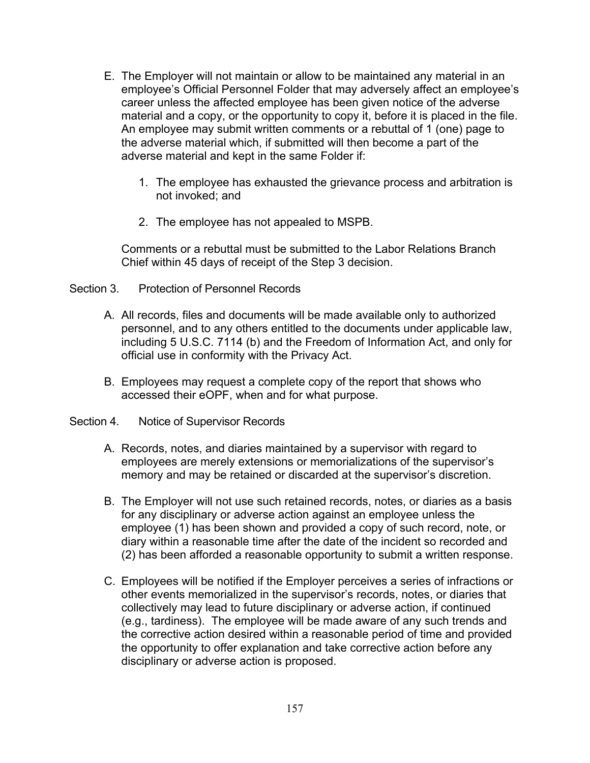- E. The Employer will not maintain or allow to be maintained any material in an employee's Official Personnel Folder that may adversely affect an employee's career unless the affected employee has been given notice of the adverse material and a copy, or the opportunity to copy it, before it is placed in the file. An employee may submit written comments or a rebuttal of 1 (one) page to the adverse material which, if submitted will then become a part of the adverse material and kept in the same Folder if:
	- 1. The employee has exhausted the grievance process and arbitration is not invoked; and
	- 2. The employee has not appealed to MSPB.

Comments or a rebuttal must be submitted to the Labor Relations Branch Chief within 45 days of receipt of the Step 3 decision.

Section 3. Protection of Personnel Records

- A. All records, files and documents will be made available only to authorized personnel, and to any others entitled to the documents under applicable law, including 5 U.S.C. 7114 (b) and the Freedom of Information Act, and only for official use in conformity with the Privacy Act.
- B. Employees may request a complete copy of the report that shows who accessed their eOPF, when and for what purpose.
- Section 4. Notice of Supervisor Records
	- A. Records, notes, and diaries maintained by a supervisor with regard to employees are merely extensions or memorializations of the supervisor's memory and may be retained or discarded at the supervisor's discretion.
	- B. The Employer will not use such retained records, notes, or diaries as a basis for any disciplinary or adverse action against an employee unless the employee (1) has been shown and provided a copy of such record, note, or diary within a reasonable time after the date of the incident so recorded and (2) has been afforded a reasonable opportunity to submit a written response.
	- C. Employees will be notified if the Employer perceives a series of infractions or other events memorialized in the supervisor's records, notes, or diaries that collectively may lead to future disciplinary or adverse action, if continued (e.g., tardiness). The employee will be made aware of any such trends and the corrective action desired within a reasonable period of time and provided the opportunity to offer explanation and take corrective action before any disciplinary or adverse action is proposed.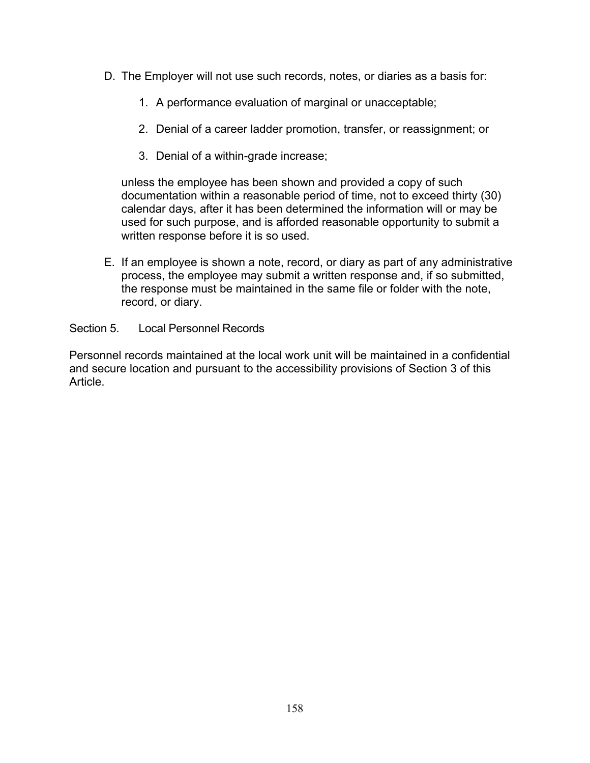- D. The Employer will not use such records, notes, or diaries as a basis for:
	- 1. A performance evaluation of marginal or unacceptable;
	- 2. Denial of a career ladder promotion, transfer, or reassignment; or
	- 3. Denial of a within-grade increase;

unless the employee has been shown and provided a copy of such documentation within a reasonable period of time, not to exceed thirty (30) calendar days, after it has been determined the information will or may be used for such purpose, and is afforded reasonable opportunity to submit a written response before it is so used.

E. If an employee is shown a note, record, or diary as part of any administrative process, the employee may submit a written response and, if so submitted, the response must be maintained in the same file or folder with the note, record, or diary.

# Section 5. Local Personnel Records

Personnel records maintained at the local work unit will be maintained in a confidential and secure location and pursuant to the accessibility provisions of Section 3 of this Article.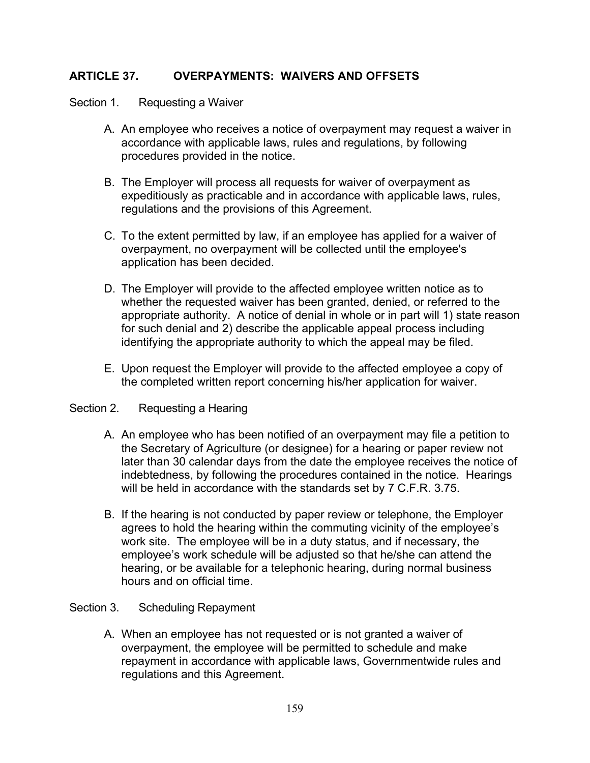# **ARTICLE 37. OVERPAYMENTS: WAIVERS AND OFFSETS**

#### Section 1. Requesting a Waiver

- A. An employee who receives a notice of overpayment may request a waiver in accordance with applicable laws, rules and regulations, by following procedures provided in the notice.
- B. The Employer will process all requests for waiver of overpayment as expeditiously as practicable and in accordance with applicable laws, rules, regulations and the provisions of this Agreement.
- C. To the extent permitted by law, if an employee has applied for a waiver of overpayment, no overpayment will be collected until the employee's application has been decided.
- D. The Employer will provide to the affected employee written notice as to whether the requested waiver has been granted, denied, or referred to the appropriate authority. A notice of denial in whole or in part will 1) state reason for such denial and 2) describe the applicable appeal process including identifying the appropriate authority to which the appeal may be filed.
- E. Upon request the Employer will provide to the affected employee a copy of the completed written report concerning his/her application for waiver.

#### Section 2. Requesting a Hearing

- A. An employee who has been notified of an overpayment may file a petition to the Secretary of Agriculture (or designee) for a hearing or paper review not later than 30 calendar days from the date the employee receives the notice of indebtedness, by following the procedures contained in the notice. Hearings will be held in accordance with the standards set by 7 C.F.R. 3.75.
- B. If the hearing is not conducted by paper review or telephone, the Employer agrees to hold the hearing within the commuting vicinity of the employee's work site. The employee will be in a duty status, and if necessary, the employee's work schedule will be adjusted so that he/she can attend the hearing, or be available for a telephonic hearing, during normal business hours and on official time.

#### Section 3. Scheduling Repayment

A. When an employee has not requested or is not granted a waiver of overpayment, the employee will be permitted to schedule and make repayment in accordance with applicable laws, Governmentwide rules and regulations and this Agreement.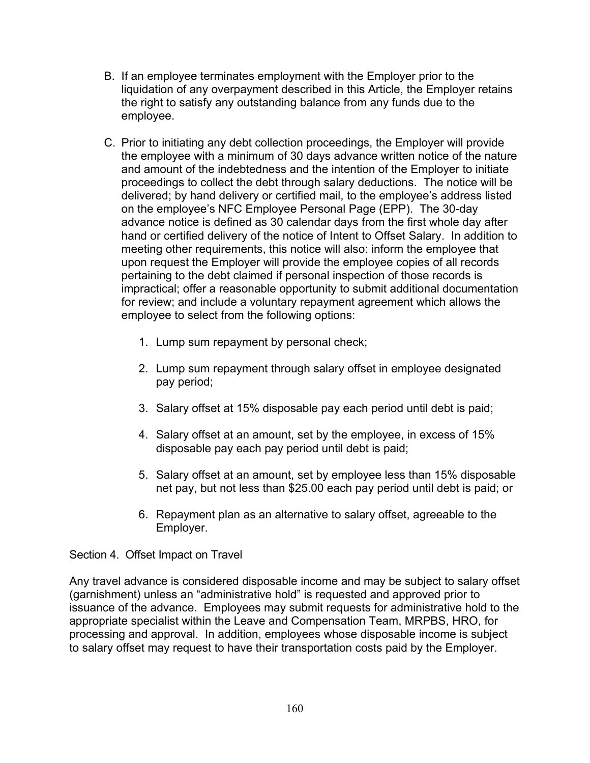- B. If an employee terminates employment with the Employer prior to the liquidation of any overpayment described in this Article, the Employer retains the right to satisfy any outstanding balance from any funds due to the employee.
- C. Prior to initiating any debt collection proceedings, the Employer will provide the employee with a minimum of 30 days advance written notice of the nature and amount of the indebtedness and the intention of the Employer to initiate proceedings to collect the debt through salary deductions. The notice will be delivered; by hand delivery or certified mail, to the employee's address listed on the employee's NFC Employee Personal Page (EPP). The 30-day advance notice is defined as 30 calendar days from the first whole day after hand or certified delivery of the notice of Intent to Offset Salary. In addition to meeting other requirements, this notice will also: inform the employee that upon request the Employer will provide the employee copies of all records pertaining to the debt claimed if personal inspection of those records is impractical; offer a reasonable opportunity to submit additional documentation for review; and include a voluntary repayment agreement which allows the employee to select from the following options:
	- 1. Lump sum repayment by personal check;
	- 2. Lump sum repayment through salary offset in employee designated pay period;
	- 3. Salary offset at 15% disposable pay each period until debt is paid;
	- 4. Salary offset at an amount, set by the employee, in excess of 15% disposable pay each pay period until debt is paid;
	- 5. Salary offset at an amount, set by employee less than 15% disposable net pay, but not less than \$25.00 each pay period until debt is paid; or
	- 6. Repayment plan as an alternative to salary offset, agreeable to the Employer.

## Section 4. Offset Impact on Travel

Any travel advance is considered disposable income and may be subject to salary offset (garnishment) unless an "administrative hold" is requested and approved prior to issuance of the advance. Employees may submit requests for administrative hold to the appropriate specialist within the Leave and Compensation Team, MRPBS, HRO, for processing and approval. In addition, employees whose disposable income is subject to salary offset may request to have their transportation costs paid by the Employer.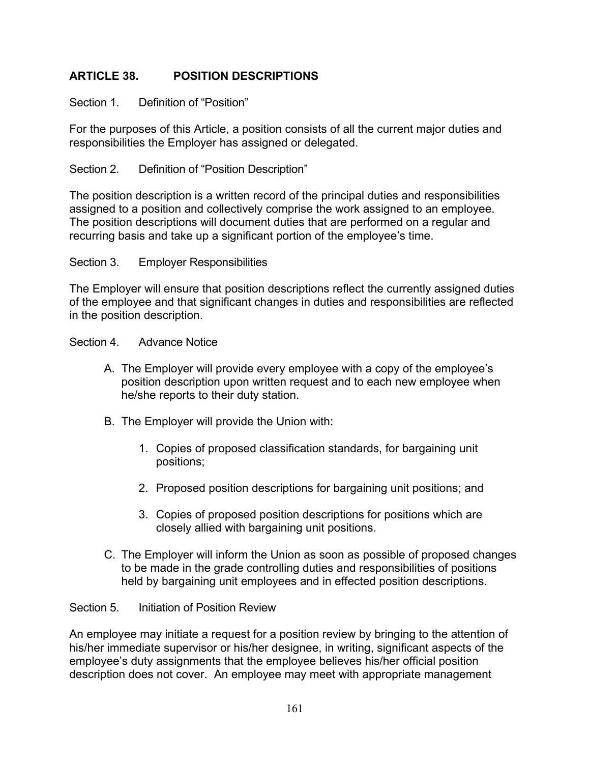# **ARTICLE 38. POSITION DESCRIPTIONS**

Section 1. Definition of "Position"

For the purposes of this Article, a position consists of all the current major duties and responsibilities the Employer has assigned or delegated.

Section 2. Definition of "Position Description"

The position description is a written record of the principal duties and responsibilities assigned to a position and collectively comprise the work assigned to an employee. The position descriptions will document duties that are performed on a regular and recurring basis and take up a significant portion of the employee's time.

### Section 3. Employer Responsibilities

The Employer will ensure that position descriptions reflect the currently assigned duties of the employee and that significant changes in duties and responsibilities are reflected in the position description.

#### Section 4. Advance Notice

- A. The Employer will provide every employee with a copy of the employee's position description upon written request and to each new employee when he/she reports to their duty station.
- B. The Employer will provide the Union with:
	- 1. Copies of proposed classification standards, for bargaining unit positions;
	- 2. Proposed position descriptions for bargaining unit positions; and
	- 3. Copies of proposed position descriptions for positions which are closely allied with bargaining unit positions.
- C. The Employer will inform the Union as soon as possible of proposed changes to be made in the grade controlling duties and responsibilities of positions held by bargaining unit employees and in effected position descriptions.

#### Section 5. Initiation of Position Review

An employee may initiate a request for a position review by bringing to the attention of his/her immediate supervisor or his/her designee, in writing, significant aspects of the employee's duty assignments that the employee believes his/her official position description does not cover. An employee may meet with appropriate management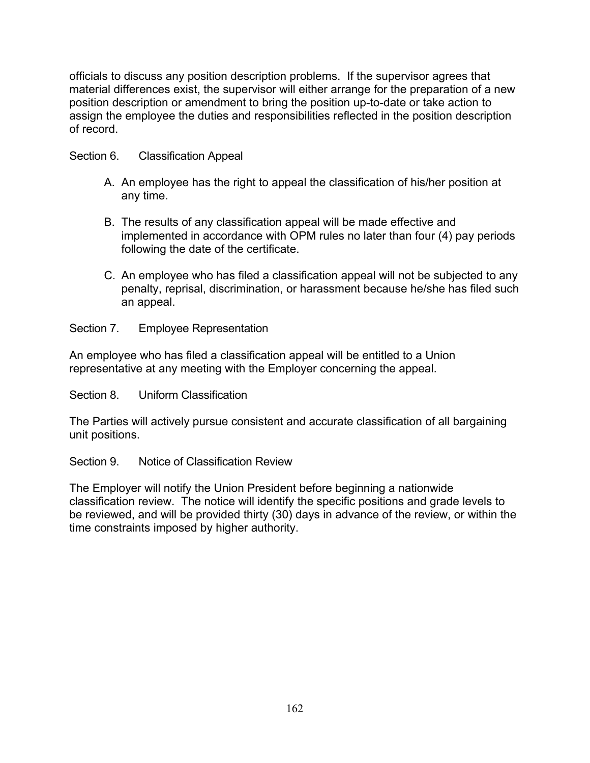officials to discuss any position description problems. If the supervisor agrees that material differences exist, the supervisor will either arrange for the preparation of a new position description or amendment to bring the position up-to-date or take action to assign the employee the duties and responsibilities reflected in the position description of record.

# Section 6. Classification Appeal

- A. An employee has the right to appeal the classification of his/her position at any time.
- B. The results of any classification appeal will be made effective and implemented in accordance with OPM rules no later than four (4) pay periods following the date of the certificate.
- C. An employee who has filed a classification appeal will not be subjected to any penalty, reprisal, discrimination, or harassment because he/she has filed such an appeal.

# Section 7. Employee Representation

An employee who has filed a classification appeal will be entitled to a Union representative at any meeting with the Employer concerning the appeal.

Section 8. Uniform Classification

The Parties will actively pursue consistent and accurate classification of all bargaining unit positions.

Section 9. Notice of Classification Review

The Employer will notify the Union President before beginning a nationwide classification review. The notice will identify the specific positions and grade levels to be reviewed, and will be provided thirty (30) days in advance of the review, or within the time constraints imposed by higher authority.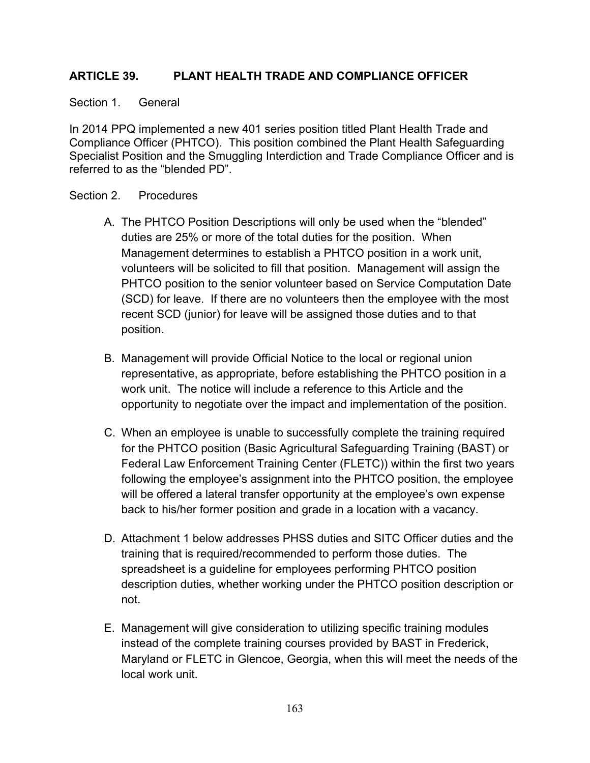# **ARTICLE 39. PLANT HEALTH TRADE AND COMPLIANCE OFFICER**

### Section 1. General

In 2014 PPQ implemented a new 401 series position titled Plant Health Trade and Compliance Officer (PHTCO). This position combined the Plant Health Safeguarding Specialist Position and the Smuggling Interdiction and Trade Compliance Officer and is referred to as the "blended PD".

### Section 2. Procedures

- A. The PHTCO Position Descriptions will only be used when the "blended" duties are 25% or more of the total duties for the position. When Management determines to establish a PHTCO position in a work unit, volunteers will be solicited to fill that position. Management will assign the PHTCO position to the senior volunteer based on Service Computation Date (SCD) for leave. If there are no volunteers then the employee with the most recent SCD (junior) for leave will be assigned those duties and to that position.
- B. Management will provide Official Notice to the local or regional union representative, as appropriate, before establishing the PHTCO position in a work unit. The notice will include a reference to this Article and the opportunity to negotiate over the impact and implementation of the position.
- C. When an employee is unable to successfully complete the training required for the PHTCO position (Basic Agricultural Safeguarding Training (BAST) or Federal Law Enforcement Training Center (FLETC)) within the first two years following the employee's assignment into the PHTCO position, the employee will be offered a lateral transfer opportunity at the employee's own expense back to his/her former position and grade in a location with a vacancy.
- D. Attachment 1 below addresses PHSS duties and SITC Officer duties and the training that is required/recommended to perform those duties. The spreadsheet is a guideline for employees performing PHTCO position description duties, whether working under the PHTCO position description or not.
- E. Management will give consideration to utilizing specific training modules instead of the complete training courses provided by BAST in Frederick, Maryland or FLETC in Glencoe, Georgia, when this will meet the needs of the local work unit.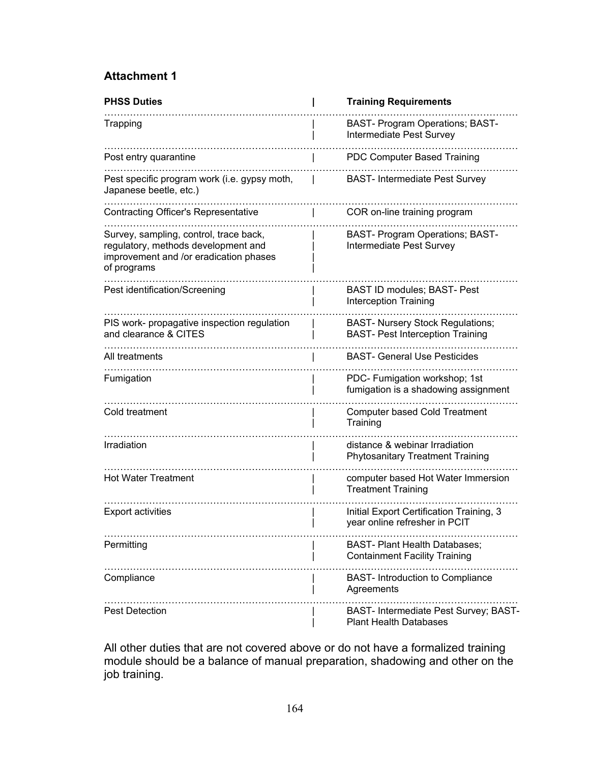# **Attachment 1**

| <b>PHSS Duties</b>                                                                                                                     | <b>Training Requirements</b>                                                       |
|----------------------------------------------------------------------------------------------------------------------------------------|------------------------------------------------------------------------------------|
| Trapping                                                                                                                               | BAST- Program Operations; BAST-<br>Intermediate Pest Survey                        |
| Post entry quarantine                                                                                                                  | PDC Computer Based Training                                                        |
| Pest specific program work (i.e. gypsy moth,<br>Japanese beetle, etc.)                                                                 | <b>BAST- Intermediate Pest Survey</b>                                              |
| <b>Contracting Officer's Representative</b>                                                                                            | COR on-line training program                                                       |
| Survey, sampling, control, trace back,<br>regulatory, methods development and<br>improvement and /or eradication phases<br>of programs | <b>BAST- Program Operations; BAST-</b><br>Intermediate Pest Survey                 |
| Pest identification/Screening                                                                                                          | BAST ID modules; BAST- Pest<br>Interception Training                               |
| PIS work- propagative inspection regulation<br>and clearance & CITES                                                                   | <b>BAST- Nursery Stock Regulations;</b><br><b>BAST- Pest Interception Training</b> |
| All treatments                                                                                                                         | <b>BAST- General Use Pesticides</b>                                                |
| Fumigation                                                                                                                             | PDC- Fumigation workshop; 1st<br>fumigation is a shadowing assignment              |
| Cold treatment                                                                                                                         | <b>Computer based Cold Treatment</b><br>Training                                   |
| Irradiation                                                                                                                            | distance & webinar Irradiation<br><b>Phytosanitary Treatment Training</b>          |
| <b>Hot Water Treatment</b>                                                                                                             | computer based Hot Water Immersion<br><b>Treatment Training</b>                    |
| <b>Export activities</b>                                                                                                               | Initial Export Certification Training, 3<br>year online refresher in PCIT          |
| Permitting                                                                                                                             | BAST- Plant Health Databases;<br><b>Containment Facility Training</b>              |
| Compliance                                                                                                                             | <b>BAST-</b> Introduction to Compliance<br>Agreements                              |
| <b>Pest Detection</b>                                                                                                                  | BAST- Intermediate Pest Survey; BAST-<br><b>Plant Health Databases</b>             |

All other duties that are not covered above or do not have a formalized training module should be a balance of manual preparation, shadowing and other on the job training.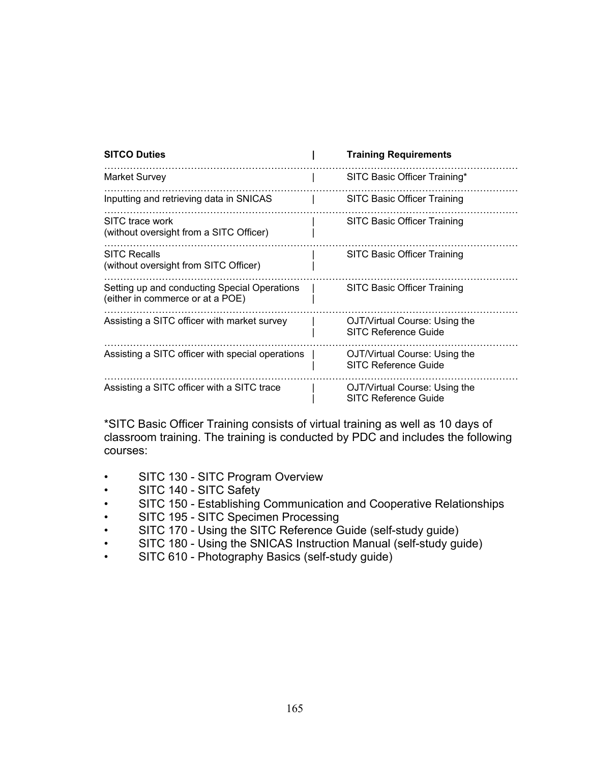| <b>SITCO Duties</b>                                                              | <b>Training Requirements</b>                                 |
|----------------------------------------------------------------------------------|--------------------------------------------------------------|
| <b>Market Survey</b>                                                             | SITC Basic Officer Training*                                 |
| Inputting and retrieving data in SNICAS                                          | SITC Basic Officer Training                                  |
| SITC trace work<br>(without oversight from a SITC Officer)                       | SITC Basic Officer Training                                  |
| <b>SITC Recalls</b><br>(without oversight from SITC Officer)                     | SITC Basic Officer Training                                  |
| Setting up and conducting Special Operations<br>(either in commerce or at a POE) | <b>SITC Basic Officer Training</b>                           |
| Assisting a SITC officer with market survey                                      | OJT/Virtual Course: Using the<br>SITC Reference Guide        |
| Assisting a SITC officer with special operations                                 | OJT/Virtual Course: Using the<br><b>SITC Reference Guide</b> |
| Assisting a SITC officer with a SITC trace                                       | OJT/Virtual Course: Using the<br><b>SITC Reference Guide</b> |

\*SITC Basic Officer Training consists of virtual training as well as 10 days of classroom training. The training is conducted by PDC and includes the following courses:

- SITC 130 SITC Program Overview
- SITC 140 SITC Safety
- SITC 150 Establishing Communication and Cooperative Relationships
- SITC 195 SITC Specimen Processing
- SITC 170 Using the SITC Reference Guide (self-study guide)
- SITC 180 Using the SNICAS Instruction Manual (self-study guide)
- SITC 610 Photography Basics (self-study guide)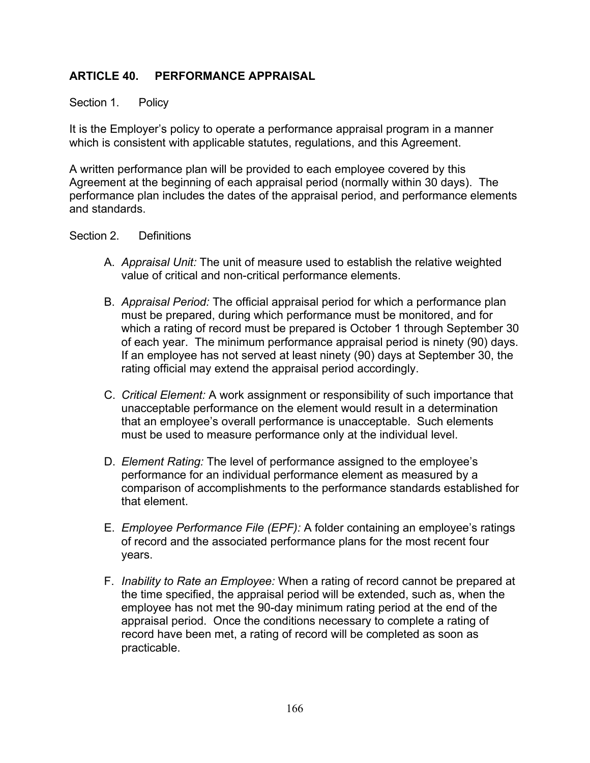# **ARTICLE 40. PERFORMANCE APPRAISAL**

### Section 1. Policy

It is the Employer's policy to operate a performance appraisal program in a manner which is consistent with applicable statutes, regulations, and this Agreement.

A written performance plan will be provided to each employee covered by this Agreement at the beginning of each appraisal period (normally within 30 days). The performance plan includes the dates of the appraisal period, and performance elements and standards.

#### Section 2. Definitions

- A. *Appraisal Unit:* The unit of measure used to establish the relative weighted value of critical and non-critical performance elements.
- B. *Appraisal Period:* The official appraisal period for which a performance plan must be prepared, during which performance must be monitored, and for which a rating of record must be prepared is October 1 through September 30 of each year. The minimum performance appraisal period is ninety (90) days. If an employee has not served at least ninety (90) days at September 30, the rating official may extend the appraisal period accordingly.
- C. *Critical Element:* A work assignment or responsibility of such importance that unacceptable performance on the element would result in a determination that an employee's overall performance is unacceptable. Such elements must be used to measure performance only at the individual level.
- D. *Element Rating:* The level of performance assigned to the employee's performance for an individual performance element as measured by a comparison of accomplishments to the performance standards established for that element.
- E. *Employee Performance File (EPF):* A folder containing an employee's ratings of record and the associated performance plans for the most recent four years.
- F. *Inability to Rate an Employee:* When a rating of record cannot be prepared at the time specified, the appraisal period will be extended, such as, when the employee has not met the 90-day minimum rating period at the end of the appraisal period. Once the conditions necessary to complete a rating of record have been met, a rating of record will be completed as soon as practicable.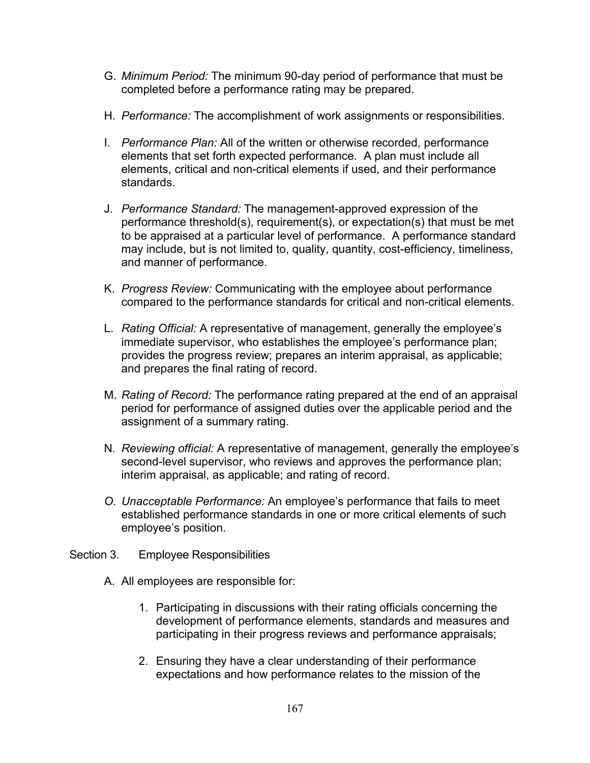- G. *Minimum Period:* The minimum 90-day period of performance that must be completed before a performance rating may be prepared.
- H. *Performance:* The accomplishment of work assignments or responsibilities.
- I. *Performance Plan:* All of the written or otherwise recorded, performance elements that set forth expected performance. A plan must include all elements, critical and non-critical elements if used, and their performance standards.
- J. *Performance Standard:* The management-approved expression of the performance threshold(s), requirement(s), or expectation(s) that must be met to be appraised at a particular level of performance. A performance standard may include, but is not limited to, quality, quantity, cost-efficiency, timeliness, and manner of performance.
- K. *Progress Review:* Communicating with the employee about performance compared to the performance standards for critical and non-critical elements.
- L. *Rating Official:* A representative of management, generally the employee's immediate supervisor, who establishes the employee's performance plan; provides the progress review; prepares an interim appraisal, as applicable; and prepares the final rating of record.
- M. *Rating of Record:* The performance rating prepared at the end of an appraisal period for performance of assigned duties over the applicable period and the assignment of a summary rating.
- N. *Reviewing official:* A representative of management, generally the employee's second-level supervisor, who reviews and approves the performance plan; interim appraisal, as applicable; and rating of record.
- *O. Unacceptable Performance:* An employee's performance that fails to meet established performance standards in one or more critical elements of such employee's position.

#### Section 3. Employee Responsibilities

- A. All employees are responsible for:
	- 1. Participating in discussions with their rating officials concerning the development of performance elements, standards and measures and participating in their progress reviews and performance appraisals;
	- 2. Ensuring they have a clear understanding of their performance expectations and how performance relates to the mission of the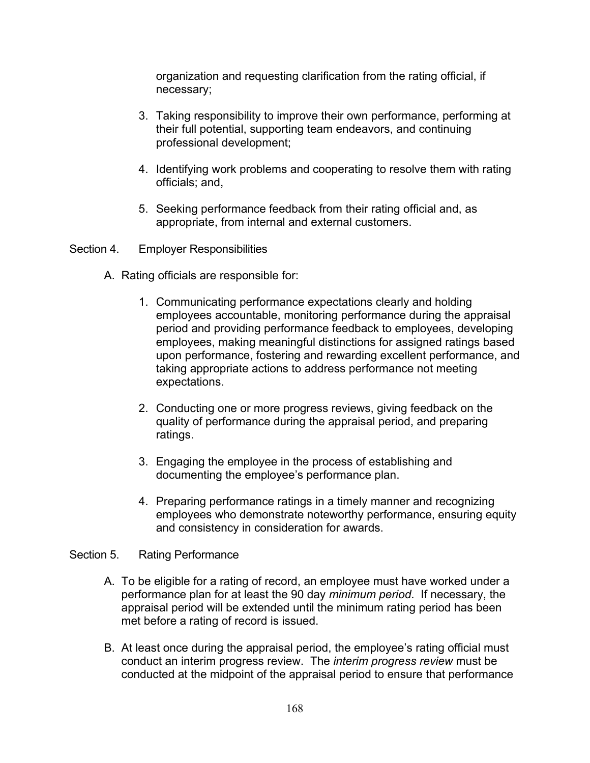organization and requesting clarification from the rating official, if necessary;

- 3. Taking responsibility to improve their own performance, performing at their full potential, supporting team endeavors, and continuing professional development;
- 4. Identifying work problems and cooperating to resolve them with rating officials; and,
- 5. Seeking performance feedback from their rating official and, as appropriate, from internal and external customers.
- Section 4. Employer Responsibilities
	- A. Rating officials are responsible for:
		- 1. Communicating performance expectations clearly and holding employees accountable, monitoring performance during the appraisal period and providing performance feedback to employees, developing employees, making meaningful distinctions for assigned ratings based upon performance, fostering and rewarding excellent performance, and taking appropriate actions to address performance not meeting expectations.
		- 2. Conducting one or more progress reviews, giving feedback on the quality of performance during the appraisal period, and preparing ratings.
		- 3. Engaging the employee in the process of establishing and documenting the employee's performance plan.
		- 4. Preparing performance ratings in a timely manner and recognizing employees who demonstrate noteworthy performance, ensuring equity and consistency in consideration for awards.

#### Section 5. Rating Performance

- A. To be eligible for a rating of record, an employee must have worked under a performance plan for at least the 90 day *minimum period*. If necessary, the appraisal period will be extended until the minimum rating period has been met before a rating of record is issued.
- B. At least once during the appraisal period, the employee's rating official must conduct an interim progress review. The *interim progress review* must be conducted at the midpoint of the appraisal period to ensure that performance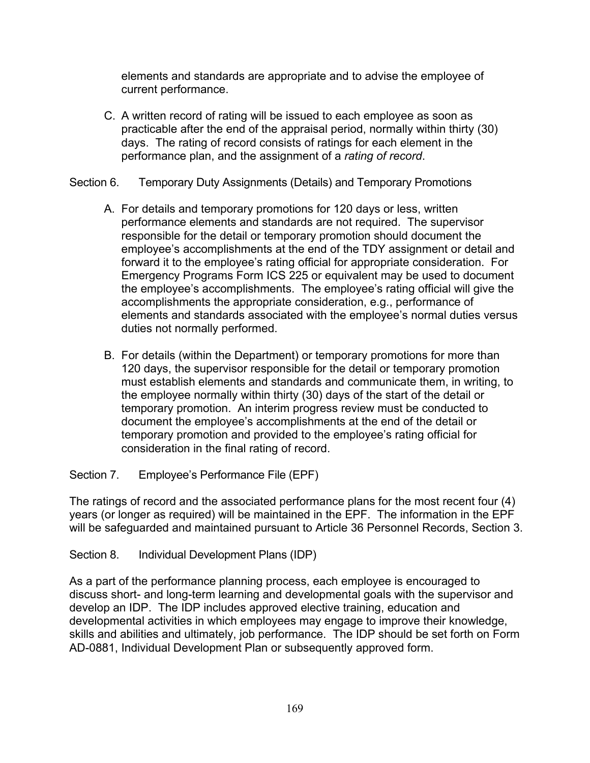elements and standards are appropriate and to advise the employee of current performance.

- C. A written record of rating will be issued to each employee as soon as practicable after the end of the appraisal period, normally within thirty (30) days. The rating of record consists of ratings for each element in the performance plan, and the assignment of a *rating of record*.
- Section 6. Temporary Duty Assignments (Details) and Temporary Promotions
	- A. For details and temporary promotions for 120 days or less, written performance elements and standards are not required. The supervisor responsible for the detail or temporary promotion should document the employee's accomplishments at the end of the TDY assignment or detail and forward it to the employee's rating official for appropriate consideration. For Emergency Programs Form ICS 225 or equivalent may be used to document the employee's accomplishments. The employee's rating official will give the accomplishments the appropriate consideration, e.g., performance of elements and standards associated with the employee's normal duties versus duties not normally performed.
	- B. For details (within the Department) or temporary promotions for more than 120 days, the supervisor responsible for the detail or temporary promotion must establish elements and standards and communicate them, in writing, to the employee normally within thirty (30) days of the start of the detail or temporary promotion. An interim progress review must be conducted to document the employee's accomplishments at the end of the detail or temporary promotion and provided to the employee's rating official for consideration in the final rating of record.
- Section 7. Employee's Performance File (EPF)

The ratings of record and the associated performance plans for the most recent four (4) years (or longer as required) will be maintained in the EPF. The information in the EPF will be safeguarded and maintained pursuant to Article 36 Personnel Records, Section 3.

Section 8. Individual Development Plans (IDP)

As a part of the performance planning process, each employee is encouraged to discuss short- and long-term learning and developmental goals with the supervisor and develop an IDP. The IDP includes approved elective training, education and developmental activities in which employees may engage to improve their knowledge, skills and abilities and ultimately, job performance. The IDP should be set forth on Form AD-0881, Individual Development Plan or subsequently approved form.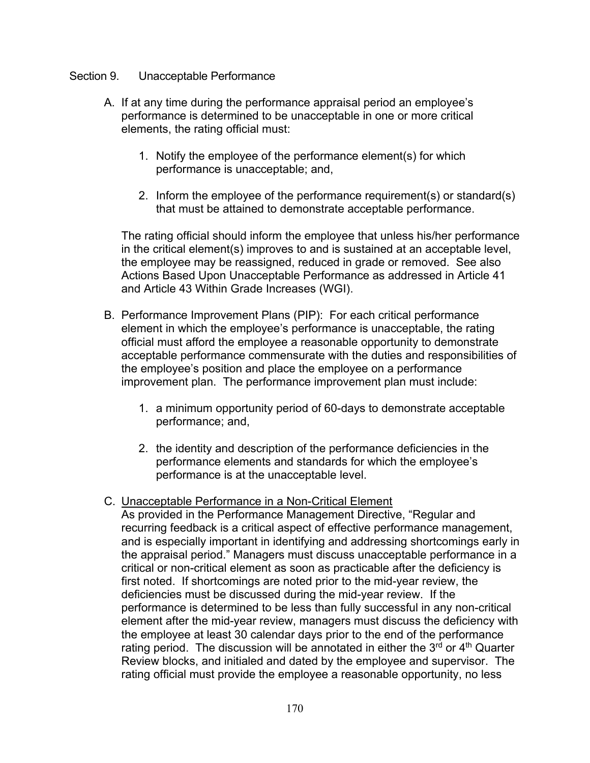#### Section 9. Unacceptable Performance

- A. If at any time during the performance appraisal period an employee's performance is determined to be unacceptable in one or more critical elements, the rating official must:
	- 1. Notify the employee of the performance element(s) for which performance is unacceptable; and,
	- 2. Inform the employee of the performance requirement(s) or standard(s) that must be attained to demonstrate acceptable performance.

The rating official should inform the employee that unless his/her performance in the critical element(s) improves to and is sustained at an acceptable level, the employee may be reassigned, reduced in grade or removed. See also Actions Based Upon Unacceptable Performance as addressed in Article 41 and Article 43 Within Grade Increases (WGI).

- B. Performance Improvement Plans (PIP): For each critical performance element in which the employee's performance is unacceptable, the rating official must afford the employee a reasonable opportunity to demonstrate acceptable performance commensurate with the duties and responsibilities of the employee's position and place the employee on a performance improvement plan. The performance improvement plan must include:
	- 1. a minimum opportunity period of 60-days to demonstrate acceptable performance; and,
	- 2. the identity and description of the performance deficiencies in the performance elements and standards for which the employee's performance is at the unacceptable level.

### C. Unacceptable Performance in a Non-Critical Element

As provided in the Performance Management Directive, "Regular and recurring feedback is a critical aspect of effective performance management, and is especially important in identifying and addressing shortcomings early in the appraisal period." Managers must discuss unacceptable performance in a critical or non-critical element as soon as practicable after the deficiency is first noted. If shortcomings are noted prior to the mid-year review, the deficiencies must be discussed during the mid-year review. If the performance is determined to be less than fully successful in any non-critical element after the mid-year review, managers must discuss the deficiency with the employee at least 30 calendar days prior to the end of the performance rating period. The discussion will be annotated in either the  $3<sup>rd</sup>$  or  $4<sup>th</sup>$  Quarter Review blocks, and initialed and dated by the employee and supervisor. The rating official must provide the employee a reasonable opportunity, no less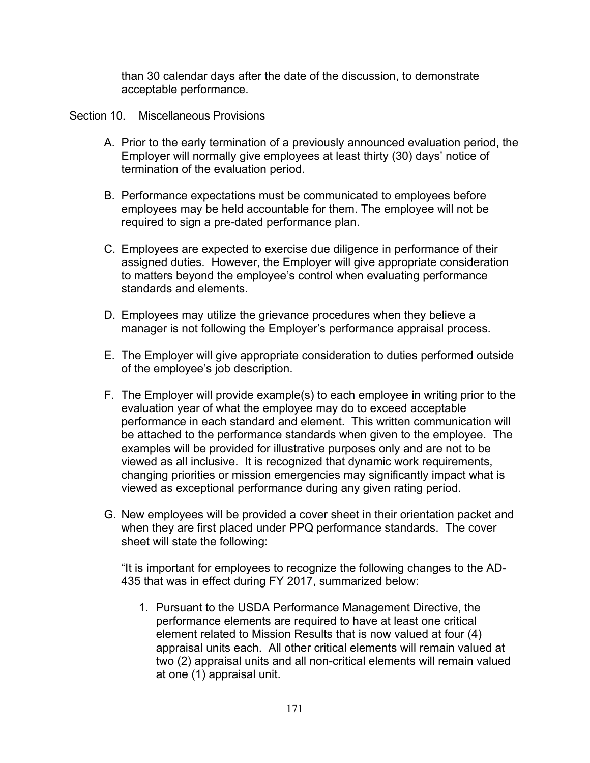than 30 calendar days after the date of the discussion, to demonstrate acceptable performance.

#### Section 10. Miscellaneous Provisions

- A. Prior to the early termination of a previously announced evaluation period, the Employer will normally give employees at least thirty (30) days' notice of termination of the evaluation period.
- B. Performance expectations must be communicated to employees before employees may be held accountable for them. The employee will not be required to sign a pre-dated performance plan.
- C. Employees are expected to exercise due diligence in performance of their assigned duties. However, the Employer will give appropriate consideration to matters beyond the employee's control when evaluating performance standards and elements.
- D. Employees may utilize the grievance procedures when they believe a manager is not following the Employer's performance appraisal process.
- E. The Employer will give appropriate consideration to duties performed outside of the employee's job description.
- F. The Employer will provide example(s) to each employee in writing prior to the evaluation year of what the employee may do to exceed acceptable performance in each standard and element. This written communication will be attached to the performance standards when given to the employee. The examples will be provided for illustrative purposes only and are not to be viewed as all inclusive. It is recognized that dynamic work requirements, changing priorities or mission emergencies may significantly impact what is viewed as exceptional performance during any given rating period.
- G. New employees will be provided a cover sheet in their orientation packet and when they are first placed under PPQ performance standards. The cover sheet will state the following:

"It is important for employees to recognize the following changes to the AD-435 that was in effect during FY 2017, summarized below:

1. Pursuant to the USDA Performance Management Directive, the performance elements are required to have at least one critical element related to Mission Results that is now valued at four (4) appraisal units each. All other critical elements will remain valued at two (2) appraisal units and all non-critical elements will remain valued at one (1) appraisal unit.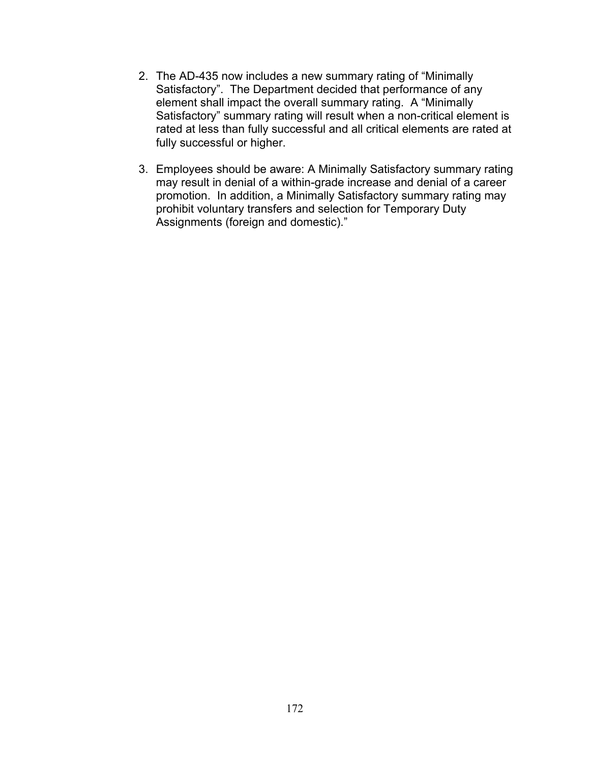- 2. The AD-435 now includes a new summary rating of "Minimally Satisfactory". The Department decided that performance of any element shall impact the overall summary rating. A "Minimally Satisfactory" summary rating will result when a non-critical element is rated at less than fully successful and all critical elements are rated at fully successful or higher.
- 3. Employees should be aware: A Minimally Satisfactory summary rating may result in denial of a within-grade increase and denial of a career promotion. In addition, a Minimally Satisfactory summary rating may prohibit voluntary transfers and selection for Temporary Duty Assignments (foreign and domestic)."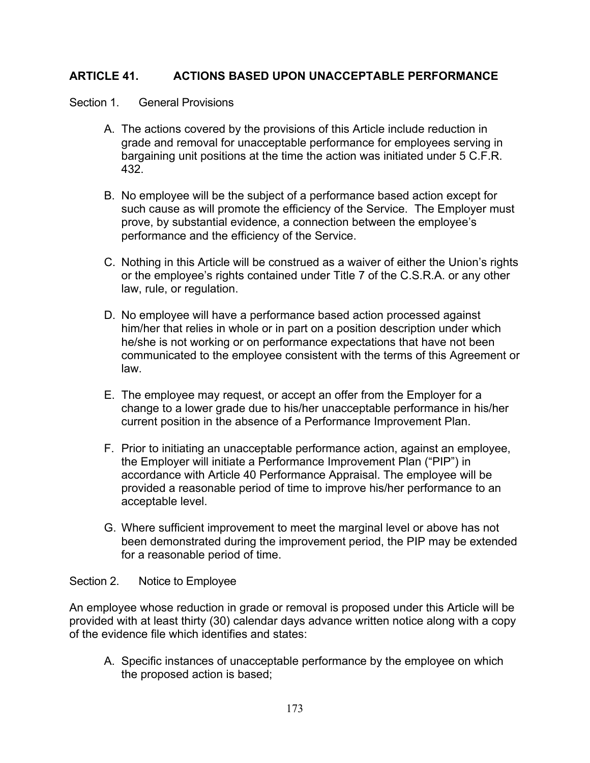# **ARTICLE 41. ACTIONS BASED UPON UNACCEPTABLE PERFORMANCE**

Section 1. General Provisions

- A. The actions covered by the provisions of this Article include reduction in grade and removal for unacceptable performance for employees serving in bargaining unit positions at the time the action was initiated under 5 C.F.R. 432.
- B. No employee will be the subject of a performance based action except for such cause as will promote the efficiency of the Service. The Employer must prove, by substantial evidence, a connection between the employee's performance and the efficiency of the Service.
- C. Nothing in this Article will be construed as a waiver of either the Union's rights or the employee's rights contained under Title 7 of the C.S.R.A. or any other law, rule, or regulation.
- D. No employee will have a performance based action processed against him/her that relies in whole or in part on a position description under which he/she is not working or on performance expectations that have not been communicated to the employee consistent with the terms of this Agreement or law.
- E. The employee may request, or accept an offer from the Employer for a change to a lower grade due to his/her unacceptable performance in his/her current position in the absence of a Performance Improvement Plan.
- F. Prior to initiating an unacceptable performance action, against an employee, the Employer will initiate a Performance Improvement Plan ("PIP") in accordance with Article 40 Performance Appraisal. The employee will be provided a reasonable period of time to improve his/her performance to an acceptable level.
- G. Where sufficient improvement to meet the marginal level or above has not been demonstrated during the improvement period, the PIP may be extended for a reasonable period of time.

### Section 2. Notice to Employee

An employee whose reduction in grade or removal is proposed under this Article will be provided with at least thirty (30) calendar days advance written notice along with a copy of the evidence file which identifies and states:

A. Specific instances of unacceptable performance by the employee on which the proposed action is based;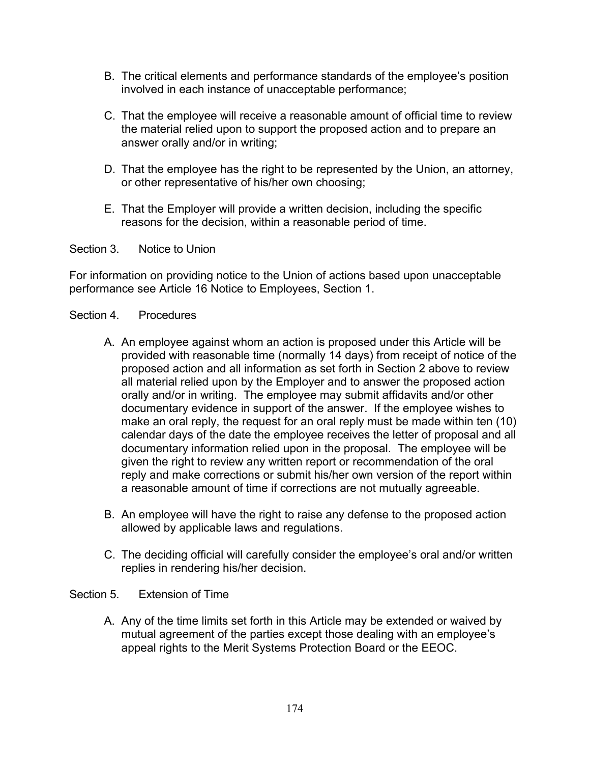- B. The critical elements and performance standards of the employee's position involved in each instance of unacceptable performance;
- C. That the employee will receive a reasonable amount of official time to review the material relied upon to support the proposed action and to prepare an answer orally and/or in writing;
- D. That the employee has the right to be represented by the Union, an attorney, or other representative of his/her own choosing;
- E. That the Employer will provide a written decision, including the specific reasons for the decision, within a reasonable period of time.
- Section 3. Notice to Union

For information on providing notice to the Union of actions based upon unacceptable performance see Article 16 Notice to Employees, Section 1.

#### Section 4. Procedures

- A. An employee against whom an action is proposed under this Article will be provided with reasonable time (normally 14 days) from receipt of notice of the proposed action and all information as set forth in Section 2 above to review all material relied upon by the Employer and to answer the proposed action orally and/or in writing. The employee may submit affidavits and/or other documentary evidence in support of the answer. If the employee wishes to make an oral reply, the request for an oral reply must be made within ten (10) calendar days of the date the employee receives the letter of proposal and all documentary information relied upon in the proposal. The employee will be given the right to review any written report or recommendation of the oral reply and make corrections or submit his/her own version of the report within a reasonable amount of time if corrections are not mutually agreeable.
- B. An employee will have the right to raise any defense to the proposed action allowed by applicable laws and regulations.
- C. The deciding official will carefully consider the employee's oral and/or written replies in rendering his/her decision.

#### Section 5. Extension of Time

A. Any of the time limits set forth in this Article may be extended or waived by mutual agreement of the parties except those dealing with an employee's appeal rights to the Merit Systems Protection Board or the EEOC.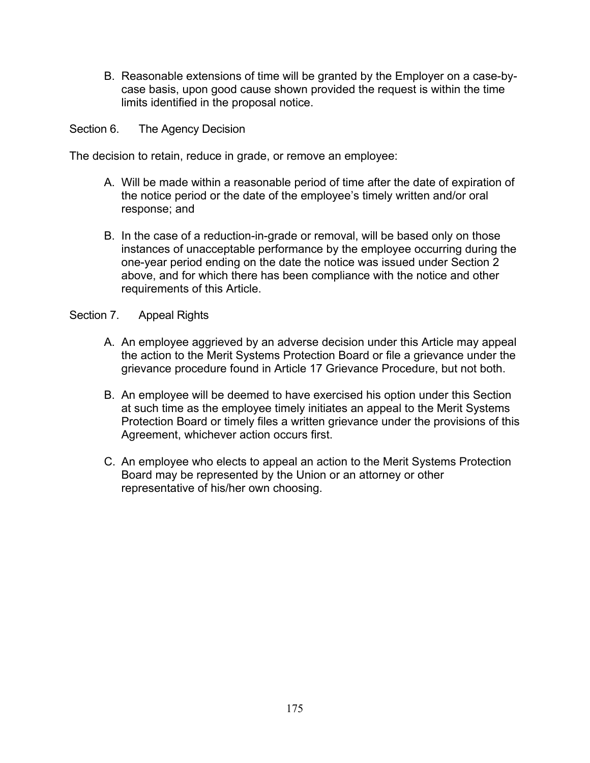B. Reasonable extensions of time will be granted by the Employer on a case-bycase basis, upon good cause shown provided the request is within the time limits identified in the proposal notice.

Section 6. The Agency Decision

The decision to retain, reduce in grade, or remove an employee:

- A. Will be made within a reasonable period of time after the date of expiration of the notice period or the date of the employee's timely written and/or oral response; and
- B. In the case of a reduction-in-grade or removal, will be based only on those instances of unacceptable performance by the employee occurring during the one-year period ending on the date the notice was issued under Section 2 above, and for which there has been compliance with the notice and other requirements of this Article.

### Section 7. Appeal Rights

- A. An employee aggrieved by an adverse decision under this Article may appeal the action to the Merit Systems Protection Board or file a grievance under the grievance procedure found in Article 17 Grievance Procedure, but not both.
- B. An employee will be deemed to have exercised his option under this Section at such time as the employee timely initiates an appeal to the Merit Systems Protection Board or timely files a written grievance under the provisions of this Agreement, whichever action occurs first.
- C. An employee who elects to appeal an action to the Merit Systems Protection Board may be represented by the Union or an attorney or other representative of his/her own choosing.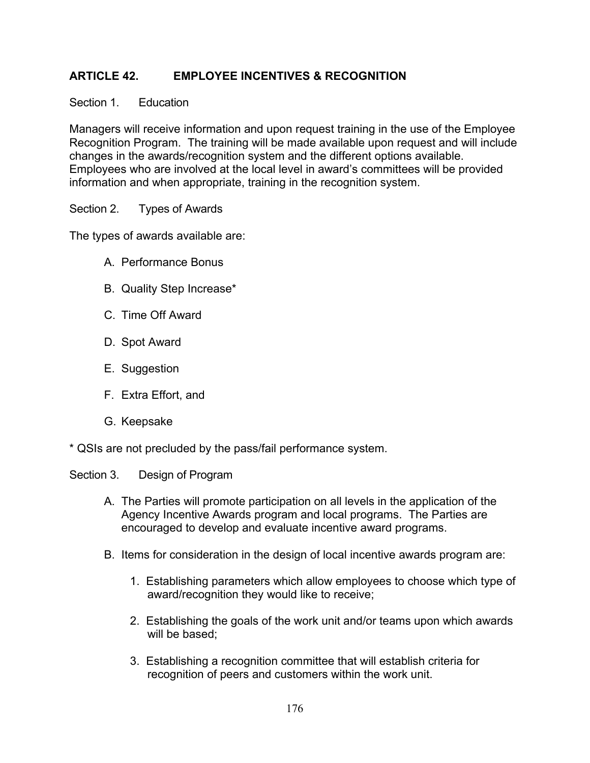# **ARTICLE 42. EMPLOYEE INCENTIVES & RECOGNITION**

Section 1. Education

Managers will receive information and upon request training in the use of the Employee Recognition Program. The training will be made available upon request and will include changes in the awards/recognition system and the different options available. Employees who are involved at the local level in award's committees will be provided information and when appropriate, training in the recognition system.

Section 2. Types of Awards

The types of awards available are:

- A. Performance Bonus
- B. Quality Step Increase\*
- C. Time Off Award
- D. Spot Award
- E. Suggestion
- F. Extra Effort, and
- G. Keepsake

\* QSIs are not precluded by the pass/fail performance system.

Section 3. Design of Program

- A. The Parties will promote participation on all levels in the application of the Agency Incentive Awards program and local programs. The Parties are encouraged to develop and evaluate incentive award programs.
- B. Items for consideration in the design of local incentive awards program are:
	- 1. Establishing parameters which allow employees to choose which type of award/recognition they would like to receive;
	- 2. Establishing the goals of the work unit and/or teams upon which awards will be based;
	- 3. Establishing a recognition committee that will establish criteria for recognition of peers and customers within the work unit.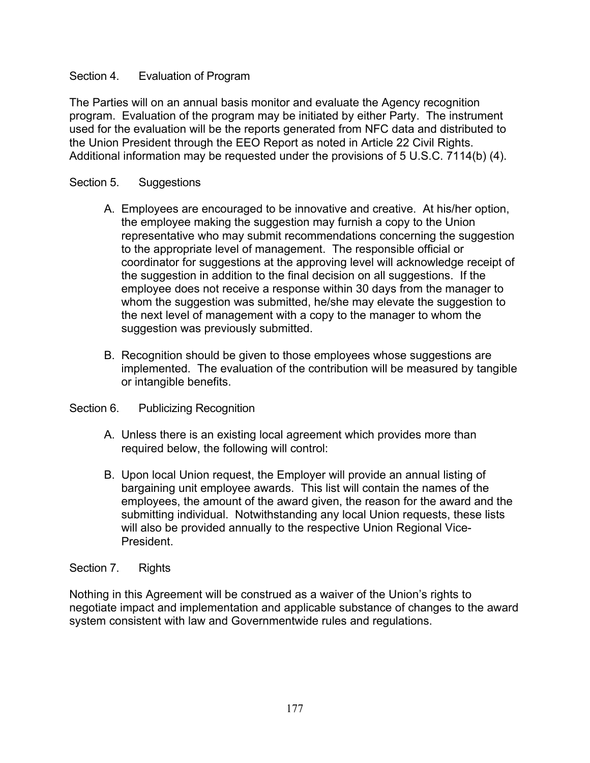## Section 4. Evaluation of Program

The Parties will on an annual basis monitor and evaluate the Agency recognition program. Evaluation of the program may be initiated by either Party. The instrument used for the evaluation will be the reports generated from NFC data and distributed to the Union President through the EEO Report as noted in Article 22 Civil Rights. Additional information may be requested under the provisions of 5 U.S.C. 7114(b) (4).

### Section 5. Suggestions

- A. Employees are encouraged to be innovative and creative. At his/her option, the employee making the suggestion may furnish a copy to the Union representative who may submit recommendations concerning the suggestion to the appropriate level of management. The responsible official or coordinator for suggestions at the approving level will acknowledge receipt of the suggestion in addition to the final decision on all suggestions. If the employee does not receive a response within 30 days from the manager to whom the suggestion was submitted, he/she may elevate the suggestion to the next level of management with a copy to the manager to whom the suggestion was previously submitted.
- B. Recognition should be given to those employees whose suggestions are implemented. The evaluation of the contribution will be measured by tangible or intangible benefits.

### Section 6. Publicizing Recognition

- A. Unless there is an existing local agreement which provides more than required below, the following will control:
- B. Upon local Union request, the Employer will provide an annual listing of bargaining unit employee awards. This list will contain the names of the employees, the amount of the award given, the reason for the award and the submitting individual. Notwithstanding any local Union requests, these lists will also be provided annually to the respective Union Regional Vice-President.

# Section 7. Rights

Nothing in this Agreement will be construed as a waiver of the Union's rights to negotiate impact and implementation and applicable substance of changes to the award system consistent with law and Governmentwide rules and regulations.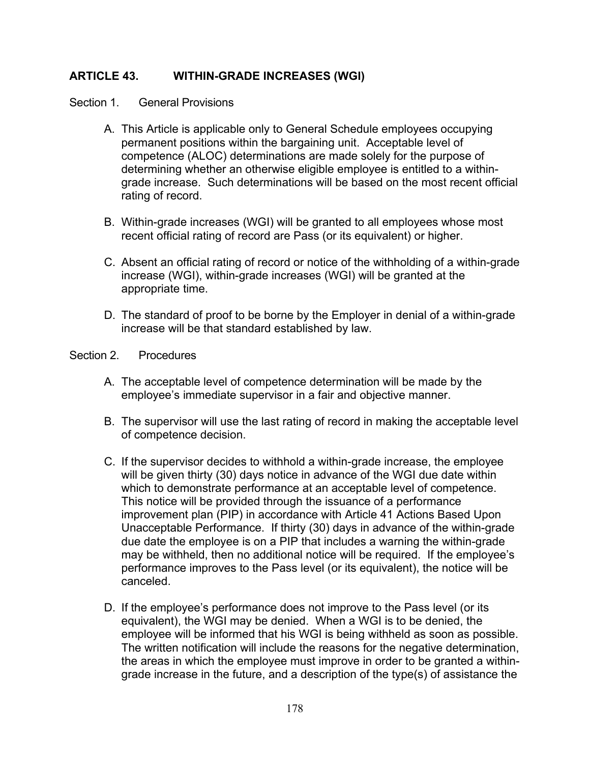# **ARTICLE 43. WITHIN-GRADE INCREASES (WGI)**

Section 1. General Provisions

- A. This Article is applicable only to General Schedule employees occupying permanent positions within the bargaining unit. Acceptable level of competence (ALOC) determinations are made solely for the purpose of determining whether an otherwise eligible employee is entitled to a withingrade increase. Such determinations will be based on the most recent official rating of record.
- B. Within-grade increases (WGI) will be granted to all employees whose most recent official rating of record are Pass (or its equivalent) or higher.
- C. Absent an official rating of record or notice of the withholding of a within-grade increase (WGI), within-grade increases (WGI) will be granted at the appropriate time.
- D. The standard of proof to be borne by the Employer in denial of a within-grade increase will be that standard established by law.

### Section 2. Procedures

- A. The acceptable level of competence determination will be made by the employee's immediate supervisor in a fair and objective manner.
- B. The supervisor will use the last rating of record in making the acceptable level of competence decision.
- C. If the supervisor decides to withhold a within-grade increase, the employee will be given thirty (30) days notice in advance of the WGI due date within which to demonstrate performance at an acceptable level of competence. This notice will be provided through the issuance of a performance improvement plan (PIP) in accordance with Article 41 Actions Based Upon Unacceptable Performance. If thirty (30) days in advance of the within-grade due date the employee is on a PIP that includes a warning the within-grade may be withheld, then no additional notice will be required. If the employee's performance improves to the Pass level (or its equivalent), the notice will be canceled.
- D. If the employee's performance does not improve to the Pass level (or its equivalent), the WGI may be denied. When a WGI is to be denied, the employee will be informed that his WGI is being withheld as soon as possible. The written notification will include the reasons for the negative determination, the areas in which the employee must improve in order to be granted a withingrade increase in the future, and a description of the type(s) of assistance the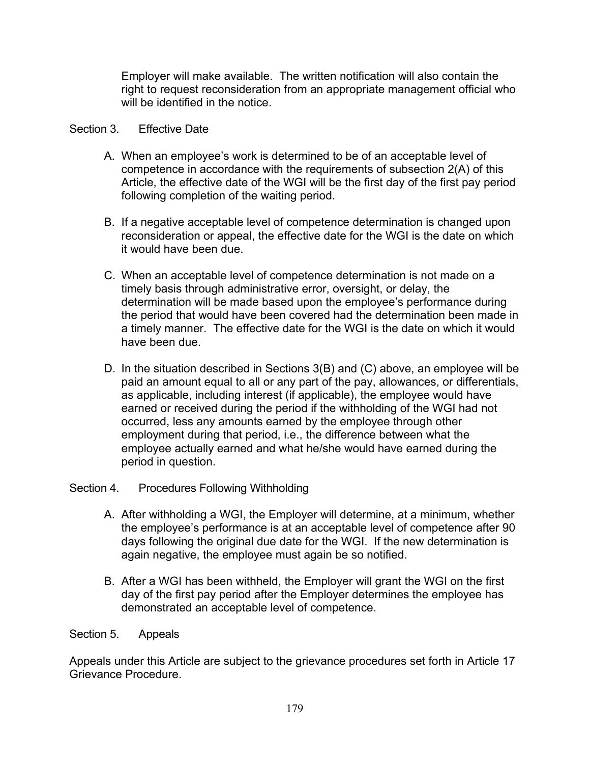Employer will make available. The written notification will also contain the right to request reconsideration from an appropriate management official who will be identified in the notice.

## Section 3 Fffective Date

- A. When an employee's work is determined to be of an acceptable level of competence in accordance with the requirements of subsection 2(A) of this Article, the effective date of the WGI will be the first day of the first pay period following completion of the waiting period.
- B. If a negative acceptable level of competence determination is changed upon reconsideration or appeal, the effective date for the WGI is the date on which it would have been due.
- C. When an acceptable level of competence determination is not made on a timely basis through administrative error, oversight, or delay, the determination will be made based upon the employee's performance during the period that would have been covered had the determination been made in a timely manner. The effective date for the WGI is the date on which it would have been due.
- D. In the situation described in Sections 3(B) and (C) above, an employee will be paid an amount equal to all or any part of the pay, allowances, or differentials, as applicable, including interest (if applicable), the employee would have earned or received during the period if the withholding of the WGI had not occurred, less any amounts earned by the employee through other employment during that period, i.e., the difference between what the employee actually earned and what he/she would have earned during the period in question.

# Section 4. Procedures Following Withholding

- A. After withholding a WGI, the Employer will determine, at a minimum, whether the employee's performance is at an acceptable level of competence after 90 days following the original due date for the WGI. If the new determination is again negative, the employee must again be so notified.
- B. After a WGI has been withheld, the Employer will grant the WGI on the first day of the first pay period after the Employer determines the employee has demonstrated an acceptable level of competence.

### Section 5. Appeals

Appeals under this Article are subject to the grievance procedures set forth in Article 17 Grievance Procedure.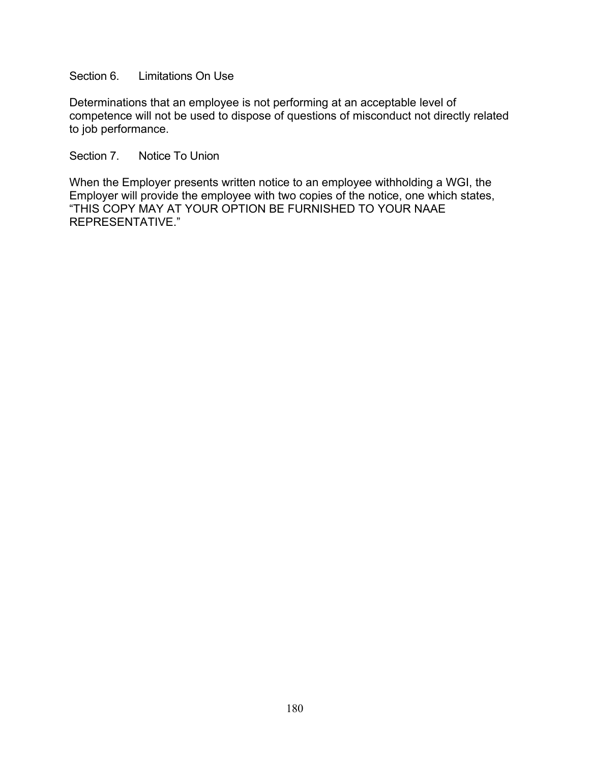#### Section 6. Limitations On Use

Determinations that an employee is not performing at an acceptable level of competence will not be used to dispose of questions of misconduct not directly related to job performance.

Section 7. Notice To Union

When the Employer presents written notice to an employee withholding a WGI, the Employer will provide the employee with two copies of the notice, one which states, "THIS COPY MAY AT YOUR OPTION BE FURNISHED TO YOUR NAAE REPRESENTATIVE."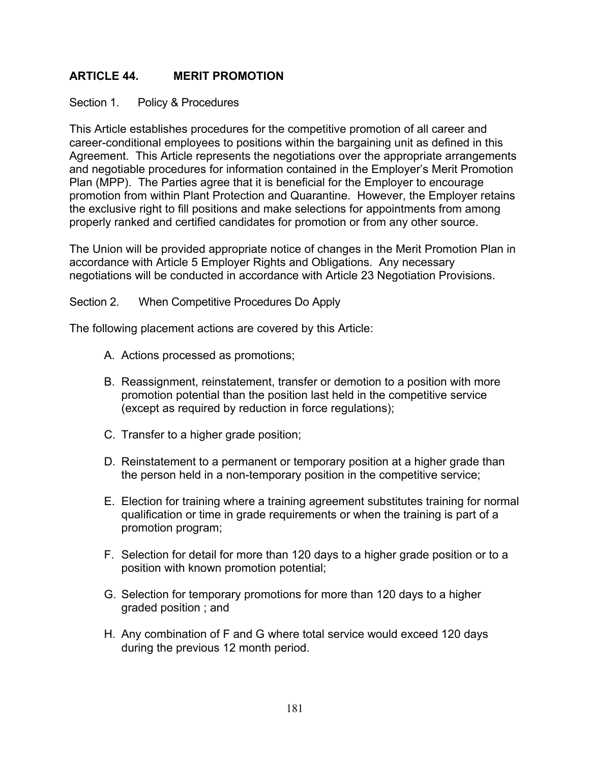# **ARTICLE 44. MERIT PROMOTION**

### Section 1. Policy & Procedures

This Article establishes procedures for the competitive promotion of all career and career-conditional employees to positions within the bargaining unit as defined in this Agreement. This Article represents the negotiations over the appropriate arrangements and negotiable procedures for information contained in the Employer's Merit Promotion Plan (MPP). The Parties agree that it is beneficial for the Employer to encourage promotion from within Plant Protection and Quarantine. However, the Employer retains the exclusive right to fill positions and make selections for appointments from among properly ranked and certified candidates for promotion or from any other source.

The Union will be provided appropriate notice of changes in the Merit Promotion Plan in accordance with Article 5 Employer Rights and Obligations. Any necessary negotiations will be conducted in accordance with Article 23 Negotiation Provisions.

Section 2. When Competitive Procedures Do Apply

The following placement actions are covered by this Article:

- A. Actions processed as promotions;
- B. Reassignment, reinstatement, transfer or demotion to a position with more promotion potential than the position last held in the competitive service (except as required by reduction in force regulations);
- C. Transfer to a higher grade position;
- D. Reinstatement to a permanent or temporary position at a higher grade than the person held in a non-temporary position in the competitive service;
- E. Election for training where a training agreement substitutes training for normal qualification or time in grade requirements or when the training is part of a promotion program;
- F. Selection for detail for more than 120 days to a higher grade position or to a position with known promotion potential;
- G. Selection for temporary promotions for more than 120 days to a higher graded position ; and
- H. Any combination of F and G where total service would exceed 120 days during the previous 12 month period.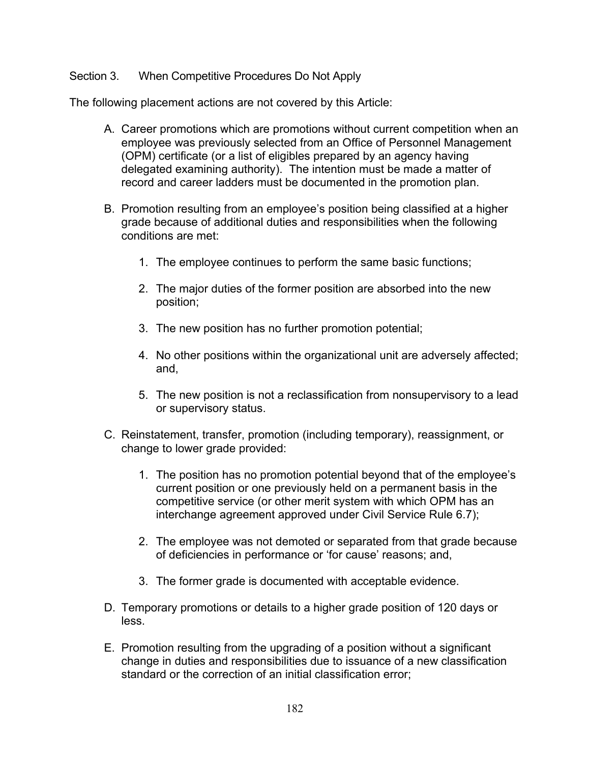### Section 3. When Competitive Procedures Do Not Apply

The following placement actions are not covered by this Article:

- A. Career promotions which are promotions without current competition when an employee was previously selected from an Office of Personnel Management (OPM) certificate (or a list of eligibles prepared by an agency having delegated examining authority). The intention must be made a matter of record and career ladders must be documented in the promotion plan.
- B. Promotion resulting from an employee's position being classified at a higher grade because of additional duties and responsibilities when the following conditions are met:
	- 1. The employee continues to perform the same basic functions;
	- 2. The major duties of the former position are absorbed into the new position;
	- 3. The new position has no further promotion potential;
	- 4. No other positions within the organizational unit are adversely affected; and,
	- 5. The new position is not a reclassification from nonsupervisory to a lead or supervisory status.
- C. Reinstatement, transfer, promotion (including temporary), reassignment, or change to lower grade provided:
	- 1. The position has no promotion potential beyond that of the employee's current position or one previously held on a permanent basis in the competitive service (or other merit system with which OPM has an interchange agreement approved under Civil Service Rule 6.7);
	- 2. The employee was not demoted or separated from that grade because of deficiencies in performance or 'for cause' reasons; and,
	- 3. The former grade is documented with acceptable evidence.
- D. Temporary promotions or details to a higher grade position of 120 days or less.
- E. Promotion resulting from the upgrading of a position without a significant change in duties and responsibilities due to issuance of a new classification standard or the correction of an initial classification error;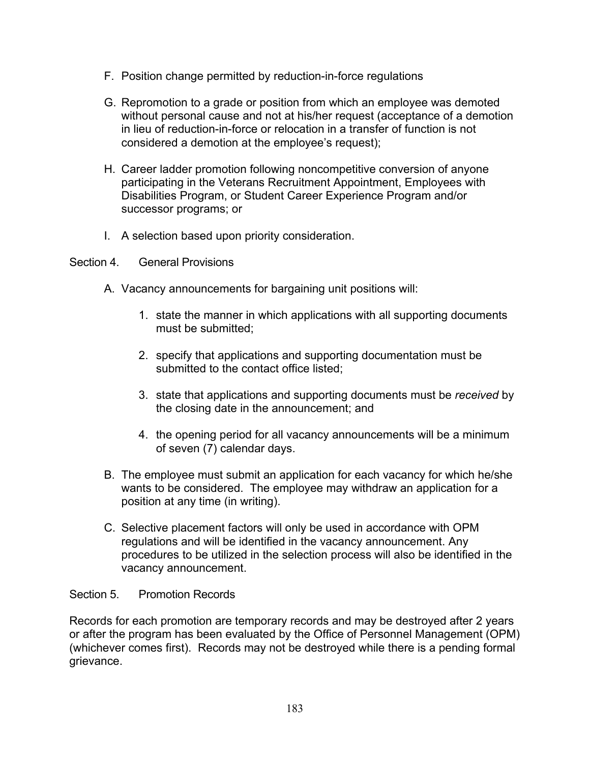- F. Position change permitted by reduction-in-force regulations
- G. Repromotion to a grade or position from which an employee was demoted without personal cause and not at his/her request (acceptance of a demotion in lieu of reduction-in-force or relocation in a transfer of function is not considered a demotion at the employee's request);
- H. Career ladder promotion following noncompetitive conversion of anyone participating in the Veterans Recruitment Appointment, Employees with Disabilities Program, or Student Career Experience Program and/or successor programs; or
- I. A selection based upon priority consideration.
- Section 4 General Provisions
	- A. Vacancy announcements for bargaining unit positions will:
		- 1. state the manner in which applications with all supporting documents must be submitted;
		- 2. specify that applications and supporting documentation must be submitted to the contact office listed;
		- 3. state that applications and supporting documents must be *received* by the closing date in the announcement; and
		- 4. the opening period for all vacancy announcements will be a minimum of seven (7) calendar days.
	- B. The employee must submit an application for each vacancy for which he/she wants to be considered. The employee may withdraw an application for a position at any time (in writing).
	- C. Selective placement factors will only be used in accordance with OPM regulations and will be identified in the vacancy announcement. Any procedures to be utilized in the selection process will also be identified in the vacancy announcement.

### Section 5. Promotion Records

Records for each promotion are temporary records and may be destroyed after 2 years or after the program has been evaluated by the Office of Personnel Management (OPM) (whichever comes first). Records may not be destroyed while there is a pending formal grievance.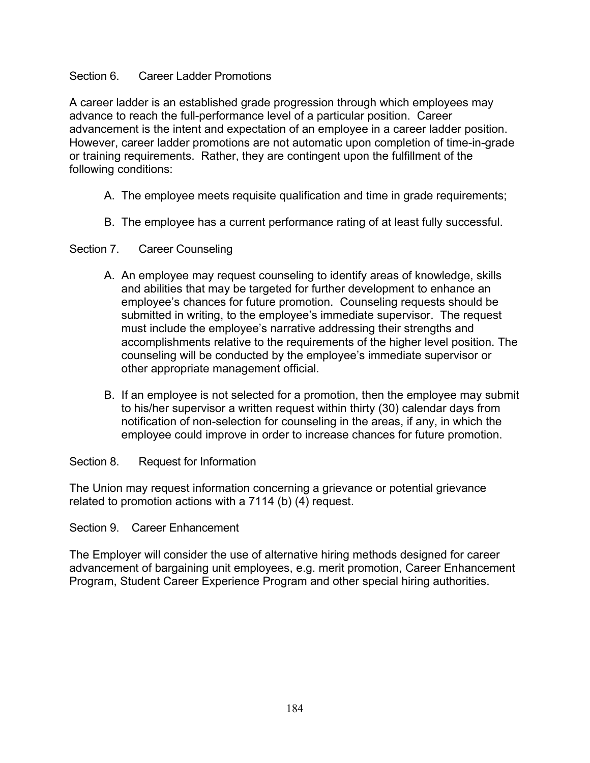## Section 6. Career Ladder Promotions

A career ladder is an established grade progression through which employees may advance to reach the full-performance level of a particular position. Career advancement is the intent and expectation of an employee in a career ladder position. However, career ladder promotions are not automatic upon completion of time-in-grade or training requirements. Rather, they are contingent upon the fulfillment of the following conditions:

## A. The employee meets requisite qualification and time in grade requirements;

B. The employee has a current performance rating of at least fully successful.

## Section 7. Career Counseling

- A. An employee may request counseling to identify areas of knowledge, skills and abilities that may be targeted for further development to enhance an employee's chances for future promotion. Counseling requests should be submitted in writing, to the employee's immediate supervisor. The request must include the employee's narrative addressing their strengths and accomplishments relative to the requirements of the higher level position. The counseling will be conducted by the employee's immediate supervisor or other appropriate management official.
- B. If an employee is not selected for a promotion, then the employee may submit to his/her supervisor a written request within thirty (30) calendar days from notification of non-selection for counseling in the areas, if any, in which the employee could improve in order to increase chances for future promotion.

Section 8. Request for Information

The Union may request information concerning a grievance or potential grievance related to promotion actions with a 7114 (b) (4) request.

Section 9. Career Enhancement

The Employer will consider the use of alternative hiring methods designed for career advancement of bargaining unit employees, e.g. merit promotion, Career Enhancement Program, Student Career Experience Program and other special hiring authorities.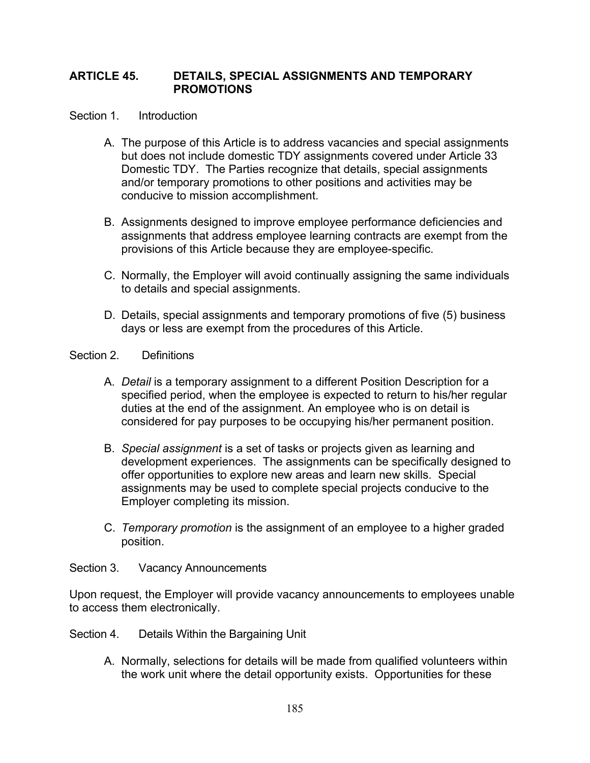## **ARTICLE 45. DETAILS, SPECIAL ASSIGNMENTS AND TEMPORARY PROMOTIONS**

#### Section 1. Introduction

- A. The purpose of this Article is to address vacancies and special assignments but does not include domestic TDY assignments covered under Article 33 Domestic TDY. The Parties recognize that details, special assignments and/or temporary promotions to other positions and activities may be conducive to mission accomplishment.
- B. Assignments designed to improve employee performance deficiencies and assignments that address employee learning contracts are exempt from the provisions of this Article because they are employee-specific.
- C. Normally, the Employer will avoid continually assigning the same individuals to details and special assignments.
- D. Details, special assignments and temporary promotions of five (5) business days or less are exempt from the procedures of this Article.

#### Section 2. Definitions

- A. *Detail* is a temporary assignment to a different Position Description for a specified period, when the employee is expected to return to his/her regular duties at the end of the assignment. An employee who is on detail is considered for pay purposes to be occupying his/her permanent position.
- B. *Special assignment* is a set of tasks or projects given as learning and development experiences. The assignments can be specifically designed to offer opportunities to explore new areas and learn new skills. Special assignments may be used to complete special projects conducive to the Employer completing its mission.
- C. *Temporary promotion* is the assignment of an employee to a higher graded position.

#### Section 3. Vacancy Announcements

Upon request, the Employer will provide vacancy announcements to employees unable to access them electronically.

Section 4. Details Within the Bargaining Unit

A. Normally, selections for details will be made from qualified volunteers within the work unit where the detail opportunity exists. Opportunities for these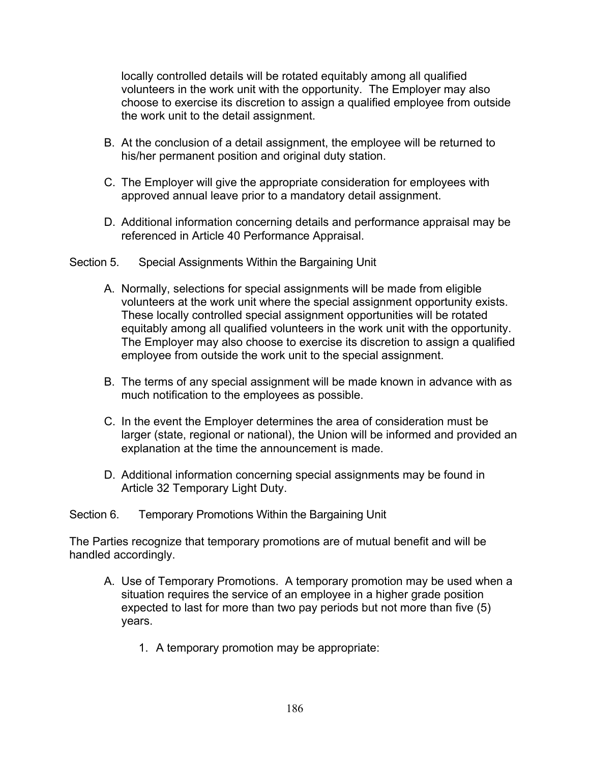locally controlled details will be rotated equitably among all qualified volunteers in the work unit with the opportunity. The Employer may also choose to exercise its discretion to assign a qualified employee from outside the work unit to the detail assignment.

- B. At the conclusion of a detail assignment, the employee will be returned to his/her permanent position and original duty station.
- C. The Employer will give the appropriate consideration for employees with approved annual leave prior to a mandatory detail assignment.
- D. Additional information concerning details and performance appraisal may be referenced in Article 40 Performance Appraisal.

### Section 5. Special Assignments Within the Bargaining Unit

- A. Normally, selections for special assignments will be made from eligible volunteers at the work unit where the special assignment opportunity exists. These locally controlled special assignment opportunities will be rotated equitably among all qualified volunteers in the work unit with the opportunity. The Employer may also choose to exercise its discretion to assign a qualified employee from outside the work unit to the special assignment.
- B. The terms of any special assignment will be made known in advance with as much notification to the employees as possible.
- C. In the event the Employer determines the area of consideration must be larger (state, regional or national), the Union will be informed and provided an explanation at the time the announcement is made.
- D. Additional information concerning special assignments may be found in Article 32 Temporary Light Duty.

Section 6. Temporary Promotions Within the Bargaining Unit

The Parties recognize that temporary promotions are of mutual benefit and will be handled accordingly.

- A. Use of Temporary Promotions. A temporary promotion may be used when a situation requires the service of an employee in a higher grade position expected to last for more than two pay periods but not more than five (5) years.
	- 1. A temporary promotion may be appropriate: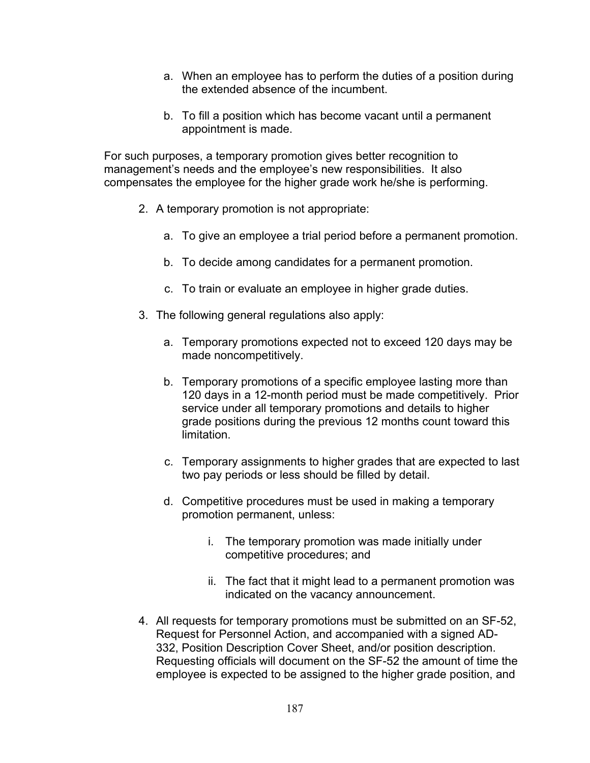- a. When an employee has to perform the duties of a position during the extended absence of the incumbent.
- b. To fill a position which has become vacant until a permanent appointment is made.

For such purposes, a temporary promotion gives better recognition to management's needs and the employee's new responsibilities. It also compensates the employee for the higher grade work he/she is performing.

- 2. A temporary promotion is not appropriate:
	- a. To give an employee a trial period before a permanent promotion.
	- b. To decide among candidates for a permanent promotion.
	- c. To train or evaluate an employee in higher grade duties.
- 3. The following general regulations also apply:
	- a. Temporary promotions expected not to exceed 120 days may be made noncompetitively.
	- b. Temporary promotions of a specific employee lasting more than 120 days in a 12-month period must be made competitively. Prior service under all temporary promotions and details to higher grade positions during the previous 12 months count toward this limitation.
	- c. Temporary assignments to higher grades that are expected to last two pay periods or less should be filled by detail.
	- d. Competitive procedures must be used in making a temporary promotion permanent, unless:
		- i. The temporary promotion was made initially under competitive procedures; and
		- ii. The fact that it might lead to a permanent promotion was indicated on the vacancy announcement.
- 4. All requests for temporary promotions must be submitted on an SF-52, Request for Personnel Action, and accompanied with a signed AD-332, Position Description Cover Sheet, and/or position description. Requesting officials will document on the SF-52 the amount of time the employee is expected to be assigned to the higher grade position, and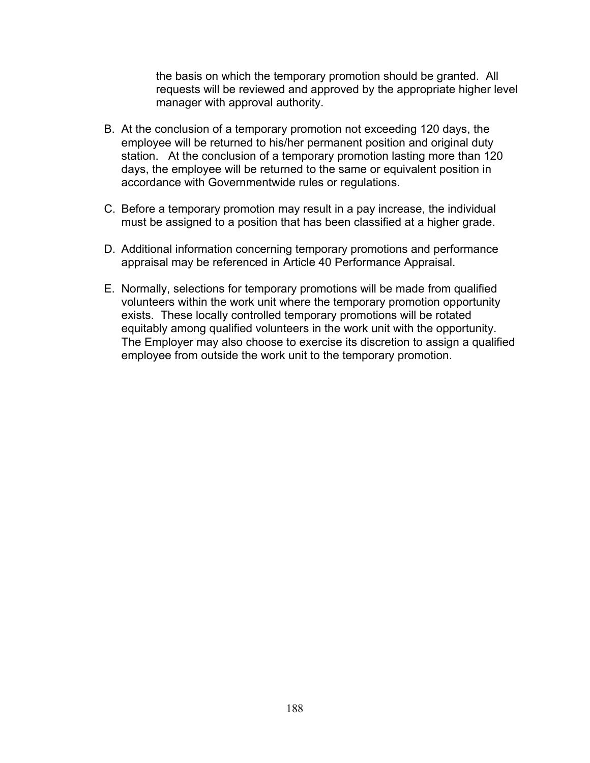the basis on which the temporary promotion should be granted. All requests will be reviewed and approved by the appropriate higher level manager with approval authority.

- B. At the conclusion of a temporary promotion not exceeding 120 days, the employee will be returned to his/her permanent position and original duty station. At the conclusion of a temporary promotion lasting more than 120 days, the employee will be returned to the same or equivalent position in accordance with Governmentwide rules or regulations.
- C. Before a temporary promotion may result in a pay increase, the individual must be assigned to a position that has been classified at a higher grade.
- D. Additional information concerning temporary promotions and performance appraisal may be referenced in Article 40 Performance Appraisal.
- E. Normally, selections for temporary promotions will be made from qualified volunteers within the work unit where the temporary promotion opportunity exists. These locally controlled temporary promotions will be rotated equitably among qualified volunteers in the work unit with the opportunity. The Employer may also choose to exercise its discretion to assign a qualified employee from outside the work unit to the temporary promotion.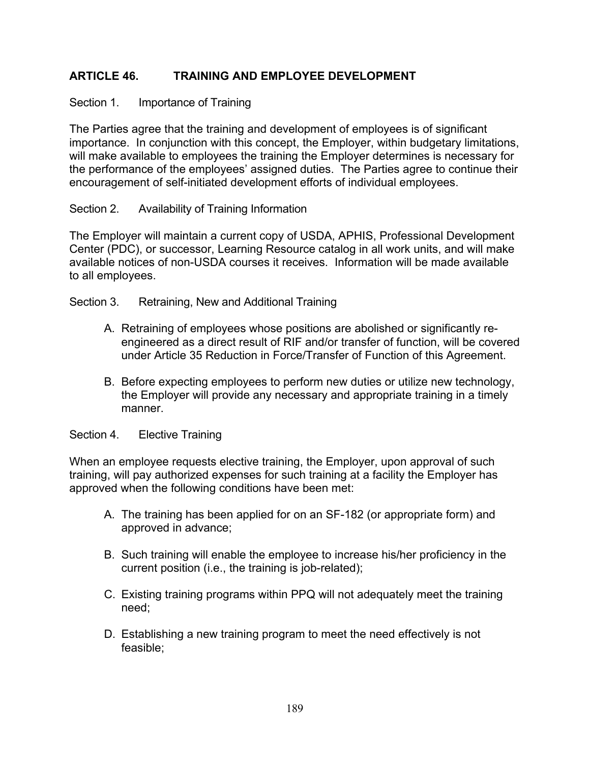# **ARTICLE 46. TRAINING AND EMPLOYEE DEVELOPMENT**

## Section 1. Importance of Training

The Parties agree that the training and development of employees is of significant importance. In conjunction with this concept, the Employer, within budgetary limitations, will make available to employees the training the Employer determines is necessary for the performance of the employees' assigned duties. The Parties agree to continue their encouragement of self-initiated development efforts of individual employees.

## Section 2. Availability of Training Information

The Employer will maintain a current copy of USDA, APHIS, Professional Development Center (PDC), or successor, Learning Resource catalog in all work units, and will make available notices of non-USDA courses it receives. Information will be made available to all employees.

Section 3. Retraining, New and Additional Training

- A. Retraining of employees whose positions are abolished or significantly reengineered as a direct result of RIF and/or transfer of function, will be covered under Article 35 Reduction in Force/Transfer of Function of this Agreement.
- B. Before expecting employees to perform new duties or utilize new technology, the Employer will provide any necessary and appropriate training in a timely manner.

### Section 4. Elective Training

When an employee requests elective training, the Employer, upon approval of such training, will pay authorized expenses for such training at a facility the Employer has approved when the following conditions have been met:

- A. The training has been applied for on an SF-182 (or appropriate form) and approved in advance;
- B. Such training will enable the employee to increase his/her proficiency in the current position (i.e., the training is job-related);
- C. Existing training programs within PPQ will not adequately meet the training need;
- D. Establishing a new training program to meet the need effectively is not feasible;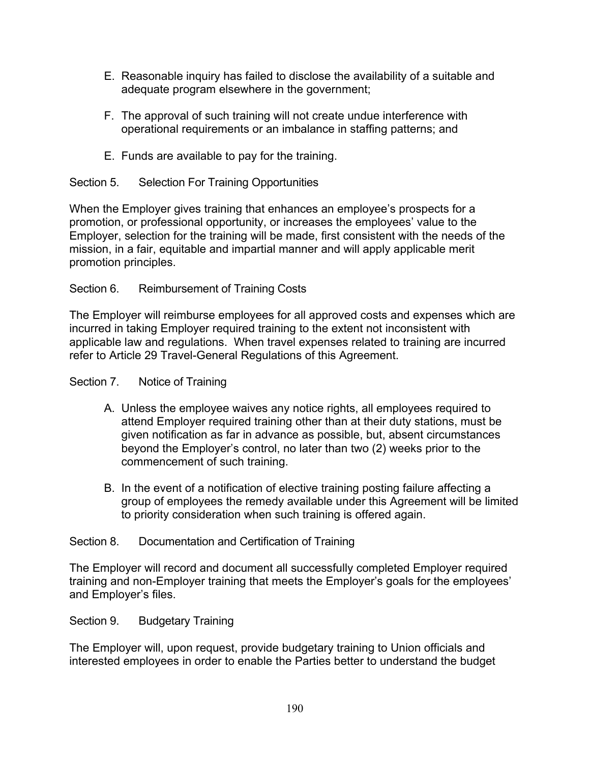- E. Reasonable inquiry has failed to disclose the availability of a suitable and adequate program elsewhere in the government;
- F. The approval of such training will not create undue interference with operational requirements or an imbalance in staffing patterns; and
- E. Funds are available to pay for the training.

## Section 5. Selection For Training Opportunities

When the Employer gives training that enhances an employee's prospects for a promotion, or professional opportunity, or increases the employees' value to the Employer, selection for the training will be made, first consistent with the needs of the mission, in a fair, equitable and impartial manner and will apply applicable merit promotion principles.

## Section 6. Reimbursement of Training Costs

The Employer will reimburse employees for all approved costs and expenses which are incurred in taking Employer required training to the extent not inconsistent with applicable law and regulations. When travel expenses related to training are incurred refer to Article 29 Travel-General Regulations of this Agreement.

#### Section 7. Notice of Training

- A. Unless the employee waives any notice rights, all employees required to attend Employer required training other than at their duty stations, must be given notification as far in advance as possible, but, absent circumstances beyond the Employer's control, no later than two (2) weeks prior to the commencement of such training.
- B. In the event of a notification of elective training posting failure affecting a group of employees the remedy available under this Agreement will be limited to priority consideration when such training is offered again.

### Section 8. Documentation and Certification of Training

The Employer will record and document all successfully completed Employer required training and non-Employer training that meets the Employer's goals for the employees' and Employer's files.

Section 9. Budgetary Training

The Employer will, upon request, provide budgetary training to Union officials and interested employees in order to enable the Parties better to understand the budget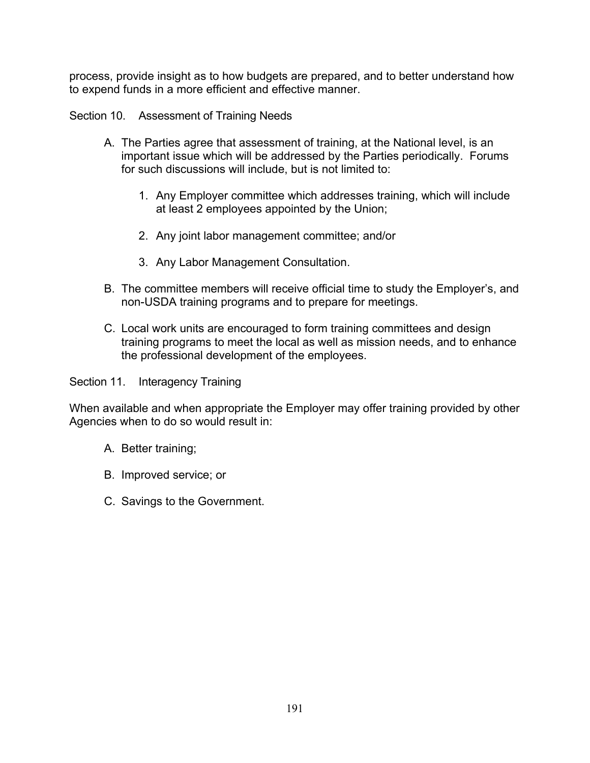process, provide insight as to how budgets are prepared, and to better understand how to expend funds in a more efficient and effective manner.

Section 10. Assessment of Training Needs

- A. The Parties agree that assessment of training, at the National level, is an important issue which will be addressed by the Parties periodically. Forums for such discussions will include, but is not limited to:
	- 1. Any Employer committee which addresses training, which will include at least 2 employees appointed by the Union;
	- 2. Any joint labor management committee; and/or
	- 3. Any Labor Management Consultation.
- B. The committee members will receive official time to study the Employer's, and non-USDA training programs and to prepare for meetings.
- C. Local work units are encouraged to form training committees and design training programs to meet the local as well as mission needs, and to enhance the professional development of the employees.

Section 11. Interagency Training

When available and when appropriate the Employer may offer training provided by other Agencies when to do so would result in:

- A. Better training;
- B. Improved service; or
- C. Savings to the Government.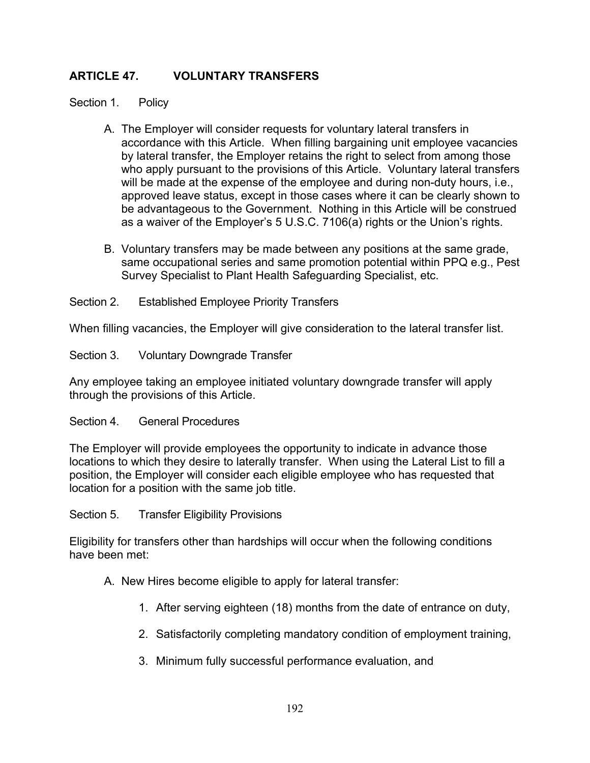# **ARTICLE 47. VOLUNTARY TRANSFERS**

Section 1. Policy

- A. The Employer will consider requests for voluntary lateral transfers in accordance with this Article. When filling bargaining unit employee vacancies by lateral transfer, the Employer retains the right to select from among those who apply pursuant to the provisions of this Article. Voluntary lateral transfers will be made at the expense of the employee and during non-duty hours, i.e., approved leave status, except in those cases where it can be clearly shown to be advantageous to the Government. Nothing in this Article will be construed as a waiver of the Employer's 5 U.S.C. 7106(a) rights or the Union's rights.
- B. Voluntary transfers may be made between any positions at the same grade, same occupational series and same promotion potential within PPQ e.g., Pest Survey Specialist to Plant Health Safeguarding Specialist, etc.
- Section 2. Established Employee Priority Transfers

When filling vacancies, the Employer will give consideration to the lateral transfer list.

Section 3. Voluntary Downgrade Transfer

Any employee taking an employee initiated voluntary downgrade transfer will apply through the provisions of this Article.

Section 4. General Procedures

The Employer will provide employees the opportunity to indicate in advance those locations to which they desire to laterally transfer. When using the Lateral List to fill a position, the Employer will consider each eligible employee who has requested that location for a position with the same job title.

Section 5. Transfer Eligibility Provisions

Eligibility for transfers other than hardships will occur when the following conditions have been met:

- A. New Hires become eligible to apply for lateral transfer:
	- 1. After serving eighteen (18) months from the date of entrance on duty,
	- 2. Satisfactorily completing mandatory condition of employment training,
	- 3. Minimum fully successful performance evaluation, and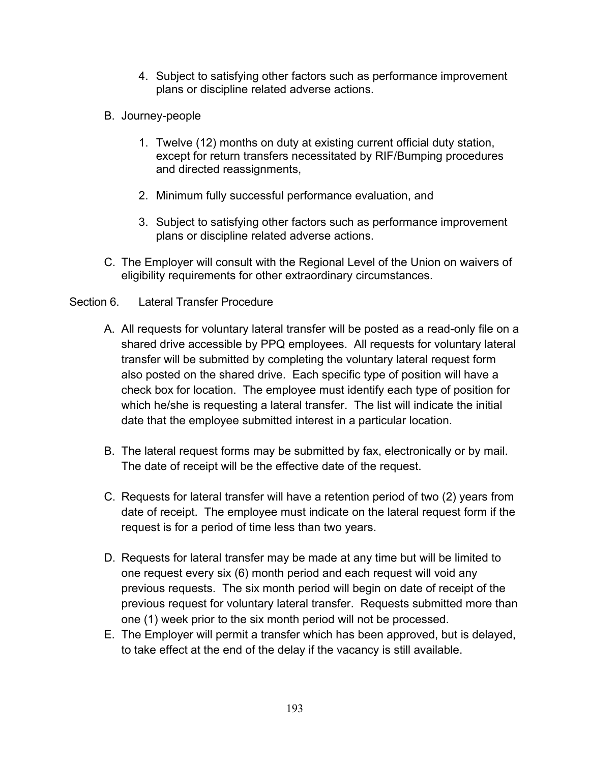- 4. Subject to satisfying other factors such as performance improvement plans or discipline related adverse actions.
- B. Journey-people
	- 1. Twelve (12) months on duty at existing current official duty station, except for return transfers necessitated by RIF/Bumping procedures and directed reassignments,
	- 2. Minimum fully successful performance evaluation, and
	- 3. Subject to satisfying other factors such as performance improvement plans or discipline related adverse actions.
- C. The Employer will consult with the Regional Level of the Union on waivers of eligibility requirements for other extraordinary circumstances.

## Section 6. Lateral Transfer Procedure

- A. All requests for voluntary lateral transfer will be posted as a read-only file on a shared drive accessible by PPQ employees. All requests for voluntary lateral transfer will be submitted by completing the voluntary lateral request form also posted on the shared drive. Each specific type of position will have a check box for location. The employee must identify each type of position for which he/she is requesting a lateral transfer. The list will indicate the initial date that the employee submitted interest in a particular location.
- B. The lateral request forms may be submitted by fax, electronically or by mail. The date of receipt will be the effective date of the request.
- C. Requests for lateral transfer will have a retention period of two (2) years from date of receipt. The employee must indicate on the lateral request form if the request is for a period of time less than two years.
- D. Requests for lateral transfer may be made at any time but will be limited to one request every six (6) month period and each request will void any previous requests. The six month period will begin on date of receipt of the previous request for voluntary lateral transfer. Requests submitted more than one (1) week prior to the six month period will not be processed.
- E. The Employer will permit a transfer which has been approved, but is delayed, to take effect at the end of the delay if the vacancy is still available.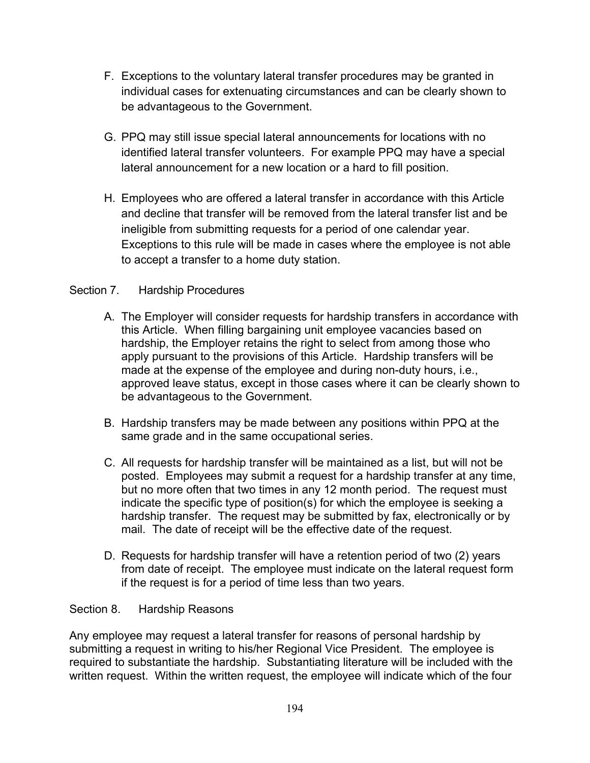- F. Exceptions to the voluntary lateral transfer procedures may be granted in individual cases for extenuating circumstances and can be clearly shown to be advantageous to the Government.
- G. PPQ may still issue special lateral announcements for locations with no identified lateral transfer volunteers. For example PPQ may have a special lateral announcement for a new location or a hard to fill position.
- H. Employees who are offered a lateral transfer in accordance with this Article and decline that transfer will be removed from the lateral transfer list and be ineligible from submitting requests for a period of one calendar year. Exceptions to this rule will be made in cases where the employee is not able to accept a transfer to a home duty station.

## Section 7. Hardship Procedures

- A. The Employer will consider requests for hardship transfers in accordance with this Article. When filling bargaining unit employee vacancies based on hardship, the Employer retains the right to select from among those who apply pursuant to the provisions of this Article. Hardship transfers will be made at the expense of the employee and during non-duty hours, i.e., approved leave status, except in those cases where it can be clearly shown to be advantageous to the Government.
- B. Hardship transfers may be made between any positions within PPQ at the same grade and in the same occupational series.
- C. All requests for hardship transfer will be maintained as a list, but will not be posted. Employees may submit a request for a hardship transfer at any time, but no more often that two times in any 12 month period. The request must indicate the specific type of position(s) for which the employee is seeking a hardship transfer. The request may be submitted by fax, electronically or by mail. The date of receipt will be the effective date of the request.
- D. Requests for hardship transfer will have a retention period of two (2) years from date of receipt. The employee must indicate on the lateral request form if the request is for a period of time less than two years.

### Section 8. Hardship Reasons

Any employee may request a lateral transfer for reasons of personal hardship by submitting a request in writing to his/her Regional Vice President. The employee is required to substantiate the hardship. Substantiating literature will be included with the written request. Within the written request, the employee will indicate which of the four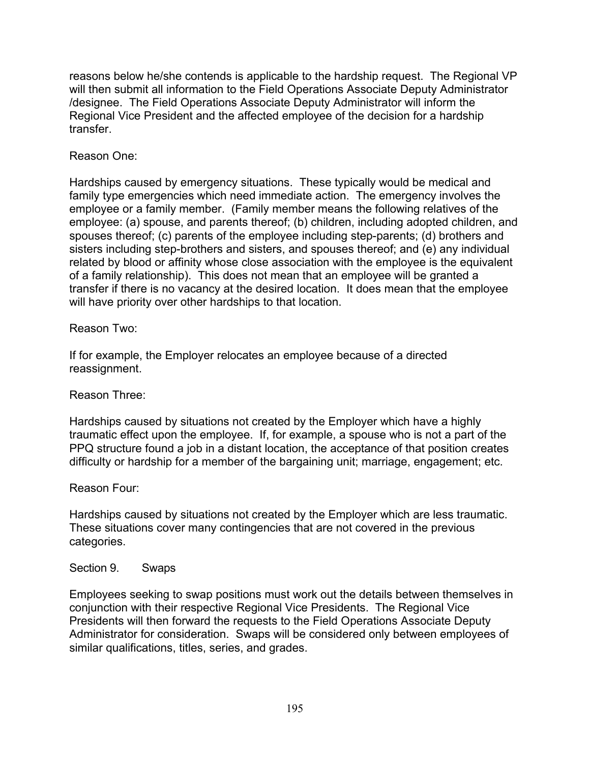reasons below he/she contends is applicable to the hardship request. The Regional VP will then submit all information to the Field Operations Associate Deputy Administrator /designee. The Field Operations Associate Deputy Administrator will inform the Regional Vice President and the affected employee of the decision for a hardship transfer.

# Reason One:

Hardships caused by emergency situations. These typically would be medical and family type emergencies which need immediate action. The emergency involves the employee or a family member. (Family member means the following relatives of the employee: (a) spouse, and parents thereof; (b) children, including adopted children, and spouses thereof; (c) parents of the employee including step-parents; (d) brothers and sisters including step-brothers and sisters, and spouses thereof; and (e) any individual related by blood or affinity whose close association with the employee is the equivalent of a family relationship). This does not mean that an employee will be granted a transfer if there is no vacancy at the desired location. It does mean that the employee will have priority over other hardships to that location.

## Reason Two:

If for example, the Employer relocates an employee because of a directed reassignment.

### Reason Three:

Hardships caused by situations not created by the Employer which have a highly traumatic effect upon the employee. If, for example, a spouse who is not a part of the PPQ structure found a job in a distant location, the acceptance of that position creates difficulty or hardship for a member of the bargaining unit; marriage, engagement; etc.

### Reason Four:

Hardships caused by situations not created by the Employer which are less traumatic. These situations cover many contingencies that are not covered in the previous categories.

### Section 9. Swaps

Employees seeking to swap positions must work out the details between themselves in conjunction with their respective Regional Vice Presidents. The Regional Vice Presidents will then forward the requests to the Field Operations Associate Deputy Administrator for consideration. Swaps will be considered only between employees of similar qualifications, titles, series, and grades.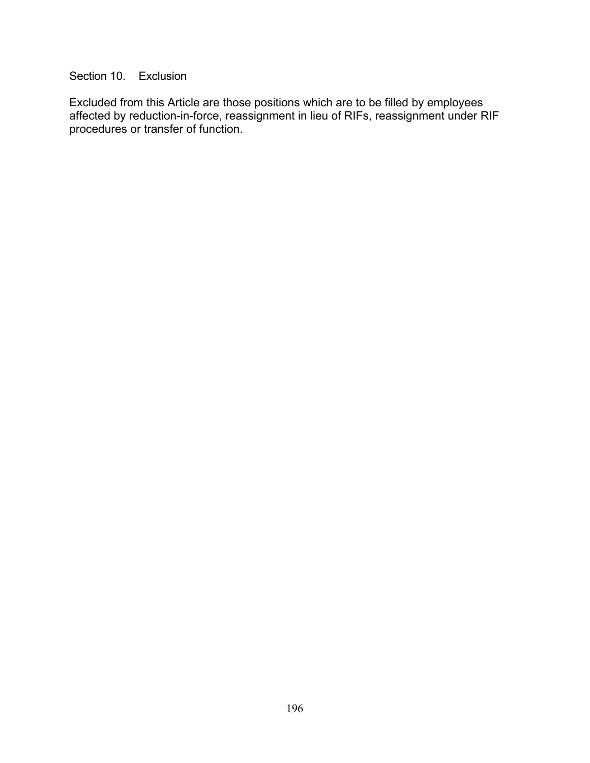Section 10. Exclusion

Excluded from this Article are those positions which are to be filled by employees affected by reduction-in-force, reassignment in lieu of RIFs, reassignment under RIF procedures or transfer of function.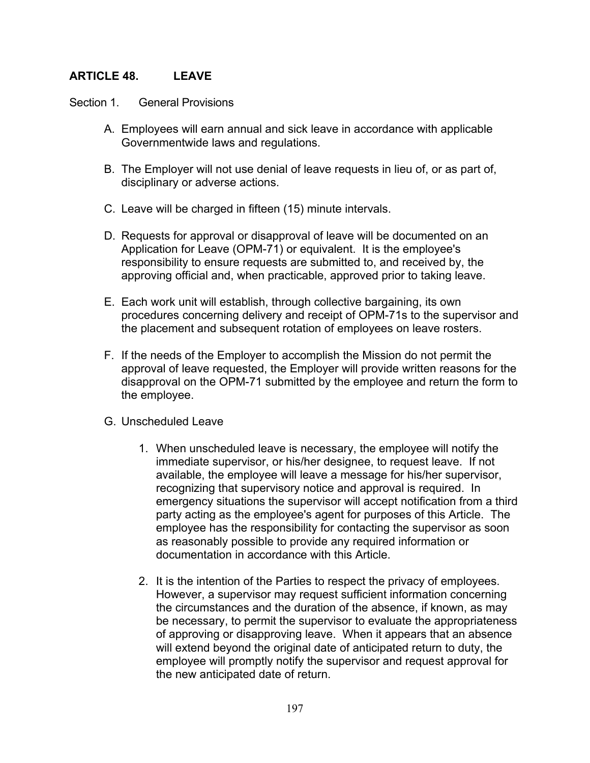# **ARTICLE 48. LEAVE**

Section 1. General Provisions

- A. Employees will earn annual and sick leave in accordance with applicable Governmentwide laws and regulations.
- B. The Employer will not use denial of leave requests in lieu of, or as part of, disciplinary or adverse actions.
- C. Leave will be charged in fifteen (15) minute intervals.
- D. Requests for approval or disapproval of leave will be documented on an Application for Leave (OPM-71) or equivalent. It is the employee's responsibility to ensure requests are submitted to, and received by, the approving official and, when practicable, approved prior to taking leave.
- E. Each work unit will establish, through collective bargaining, its own procedures concerning delivery and receipt of OPM-71s to the supervisor and the placement and subsequent rotation of employees on leave rosters.
- F. If the needs of the Employer to accomplish the Mission do not permit the approval of leave requested, the Employer will provide written reasons for the disapproval on the OPM-71 submitted by the employee and return the form to the employee.
- G. Unscheduled Leave
	- 1. When unscheduled leave is necessary, the employee will notify the immediate supervisor, or his/her designee, to request leave. If not available, the employee will leave a message for his/her supervisor, recognizing that supervisory notice and approval is required. In emergency situations the supervisor will accept notification from a third party acting as the employee's agent for purposes of this Article. The employee has the responsibility for contacting the supervisor as soon as reasonably possible to provide any required information or documentation in accordance with this Article.
	- 2. It is the intention of the Parties to respect the privacy of employees. However, a supervisor may request sufficient information concerning the circumstances and the duration of the absence, if known, as may be necessary, to permit the supervisor to evaluate the appropriateness of approving or disapproving leave. When it appears that an absence will extend beyond the original date of anticipated return to duty, the employee will promptly notify the supervisor and request approval for the new anticipated date of return.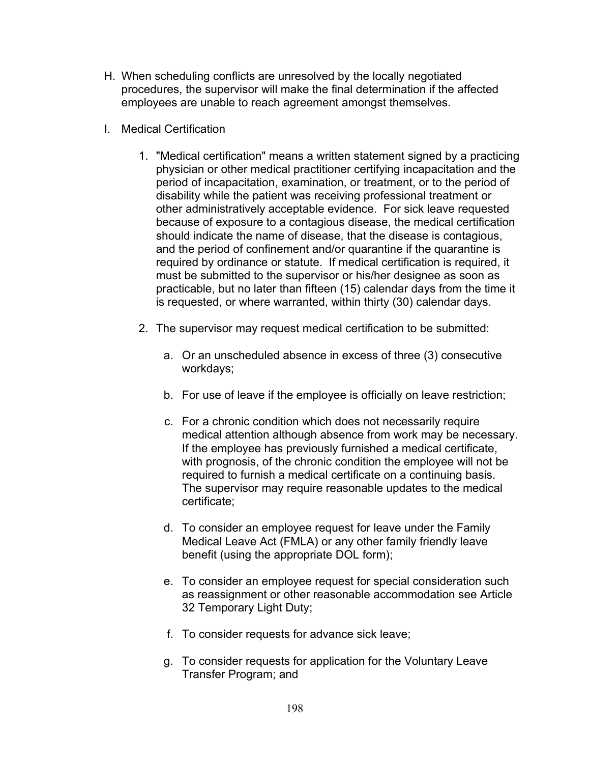- H. When scheduling conflicts are unresolved by the locally negotiated procedures, the supervisor will make the final determination if the affected employees are unable to reach agreement amongst themselves.
- I. Medical Certification
	- 1. "Medical certification" means a written statement signed by a practicing physician or other medical practitioner certifying incapacitation and the period of incapacitation, examination, or treatment, or to the period of disability while the patient was receiving professional treatment or other administratively acceptable evidence. For sick leave requested because of exposure to a contagious disease, the medical certification should indicate the name of disease, that the disease is contagious, and the period of confinement and/or quarantine if the quarantine is required by ordinance or statute. If medical certification is required, it must be submitted to the supervisor or his/her designee as soon as practicable, but no later than fifteen (15) calendar days from the time it is requested, or where warranted, within thirty (30) calendar days.
	- 2. The supervisor may request medical certification to be submitted:
		- a. Or an unscheduled absence in excess of three (3) consecutive workdays;
		- b. For use of leave if the employee is officially on leave restriction;
		- c. For a chronic condition which does not necessarily require medical attention although absence from work may be necessary. If the employee has previously furnished a medical certificate, with prognosis, of the chronic condition the employee will not be required to furnish a medical certificate on a continuing basis. The supervisor may require reasonable updates to the medical certificate;
		- d. To consider an employee request for leave under the Family Medical Leave Act (FMLA) or any other family friendly leave benefit (using the appropriate DOL form);
		- e. To consider an employee request for special consideration such as reassignment or other reasonable accommodation see Article 32 Temporary Light Duty;
		- f. To consider requests for advance sick leave;
		- g. To consider requests for application for the Voluntary Leave Transfer Program; and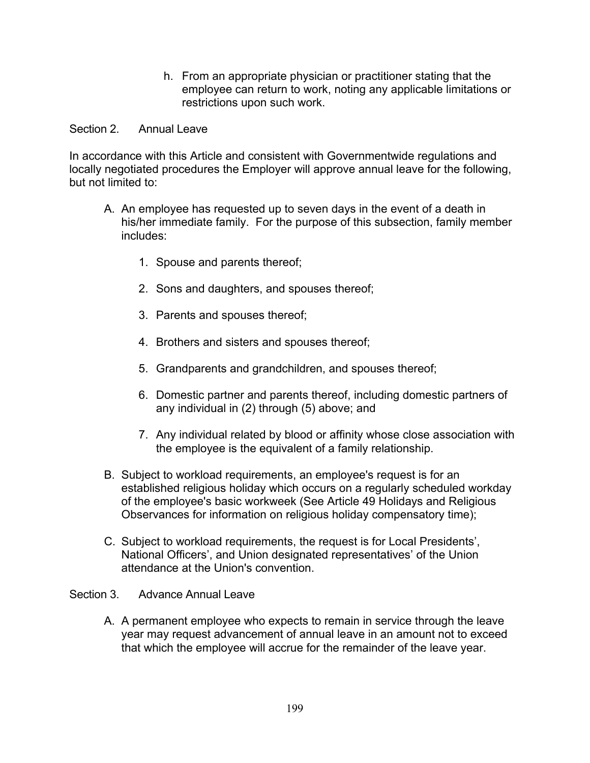h. From an appropriate physician or practitioner stating that the employee can return to work, noting any applicable limitations or restrictions upon such work.

# Section 2. Annual Leave

In accordance with this Article and consistent with Governmentwide regulations and locally negotiated procedures the Employer will approve annual leave for the following, but not limited to:

- A. An employee has requested up to seven days in the event of a death in his/her immediate family. For the purpose of this subsection, family member includes:
	- 1. Spouse and parents thereof;
	- 2. Sons and daughters, and spouses thereof;
	- 3. Parents and spouses thereof;
	- 4. Brothers and sisters and spouses thereof;
	- 5. Grandparents and grandchildren, and spouses thereof;
	- 6. Domestic partner and parents thereof, including domestic partners of any individual in (2) through (5) above; and
	- 7. Any individual related by blood or affinity whose close association with the employee is the equivalent of a family relationship.
- B. Subject to workload requirements, an employee's request is for an established religious holiday which occurs on a regularly scheduled workday of the employee's basic workweek (See Article 49 Holidays and Religious Observances for information on religious holiday compensatory time);
- C. Subject to workload requirements, the request is for Local Presidents', National Officers', and Union designated representatives' of the Union attendance at the Union's convention.

### Section 3. Advance Annual Leave

A. A permanent employee who expects to remain in service through the leave year may request advancement of annual leave in an amount not to exceed that which the employee will accrue for the remainder of the leave year.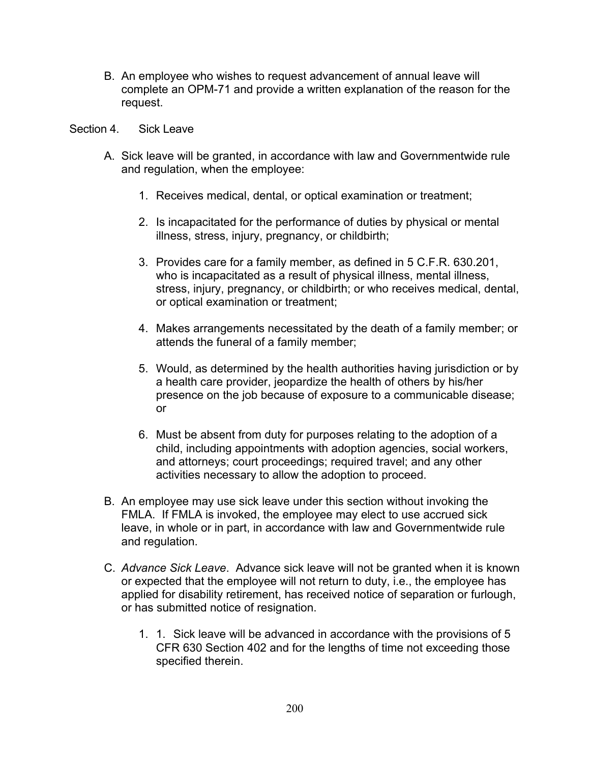B. An employee who wishes to request advancement of annual leave will complete an OPM-71 and provide a written explanation of the reason for the request.

#### Section 4. Sick Leave

- A. Sick leave will be granted, in accordance with law and Governmentwide rule and regulation, when the employee:
	- 1. Receives medical, dental, or optical examination or treatment;
	- 2. Is incapacitated for the performance of duties by physical or mental illness, stress, injury, pregnancy, or childbirth;
	- 3. Provides care for a family member, as defined in 5 C.F.R. 630.201, who is incapacitated as a result of physical illness, mental illness, stress, injury, pregnancy, or childbirth; or who receives medical, dental, or optical examination or treatment;
	- 4. Makes arrangements necessitated by the death of a family member; or attends the funeral of a family member;
	- 5. Would, as determined by the health authorities having jurisdiction or by a health care provider, jeopardize the health of others by his/her presence on the job because of exposure to a communicable disease; or
	- 6. Must be absent from duty for purposes relating to the adoption of a child, including appointments with adoption agencies, social workers, and attorneys; court proceedings; required travel; and any other activities necessary to allow the adoption to proceed.
- B. An employee may use sick leave under this section without invoking the FMLA. If FMLA is invoked, the employee may elect to use accrued sick leave, in whole or in part, in accordance with law and Governmentwide rule and regulation.
- C. *Advance Sick Leave*. Advance sick leave will not be granted when it is known or expected that the employee will not return to duty, i.e., the employee has applied for disability retirement, has received notice of separation or furlough, or has submitted notice of resignation.
	- 1. 1. Sick leave will be advanced in accordance with the provisions of 5 CFR 630 Section 402 and for the lengths of time not exceeding those specified therein.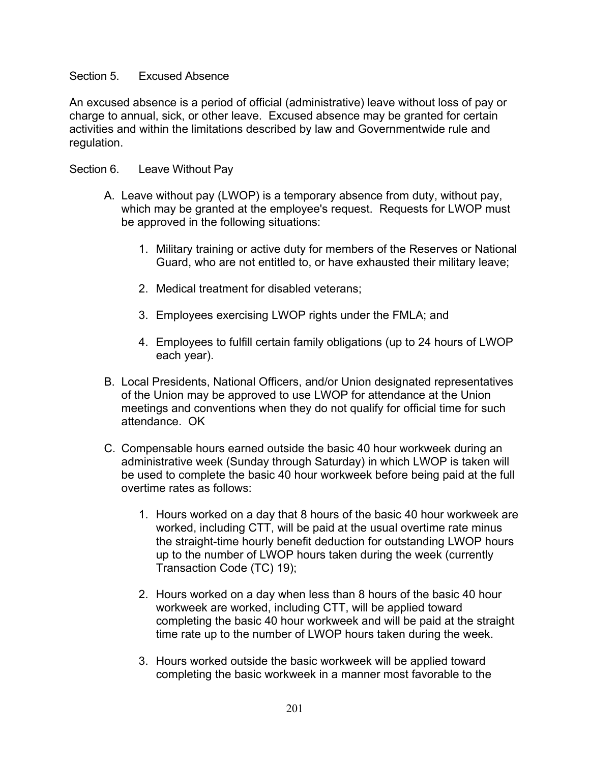#### Section 5. Excused Absence

An excused absence is a period of official (administrative) leave without loss of pay or charge to annual, sick, or other leave. Excused absence may be granted for certain activities and within the limitations described by law and Governmentwide rule and regulation.

#### Section 6. Leave Without Pay

- A. Leave without pay (LWOP) is a temporary absence from duty, without pay, which may be granted at the employee's request. Requests for LWOP must be approved in the following situations:
	- 1. Military training or active duty for members of the Reserves or National Guard, who are not entitled to, or have exhausted their military leave;
	- 2. Medical treatment for disabled veterans;
	- 3. Employees exercising LWOP rights under the FMLA; and
	- 4. Employees to fulfill certain family obligations (up to 24 hours of LWOP each year).
- B. Local Presidents, National Officers, and/or Union designated representatives of the Union may be approved to use LWOP for attendance at the Union meetings and conventions when they do not qualify for official time for such attendance. OK
- C. Compensable hours earned outside the basic 40 hour workweek during an administrative week (Sunday through Saturday) in which LWOP is taken will be used to complete the basic 40 hour workweek before being paid at the full overtime rates as follows:
	- 1. Hours worked on a day that 8 hours of the basic 40 hour workweek are worked, including CTT, will be paid at the usual overtime rate minus the straight-time hourly benefit deduction for outstanding LWOP hours up to the number of LWOP hours taken during the week (currently Transaction Code (TC) 19);
	- 2. Hours worked on a day when less than 8 hours of the basic 40 hour workweek are worked, including CTT, will be applied toward completing the basic 40 hour workweek and will be paid at the straight time rate up to the number of LWOP hours taken during the week.
	- 3. Hours worked outside the basic workweek will be applied toward completing the basic workweek in a manner most favorable to the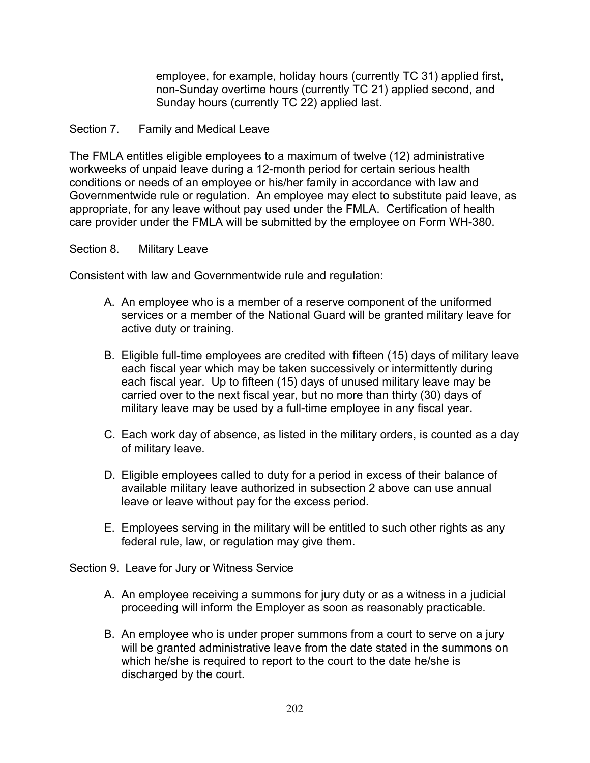employee, for example, holiday hours (currently TC 31) applied first, non-Sunday overtime hours (currently TC 21) applied second, and Sunday hours (currently TC 22) applied last.

## Section 7. Family and Medical Leave

The FMLA entitles eligible employees to a maximum of twelve (12) administrative workweeks of unpaid leave during a 12-month period for certain serious health conditions or needs of an employee or his/her family in accordance with law and Governmentwide rule or regulation. An employee may elect to substitute paid leave, as appropriate, for any leave without pay used under the FMLA. Certification of health care provider under the FMLA will be submitted by the employee on Form WH-380.

#### Section 8. Military Leave

Consistent with law and Governmentwide rule and regulation:

- A. An employee who is a member of a reserve component of the uniformed services or a member of the National Guard will be granted military leave for active duty or training.
- B. Eligible full-time employees are credited with fifteen (15) days of military leave each fiscal year which may be taken successively or intermittently during each fiscal year. Up to fifteen (15) days of unused military leave may be carried over to the next fiscal year, but no more than thirty (30) days of military leave may be used by a full-time employee in any fiscal year.
- C. Each work day of absence, as listed in the military orders, is counted as a day of military leave.
- D. Eligible employees called to duty for a period in excess of their balance of available military leave authorized in subsection 2 above can use annual leave or leave without pay for the excess period.
- E. Employees serving in the military will be entitled to such other rights as any federal rule, law, or regulation may give them.
- Section 9. Leave for Jury or Witness Service
	- A. An employee receiving a summons for jury duty or as a witness in a judicial proceeding will inform the Employer as soon as reasonably practicable.
	- B. An employee who is under proper summons from a court to serve on a jury will be granted administrative leave from the date stated in the summons on which he/she is required to report to the court to the date he/she is discharged by the court.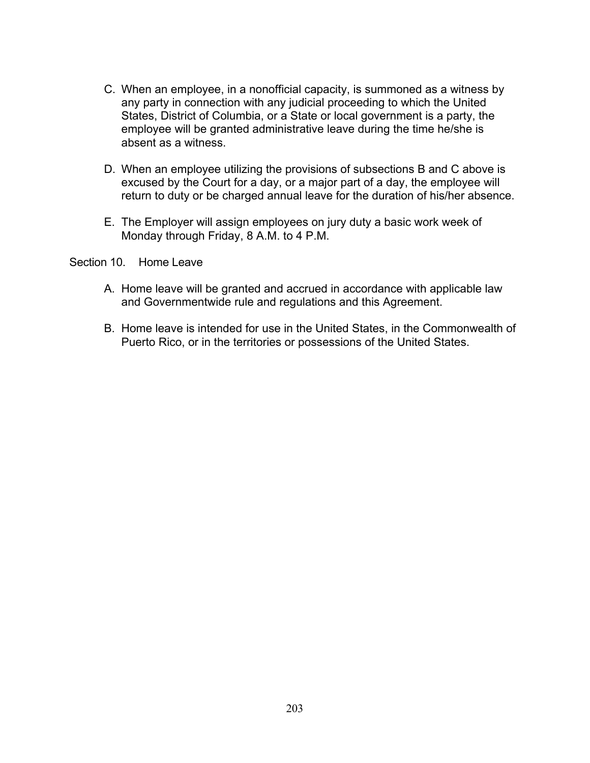- C. When an employee, in a nonofficial capacity, is summoned as a witness by any party in connection with any judicial proceeding to which the United States, District of Columbia, or a State or local government is a party, the employee will be granted administrative leave during the time he/she is absent as a witness.
- D. When an employee utilizing the provisions of subsections B and C above is excused by the Court for a day, or a major part of a day, the employee will return to duty or be charged annual leave for the duration of his/her absence.
- E. The Employer will assign employees on jury duty a basic work week of Monday through Friday, 8 A.M. to 4 P.M.

Section 10. Home Leave

- A. Home leave will be granted and accrued in accordance with applicable law and Governmentwide rule and regulations and this Agreement.
- B. Home leave is intended for use in the United States, in the Commonwealth of Puerto Rico, or in the territories or possessions of the United States.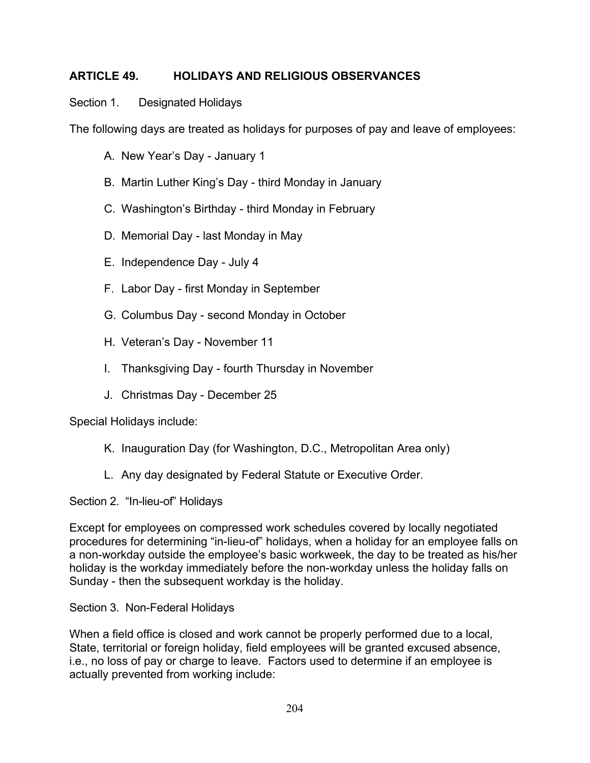# **ARTICLE 49. HOLIDAYS AND RELIGIOUS OBSERVANCES**

## Section 1. Designated Holidays

The following days are treated as holidays for purposes of pay and leave of employees:

- A. New Year's Day January 1
- B. Martin Luther King's Day third Monday in January
- C. Washington's Birthday third Monday in February
- D. Memorial Day last Monday in May
- E. Independence Day July 4
- F. Labor Day first Monday in September
- G. Columbus Day second Monday in October
- H. Veteran's Day November 11
- I. Thanksgiving Day fourth Thursday in November
- J. Christmas Day December 25

Special Holidays include:

- K. Inauguration Day (for Washington, D.C., Metropolitan Area only)
- L. Any day designated by Federal Statute or Executive Order.

Section 2. "In-lieu-of" Holidays

Except for employees on compressed work schedules covered by locally negotiated procedures for determining "in-lieu-of" holidays, when a holiday for an employee falls on a non-workday outside the employee's basic workweek, the day to be treated as his/her holiday is the workday immediately before the non-workday unless the holiday falls on Sunday - then the subsequent workday is the holiday.

Section 3. Non-Federal Holidays

When a field office is closed and work cannot be properly performed due to a local, State, territorial or foreign holiday, field employees will be granted excused absence, i.e., no loss of pay or charge to leave. Factors used to determine if an employee is actually prevented from working include: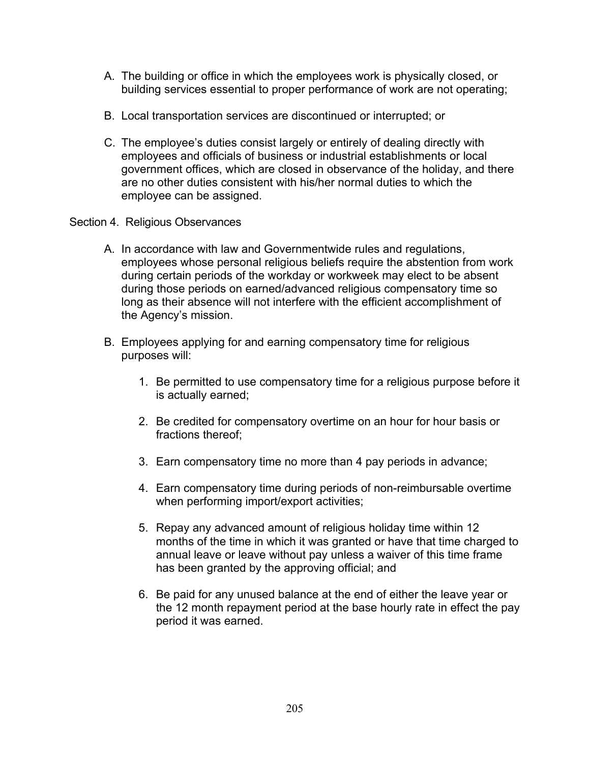- A. The building or office in which the employees work is physically closed, or building services essential to proper performance of work are not operating;
- B. Local transportation services are discontinued or interrupted; or
- C. The employee's duties consist largely or entirely of dealing directly with employees and officials of business or industrial establishments or local government offices, which are closed in observance of the holiday, and there are no other duties consistent with his/her normal duties to which the employee can be assigned.
- Section 4. Religious Observances
	- A. In accordance with law and Governmentwide rules and regulations, employees whose personal religious beliefs require the abstention from work during certain periods of the workday or workweek may elect to be absent during those periods on earned/advanced religious compensatory time so long as their absence will not interfere with the efficient accomplishment of the Agency's mission.
	- B. Employees applying for and earning compensatory time for religious purposes will:
		- 1. Be permitted to use compensatory time for a religious purpose before it is actually earned;
		- 2. Be credited for compensatory overtime on an hour for hour basis or fractions thereof;
		- 3. Earn compensatory time no more than 4 pay periods in advance;
		- 4. Earn compensatory time during periods of non-reimbursable overtime when performing import/export activities;
		- 5. Repay any advanced amount of religious holiday time within 12 months of the time in which it was granted or have that time charged to annual leave or leave without pay unless a waiver of this time frame has been granted by the approving official; and
		- 6. Be paid for any unused balance at the end of either the leave year or the 12 month repayment period at the base hourly rate in effect the pay period it was earned.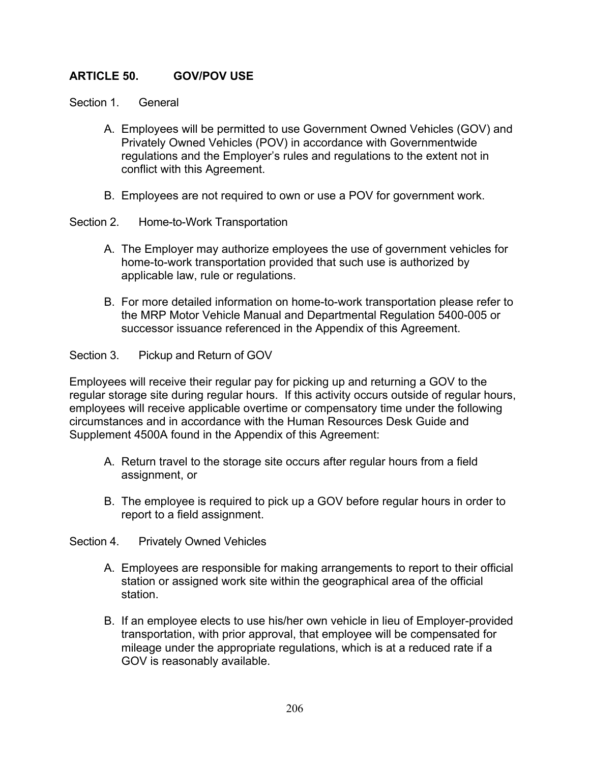# **ARTICLE 50. GOV/POV USE**

#### Section 1. General

- A. Employees will be permitted to use Government Owned Vehicles (GOV) and Privately Owned Vehicles (POV) in accordance with Governmentwide regulations and the Employer's rules and regulations to the extent not in conflict with this Agreement.
- B. Employees are not required to own or use a POV for government work.

Section 2. Home-to-Work Transportation

- A. The Employer may authorize employees the use of government vehicles for home-to-work transportation provided that such use is authorized by applicable law, rule or regulations.
- B. For more detailed information on home-to-work transportation please refer to the MRP Motor Vehicle Manual and Departmental Regulation 5400-005 or successor issuance referenced in the Appendix of this Agreement.

#### Section 3. Pickup and Return of GOV

Employees will receive their regular pay for picking up and returning a GOV to the regular storage site during regular hours. If this activity occurs outside of regular hours, employees will receive applicable overtime or compensatory time under the following circumstances and in accordance with the Human Resources Desk Guide and Supplement 4500A found in the Appendix of this Agreement:

- A. Return travel to the storage site occurs after regular hours from a field assignment, or
- B. The employee is required to pick up a GOV before regular hours in order to report to a field assignment.

#### Section 4. Privately Owned Vehicles

- A. Employees are responsible for making arrangements to report to their official station or assigned work site within the geographical area of the official station.
- B. If an employee elects to use his/her own vehicle in lieu of Employer-provided transportation, with prior approval, that employee will be compensated for mileage under the appropriate regulations, which is at a reduced rate if a GOV is reasonably available.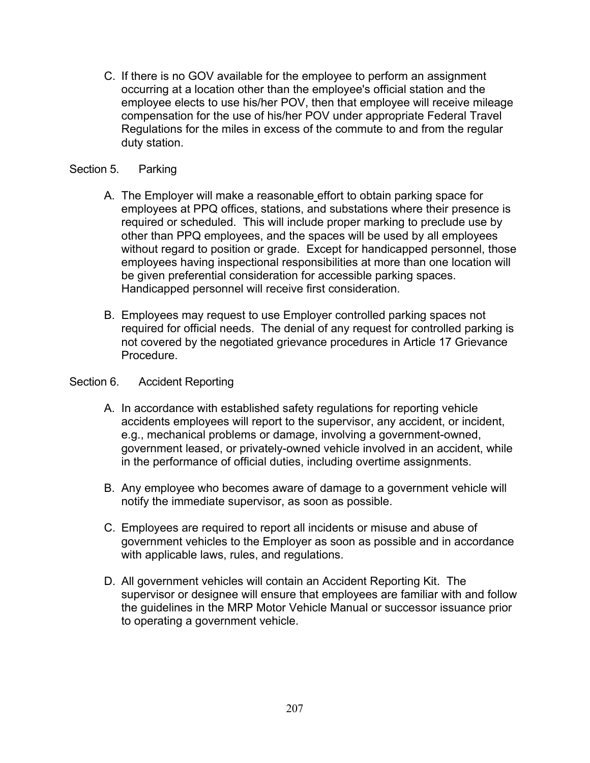C. If there is no GOV available for the employee to perform an assignment occurring at a location other than the employee's official station and the employee elects to use his/her POV, then that employee will receive mileage compensation for the use of his/her POV under appropriate Federal Travel Regulations for the miles in excess of the commute to and from the regular duty station.

## Section 5. Parking

- A. The Employer will make a reasonable effort to obtain parking space for employees at PPQ offices, stations, and substations where their presence is required or scheduled. This will include proper marking to preclude use by other than PPQ employees, and the spaces will be used by all employees without regard to position or grade. Except for handicapped personnel, those employees having inspectional responsibilities at more than one location will be given preferential consideration for accessible parking spaces. Handicapped personnel will receive first consideration.
- B. Employees may request to use Employer controlled parking spaces not required for official needs. The denial of any request for controlled parking is not covered by the negotiated grievance procedures in Article 17 Grievance Procedure.

## Section 6. Accident Reporting

- A. In accordance with established safety regulations for reporting vehicle accidents employees will report to the supervisor, any accident, or incident, e.g., mechanical problems or damage, involving a government-owned, government leased, or privately-owned vehicle involved in an accident, while in the performance of official duties, including overtime assignments.
- B. Any employee who becomes aware of damage to a government vehicle will notify the immediate supervisor, as soon as possible.
- C. Employees are required to report all incidents or misuse and abuse of government vehicles to the Employer as soon as possible and in accordance with applicable laws, rules, and regulations.
- D. All government vehicles will contain an Accident Reporting Kit. The supervisor or designee will ensure that employees are familiar with and follow the guidelines in the MRP Motor Vehicle Manual or successor issuance prior to operating a government vehicle.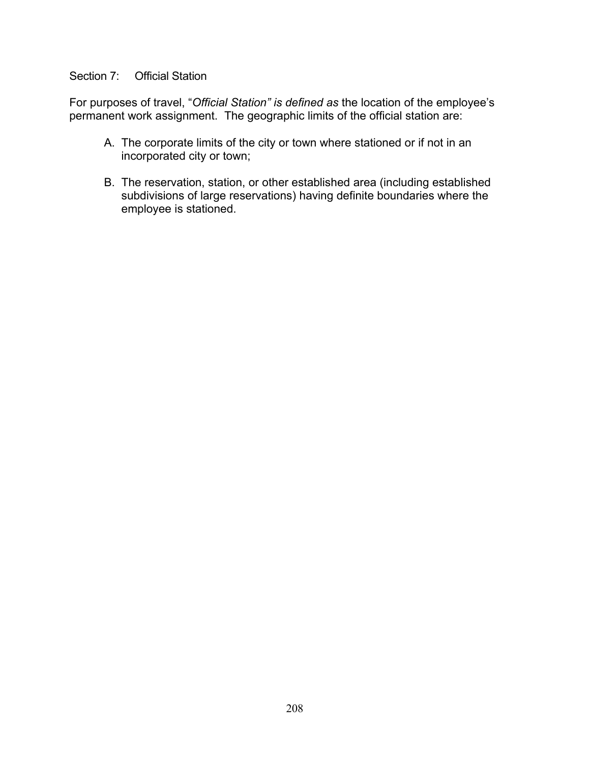## Section 7: Official Station

For purposes of travel, "*Official Station" is defined as* the location of the employee's permanent work assignment. The geographic limits of the official station are:

- A. The corporate limits of the city or town where stationed or if not in an incorporated city or town;
- B. The reservation, station, or other established area (including established subdivisions of large reservations) having definite boundaries where the employee is stationed.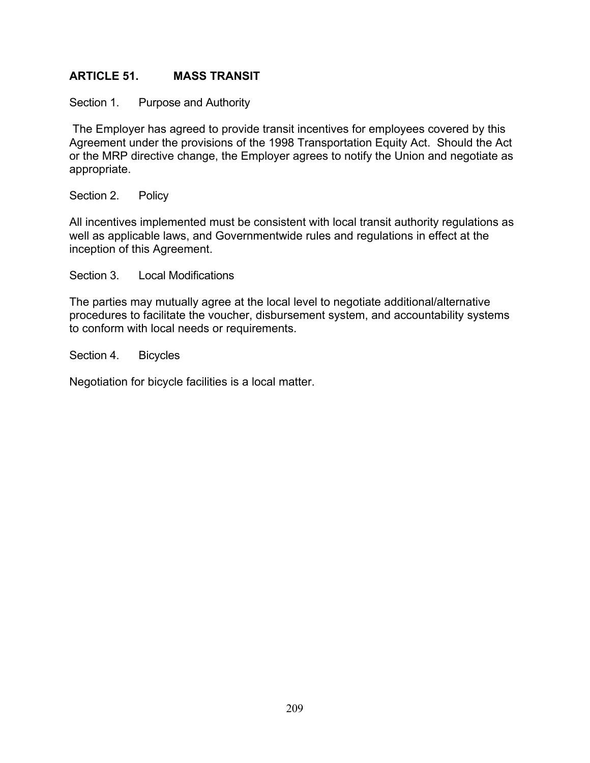# **ARTICLE 51. MASS TRANSIT**

Section 1. Purpose and Authority

The Employer has agreed to provide transit incentives for employees covered by this Agreement under the provisions of the 1998 Transportation Equity Act. Should the Act or the MRP directive change, the Employer agrees to notify the Union and negotiate as appropriate.

Section 2. Policy

All incentives implemented must be consistent with local transit authority regulations as well as applicable laws, and Governmentwide rules and regulations in effect at the inception of this Agreement.

Section 3. Local Modifications

The parties may mutually agree at the local level to negotiate additional/alternative procedures to facilitate the voucher, disbursement system, and accountability systems to conform with local needs or requirements.

Section 4. Bicycles

Negotiation for bicycle facilities is a local matter.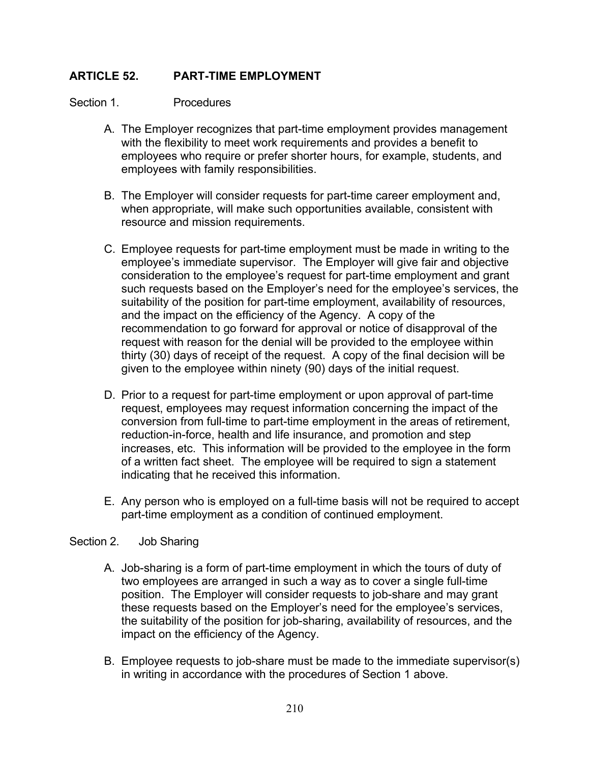# **ARTICLE 52. PART-TIME EMPLOYMENT**

#### Section 1. Procedures

- A. The Employer recognizes that part-time employment provides management with the flexibility to meet work requirements and provides a benefit to employees who require or prefer shorter hours, for example, students, and employees with family responsibilities.
- B. The Employer will consider requests for part-time career employment and, when appropriate, will make such opportunities available, consistent with resource and mission requirements.
- C. Employee requests for part-time employment must be made in writing to the employee's immediate supervisor. The Employer will give fair and objective consideration to the employee's request for part-time employment and grant such requests based on the Employer's need for the employee's services, the suitability of the position for part-time employment, availability of resources, and the impact on the efficiency of the Agency. A copy of the recommendation to go forward for approval or notice of disapproval of the request with reason for the denial will be provided to the employee within thirty (30) days of receipt of the request. A copy of the final decision will be given to the employee within ninety (90) days of the initial request.
- D. Prior to a request for part-time employment or upon approval of part-time request, employees may request information concerning the impact of the conversion from full-time to part-time employment in the areas of retirement, reduction-in-force, health and life insurance, and promotion and step increases, etc. This information will be provided to the employee in the form of a written fact sheet. The employee will be required to sign a statement indicating that he received this information.
- E. Any person who is employed on a full-time basis will not be required to accept part-time employment as a condition of continued employment.

## Section 2. Job Sharing

- A. Job-sharing is a form of part-time employment in which the tours of duty of two employees are arranged in such a way as to cover a single full-time position. The Employer will consider requests to job-share and may grant these requests based on the Employer's need for the employee's services, the suitability of the position for job-sharing, availability of resources, and the impact on the efficiency of the Agency.
- B. Employee requests to job-share must be made to the immediate supervisor(s) in writing in accordance with the procedures of Section 1 above.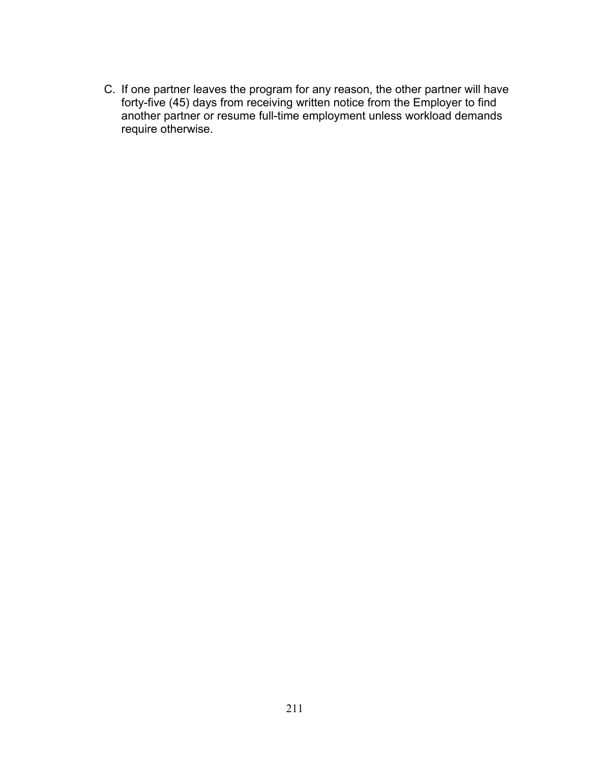C. If one partner leaves the program for any reason, the other partner will have forty-five (45) days from receiving written notice from the Employer to find another partner or resume full-time employment unless workload demands require otherwise.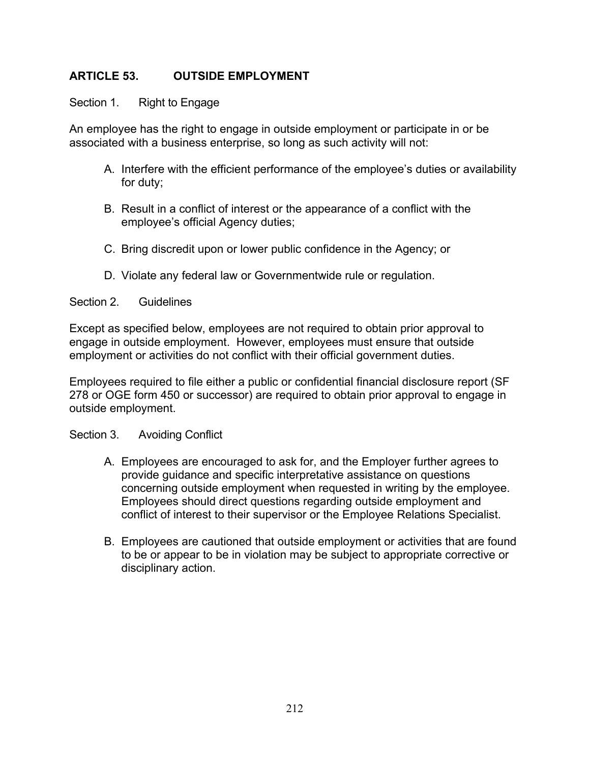# **ARTICLE 53. OUTSIDE EMPLOYMENT**

## Section 1. Right to Engage

An employee has the right to engage in outside employment or participate in or be associated with a business enterprise, so long as such activity will not:

- A. Interfere with the efficient performance of the employee's duties or availability for duty;
- B. Result in a conflict of interest or the appearance of a conflict with the employee's official Agency duties;
- C. Bring discredit upon or lower public confidence in the Agency; or
- D. Violate any federal law or Governmentwide rule or regulation.

## Section 2. Guidelines

Except as specified below, employees are not required to obtain prior approval to engage in outside employment. However, employees must ensure that outside employment or activities do not conflict with their official government duties.

Employees required to file either a public or confidential financial disclosure report (SF 278 or OGE form 450 or successor) are required to obtain prior approval to engage in outside employment.

## Section 3. Avoiding Conflict

- A. Employees are encouraged to ask for, and the Employer further agrees to provide guidance and specific interpretative assistance on questions concerning outside employment when requested in writing by the employee. Employees should direct questions regarding outside employment and conflict of interest to their supervisor or the Employee Relations Specialist.
- B. Employees are cautioned that outside employment or activities that are found to be or appear to be in violation may be subject to appropriate corrective or disciplinary action.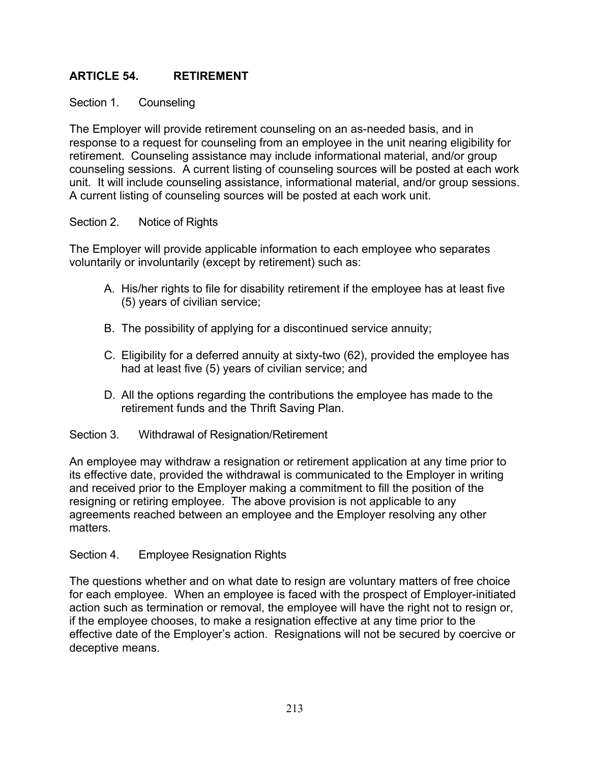# **ARTICLE 54. RETIREMENT**

## Section 1. Counseling

The Employer will provide retirement counseling on an as-needed basis, and in response to a request for counseling from an employee in the unit nearing eligibility for retirement. Counseling assistance may include informational material, and/or group counseling sessions. A current listing of counseling sources will be posted at each work unit. It will include counseling assistance, informational material, and/or group sessions. A current listing of counseling sources will be posted at each work unit.

## Section 2. Notice of Rights

The Employer will provide applicable information to each employee who separates voluntarily or involuntarily (except by retirement) such as:

- A. His/her rights to file for disability retirement if the employee has at least five (5) years of civilian service;
- B. The possibility of applying for a discontinued service annuity;
- C. Eligibility for a deferred annuity at sixty-two (62), provided the employee has had at least five (5) years of civilian service; and
- D. All the options regarding the contributions the employee has made to the retirement funds and the Thrift Saving Plan.

## Section 3. Withdrawal of Resignation/Retirement

An employee may withdraw a resignation or retirement application at any time prior to its effective date, provided the withdrawal is communicated to the Employer in writing and received prior to the Employer making a commitment to fill the position of the resigning or retiring employee. The above provision is not applicable to any agreements reached between an employee and the Employer resolving any other matters.

## Section 4. Employee Resignation Rights

The questions whether and on what date to resign are voluntary matters of free choice for each employee. When an employee is faced with the prospect of Employer-initiated action such as termination or removal, the employee will have the right not to resign or, if the employee chooses, to make a resignation effective at any time prior to the effective date of the Employer's action. Resignations will not be secured by coercive or deceptive means.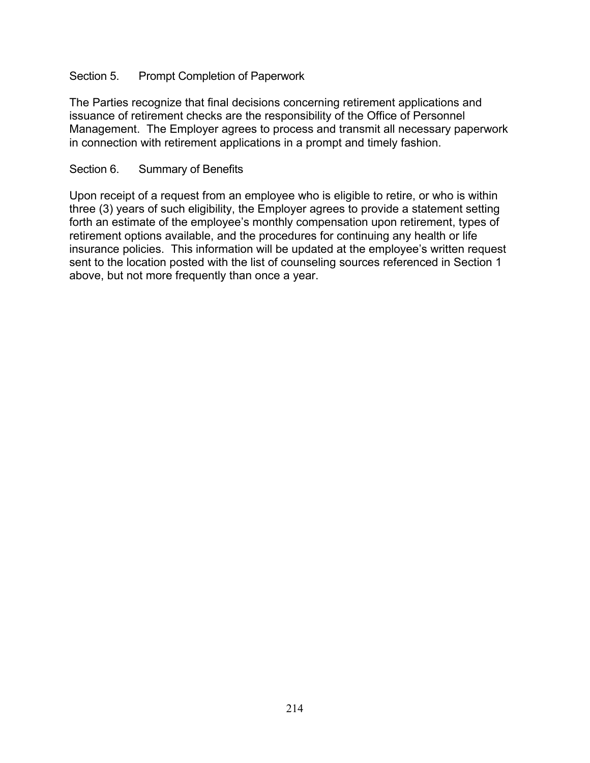## Section 5. Prompt Completion of Paperwork

The Parties recognize that final decisions concerning retirement applications and issuance of retirement checks are the responsibility of the Office of Personnel Management. The Employer agrees to process and transmit all necessary paperwork in connection with retirement applications in a prompt and timely fashion.

#### Section 6. Summary of Benefits

Upon receipt of a request from an employee who is eligible to retire, or who is within three (3) years of such eligibility, the Employer agrees to provide a statement setting forth an estimate of the employee's monthly compensation upon retirement, types of retirement options available, and the procedures for continuing any health or life insurance policies. This information will be updated at the employee's written request sent to the location posted with the list of counseling sources referenced in Section 1 above, but not more frequently than once a year.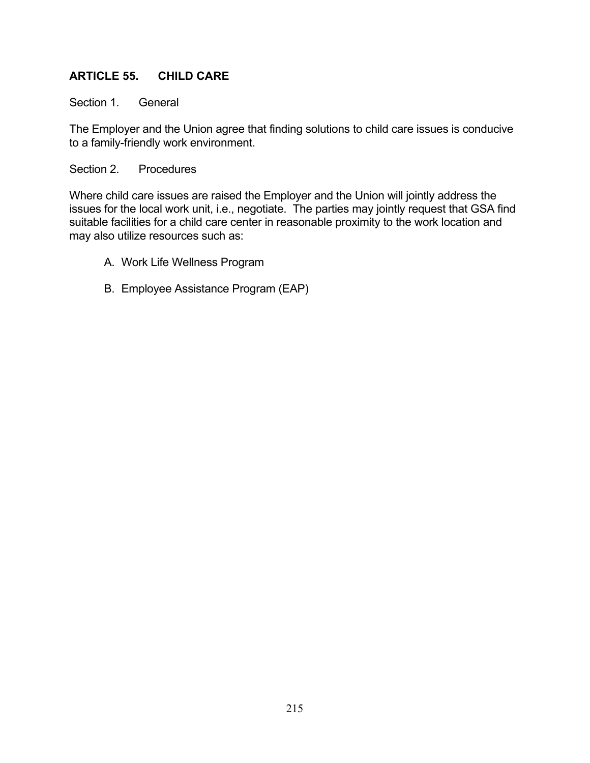# **ARTICLE 55. CHILD CARE**

Section 1. General

The Employer and the Union agree that finding solutions to child care issues is conducive to a family-friendly work environment.

Section 2. Procedures

Where child care issues are raised the Employer and the Union will jointly address the issues for the local work unit, i.e., negotiate. The parties may jointly request that GSA find suitable facilities for a child care center in reasonable proximity to the work location and may also utilize resources such as:

- A. Work Life Wellness Program
- B. Employee Assistance Program (EAP)